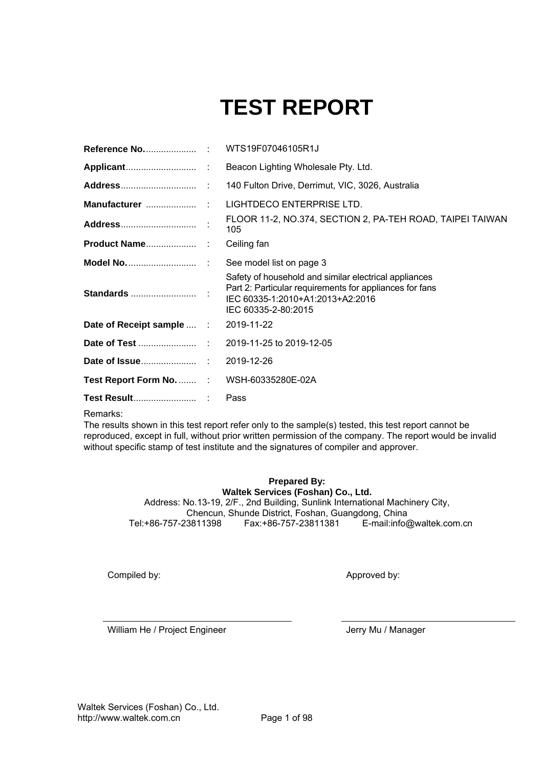# **TEST REPORT**

|                                           | Beacon Lighting Wholesale Pty. Ltd.                                                                                                                                         |
|-------------------------------------------|-----------------------------------------------------------------------------------------------------------------------------------------------------------------------------|
|                                           |                                                                                                                                                                             |
|                                           |                                                                                                                                                                             |
|                                           | FLOOR 11-2, NO.374, SECTION 2, PA-TEH ROAD, TAIPEI TAIWAN<br>105                                                                                                            |
|                                           | Ceiling fan                                                                                                                                                                 |
|                                           |                                                                                                                                                                             |
|                                           | Safety of household and similar electrical appliances<br>Part 2: Particular requirements for appliances for fans<br>IEC 60335-1:2010+A1:2013+A2:2016<br>IEC 60335-2-80:2015 |
| Date of Receipt sample  : 2019-11-22      |                                                                                                                                                                             |
|                                           |                                                                                                                                                                             |
|                                           |                                                                                                                                                                             |
| Test Report Form No.  : WSH-60335280E-02A |                                                                                                                                                                             |
|                                           | Pass                                                                                                                                                                        |

Remarks:

The results shown in this test report refer only to the sample(s) tested, this test report cannot be reproduced, except in full, without prior written permission of the company. The report would be invalid without specific stamp of test institute and the signatures of compiler and approver.

> **Prepared By: Waltek Services (Foshan) Co., Ltd.**  Address: No.13-19, 2/F., 2nd Building, Sunlink International Machinery City, Chencun, Shunde District, Foshan, Guangdong, China E-mail:info@waltek.com.cn

Compiled by:

Approved by:

William He / Project Engineer **Jerry Mu / Manager** Jerry Mu / Manager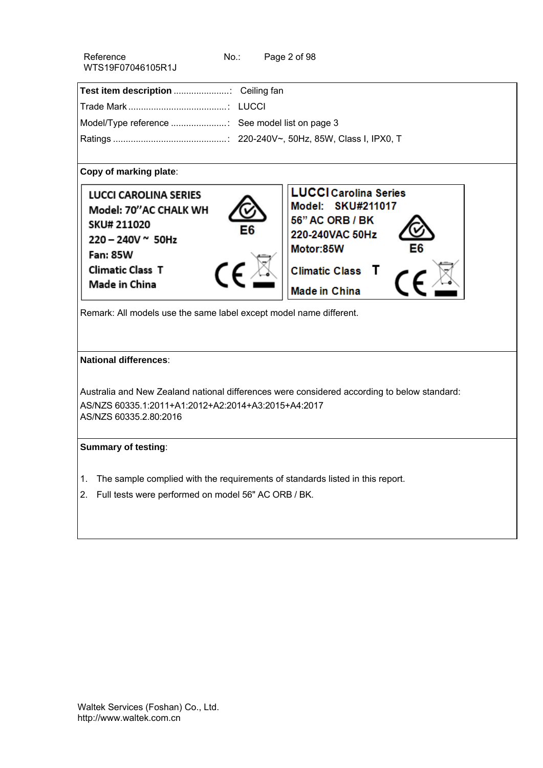| Reference         | No.: | Page 2 of 98 |
|-------------------|------|--------------|
| WTS19F07046105R1J |      |              |

| Model/Type reference  See model list on page 3 |  |
|------------------------------------------------|--|
|                                                |  |

### **Copy of marking plate**:



Remark: All models use the same label except model name different.

#### **National differences**:

Australia and New Zealand national differences were considered according to below standard: AS/NZS 60335.1:2011+A1:2012+A2:2014+A3:2015+A4:2017 AS/NZS 60335.2.80:2016

## **Summary of testing**:

- 1. The sample complied with the requirements of standards listed in this report.
- 2. Full tests were performed on model 56" AC ORB / BK.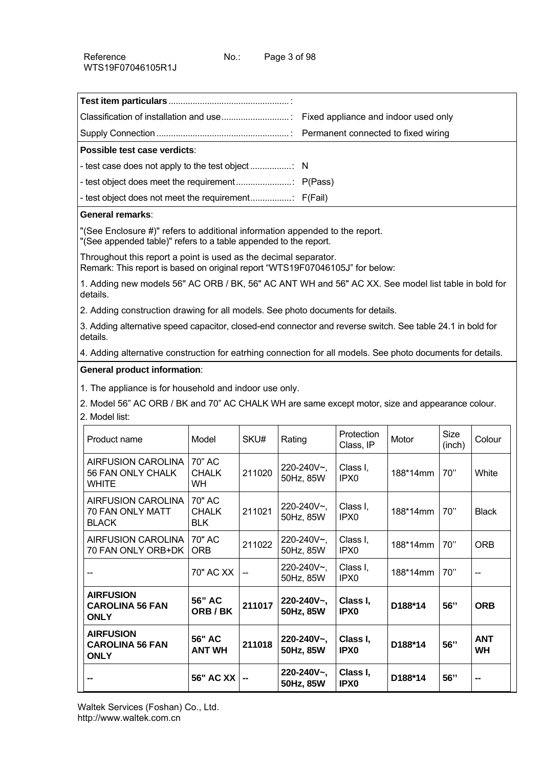| Possible test case verdicts: |  |
|------------------------------|--|
|                              |  |
|                              |  |
|                              |  |
| Conoval vamarka:             |  |

#### **General remarks**:

"(See Enclosure #)" refers to additional information appended to the report.

"(See appended table)" refers to a table appended to the report.

Throughout this report a point is used as the decimal separator. Remark: This report is based on original report "WTS19F07046105J" for below:

1. Adding new models 56" AC ORB / BK, 56" AC ANT WH and 56" AC XX. See model list table in bold for details.

2. Adding construction drawing for all models. See photo documents for details.

3. Adding alternative speed capacitor, closed-end connector and reverse switch. See table 24.1 in bold for details.

4. Adding alternative construction for eatrhing connection for all models. See photo documents for details.

## **General product information**:

1. The appliance is for household and indoor use only.

2. Model 56" AC ORB / BK and 70" AC CHALK WH are same except motor, size and appearance colour. 2. Model list:

| Product name                                                   | Model                                | SKU#           | Rating                        | Protection<br>Class, IP      | Motor    | <b>Size</b><br>(inch) | Colour           |
|----------------------------------------------------------------|--------------------------------------|----------------|-------------------------------|------------------------------|----------|-----------------------|------------------|
| <b>AIRFUSION CAROLINA</b><br>56 FAN ONLY CHALK<br><b>WHITE</b> | 70" AC<br><b>CHALK</b><br><b>WH</b>  | 211020         | $220 - 240V$ ,<br>50Hz, 85W   | Class I,<br>IPX <sub>0</sub> | 188*14mm | 70"                   | White            |
| <b>AIRFUSION CAROLINA</b><br>70 FAN ONLY MATT<br><b>BLACK</b>  | 70" AC<br><b>CHALK</b><br><b>BLK</b> | 211021         | 220-240V~,<br>50Hz, 85W       | Class I,<br>IPX <sub>0</sub> | 188*14mm | 70"                   | <b>Black</b>     |
| <b>AIRFUSION CAROLINA</b><br>70 FAN ONLY ORB+DK                | 70" AC<br><b>ORB</b>                 | 211022         | 220-240V~,<br>50Hz, 85W       | Class I,<br>IPX <sub>0</sub> | 188*14mm | 70"                   | ORB.             |
|                                                                | 70" AC XX                            | $\overline{a}$ | 220-240V~,<br>50Hz, 85W       | Class I,<br>IPX <sub>0</sub> | 188*14mm | 70"                   |                  |
| <b>AIRFUSION</b><br><b>CAROLINA 56 FAN</b><br><b>ONLY</b>      | 56" AC<br>ORB/BK                     | 211017         | 220-240V~,<br>50Hz, 85W       | Class I,<br>IPX <sub>0</sub> | D188*14  | 56"                   | <b>ORB</b>       |
| <b>AIRFUSION</b><br><b>CAROLINA 56 FAN</b><br><b>ONLY</b>      | 56" AC<br><b>ANT WH</b>              | 211018         | $220 - 240V -$ ,<br>50Hz, 85W | Class I,<br><b>IPX0</b>      | D188*14  | 56"                   | <b>ANT</b><br>WH |
|                                                                | <b>56" AC XX</b>                     | --             | 220-240V~,<br>50Hz, 85W       | Class I,<br><b>IPX0</b>      | D188*14  | 56"                   |                  |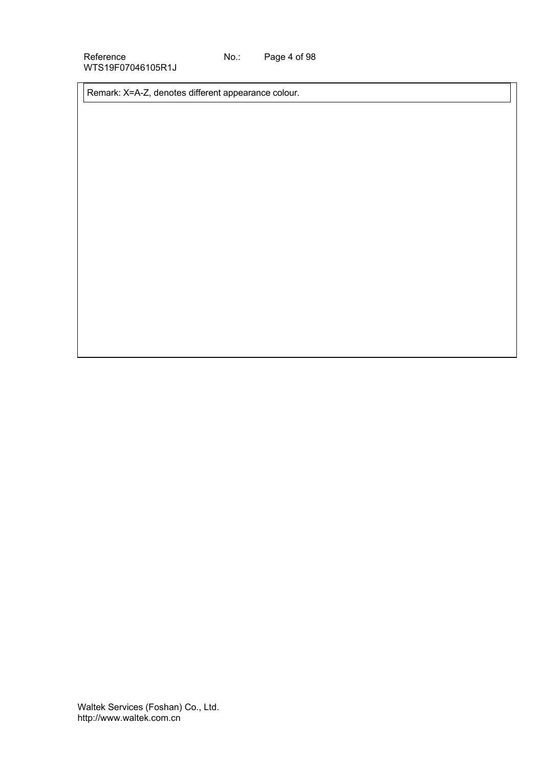Remark: X=A-Z, denotes different appearance colour.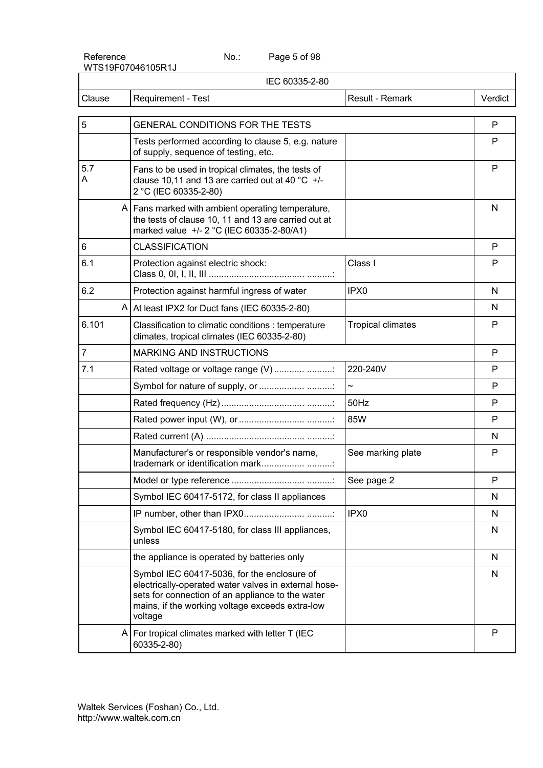Page 5 of 98

|                | IEC 60335-2-80                                                                                                                                                                                                        |                          |         |
|----------------|-----------------------------------------------------------------------------------------------------------------------------------------------------------------------------------------------------------------------|--------------------------|---------|
| Clause         | Requirement - Test                                                                                                                                                                                                    | Result - Remark          | Verdict |
| 5              | GENERAL CONDITIONS FOR THE TESTS                                                                                                                                                                                      |                          | P       |
|                | Tests performed according to clause 5, e.g. nature<br>of supply, sequence of testing, etc.                                                                                                                            |                          | P       |
| 5.7<br>A       | Fans to be used in tropical climates, the tests of<br>clause 10,11 and 13 are carried out at 40 $^{\circ}$ C +/-<br>2 °C (IEC 60335-2-80)                                                                             |                          | P       |
|                | A   Fans marked with ambient operating temperature,<br>the tests of clause 10, 11 and 13 are carried out at<br>marked value +/- 2 °C (IEC 60335-2-80/A1)                                                              |                          | N       |
| 6              | <b>CLASSIFICATION</b>                                                                                                                                                                                                 |                          | P       |
| 6.1            | Protection against electric shock:                                                                                                                                                                                    | Class I                  | P       |
| 6.2            | Protection against harmful ingress of water                                                                                                                                                                           | IPX0                     | N       |
|                | A At least IPX2 for Duct fans (IEC 60335-2-80)                                                                                                                                                                        |                          | N       |
| 6.101          | Classification to climatic conditions : temperature<br>climates, tropical climates (IEC 60335-2-80)                                                                                                                   | <b>Tropical climates</b> | P       |
| $\overline{7}$ | <b>MARKING AND INSTRUCTIONS</b>                                                                                                                                                                                       |                          | P       |
| 7.1            | Rated voltage or voltage range (V)                                                                                                                                                                                    | 220-240V                 | P       |
|                | Symbol for nature of supply, or  :                                                                                                                                                                                    | $\tilde{\phantom{a}}$    | P       |
|                |                                                                                                                                                                                                                       | 50Hz                     | P       |
|                |                                                                                                                                                                                                                       | 85W                      | P       |
|                |                                                                                                                                                                                                                       |                          | N       |
|                | Manufacturer's or responsible vendor's name,<br>trademark or identification mark                                                                                                                                      | See marking plate        | P       |
|                |                                                                                                                                                                                                                       | See page 2               | P       |
|                | Symbol IEC 60417-5172, for class II appliances                                                                                                                                                                        |                          | N       |
|                |                                                                                                                                                                                                                       | IPX <sub>0</sub>         | N       |
|                | Symbol IEC 60417-5180, for class III appliances,<br>unless                                                                                                                                                            |                          | N       |
|                | the appliance is operated by batteries only                                                                                                                                                                           |                          | N       |
|                | Symbol IEC 60417-5036, for the enclosure of<br>electrically-operated water valves in external hose-<br>sets for connection of an appliance to the water<br>mains, if the working voltage exceeds extra-low<br>voltage |                          | N       |
|                | A   For tropical climates marked with letter $T$ (IEC<br>60335-2-80)                                                                                                                                                  |                          | P       |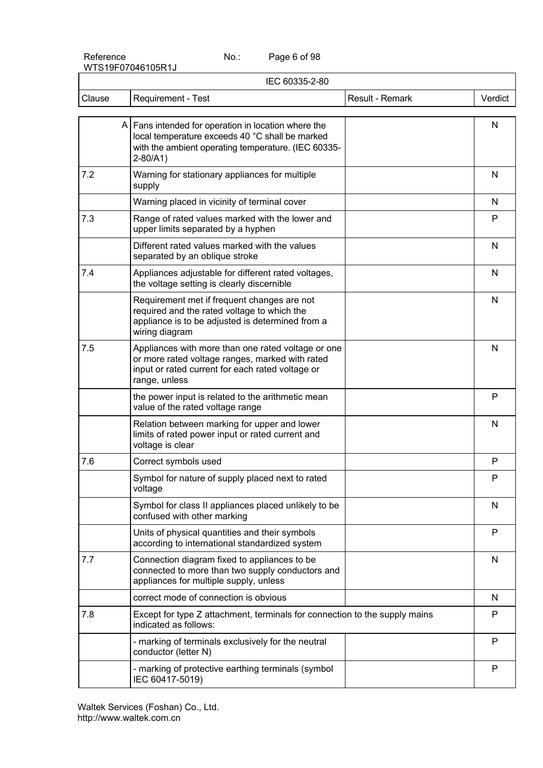Page 6 of 98

| IEC 60335-2-80 |                                                                                                                                                                                |                 |         |  |
|----------------|--------------------------------------------------------------------------------------------------------------------------------------------------------------------------------|-----------------|---------|--|
| Clause         | Requirement - Test                                                                                                                                                             | Result - Remark | Verdict |  |
|                | $A$ Fans intended for operation in location where the<br>local temperature exceeds 40 °C shall be marked<br>with the ambient operating temperature. (IEC 60335-<br>$2 - 80/A1$ |                 | N       |  |
| 7.2            | Warning for stationary appliances for multiple<br>supply                                                                                                                       |                 | N       |  |
|                | Warning placed in vicinity of terminal cover                                                                                                                                   |                 | N       |  |
| 7.3            | Range of rated values marked with the lower and<br>upper limits separated by a hyphen                                                                                          |                 | P       |  |
|                | Different rated values marked with the values<br>separated by an oblique stroke                                                                                                |                 | N       |  |
| 7.4            | Appliances adjustable for different rated voltages,<br>the voltage setting is clearly discernible                                                                              |                 | N       |  |
|                | Requirement met if frequent changes are not<br>required and the rated voltage to which the<br>appliance is to be adjusted is determined from a<br>wiring diagram               |                 | N       |  |
| 7.5            | Appliances with more than one rated voltage or one<br>or more rated voltage ranges, marked with rated<br>input or rated current for each rated voltage or<br>range, unless     |                 | N       |  |
|                | the power input is related to the arithmetic mean<br>value of the rated voltage range                                                                                          |                 | P       |  |
|                | Relation between marking for upper and lower<br>limits of rated power input or rated current and<br>voltage is clear                                                           |                 | N       |  |
| 7.6            | Correct symbols used                                                                                                                                                           |                 | P       |  |
|                | Symbol for nature of supply placed next to rated<br>voltage                                                                                                                    |                 | P       |  |
|                | Symbol for class II appliances placed unlikely to be<br>confused with other marking                                                                                            |                 | N       |  |
|                | Units of physical quantities and their symbols<br>according to international standardized system                                                                               |                 | P       |  |
| 7.7            | Connection diagram fixed to appliances to be<br>connected to more than two supply conductors and<br>appliances for multiple supply, unless                                     |                 | N       |  |
|                | correct mode of connection is obvious                                                                                                                                          |                 | N       |  |
| 7.8            | Except for type Z attachment, terminals for connection to the supply mains<br>indicated as follows:                                                                            |                 | P       |  |
|                | - marking of terminals exclusively for the neutral<br>conductor (letter N)                                                                                                     |                 | P       |  |
|                | - marking of protective earthing terminals (symbol<br>IEC 60417-5019)                                                                                                          |                 | P       |  |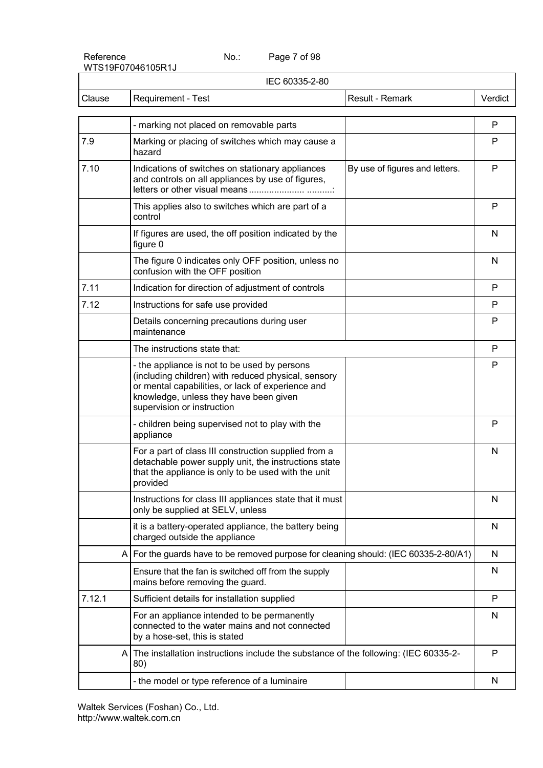Page 7 of 98

| IEC 60335-2-80 |                                                                                                                                                                                                                                  |                                |         |  |
|----------------|----------------------------------------------------------------------------------------------------------------------------------------------------------------------------------------------------------------------------------|--------------------------------|---------|--|
| Clause         | Requirement - Test                                                                                                                                                                                                               | Result - Remark                | Verdict |  |
|                | - marking not placed on removable parts                                                                                                                                                                                          |                                | P       |  |
| 7.9            | Marking or placing of switches which may cause a<br>hazard                                                                                                                                                                       |                                | P       |  |
| 7.10           | Indications of switches on stationary appliances<br>and controls on all appliances by use of figures,                                                                                                                            | By use of figures and letters. | P       |  |
|                | This applies also to switches which are part of a<br>control                                                                                                                                                                     |                                | P       |  |
|                | If figures are used, the off position indicated by the<br>figure 0                                                                                                                                                               |                                | N       |  |
|                | The figure 0 indicates only OFF position, unless no<br>confusion with the OFF position                                                                                                                                           |                                | N       |  |
| 7.11           | Indication for direction of adjustment of controls                                                                                                                                                                               |                                | P       |  |
| 7.12           | Instructions for safe use provided                                                                                                                                                                                               |                                | P       |  |
|                | Details concerning precautions during user<br>maintenance                                                                                                                                                                        |                                | P       |  |
|                | The instructions state that:                                                                                                                                                                                                     |                                | P       |  |
|                | - the appliance is not to be used by persons<br>(including children) with reduced physical, sensory<br>or mental capabilities, or lack of experience and<br>knowledge, unless they have been given<br>supervision or instruction |                                | P       |  |
|                | - children being supervised not to play with the<br>appliance                                                                                                                                                                    |                                | P       |  |
|                | For a part of class III construction supplied from a<br>detachable power supply unit, the instructions state<br>that the appliance is only to be used with the unit<br>provided                                                  |                                | N       |  |
|                | Instructions for class III appliances state that it must<br>only be supplied at SELV, unless                                                                                                                                     |                                | N       |  |
|                | it is a battery-operated appliance, the battery being<br>charged outside the appliance                                                                                                                                           |                                | N       |  |
|                | A For the guards have to be removed purpose for cleaning should: (IEC 60335-2-80/A1)                                                                                                                                             |                                | N       |  |
|                | Ensure that the fan is switched off from the supply<br>mains before removing the guard.                                                                                                                                          |                                | N       |  |
| 7.12.1         | Sufficient details for installation supplied                                                                                                                                                                                     |                                | P       |  |
|                | For an appliance intended to be permanently<br>connected to the water mains and not connected<br>by a hose-set, this is stated                                                                                                   |                                | N       |  |
|                | The installation instructions include the substance of the following: (IEC 60335-2-<br>A<br>80)                                                                                                                                  |                                | P       |  |
|                | - the model or type reference of a luminaire                                                                                                                                                                                     |                                | N       |  |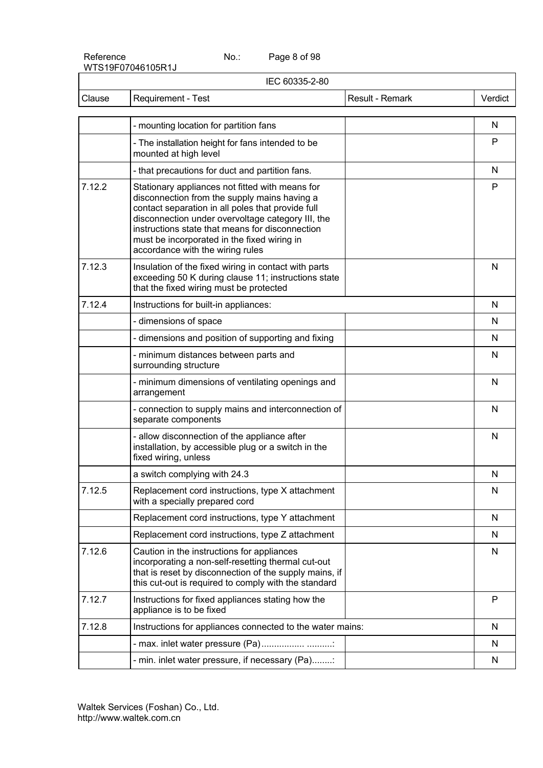Page 8 of 98

|        | IEC 60335-2-80                                                                                                                                                                                                                                                                                                                                  |                 |         |
|--------|-------------------------------------------------------------------------------------------------------------------------------------------------------------------------------------------------------------------------------------------------------------------------------------------------------------------------------------------------|-----------------|---------|
| Clause | Requirement - Test                                                                                                                                                                                                                                                                                                                              | Result - Remark | Verdict |
|        | - mounting location for partition fans                                                                                                                                                                                                                                                                                                          |                 | N       |
|        | - The installation height for fans intended to be<br>mounted at high level                                                                                                                                                                                                                                                                      |                 | P       |
|        | - that precautions for duct and partition fans.                                                                                                                                                                                                                                                                                                 |                 | N       |
| 7.12.2 | Stationary appliances not fitted with means for<br>disconnection from the supply mains having a<br>contact separation in all poles that provide full<br>disconnection under overvoltage category III, the<br>instructions state that means for disconnection<br>must be incorporated in the fixed wiring in<br>accordance with the wiring rules |                 | P       |
| 7.12.3 | Insulation of the fixed wiring in contact with parts<br>exceeding 50 K during clause 11; instructions state<br>that the fixed wiring must be protected                                                                                                                                                                                          |                 | N       |
| 7.12.4 | Instructions for built-in appliances:                                                                                                                                                                                                                                                                                                           |                 | N       |
|        | - dimensions of space                                                                                                                                                                                                                                                                                                                           |                 | N       |
|        | - dimensions and position of supporting and fixing                                                                                                                                                                                                                                                                                              |                 | N       |
|        | - minimum distances between parts and<br>surrounding structure                                                                                                                                                                                                                                                                                  |                 | N       |
|        | - minimum dimensions of ventilating openings and<br>arrangement                                                                                                                                                                                                                                                                                 |                 | N       |
|        | - connection to supply mains and interconnection of<br>separate components                                                                                                                                                                                                                                                                      |                 | N       |
|        | - allow disconnection of the appliance after<br>installation, by accessible plug or a switch in the<br>fixed wiring, unless                                                                                                                                                                                                                     |                 | N       |
|        | a switch complying with 24.3                                                                                                                                                                                                                                                                                                                    |                 | N       |
| 7.12.5 | Replacement cord instructions, type X attachment<br>with a specially prepared cord                                                                                                                                                                                                                                                              |                 | N       |
|        | Replacement cord instructions, type Y attachment                                                                                                                                                                                                                                                                                                |                 | N       |
|        | Replacement cord instructions, type Z attachment                                                                                                                                                                                                                                                                                                |                 | N       |
| 7.12.6 | Caution in the instructions for appliances<br>incorporating a non-self-resetting thermal cut-out<br>that is reset by disconnection of the supply mains, if<br>this cut-out is required to comply with the standard                                                                                                                              |                 | N       |
| 7.12.7 | Instructions for fixed appliances stating how the<br>appliance is to be fixed                                                                                                                                                                                                                                                                   |                 | P       |
| 7.12.8 | Instructions for appliances connected to the water mains:                                                                                                                                                                                                                                                                                       |                 | N       |
|        | - max. inlet water pressure (Pa)                                                                                                                                                                                                                                                                                                                |                 | N       |
|        | - min. inlet water pressure, if necessary (Pa):                                                                                                                                                                                                                                                                                                 |                 | N       |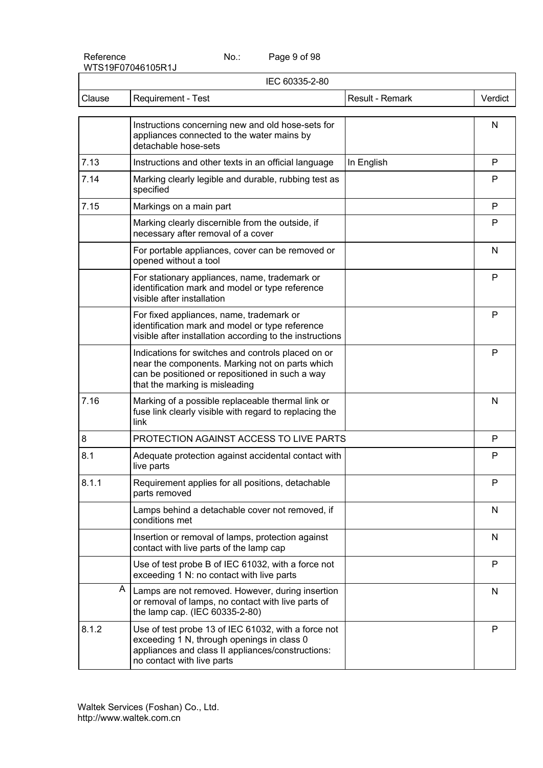Page 9 of 98

|        | IEC 60335-2-80                                                                                                                                                                             |                 |              |  |  |
|--------|--------------------------------------------------------------------------------------------------------------------------------------------------------------------------------------------|-----------------|--------------|--|--|
| Clause | Requirement - Test                                                                                                                                                                         | Result - Remark | Verdict      |  |  |
|        | Instructions concerning new and old hose-sets for<br>appliances connected to the water mains by<br>detachable hose-sets                                                                    |                 | N            |  |  |
| 7.13   | Instructions and other texts in an official language                                                                                                                                       | In English      | $\mathsf{P}$ |  |  |
| 7.14   | Marking clearly legible and durable, rubbing test as<br>specified                                                                                                                          |                 | P            |  |  |
| 7.15   | Markings on a main part                                                                                                                                                                    |                 | P            |  |  |
|        | Marking clearly discernible from the outside, if<br>necessary after removal of a cover                                                                                                     |                 | P            |  |  |
|        | For portable appliances, cover can be removed or<br>opened without a tool                                                                                                                  |                 | N            |  |  |
|        | For stationary appliances, name, trademark or<br>identification mark and model or type reference<br>visible after installation                                                             |                 | P            |  |  |
|        | For fixed appliances, name, trademark or<br>identification mark and model or type reference<br>visible after installation according to the instructions                                    |                 | P            |  |  |
|        | Indications for switches and controls placed on or<br>near the components. Marking not on parts which<br>can be positioned or repositioned in such a way<br>that the marking is misleading |                 | P            |  |  |
| 7.16   | Marking of a possible replaceable thermal link or<br>fuse link clearly visible with regard to replacing the<br>link                                                                        |                 | N            |  |  |
| 8      | PROTECTION AGAINST ACCESS TO LIVE PARTS                                                                                                                                                    |                 | P            |  |  |
| 8.1    | Adequate protection against accidental contact with<br>live parts                                                                                                                          |                 | P            |  |  |
| 8.1.1  | Requirement applies for all positions, detachable<br>parts removed                                                                                                                         |                 | ۲            |  |  |
|        | Lamps behind a detachable cover not removed, if<br>conditions met                                                                                                                          |                 | N            |  |  |
|        | Insertion or removal of lamps, protection against<br>contact with live parts of the lamp cap                                                                                               |                 | N            |  |  |
|        | Use of test probe B of IEC 61032, with a force not<br>exceeding 1 N: no contact with live parts                                                                                            |                 | P            |  |  |
|        | A<br>Lamps are not removed. However, during insertion<br>or removal of lamps, no contact with live parts of<br>the lamp cap. (IEC 60335-2-80)                                              |                 | N            |  |  |
| 8.1.2  | Use of test probe 13 of IEC 61032, with a force not<br>exceeding 1 N, through openings in class 0<br>appliances and class II appliances/constructions:<br>no contact with live parts       |                 | P            |  |  |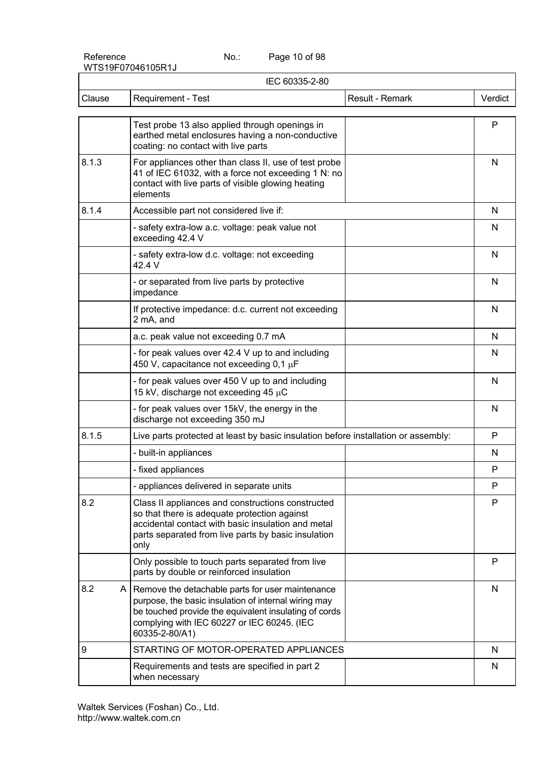Page 10 of 98

| IEC 60335-2-80 |                                                                                                                                                                                                                                        |                 |         |  |
|----------------|----------------------------------------------------------------------------------------------------------------------------------------------------------------------------------------------------------------------------------------|-----------------|---------|--|
| Clause         | Requirement - Test                                                                                                                                                                                                                     | Result - Remark | Verdict |  |
|                | Test probe 13 also applied through openings in<br>earthed metal enclosures having a non-conductive<br>coating: no contact with live parts                                                                                              |                 | P       |  |
| 8.1.3          | For appliances other than class II, use of test probe<br>41 of IEC 61032, with a force not exceeding 1 N: no<br>contact with live parts of visible glowing heating<br>elements                                                         |                 | N       |  |
| 8.1.4          | Accessible part not considered live if:                                                                                                                                                                                                |                 | N       |  |
|                | - safety extra-low a.c. voltage: peak value not<br>exceeding 42.4 V                                                                                                                                                                    |                 | N       |  |
|                | - safety extra-low d.c. voltage: not exceeding<br>42.4 V                                                                                                                                                                               |                 | N       |  |
|                | - or separated from live parts by protective<br>impedance                                                                                                                                                                              |                 | N       |  |
|                | If protective impedance: d.c. current not exceeding<br>2 mA, and                                                                                                                                                                       |                 | N       |  |
|                | a.c. peak value not exceeding 0.7 mA                                                                                                                                                                                                   |                 | N       |  |
|                | - for peak values over 42.4 V up to and including<br>450 V, capacitance not exceeding $0.1 \mu F$                                                                                                                                      |                 | N       |  |
|                | - for peak values over 450 V up to and including<br>15 kV, discharge not exceeding 45 µC                                                                                                                                               |                 | N       |  |
|                | - for peak values over 15kV, the energy in the<br>discharge not exceeding 350 mJ                                                                                                                                                       |                 | N       |  |
| 8.1.5          | Live parts protected at least by basic insulation before installation or assembly:                                                                                                                                                     |                 | P       |  |
|                | - built-in appliances                                                                                                                                                                                                                  |                 | N       |  |
|                | - fixed appliances                                                                                                                                                                                                                     |                 | P       |  |
|                | - appliances delivered in separate units                                                                                                                                                                                               |                 | P       |  |
| 8.2            | Class II appliances and constructions constructed<br>so that there is adequate protection against<br>accidental contact with basic insulation and metal<br>parts separated from live parts by basic insulation<br>only                 |                 | P       |  |
|                | Only possible to touch parts separated from live<br>parts by double or reinforced insulation                                                                                                                                           |                 | P       |  |
| 8.2            | A   Remove the detachable parts for user maintenance<br>purpose, the basic insulation of internal wiring may<br>be touched provide the equivalent insulating of cords<br>complying with IEC 60227 or IEC 60245. (IEC<br>60335-2-80/A1) |                 | N       |  |
| 9              | STARTING OF MOTOR-OPERATED APPLIANCES                                                                                                                                                                                                  |                 | N       |  |
|                | Requirements and tests are specified in part 2<br>when necessary                                                                                                                                                                       |                 | N       |  |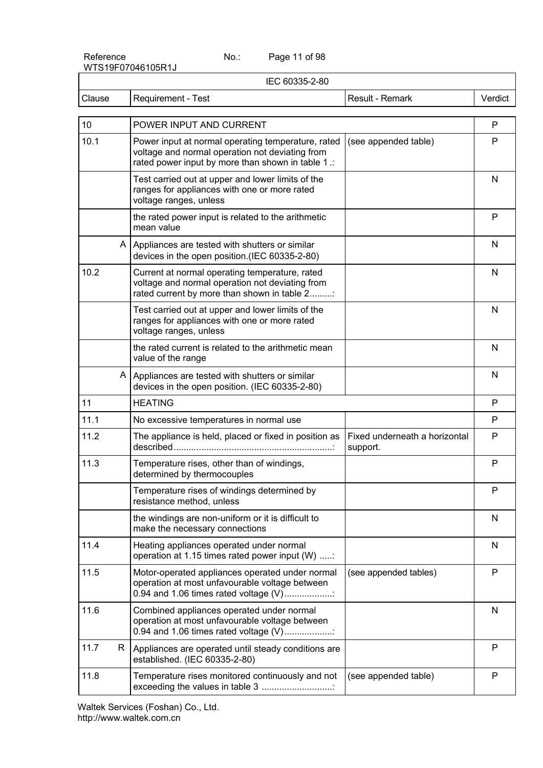Page 11 of 98

| IEC 60335-2-80 |    |                                                                                                                                                             |                                           |         |
|----------------|----|-------------------------------------------------------------------------------------------------------------------------------------------------------------|-------------------------------------------|---------|
| Clause         |    | Requirement - Test                                                                                                                                          | Result - Remark                           | Verdict |
| 10             |    | POWER INPUT AND CURRENT                                                                                                                                     |                                           | P       |
| 10.1           |    | Power input at normal operating temperature, rated<br>voltage and normal operation not deviating from<br>rated power input by more than shown in table 1 .: | (see appended table)                      | P       |
|                |    | Test carried out at upper and lower limits of the<br>ranges for appliances with one or more rated<br>voltage ranges, unless                                 |                                           | N       |
|                |    | the rated power input is related to the arithmetic<br>mean value                                                                                            |                                           | P       |
|                |    | A   Appliances are tested with shutters or similar<br>devices in the open position.(IEC 60335-2-80)                                                         |                                           | N       |
| 10.2           |    | Current at normal operating temperature, rated<br>voltage and normal operation not deviating from<br>rated current by more than shown in table 2            |                                           | N       |
|                |    | Test carried out at upper and lower limits of the<br>ranges for appliances with one or more rated<br>voltage ranges, unless                                 |                                           | N       |
|                |    | the rated current is related to the arithmetic mean<br>value of the range                                                                                   |                                           | N       |
|                |    | A   Appliances are tested with shutters or similar<br>devices in the open position. (IEC 60335-2-80)                                                        |                                           | N       |
| 11             |    | <b>HEATING</b>                                                                                                                                              |                                           | P       |
| 11.1           |    | No excessive temperatures in normal use                                                                                                                     |                                           | P       |
| 11.2           |    | The appliance is held, placed or fixed in position as                                                                                                       | Fixed underneath a horizontal<br>support. | P       |
| 11.3           |    | Temperature rises, other than of windings,<br>determined by thermocouples                                                                                   |                                           | P       |
|                |    | Temperature rises of windings determined by<br>resistance method, unless                                                                                    |                                           | P       |
|                |    | the windings are non-uniform or it is difficult to<br>make the necessary connections                                                                        |                                           | N       |
| 11.4           |    | Heating appliances operated under normal<br>operation at 1.15 times rated power input (W) :                                                                 |                                           | N       |
| 11.5           |    | Motor-operated appliances operated under normal<br>operation at most unfavourable voltage between<br>0.94 and 1.06 times rated voltage (V)                  | (see appended tables)                     | P       |
| 11.6           |    | Combined appliances operated under normal<br>operation at most unfavourable voltage between<br>0.94 and 1.06 times rated voltage (V)                        |                                           | N       |
| 11.7           | R. | Appliances are operated until steady conditions are<br>established. (IEC 60335-2-80)                                                                        |                                           | P       |
| 11.8           |    | Temperature rises monitored continuously and not<br>exceeding the values in table 3                                                                         | (see appended table)                      | P       |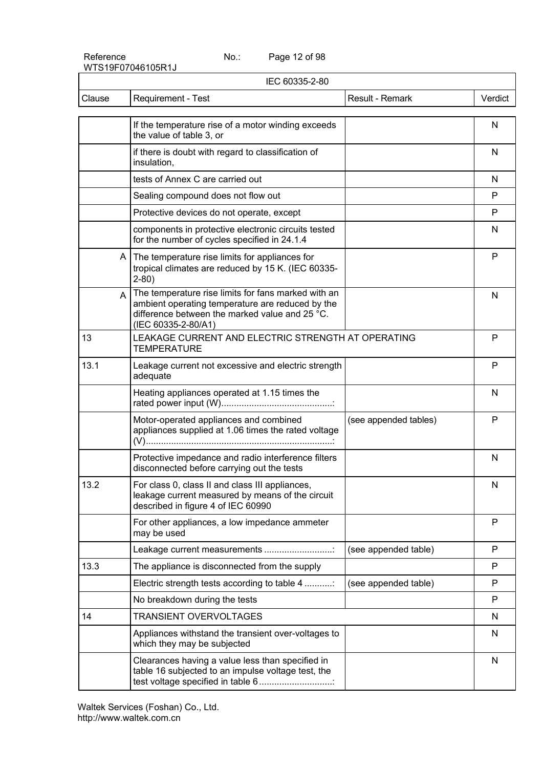Page 12 of 98

| IEC 60335-2-80 |                                                                                                                                                                                       |                       |         |
|----------------|---------------------------------------------------------------------------------------------------------------------------------------------------------------------------------------|-----------------------|---------|
| Clause         | Requirement - Test                                                                                                                                                                    | Result - Remark       | Verdict |
|                | If the temperature rise of a motor winding exceeds<br>the value of table 3, or                                                                                                        |                       | N       |
|                | if there is doubt with regard to classification of<br>insulation,                                                                                                                     |                       | N       |
|                | tests of Annex C are carried out                                                                                                                                                      |                       | N       |
|                | Sealing compound does not flow out                                                                                                                                                    |                       | P       |
|                | Protective devices do not operate, except                                                                                                                                             |                       | P       |
|                | components in protective electronic circuits tested<br>for the number of cycles specified in 24.1.4                                                                                   |                       | N       |
|                | A The temperature rise limits for appliances for<br>tropical climates are reduced by 15 K. (IEC 60335-<br>$2 - 80$ )                                                                  |                       | P       |
|                | The temperature rise limits for fans marked with an<br>A<br>ambient operating temperature are reduced by the<br>difference between the marked value and 25 °C.<br>(IEC 60335-2-80/A1) |                       | N       |
| 13             | LEAKAGE CURRENT AND ELECTRIC STRENGTH AT OPERATING<br><b>TEMPERATURE</b>                                                                                                              |                       | P       |
| 13.1           | Leakage current not excessive and electric strength<br>adequate                                                                                                                       |                       | P       |
|                | Heating appliances operated at 1.15 times the                                                                                                                                         |                       | N       |
|                | Motor-operated appliances and combined<br>appliances supplied at 1.06 times the rated voltage                                                                                         | (see appended tables) | P       |
|                | Protective impedance and radio interference filters<br>disconnected before carrying out the tests                                                                                     |                       | N       |
| 13.2           | For class 0, class II and class III appliances,<br>leakage current measured by means of the circuit<br>described in figure 4 of IEC 60990                                             |                       | N       |
|                | For other appliances, a low impedance ammeter<br>may be used                                                                                                                          |                       | P       |
|                | Leakage current measurements                                                                                                                                                          | (see appended table)  | P       |
| 13.3           | The appliance is disconnected from the supply                                                                                                                                         |                       | P       |
|                | Electric strength tests according to table 4                                                                                                                                          | (see appended table)  | P       |
|                | No breakdown during the tests                                                                                                                                                         |                       | P       |
| 14             | <b>TRANSIENT OVERVOLTAGES</b>                                                                                                                                                         |                       | N       |
|                | Appliances withstand the transient over-voltages to<br>which they may be subjected                                                                                                    |                       | N       |
|                | Clearances having a value less than specified in<br>table 16 subjected to an impulse voltage test, the<br>test voltage specified in table 6                                           |                       | N       |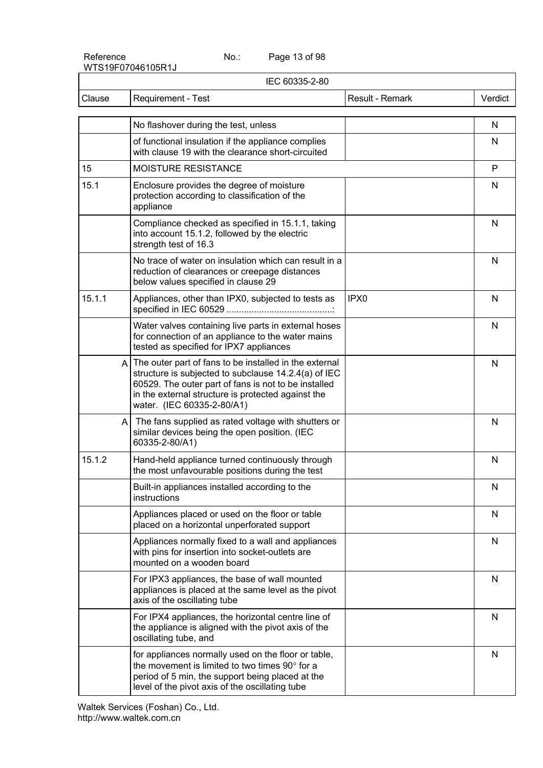Page 13 of 98

| IEC 60335-2-80 |                                                                                                                                                                                                                                                                |                  |         |
|----------------|----------------------------------------------------------------------------------------------------------------------------------------------------------------------------------------------------------------------------------------------------------------|------------------|---------|
| Clause         | Requirement - Test                                                                                                                                                                                                                                             | Result - Remark  | Verdict |
|                | No flashover during the test, unless                                                                                                                                                                                                                           |                  | N       |
|                | of functional insulation if the appliance complies<br>with clause 19 with the clearance short-circuited                                                                                                                                                        |                  | N       |
| 15             | MOISTURE RESISTANCE                                                                                                                                                                                                                                            |                  | P       |
| 15.1           | Enclosure provides the degree of moisture<br>protection according to classification of the<br>appliance                                                                                                                                                        |                  | N       |
|                | Compliance checked as specified in 15.1.1, taking<br>into account 15.1.2, followed by the electric<br>strength test of 16.3                                                                                                                                    |                  | N       |
|                | No trace of water on insulation which can result in a<br>reduction of clearances or creepage distances<br>below values specified in clause 29                                                                                                                  |                  | N       |
| 15.1.1         | Appliances, other than IPX0, subjected to tests as                                                                                                                                                                                                             | IPX <sub>0</sub> | N       |
|                | Water valves containing live parts in external hoses<br>for connection of an appliance to the water mains<br>tested as specified for IPX7 appliances                                                                                                           |                  | N       |
|                | $A$ The outer part of fans to be installed in the external<br>structure is subjected to subclause 14.2.4(a) of IEC<br>60529. The outer part of fans is not to be installed<br>in the external structure is protected against the<br>water. (IEC 60335-2-80/A1) |                  | N       |
|                | The fans supplied as rated voltage with shutters or<br>A<br>similar devices being the open position. (IEC<br>60335-2-80/A1)                                                                                                                                    |                  | N       |
| 15.1.2         | Hand-held appliance turned continuously through<br>the most unfavourable positions during the test                                                                                                                                                             |                  | N       |
|                | Built-in appliances installed according to the<br>instructions                                                                                                                                                                                                 |                  | N       |
|                | Appliances placed or used on the floor or table<br>placed on a horizontal unperforated support                                                                                                                                                                 |                  | N       |
|                | Appliances normally fixed to a wall and appliances<br>with pins for insertion into socket-outlets are<br>mounted on a wooden board                                                                                                                             |                  | N       |
|                | For IPX3 appliances, the base of wall mounted<br>appliances is placed at the same level as the pivot<br>axis of the oscillating tube                                                                                                                           |                  | N       |
|                | For IPX4 appliances, the horizontal centre line of<br>the appliance is aligned with the pivot axis of the<br>oscillating tube, and                                                                                                                             |                  | N       |
|                | for appliances normally used on the floor or table,<br>the movement is limited to two times 90° for a<br>period of 5 min, the support being placed at the<br>level of the pivot axis of the oscillating tube                                                   |                  | N       |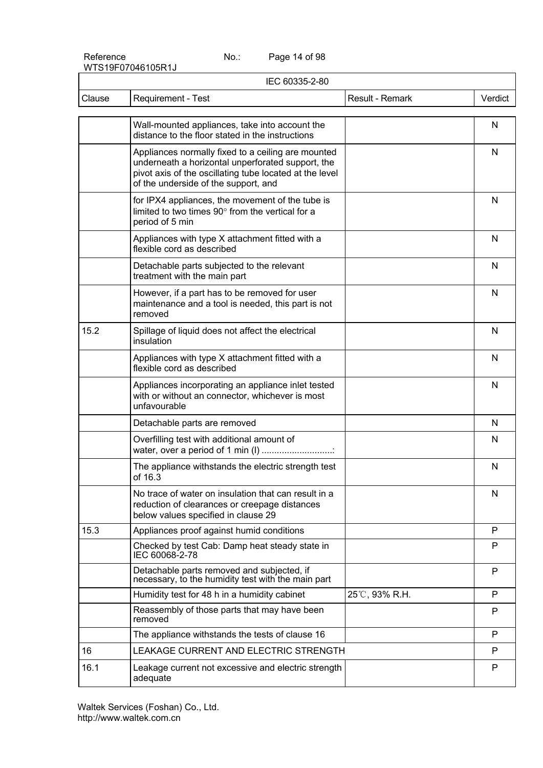Page 14 of 98

| IEC 60335-2-80 |                                                                                                                                                                                                            |                 |         |
|----------------|------------------------------------------------------------------------------------------------------------------------------------------------------------------------------------------------------------|-----------------|---------|
| Clause         | Requirement - Test                                                                                                                                                                                         | Result - Remark | Verdict |
|                | Wall-mounted appliances, take into account the<br>distance to the floor stated in the instructions                                                                                                         |                 | N       |
|                | Appliances normally fixed to a ceiling are mounted<br>underneath a horizontal unperforated support, the<br>pivot axis of the oscillating tube located at the level<br>of the underside of the support, and |                 | N       |
|                | for IPX4 appliances, the movement of the tube is<br>limited to two times 90° from the vertical for a<br>period of 5 min                                                                                    |                 | N       |
|                | Appliances with type X attachment fitted with a<br>flexible cord as described                                                                                                                              |                 | N       |
|                | Detachable parts subjected to the relevant<br>treatment with the main part                                                                                                                                 |                 | N       |
|                | However, if a part has to be removed for user<br>maintenance and a tool is needed, this part is not<br>removed                                                                                             |                 | N       |
| 15.2           | Spillage of liquid does not affect the electrical<br>insulation                                                                                                                                            |                 | N       |
|                | Appliances with type X attachment fitted with a<br>flexible cord as described                                                                                                                              |                 | N       |
|                | Appliances incorporating an appliance inlet tested<br>with or without an connector, whichever is most<br>unfavourable                                                                                      |                 | N       |
|                | Detachable parts are removed                                                                                                                                                                               |                 | N       |
|                | Overfilling test with additional amount of<br>water, over a period of 1 min (I)                                                                                                                            |                 | N       |
|                | The appliance withstands the electric strength test<br>of 16.3                                                                                                                                             |                 | N       |
|                | No trace of water on insulation that can result in a<br>reduction of clearances or creepage distances<br>below values specified in clause 29                                                               |                 | N       |
| 15.3           | Appliances proof against humid conditions                                                                                                                                                                  |                 | P       |
|                | Checked by test Cab: Damp heat steady state in<br>IEC 60068-2-78                                                                                                                                           |                 | P       |
|                | Detachable parts removed and subjected, if<br>necessary, to the humidity test with the main part                                                                                                           |                 | P       |
|                | Humidity test for 48 h in a humidity cabinet                                                                                                                                                               | 25℃, 93% R.H.   | P       |
|                | Reassembly of those parts that may have been<br>removed                                                                                                                                                    |                 | P       |
|                | The appliance withstands the tests of clause 16                                                                                                                                                            |                 | P       |
| 16             | LEAKAGE CURRENT AND ELECTRIC STRENGTH                                                                                                                                                                      |                 | P       |
| 16.1           | Leakage current not excessive and electric strength<br>adequate                                                                                                                                            |                 | P       |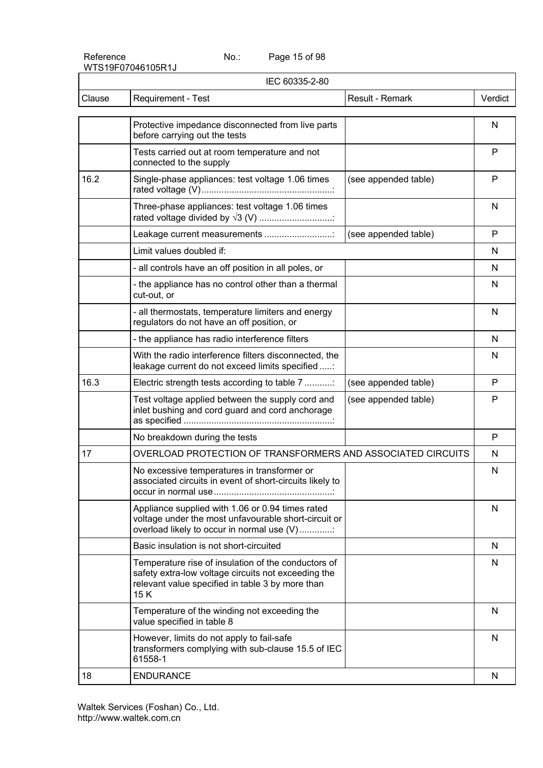Page 15 of 98

|        | IEC 60335-2-80                                                                                                                                                        |                      |         |
|--------|-----------------------------------------------------------------------------------------------------------------------------------------------------------------------|----------------------|---------|
| Clause | Requirement - Test                                                                                                                                                    | Result - Remark      | Verdict |
|        | Protective impedance disconnected from live parts<br>before carrying out the tests                                                                                    |                      | N       |
|        | Tests carried out at room temperature and not<br>connected to the supply                                                                                              |                      | P       |
| 16.2   | Single-phase appliances: test voltage 1.06 times                                                                                                                      | (see appended table) | P       |
|        | Three-phase appliances: test voltage 1.06 times                                                                                                                       |                      | N       |
|        | Leakage current measurements                                                                                                                                          | (see appended table) | P       |
|        | Limit values doubled if:                                                                                                                                              |                      | N       |
|        | - all controls have an off position in all poles, or                                                                                                                  |                      | N       |
|        | - the appliance has no control other than a thermal<br>cut-out, or                                                                                                    |                      | N       |
|        | - all thermostats, temperature limiters and energy<br>regulators do not have an off position, or                                                                      |                      | N       |
|        | - the appliance has radio interference filters                                                                                                                        |                      | N       |
|        | With the radio interference filters disconnected, the<br>leakage current do not exceed limits specified :                                                             |                      | N       |
| 16.3   | Electric strength tests according to table 7                                                                                                                          | (see appended table) | P       |
|        | Test voltage applied between the supply cord and<br>inlet bushing and cord guard and cord anchorage                                                                   | (see appended table) | P       |
|        | No breakdown during the tests                                                                                                                                         |                      | P       |
| 17     | OVERLOAD PROTECTION OF TRANSFORMERS AND ASSOCIATED CIRCUITS                                                                                                           |                      | N       |
|        | No excessive temperatures in transformer or<br>associated circuits in event of short-circuits likely to                                                               |                      | N       |
|        | Appliance supplied with 1.06 or 0.94 times rated<br>voltage under the most unfavourable short-circuit or<br>overload likely to occur in normal use (V)                |                      | N       |
|        | Basic insulation is not short-circuited                                                                                                                               |                      | N       |
|        | Temperature rise of insulation of the conductors of<br>safety extra-low voltage circuits not exceeding the<br>relevant value specified in table 3 by more than<br>15K |                      | N       |
|        | Temperature of the winding not exceeding the<br>value specified in table 8                                                                                            |                      | N       |
|        | However, limits do not apply to fail-safe<br>transformers complying with sub-clause 15.5 of IEC<br>61558-1                                                            |                      | N       |
| 18     | <b>ENDURANCE</b>                                                                                                                                                      |                      | N       |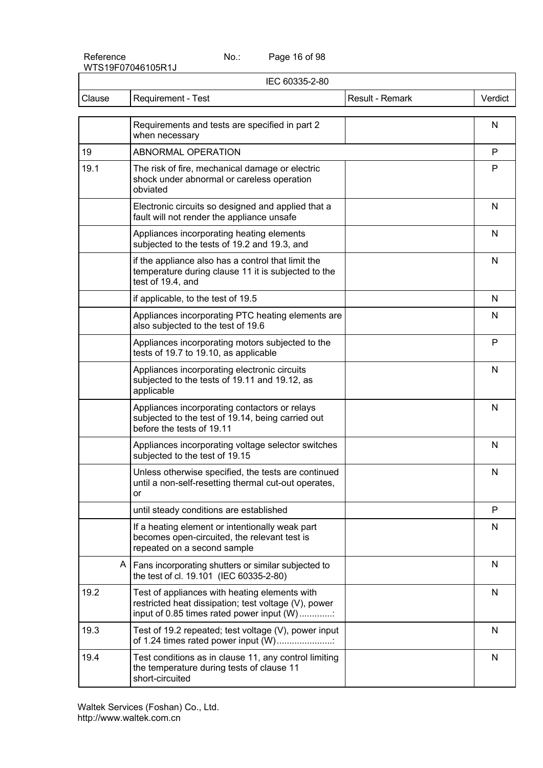Page 16 of 98

| IEC 60335-2-80 |                                                                                                                                                    |                 |              |
|----------------|----------------------------------------------------------------------------------------------------------------------------------------------------|-----------------|--------------|
| Clause         | Requirement - Test                                                                                                                                 | Result - Remark | Verdict      |
|                | Requirements and tests are specified in part 2<br>when necessary                                                                                   |                 | N            |
| 19             | ABNORMAL OPERATION                                                                                                                                 |                 | P            |
| 19.1           | The risk of fire, mechanical damage or electric<br>shock under abnormal or careless operation<br>obviated                                          |                 | P            |
|                | Electronic circuits so designed and applied that a<br>fault will not render the appliance unsafe                                                   |                 | N            |
|                | Appliances incorporating heating elements<br>subjected to the tests of 19.2 and 19.3, and                                                          |                 | N            |
|                | if the appliance also has a control that limit the<br>temperature during clause 11 it is subjected to the<br>test of 19.4, and                     |                 | N            |
|                | if applicable, to the test of 19.5                                                                                                                 |                 | N            |
|                | Appliances incorporating PTC heating elements are<br>also subjected to the test of 19.6                                                            |                 | N            |
|                | Appliances incorporating motors subjected to the<br>tests of 19.7 to 19.10, as applicable                                                          |                 | P            |
|                | Appliances incorporating electronic circuits<br>subjected to the tests of 19.11 and 19.12, as<br>applicable                                        |                 | N            |
|                | Appliances incorporating contactors or relays<br>subjected to the test of 19.14, being carried out<br>before the tests of 19.11                    |                 | N            |
|                | Appliances incorporating voltage selector switches<br>subjected to the test of 19.15                                                               |                 | N            |
|                | Unless otherwise specified, the tests are continued<br>until a non-self-resetting thermal cut-out operates,<br>or                                  |                 | N            |
|                | until steady conditions are established                                                                                                            |                 | P            |
|                | If a heating element or intentionally weak part<br>becomes open-circuited, the relevant test is<br>repeated on a second sample                     |                 | N            |
|                | A<br>Fans incorporating shutters or similar subjected to<br>the test of cl. 19.101 (IEC 60335-2-80)                                                |                 | N            |
| 19.2           | Test of appliances with heating elements with<br>restricted heat dissipation; test voltage (V), power<br>input of 0.85 times rated power input (W) |                 | N            |
| 19.3           | Test of 19.2 repeated; test voltage (V), power input<br>of 1.24 times rated power input (W)                                                        |                 | $\mathsf{N}$ |
| 19.4           | Test conditions as in clause 11, any control limiting<br>the temperature during tests of clause 11<br>short-circuited                              |                 | N            |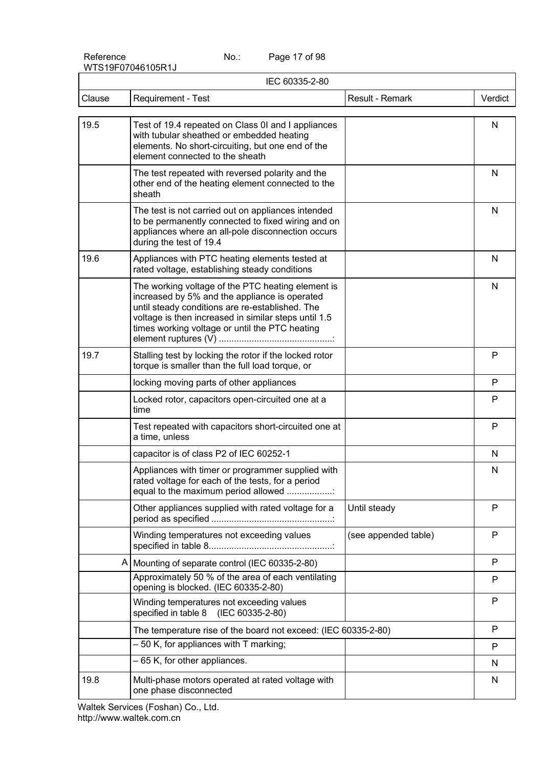Page 17 of 98

| IEC 60335-2-80 |                                                                                                                                                                                                                                                                 |                      |         |
|----------------|-----------------------------------------------------------------------------------------------------------------------------------------------------------------------------------------------------------------------------------------------------------------|----------------------|---------|
| Clause         | Requirement - Test                                                                                                                                                                                                                                              | Result - Remark      | Verdict |
| 19.5           | Test of 19.4 repeated on Class 0I and I appliances<br>with tubular sheathed or embedded heating<br>elements. No short-circuiting, but one end of the<br>element connected to the sheath                                                                         |                      | N       |
|                | The test repeated with reversed polarity and the<br>other end of the heating element connected to the<br>sheath                                                                                                                                                 |                      | N       |
|                | The test is not carried out on appliances intended<br>to be permanently connected to fixed wiring and on<br>appliances where an all-pole disconnection occurs<br>during the test of 19.4                                                                        |                      | N       |
| 19.6           | Appliances with PTC heating elements tested at<br>rated voltage, establishing steady conditions                                                                                                                                                                 |                      | N       |
|                | The working voltage of the PTC heating element is<br>increased by 5% and the appliance is operated<br>until steady conditions are re-established. The<br>voltage is then increased in similar steps until 1.5<br>times working voltage or until the PTC heating |                      | N       |
| 19.7           | Stalling test by locking the rotor if the locked rotor<br>torque is smaller than the full load torque, or                                                                                                                                                       |                      | P       |
|                | locking moving parts of other appliances                                                                                                                                                                                                                        |                      | P       |
|                | Locked rotor, capacitors open-circuited one at a<br>time                                                                                                                                                                                                        |                      | P       |
|                | Test repeated with capacitors short-circuited one at<br>a time, unless                                                                                                                                                                                          |                      | P       |
|                | capacitor is of class P2 of IEC 60252-1                                                                                                                                                                                                                         |                      | N       |
|                | Appliances with timer or programmer supplied with<br>rated voltage for each of the tests, for a period<br>equal to the maximum period allowed                                                                                                                   |                      | N       |
|                | Other appliances supplied with rated voltage for a                                                                                                                                                                                                              | Until steady         | P       |
|                | Winding temperatures not exceeding values                                                                                                                                                                                                                       | (see appended table) | P       |
|                | A   Mounting of separate control (IEC 60335-2-80)                                                                                                                                                                                                               |                      | P       |
|                | Approximately 50 % of the area of each ventilating<br>opening is blocked. (IEC 60335-2-80)                                                                                                                                                                      |                      | P       |
|                | Winding temperatures not exceeding values<br>specified in table 8<br>(IEC 60335-2-80)                                                                                                                                                                           |                      | P       |
|                | The temperature rise of the board not exceed: (IEC 60335-2-80)                                                                                                                                                                                                  |                      | P       |
|                | - 50 K, for appliances with T marking;                                                                                                                                                                                                                          |                      | P       |
|                | $-65$ K, for other appliances.                                                                                                                                                                                                                                  |                      | N       |
| 19.8           | Multi-phase motors operated at rated voltage with<br>one phase disconnected                                                                                                                                                                                     |                      | N       |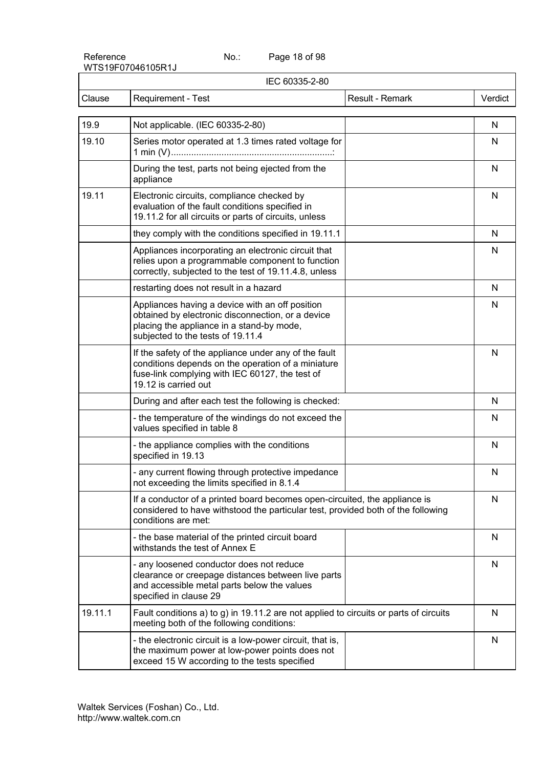Page 18 of 98

|         | IEC 60335-2-80                                                                                                                                                                         |                 |         |
|---------|----------------------------------------------------------------------------------------------------------------------------------------------------------------------------------------|-----------------|---------|
| Clause  | Requirement - Test                                                                                                                                                                     | Result - Remark | Verdict |
| 19.9    | Not applicable. (IEC 60335-2-80)                                                                                                                                                       |                 | N       |
| 19.10   | Series motor operated at 1.3 times rated voltage for                                                                                                                                   |                 | N       |
|         | During the test, parts not being ejected from the<br>appliance                                                                                                                         |                 | N       |
| 19.11   | Electronic circuits, compliance checked by<br>evaluation of the fault conditions specified in<br>19.11.2 for all circuits or parts of circuits, unless                                 |                 | N       |
|         | they comply with the conditions specified in 19.11.1                                                                                                                                   |                 | N       |
|         | Appliances incorporating an electronic circuit that<br>relies upon a programmable component to function<br>correctly, subjected to the test of 19.11.4.8, unless                       |                 | N       |
|         | restarting does not result in a hazard                                                                                                                                                 |                 | N       |
|         | Appliances having a device with an off position<br>obtained by electronic disconnection, or a device<br>placing the appliance in a stand-by mode,<br>subjected to the tests of 19.11.4 |                 | N       |
|         | If the safety of the appliance under any of the fault<br>conditions depends on the operation of a miniature<br>fuse-link complying with IEC 60127, the test of<br>19.12 is carried out |                 | N       |
|         | During and after each test the following is checked:                                                                                                                                   |                 | N       |
|         | - the temperature of the windings do not exceed the<br>values specified in table 8                                                                                                     |                 | N       |
|         | - the appliance complies with the conditions<br>specified in 19.13                                                                                                                     |                 | N       |
|         | - any current flowing through protective impedance<br>not exceeding the limits specified in 8.1.4                                                                                      |                 | N       |
|         | If a conductor of a printed board becomes open-circuited, the appliance is<br>considered to have withstood the particular test, provided both of the following<br>conditions are met:  |                 | N       |
|         | - the base material of the printed circuit board<br>withstands the test of Annex E                                                                                                     |                 | N       |
|         | - any loosened conductor does not reduce<br>clearance or creepage distances between live parts<br>and accessible metal parts below the values<br>specified in clause 29                |                 | N       |
| 19.11.1 | Fault conditions a) to g) in 19.11.2 are not applied to circuits or parts of circuits<br>meeting both of the following conditions:                                                     |                 | N       |
|         | - the electronic circuit is a low-power circuit, that is,<br>the maximum power at low-power points does not<br>exceed 15 W according to the tests specified                            |                 | N       |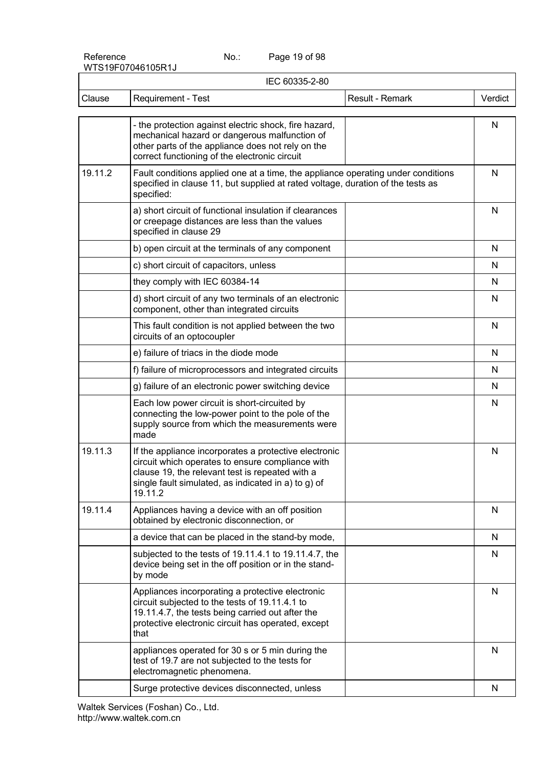Page 19 of 98

| IEC 60335-2-80 |                                                                                                                                                                                                                                |              |  |
|----------------|--------------------------------------------------------------------------------------------------------------------------------------------------------------------------------------------------------------------------------|--------------|--|
| Clause         | Requirement - Test<br>Result - Remark                                                                                                                                                                                          | Verdict      |  |
|                | - the protection against electric shock, fire hazard,<br>mechanical hazard or dangerous malfunction of<br>other parts of the appliance does not rely on the<br>correct functioning of the electronic circuit                   | N            |  |
| 19.11.2        | Fault conditions applied one at a time, the appliance operating under conditions<br>specified in clause 11, but supplied at rated voltage, duration of the tests as<br>specified:                                              | N            |  |
|                | a) short circuit of functional insulation if clearances<br>or creepage distances are less than the values<br>specified in clause 29                                                                                            | $\mathsf{N}$ |  |
|                | b) open circuit at the terminals of any component                                                                                                                                                                              | N            |  |
|                | c) short circuit of capacitors, unless                                                                                                                                                                                         | N            |  |
|                | they comply with IEC 60384-14                                                                                                                                                                                                  | N            |  |
|                | d) short circuit of any two terminals of an electronic<br>component, other than integrated circuits                                                                                                                            | N            |  |
|                | This fault condition is not applied between the two<br>circuits of an optocoupler                                                                                                                                              | N            |  |
|                | e) failure of triacs in the diode mode                                                                                                                                                                                         | N            |  |
|                | f) failure of microprocessors and integrated circuits                                                                                                                                                                          | N            |  |
|                | g) failure of an electronic power switching device                                                                                                                                                                             | N            |  |
|                | Each low power circuit is short-circuited by<br>connecting the low-power point to the pole of the<br>supply source from which the measurements were<br>made                                                                    | N            |  |
| 19.11.3        | If the appliance incorporates a protective electronic<br>circuit which operates to ensure compliance with<br>clause 19, the relevant test is repeated with a<br>single fault simulated, as indicated in a) to g) of<br>19.11.2 | N            |  |
| 19.11.4        | Appliances having a device with an off position<br>obtained by electronic disconnection, or                                                                                                                                    | N            |  |
|                | a device that can be placed in the stand-by mode,                                                                                                                                                                              | N            |  |
|                | subjected to the tests of 19.11.4.1 to 19.11.4.7, the<br>device being set in the off position or in the stand-<br>by mode                                                                                                      | N            |  |
|                | Appliances incorporating a protective electronic<br>circuit subjected to the tests of 19.11.4.1 to<br>19.11.4.7, the tests being carried out after the<br>protective electronic circuit has operated, except<br>that           | N            |  |
|                | appliances operated for 30 s or 5 min during the<br>test of 19.7 are not subjected to the tests for<br>electromagnetic phenomena.                                                                                              | N            |  |
|                | Surge protective devices disconnected, unless                                                                                                                                                                                  | N            |  |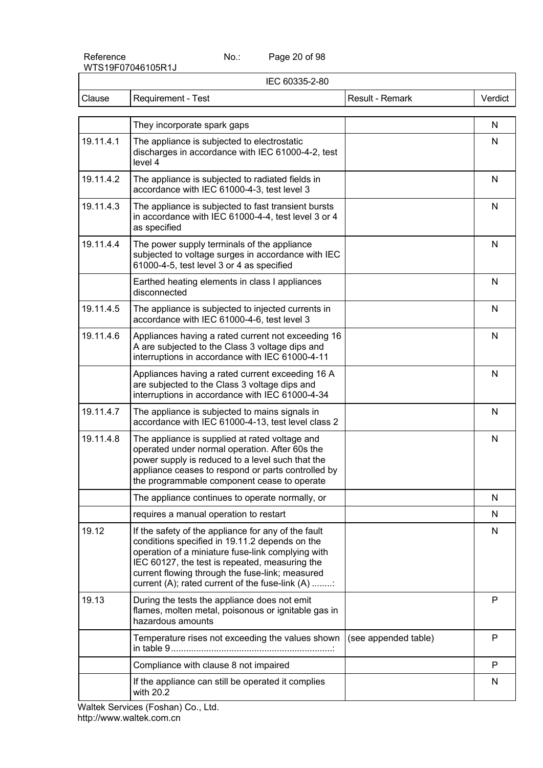Page 20 of 98

| IEC 60335-2-80 |                                                                                                                                                                                                                                                                                                                    |                      |              |
|----------------|--------------------------------------------------------------------------------------------------------------------------------------------------------------------------------------------------------------------------------------------------------------------------------------------------------------------|----------------------|--------------|
| Clause         | Requirement - Test                                                                                                                                                                                                                                                                                                 | Result - Remark      | Verdict      |
|                |                                                                                                                                                                                                                                                                                                                    |                      |              |
|                | They incorporate spark gaps                                                                                                                                                                                                                                                                                        |                      | N            |
| 19.11.4.1      | The appliance is subjected to electrostatic<br>discharges in accordance with IEC 61000-4-2, test<br>level 4                                                                                                                                                                                                        |                      | N            |
| 19.11.4.2      | The appliance is subjected to radiated fields in<br>accordance with IEC 61000-4-3, test level 3                                                                                                                                                                                                                    |                      | $\mathsf{N}$ |
| 19.11.4.3      | The appliance is subjected to fast transient bursts<br>in accordance with IEC 61000-4-4, test level 3 or 4<br>as specified                                                                                                                                                                                         |                      | $\mathsf{N}$ |
| 19.11.4.4      | The power supply terminals of the appliance<br>subjected to voltage surges in accordance with IEC<br>61000-4-5, test level 3 or 4 as specified                                                                                                                                                                     |                      | N            |
|                | Earthed heating elements in class I appliances<br>disconnected                                                                                                                                                                                                                                                     |                      | N            |
| 19.11.4.5      | The appliance is subjected to injected currents in<br>accordance with IEC 61000-4-6, test level 3                                                                                                                                                                                                                  |                      | N            |
| 19.11.4.6      | Appliances having a rated current not exceeding 16<br>A are subjected to the Class 3 voltage dips and<br>interruptions in accordance with IEC 61000-4-11                                                                                                                                                           |                      | N            |
|                | Appliances having a rated current exceeding 16 A<br>are subjected to the Class 3 voltage dips and<br>interruptions in accordance with IEC 61000-4-34                                                                                                                                                               |                      | N            |
| 19.11.4.7      | The appliance is subjected to mains signals in<br>accordance with IEC 61000-4-13, test level class 2                                                                                                                                                                                                               |                      | $\mathsf{N}$ |
| 19.11.4.8      | The appliance is supplied at rated voltage and<br>operated under normal operation. After 60s the<br>power supply is reduced to a level such that the<br>appliance ceases to respond or parts controlled by<br>the programmable component cease to operate                                                          |                      | $\mathsf{N}$ |
|                | The appliance continues to operate normally, or                                                                                                                                                                                                                                                                    |                      | N            |
|                | requires a manual operation to restart                                                                                                                                                                                                                                                                             |                      | N            |
| 19.12          | If the safety of the appliance for any of the fault<br>conditions specified in 19.11.2 depends on the<br>operation of a miniature fuse-link complying with<br>IEC 60127, the test is repeated, measuring the<br>current flowing through the fuse-link; measured<br>current (A); rated current of the fuse-link (A) |                      | N            |
| 19.13          | During the tests the appliance does not emit<br>flames, molten metal, poisonous or ignitable gas in<br>hazardous amounts                                                                                                                                                                                           |                      | P            |
|                | Temperature rises not exceeding the values shown                                                                                                                                                                                                                                                                   | (see appended table) | P            |
|                | Compliance with clause 8 not impaired                                                                                                                                                                                                                                                                              |                      | P            |
|                | If the appliance can still be operated it complies<br>with 20.2                                                                                                                                                                                                                                                    |                      | N            |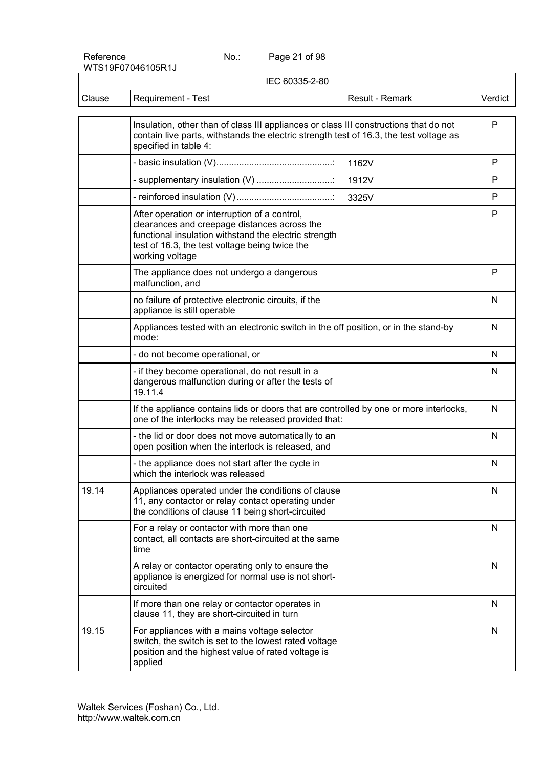Page 21 of 98

| IEC 60335-2-80 |                                                                                                                                                                                                                             |                 |         |
|----------------|-----------------------------------------------------------------------------------------------------------------------------------------------------------------------------------------------------------------------------|-----------------|---------|
| Clause         | Requirement - Test                                                                                                                                                                                                          | Result - Remark | Verdict |
|                | Insulation, other than of class III appliances or class III constructions that do not<br>contain live parts, withstands the electric strength test of 16.3, the test voltage as<br>specified in table 4:                    |                 | P       |
|                |                                                                                                                                                                                                                             | 1162V           | P       |
|                | - supplementary insulation (V)                                                                                                                                                                                              | 1912V           | P       |
|                |                                                                                                                                                                                                                             | 3325V           | P       |
|                | After operation or interruption of a control,<br>clearances and creepage distances across the<br>functional insulation withstand the electric strength<br>test of 16.3, the test voltage being twice the<br>working voltage |                 | P       |
|                | The appliance does not undergo a dangerous<br>malfunction, and                                                                                                                                                              |                 | P       |
|                | no failure of protective electronic circuits, if the<br>appliance is still operable                                                                                                                                         |                 | N       |
|                | Appliances tested with an electronic switch in the off position, or in the stand-by<br>mode:                                                                                                                                |                 | N       |
|                | - do not become operational, or                                                                                                                                                                                             |                 | N       |
|                | - if they become operational, do not result in a<br>dangerous malfunction during or after the tests of<br>19.11.4                                                                                                           |                 | N       |
|                | If the appliance contains lids or doors that are controlled by one or more interlocks,<br>one of the interlocks may be released provided that:                                                                              |                 | N       |
|                | - the lid or door does not move automatically to an<br>open position when the interlock is released, and                                                                                                                    |                 | N       |
|                | - the appliance does not start after the cycle in<br>which the interlock was released                                                                                                                                       |                 | N       |
| 19.14          | Appliances operated under the conditions of clause<br>11, any contactor or relay contact operating under<br>the conditions of clause 11 being short-circuited                                                               |                 | N       |
|                | For a relay or contactor with more than one<br>contact, all contacts are short-circuited at the same<br>time                                                                                                                |                 | N       |
|                | A relay or contactor operating only to ensure the<br>appliance is energized for normal use is not short-<br>circuited                                                                                                       |                 | N       |
|                | If more than one relay or contactor operates in<br>clause 11, they are short-circuited in turn                                                                                                                              |                 | N       |
| 19.15          | For appliances with a mains voltage selector<br>switch, the switch is set to the lowest rated voltage<br>position and the highest value of rated voltage is<br>applied                                                      |                 | N       |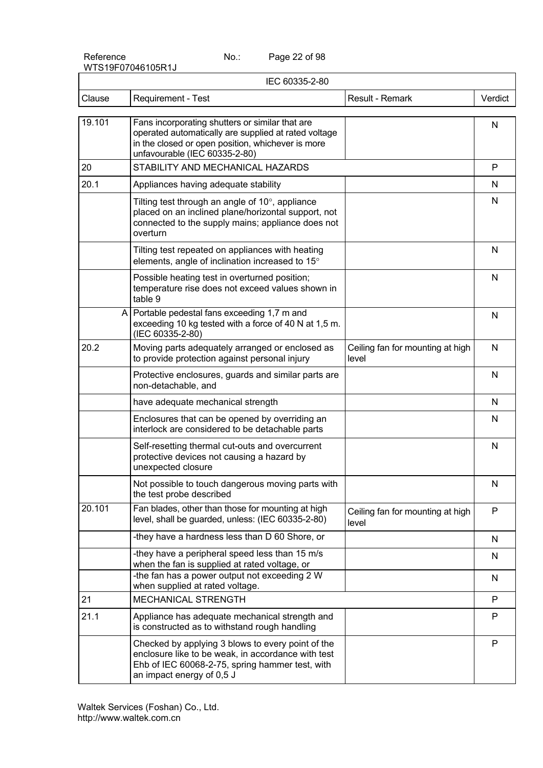Page 22 of 98

| IEC 60335-2-80 |                                                                                                                                                                                               |                                           |         |
|----------------|-----------------------------------------------------------------------------------------------------------------------------------------------------------------------------------------------|-------------------------------------------|---------|
| Clause         | <b>Requirement - Test</b>                                                                                                                                                                     | Result - Remark                           | Verdict |
| 19.101         | Fans incorporating shutters or similar that are<br>operated automatically are supplied at rated voltage<br>in the closed or open position, whichever is more<br>unfavourable (IEC 60335-2-80) |                                           | N       |
| 20             | STABILITY AND MECHANICAL HAZARDS                                                                                                                                                              |                                           | P       |
| 20.1           | Appliances having adequate stability                                                                                                                                                          |                                           | N       |
|                | Tilting test through an angle of 10°, appliance<br>placed on an inclined plane/horizontal support, not<br>connected to the supply mains; appliance does not<br>overturn                       |                                           | N       |
|                | Tilting test repeated on appliances with heating<br>elements, angle of inclination increased to 15°                                                                                           |                                           | N       |
|                | Possible heating test in overturned position;<br>temperature rise does not exceed values shown in<br>table 9                                                                                  |                                           | N       |
|                | A Portable pedestal fans exceeding 1,7 m and<br>exceeding 10 kg tested with a force of 40 N at 1,5 m.<br>(IEC 60335-2-80)                                                                     |                                           | N       |
| 20.2           | Moving parts adequately arranged or enclosed as<br>to provide protection against personal injury                                                                                              | Ceiling fan for mounting at high<br>level | N       |
|                | Protective enclosures, guards and similar parts are<br>non-detachable, and                                                                                                                    |                                           | N       |
|                | have adequate mechanical strength                                                                                                                                                             |                                           | N       |
|                | Enclosures that can be opened by overriding an<br>interlock are considered to be detachable parts                                                                                             |                                           | N       |
|                | Self-resetting thermal cut-outs and overcurrent<br>protective devices not causing a hazard by<br>unexpected closure                                                                           |                                           | N       |
|                | Not possible to touch dangerous moving parts with<br>the test probe described                                                                                                                 |                                           | N       |
| 20.101         | Fan blades, other than those for mounting at high<br>level, shall be guarded, unless: (IEC 60335-2-80)                                                                                        | Ceiling fan for mounting at high<br>level | P       |
|                | -they have a hardness less than D 60 Shore, or                                                                                                                                                |                                           | N       |
|                | -they have a peripheral speed less than 15 m/s<br>when the fan is supplied at rated voltage, or                                                                                               |                                           | N       |
|                | -the fan has a power output not exceeding 2 W<br>when supplied at rated voltage.                                                                                                              |                                           | N       |
| 21             | <b>MECHANICAL STRENGTH</b>                                                                                                                                                                    |                                           | P       |
| 21.1           | Appliance has adequate mechanical strength and<br>is constructed as to withstand rough handling                                                                                               |                                           | P       |
|                | Checked by applying 3 blows to every point of the<br>enclosure like to be weak, in accordance with test<br>Ehb of IEC 60068-2-75, spring hammer test, with<br>an impact energy of 0,5 J       |                                           | P       |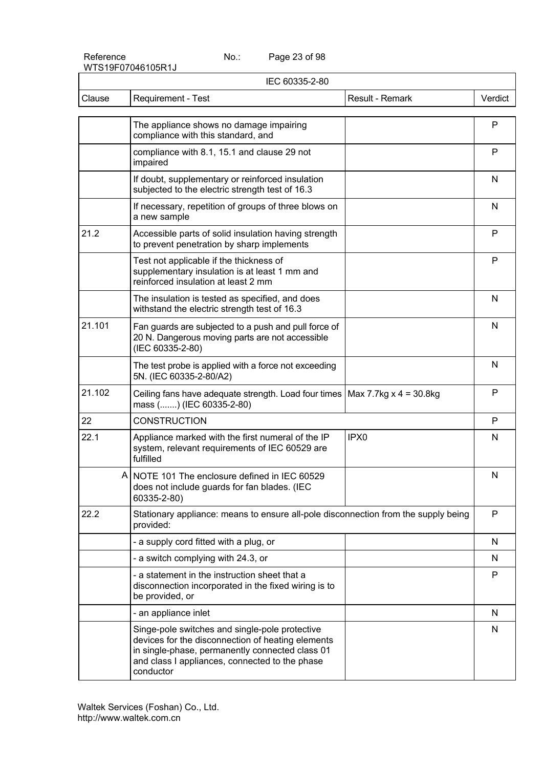Page 23 of 98

| IEC 60335-2-80 |                                                                                                                                                                                                                       |                  |         |
|----------------|-----------------------------------------------------------------------------------------------------------------------------------------------------------------------------------------------------------------------|------------------|---------|
| Clause         | Requirement - Test                                                                                                                                                                                                    | Result - Remark  | Verdict |
|                | The appliance shows no damage impairing<br>compliance with this standard, and                                                                                                                                         |                  | P       |
|                | compliance with 8.1, 15.1 and clause 29 not<br>impaired                                                                                                                                                               |                  | P       |
|                | If doubt, supplementary or reinforced insulation<br>subjected to the electric strength test of 16.3                                                                                                                   |                  | N       |
|                | If necessary, repetition of groups of three blows on<br>a new sample                                                                                                                                                  |                  | N       |
| 21.2           | Accessible parts of solid insulation having strength<br>to prevent penetration by sharp implements                                                                                                                    |                  | P       |
|                | Test not applicable if the thickness of<br>supplementary insulation is at least 1 mm and<br>reinforced insulation at least 2 mm                                                                                       |                  | P       |
|                | The insulation is tested as specified, and does<br>withstand the electric strength test of 16.3                                                                                                                       |                  | N       |
| 21.101         | Fan guards are subjected to a push and pull force of<br>20 N. Dangerous moving parts are not accessible<br>(IEC 60335-2-80)                                                                                           |                  | N       |
|                | The test probe is applied with a force not exceeding<br>5N. (IEC 60335-2-80/A2)                                                                                                                                       |                  | N       |
| 21.102         | Ceiling fans have adequate strength. Load four times $\vert$ Max 7.7kg x 4 = 30.8kg<br>mass () (IEC 60335-2-80)                                                                                                       |                  | P       |
| 22             | <b>CONSTRUCTION</b>                                                                                                                                                                                                   |                  | P       |
| 22.1           | Appliance marked with the first numeral of the IP<br>system, relevant requirements of IEC 60529 are<br>fulfilled                                                                                                      | IPX <sub>0</sub> | N       |
|                | A NOTE 101 The enclosure defined in IEC 60529<br>does not include guards for fan blades. (IEC<br>60335-2-80)                                                                                                          |                  | N       |
| 22.2           | Stationary appliance: means to ensure all-pole disconnection from the supply being<br>provided:                                                                                                                       |                  | P       |
|                | - a supply cord fitted with a plug, or                                                                                                                                                                                |                  | N       |
|                | - a switch complying with 24.3, or                                                                                                                                                                                    |                  | N.      |
|                | - a statement in the instruction sheet that a<br>disconnection incorporated in the fixed wiring is to<br>be provided, or                                                                                              |                  | P       |
|                | - an appliance inlet                                                                                                                                                                                                  |                  | N       |
|                | Singe-pole switches and single-pole protective<br>devices for the disconnection of heating elements<br>in single-phase, permanently connected class 01<br>and class I appliances, connected to the phase<br>conductor |                  | N       |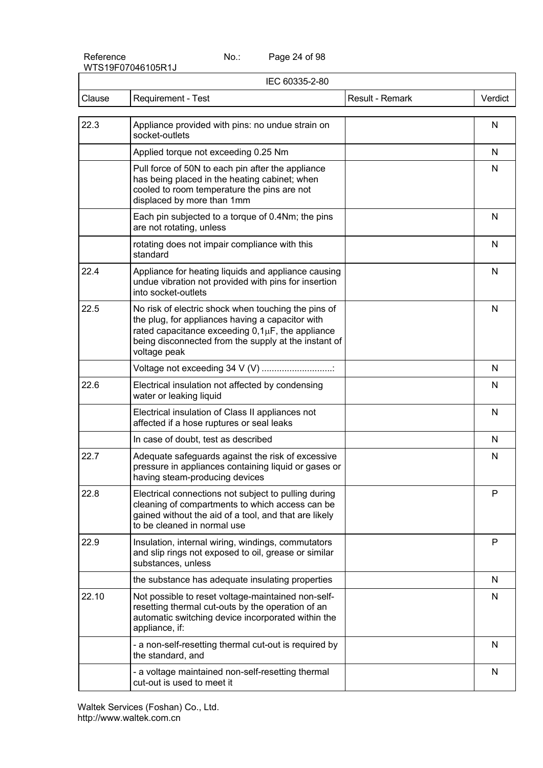Page 24 of 98

|        | IEC 60335-2-80                                                                                                                                                                                                                            |                 |              |
|--------|-------------------------------------------------------------------------------------------------------------------------------------------------------------------------------------------------------------------------------------------|-----------------|--------------|
| Clause | <b>Requirement - Test</b>                                                                                                                                                                                                                 | Result - Remark | Verdict      |
| 22.3   | Appliance provided with pins: no undue strain on<br>socket-outlets                                                                                                                                                                        |                 | N            |
|        | Applied torque not exceeding 0.25 Nm                                                                                                                                                                                                      |                 | N            |
|        | Pull force of 50N to each pin after the appliance<br>has being placed in the heating cabinet; when<br>cooled to room temperature the pins are not<br>displaced by more than 1mm                                                           |                 | N            |
|        | Each pin subjected to a torque of 0.4Nm; the pins<br>are not rotating, unless                                                                                                                                                             |                 | N            |
|        | rotating does not impair compliance with this<br>standard                                                                                                                                                                                 |                 | N            |
| 22.4   | Appliance for heating liquids and appliance causing<br>undue vibration not provided with pins for insertion<br>into socket-outlets                                                                                                        |                 | $\mathsf{N}$ |
| 22.5   | No risk of electric shock when touching the pins of<br>the plug, for appliances having a capacitor with<br>rated capacitance exceeding $0,1\mu F$ , the appliance<br>being disconnected from the supply at the instant of<br>voltage peak |                 | N            |
|        | Voltage not exceeding 34 V (V)                                                                                                                                                                                                            |                 | N            |
| 22.6   | Electrical insulation not affected by condensing<br>water or leaking liquid                                                                                                                                                               |                 | N            |
|        | Electrical insulation of Class II appliances not<br>affected if a hose ruptures or seal leaks                                                                                                                                             |                 | N            |
|        | In case of doubt, test as described                                                                                                                                                                                                       |                 | N            |
| 22.7   | Adequate safeguards against the risk of excessive<br>pressure in appliances containing liquid or gases or<br>having steam-producing devices                                                                                               |                 | N            |
| 22.8   | Electrical connections not subject to pulling during<br>cleaning of compartments to which access can be<br>gained without the aid of a tool, and that are likely<br>to be cleaned in normal use                                           |                 | P            |
| 22.9   | Insulation, internal wiring, windings, commutators<br>and slip rings not exposed to oil, grease or similar<br>substances, unless                                                                                                          |                 | P            |
|        | the substance has adequate insulating properties                                                                                                                                                                                          |                 | N            |
| 22.10  | Not possible to reset voltage-maintained non-self-<br>resetting thermal cut-outs by the operation of an<br>automatic switching device incorporated within the<br>appliance, if:                                                           |                 | N            |
|        | - a non-self-resetting thermal cut-out is required by<br>the standard, and                                                                                                                                                                |                 | N            |
|        | - a voltage maintained non-self-resetting thermal<br>cut-out is used to meet it                                                                                                                                                           |                 | N            |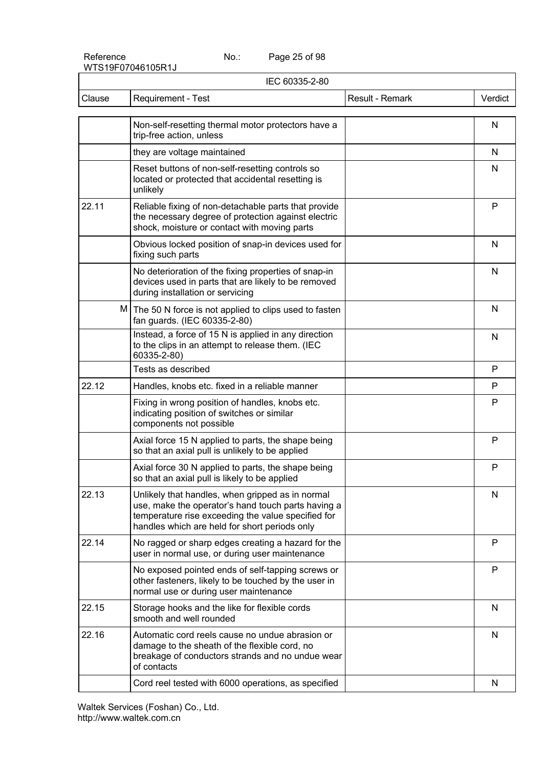Page 25 of 98

| IEC 60335-2-80 |                                                                                                                                                                                                               |                 |         |
|----------------|---------------------------------------------------------------------------------------------------------------------------------------------------------------------------------------------------------------|-----------------|---------|
| Clause         | Requirement - Test                                                                                                                                                                                            | Result - Remark | Verdict |
|                | Non-self-resetting thermal motor protectors have a<br>trip-free action, unless                                                                                                                                |                 | N       |
|                | they are voltage maintained                                                                                                                                                                                   |                 | N       |
|                | Reset buttons of non-self-resetting controls so<br>located or protected that accidental resetting is<br>unlikely                                                                                              |                 | N       |
| 22.11          | Reliable fixing of non-detachable parts that provide<br>the necessary degree of protection against electric<br>shock, moisture or contact with moving parts                                                   |                 | P       |
|                | Obvious locked position of snap-in devices used for<br>fixing such parts                                                                                                                                      |                 | N       |
|                | No deterioration of the fixing properties of snap-in<br>devices used in parts that are likely to be removed<br>during installation or servicing                                                               |                 | N       |
|                | M The 50 N force is not applied to clips used to fasten<br>fan guards. (IEC 60335-2-80)                                                                                                                       |                 | N       |
|                | Instead, a force of 15 N is applied in any direction<br>to the clips in an attempt to release them. (IEC<br>60335-2-80)                                                                                       |                 | N       |
|                | Tests as described                                                                                                                                                                                            |                 | P       |
| 22.12          | Handles, knobs etc. fixed in a reliable manner                                                                                                                                                                |                 | P       |
|                | Fixing in wrong position of handles, knobs etc.<br>indicating position of switches or similar<br>components not possible                                                                                      |                 | P       |
|                | Axial force 15 N applied to parts, the shape being<br>so that an axial pull is unlikely to be applied                                                                                                         |                 | P       |
|                | Axial force 30 N applied to parts, the shape being<br>so that an axial pull is likely to be applied                                                                                                           |                 | P       |
| 22.13          | Unlikely that handles, when gripped as in normal<br>use, make the operator's hand touch parts having a<br>temperature rise exceeding the value specified for<br>handles which are held for short periods only |                 | N       |
| 22.14          | No ragged or sharp edges creating a hazard for the<br>user in normal use, or during user maintenance                                                                                                          |                 | P       |
|                | No exposed pointed ends of self-tapping screws or<br>other fasteners, likely to be touched by the user in<br>normal use or during user maintenance                                                            |                 | P       |
| 22.15          | Storage hooks and the like for flexible cords<br>smooth and well rounded                                                                                                                                      |                 | N       |
| 22.16          | Automatic cord reels cause no undue abrasion or<br>damage to the sheath of the flexible cord, no<br>breakage of conductors strands and no undue wear<br>of contacts                                           |                 | N       |
|                | Cord reel tested with 6000 operations, as specified                                                                                                                                                           |                 | N       |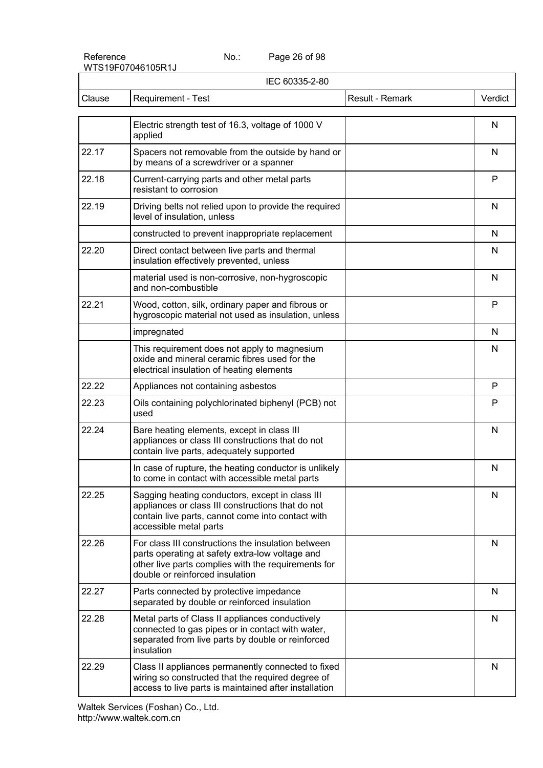Reference No.:

Page 26 of 98

|        | IEC 60335-2-80                                                                                                                                                                                  |                 |         |
|--------|-------------------------------------------------------------------------------------------------------------------------------------------------------------------------------------------------|-----------------|---------|
| Clause | Requirement - Test                                                                                                                                                                              | Result - Remark | Verdict |
|        | Electric strength test of 16.3, voltage of 1000 V<br>applied                                                                                                                                    |                 | N       |
| 22.17  | Spacers not removable from the outside by hand or<br>by means of a screwdriver or a spanner                                                                                                     |                 | N       |
| 22.18  | Current-carrying parts and other metal parts<br>resistant to corrosion                                                                                                                          |                 | P       |
| 22.19  | Driving belts not relied upon to provide the required<br>level of insulation, unless                                                                                                            |                 | N       |
|        | constructed to prevent inappropriate replacement                                                                                                                                                |                 | N       |
| 22.20  | Direct contact between live parts and thermal<br>insulation effectively prevented, unless                                                                                                       |                 | N       |
|        | material used is non-corrosive, non-hygroscopic<br>and non-combustible                                                                                                                          |                 | N       |
| 22.21  | Wood, cotton, silk, ordinary paper and fibrous or<br>hygroscopic material not used as insulation, unless                                                                                        |                 | P       |
|        | impregnated                                                                                                                                                                                     |                 | N       |
|        | This requirement does not apply to magnesium<br>oxide and mineral ceramic fibres used for the<br>electrical insulation of heating elements                                                      |                 | N       |
| 22.22  | Appliances not containing asbestos                                                                                                                                                              |                 | P       |
| 22.23  | Oils containing polychlorinated biphenyl (PCB) not<br>used                                                                                                                                      |                 | P       |
| 22.24  | Bare heating elements, except in class III<br>appliances or class III constructions that do not<br>contain live parts, adequately supported                                                     |                 | N       |
|        | In case of rupture, the heating conductor is unlikely<br>to come in contact with accessible metal parts                                                                                         |                 | N       |
| 22.25  | Sagging heating conductors, except in class III<br>appliances or class III constructions that do not<br>contain live parts, cannot come into contact with<br>accessible metal parts             |                 | N       |
| 22.26  | For class III constructions the insulation between<br>parts operating at safety extra-low voltage and<br>other live parts complies with the requirements for<br>double or reinforced insulation |                 | N       |
| 22.27  | Parts connected by protective impedance<br>separated by double or reinforced insulation                                                                                                         |                 | N       |
| 22.28  | Metal parts of Class II appliances conductively<br>connected to gas pipes or in contact with water,<br>separated from live parts by double or reinforced<br>insulation                          |                 | N       |
| 22.29  | Class II appliances permanently connected to fixed<br>wiring so constructed that the required degree of<br>access to live parts is maintained after installation                                |                 | N       |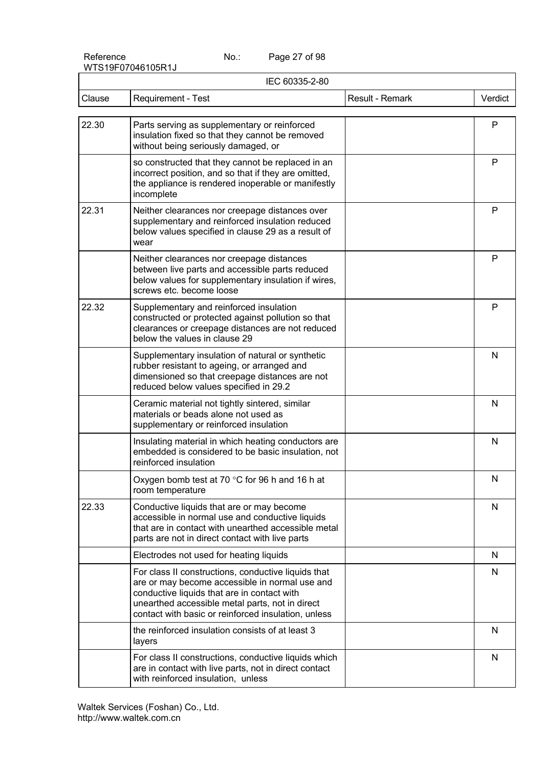Page 27 of 98

|        | IEC 60335-2-80                                                                                                                                                                                                                                                 |                 |              |  |
|--------|----------------------------------------------------------------------------------------------------------------------------------------------------------------------------------------------------------------------------------------------------------------|-----------------|--------------|--|
| Clause | Requirement - Test                                                                                                                                                                                                                                             | Result - Remark | Verdict      |  |
| 22.30  | Parts serving as supplementary or reinforced<br>insulation fixed so that they cannot be removed<br>without being seriously damaged, or                                                                                                                         |                 | P            |  |
|        | so constructed that they cannot be replaced in an<br>incorrect position, and so that if they are omitted,<br>the appliance is rendered inoperable or manifestly<br>incomplete                                                                                  |                 | $\mathsf{P}$ |  |
| 22.31  | Neither clearances nor creepage distances over<br>supplementary and reinforced insulation reduced<br>below values specified in clause 29 as a result of<br>wear                                                                                                |                 | P            |  |
|        | Neither clearances nor creepage distances<br>between live parts and accessible parts reduced<br>below values for supplementary insulation if wires,<br>screws etc. become loose                                                                                |                 | P            |  |
| 22.32  | Supplementary and reinforced insulation<br>constructed or protected against pollution so that<br>clearances or creepage distances are not reduced<br>below the values in clause 29                                                                             |                 | P            |  |
|        | Supplementary insulation of natural or synthetic<br>rubber resistant to ageing, or arranged and<br>dimensioned so that creepage distances are not<br>reduced below values specified in 29.2                                                                    |                 | N            |  |
|        | Ceramic material not tightly sintered, similar<br>materials or beads alone not used as<br>supplementary or reinforced insulation                                                                                                                               |                 | N            |  |
|        | Insulating material in which heating conductors are<br>embedded is considered to be basic insulation, not<br>reinforced insulation                                                                                                                             |                 | N            |  |
|        | Oxygen bomb test at 70 °C for 96 h and 16 h at<br>room temperature                                                                                                                                                                                             |                 | N            |  |
| 22.33  | Conductive liquids that are or may become<br>accessible in normal use and conductive liquids<br>that are in contact with unearthed accessible metal<br>parts are not in direct contact with live parts                                                         |                 | $\mathsf{N}$ |  |
|        | Electrodes not used for heating liquids                                                                                                                                                                                                                        |                 | N            |  |
|        | For class II constructions, conductive liquids that<br>are or may become accessible in normal use and<br>conductive liquids that are in contact with<br>unearthed accessible metal parts, not in direct<br>contact with basic or reinforced insulation, unless |                 | N            |  |
|        | the reinforced insulation consists of at least 3<br>layers                                                                                                                                                                                                     |                 | N            |  |
|        | For class II constructions, conductive liquids which<br>are in contact with live parts, not in direct contact<br>with reinforced insulation, unless                                                                                                            |                 | N            |  |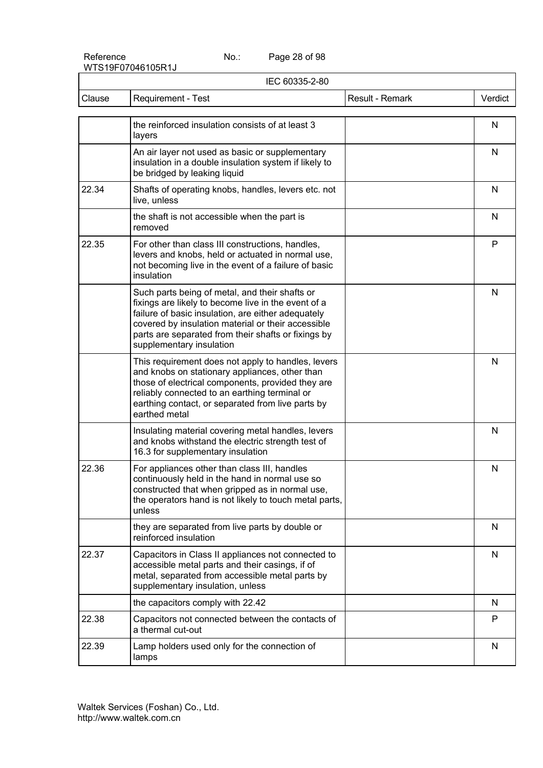Page 28 of 98

|        | IEC 60335-2-80                                                                                                                                                                                                                                                                                       |                 |         |
|--------|------------------------------------------------------------------------------------------------------------------------------------------------------------------------------------------------------------------------------------------------------------------------------------------------------|-----------------|---------|
| Clause | Requirement - Test                                                                                                                                                                                                                                                                                   | Result - Remark | Verdict |
|        | the reinforced insulation consists of at least 3<br>layers                                                                                                                                                                                                                                           |                 | N       |
|        | An air layer not used as basic or supplementary<br>insulation in a double insulation system if likely to<br>be bridged by leaking liquid                                                                                                                                                             |                 | N       |
| 22.34  | Shafts of operating knobs, handles, levers etc. not<br>live, unless                                                                                                                                                                                                                                  |                 | N       |
|        | the shaft is not accessible when the part is<br>removed                                                                                                                                                                                                                                              |                 | N       |
| 22.35  | For other than class III constructions, handles,<br>levers and knobs, held or actuated in normal use,<br>not becoming live in the event of a failure of basic<br>insulation                                                                                                                          |                 | P       |
|        | Such parts being of metal, and their shafts or<br>fixings are likely to become live in the event of a<br>failure of basic insulation, are either adequately<br>covered by insulation material or their accessible<br>parts are separated from their shafts or fixings by<br>supplementary insulation |                 | N       |
|        | This requirement does not apply to handles, levers<br>and knobs on stationary appliances, other than<br>those of electrical components, provided they are<br>reliably connected to an earthing terminal or<br>earthing contact, or separated from live parts by<br>earthed metal                     |                 | N       |
|        | Insulating material covering metal handles, levers<br>and knobs withstand the electric strength test of<br>16.3 for supplementary insulation                                                                                                                                                         |                 | N       |
| 22.36  | For appliances other than class III, handles<br>continuously held in the hand in normal use so<br>constructed that when gripped as in normal use,<br>the operators hand is not likely to touch metal parts,<br>unless                                                                                |                 | N       |
|        | they are separated from live parts by double or<br>reinforced insulation                                                                                                                                                                                                                             |                 | N       |
| 22.37  | Capacitors in Class II appliances not connected to<br>accessible metal parts and their casings, if of<br>metal, separated from accessible metal parts by<br>supplementary insulation, unless                                                                                                         |                 | N       |
|        | the capacitors comply with 22.42                                                                                                                                                                                                                                                                     |                 | N       |
| 22.38  | Capacitors not connected between the contacts of<br>a thermal cut-out                                                                                                                                                                                                                                |                 | P       |
| 22.39  | Lamp holders used only for the connection of<br>lamps                                                                                                                                                                                                                                                |                 | N       |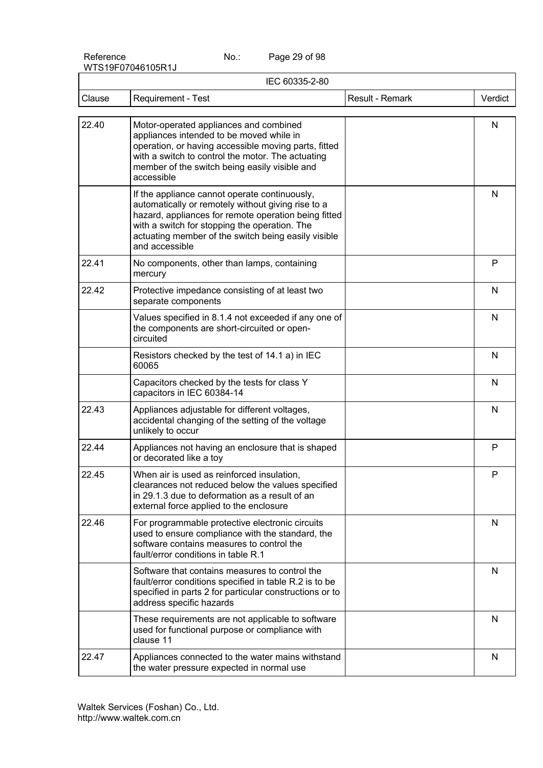Page 29 of 98

| IEC 60335-2-80 |                                                                                                                                                                                                                                                                                       |                 |         |
|----------------|---------------------------------------------------------------------------------------------------------------------------------------------------------------------------------------------------------------------------------------------------------------------------------------|-----------------|---------|
| Clause         | <b>Requirement - Test</b>                                                                                                                                                                                                                                                             | Result - Remark | Verdict |
| 22.40          | Motor-operated appliances and combined<br>appliances intended to be moved while in<br>operation, or having accessible moving parts, fitted<br>with a switch to control the motor. The actuating<br>member of the switch being easily visible and<br>accessible                        |                 | N       |
|                | If the appliance cannot operate continuously,<br>automatically or remotely without giving rise to a<br>hazard, appliances for remote operation being fitted<br>with a switch for stopping the operation. The<br>actuating member of the switch being easily visible<br>and accessible |                 | N       |
| 22.41          | No components, other than lamps, containing<br>mercury                                                                                                                                                                                                                                |                 | P       |
| 22.42          | Protective impedance consisting of at least two<br>separate components                                                                                                                                                                                                                |                 | N       |
|                | Values specified in 8.1.4 not exceeded if any one of<br>the components are short-circuited or open-<br>circuited                                                                                                                                                                      |                 | N       |
|                | Resistors checked by the test of 14.1 a) in IEC<br>60065                                                                                                                                                                                                                              |                 | N       |
|                | Capacitors checked by the tests for class Y<br>capacitors in IEC 60384-14                                                                                                                                                                                                             |                 | N       |
| 22.43          | Appliances adjustable for different voltages,<br>accidental changing of the setting of the voltage<br>unlikely to occur                                                                                                                                                               |                 | N       |
| 22.44          | Appliances not having an enclosure that is shaped<br>or decorated like a toy                                                                                                                                                                                                          |                 | P       |
| 22.45          | When air is used as reinforced insulation,<br>clearances not reduced below the values specified<br>in 29.1.3 due to deformation as a result of an<br>external force applied to the enclosure                                                                                          |                 | P       |
| 22.46          | For programmable protective electronic circuits<br>used to ensure compliance with the standard, the<br>software contains measures to control the<br>fault/error conditions in table R.1                                                                                               |                 | N       |
|                | Software that contains measures to control the<br>fault/error conditions specified in table R.2 is to be<br>specified in parts 2 for particular constructions or to<br>address specific hazards                                                                                       |                 | N       |
|                | These requirements are not applicable to software<br>used for functional purpose or compliance with<br>clause 11                                                                                                                                                                      |                 | N       |
| 22.47          | Appliances connected to the water mains withstand<br>the water pressure expected in normal use                                                                                                                                                                                        |                 | N       |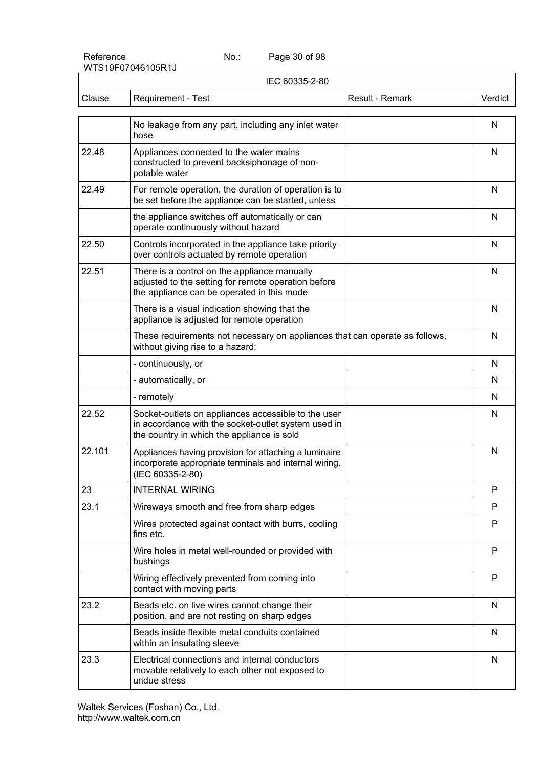Page 30 of 98

| IEC 60335-2-80 |                                                                                                                                                          |                 |              |
|----------------|----------------------------------------------------------------------------------------------------------------------------------------------------------|-----------------|--------------|
| Clause         | Requirement - Test                                                                                                                                       | Result - Remark | Verdict      |
|                | No leakage from any part, including any inlet water<br>hose                                                                                              |                 | N            |
| 22.48          | Appliances connected to the water mains<br>constructed to prevent backsiphonage of non-<br>potable water                                                 |                 | N            |
| 22.49          | For remote operation, the duration of operation is to<br>be set before the appliance can be started, unless                                              |                 | N            |
|                | the appliance switches off automatically or can<br>operate continuously without hazard                                                                   |                 | N            |
| 22.50          | Controls incorporated in the appliance take priority<br>over controls actuated by remote operation                                                       |                 | N            |
| 22.51          | There is a control on the appliance manually<br>adjusted to the setting for remote operation before<br>the appliance can be operated in this mode        |                 | N            |
|                | There is a visual indication showing that the<br>appliance is adjusted for remote operation                                                              |                 | N            |
|                | These requirements not necessary on appliances that can operate as follows,<br>without giving rise to a hazard:                                          |                 | N            |
|                | - continuously, or                                                                                                                                       |                 | N            |
|                | - automatically, or                                                                                                                                      |                 | N            |
|                | - remotely                                                                                                                                               |                 | N            |
| 22.52          | Socket-outlets on appliances accessible to the user<br>in accordance with the socket-outlet system used in<br>the country in which the appliance is sold |                 | N            |
| 22.101         | Appliances having provision for attaching a luminaire<br>incorporate appropriate terminals and internal wiring.<br>(IEC 60335-2-80)                      |                 | N            |
| 23             | <b>INTERNAL WIRING</b>                                                                                                                                   |                 | $\mathsf{P}$ |
| 23.1           | Wireways smooth and free from sharp edges                                                                                                                |                 | P            |
|                | Wires protected against contact with burrs, cooling<br>fins etc.                                                                                         |                 | P            |
|                | Wire holes in metal well-rounded or provided with<br>bushings                                                                                            |                 | P            |
|                | Wiring effectively prevented from coming into<br>contact with moving parts                                                                               |                 | P            |
| 23.2           | Beads etc. on live wires cannot change their<br>position, and are not resting on sharp edges                                                             |                 | N            |
|                | Beads inside flexible metal conduits contained<br>within an insulating sleeve                                                                            |                 | N            |
| 23.3           | Electrical connections and internal conductors<br>movable relatively to each other not exposed to<br>undue stress                                        |                 | N            |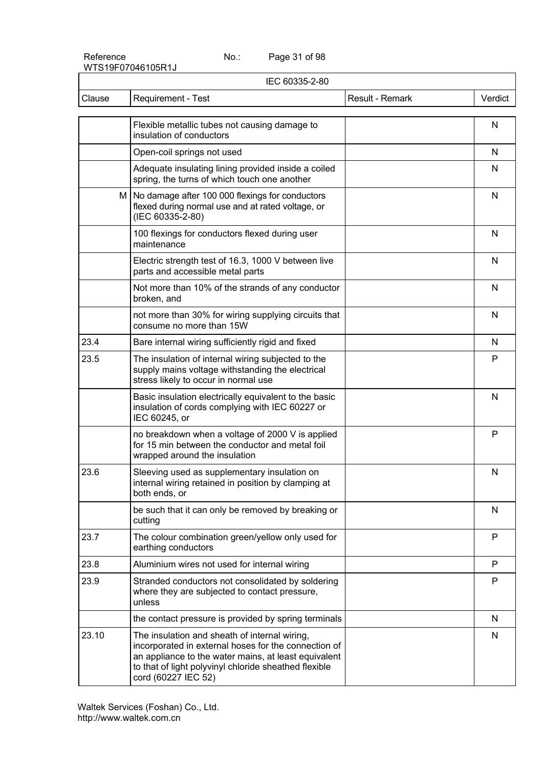Page 31 of 98

| IEC 60335-2-80 |                                                                                                                                                                                                                                               |                 |         |
|----------------|-----------------------------------------------------------------------------------------------------------------------------------------------------------------------------------------------------------------------------------------------|-----------------|---------|
| Clause         | Requirement - Test                                                                                                                                                                                                                            | Result - Remark | Verdict |
|                | Flexible metallic tubes not causing damage to<br>insulation of conductors                                                                                                                                                                     |                 | N       |
|                | Open-coil springs not used                                                                                                                                                                                                                    |                 | N       |
|                | Adequate insulating lining provided inside a coiled<br>spring, the turns of which touch one another                                                                                                                                           |                 | N       |
| M              | No damage after 100 000 flexings for conductors<br>flexed during normal use and at rated voltage, or<br>(IEC 60335-2-80)                                                                                                                      |                 | N       |
|                | 100 flexings for conductors flexed during user<br>maintenance                                                                                                                                                                                 |                 | N       |
|                | Electric strength test of 16.3, 1000 V between live<br>parts and accessible metal parts                                                                                                                                                       |                 | N       |
|                | Not more than 10% of the strands of any conductor<br>broken, and                                                                                                                                                                              |                 | N       |
|                | not more than 30% for wiring supplying circuits that<br>consume no more than 15W                                                                                                                                                              |                 | N       |
| 23.4           | Bare internal wiring sufficiently rigid and fixed                                                                                                                                                                                             |                 | N       |
| 23.5           | The insulation of internal wiring subjected to the<br>supply mains voltage withstanding the electrical<br>stress likely to occur in normal use                                                                                                |                 | P       |
|                | Basic insulation electrically equivalent to the basic<br>insulation of cords complying with IEC 60227 or<br>IEC 60245, or                                                                                                                     |                 | N       |
|                | no breakdown when a voltage of 2000 V is applied<br>for 15 min between the conductor and metal foil<br>wrapped around the insulation                                                                                                          |                 | P       |
| 23.6           | Sleeving used as supplementary insulation on<br>internal wiring retained in position by clamping at<br>both ends, or                                                                                                                          |                 | N       |
|                | be such that it can only be removed by breaking or<br>cutting                                                                                                                                                                                 |                 | N       |
| 23.7           | The colour combination green/yellow only used for<br>earthing conductors                                                                                                                                                                      |                 | P       |
| 23.8           | Aluminium wires not used for internal wiring                                                                                                                                                                                                  |                 | P       |
| 23.9           | Stranded conductors not consolidated by soldering<br>where they are subjected to contact pressure,<br>unless                                                                                                                                  |                 | P       |
|                | the contact pressure is provided by spring terminals                                                                                                                                                                                          |                 | N       |
| 23.10          | The insulation and sheath of internal wiring,<br>incorporated in external hoses for the connection of<br>an appliance to the water mains, at least equivalent<br>to that of light polyvinyl chloride sheathed flexible<br>cord (60227 IEC 52) |                 | N       |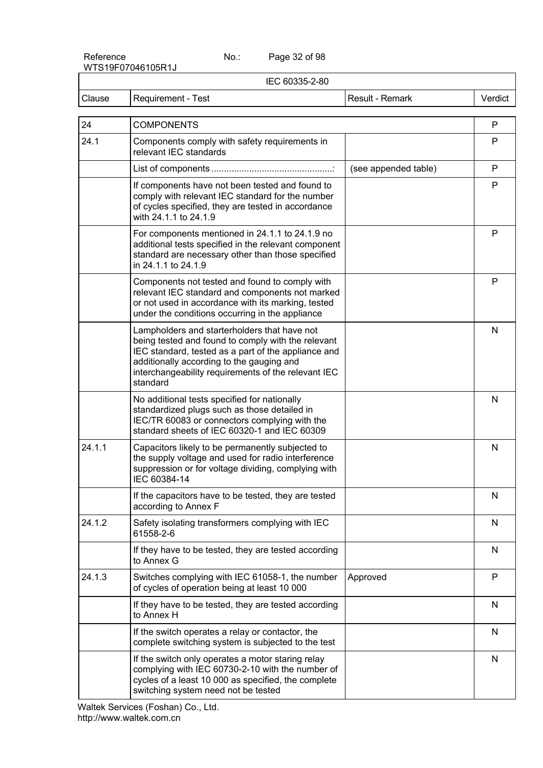Page 32 of 98

| IEC 60335-2-80 |                                                                                                                                                                                                                                                                           |                      |              |
|----------------|---------------------------------------------------------------------------------------------------------------------------------------------------------------------------------------------------------------------------------------------------------------------------|----------------------|--------------|
| Clause         | Requirement - Test                                                                                                                                                                                                                                                        | Result - Remark      | Verdict      |
| 24             | <b>COMPONENTS</b>                                                                                                                                                                                                                                                         |                      | P            |
| 24.1           | Components comply with safety requirements in<br>relevant IEC standards                                                                                                                                                                                                   |                      | P            |
|                |                                                                                                                                                                                                                                                                           | (see appended table) | P            |
|                | If components have not been tested and found to<br>comply with relevant IEC standard for the number<br>of cycles specified, they are tested in accordance<br>with 24.1.1 to 24.1.9                                                                                        |                      | P            |
|                | For components mentioned in 24.1.1 to 24.1.9 no<br>additional tests specified in the relevant component<br>standard are necessary other than those specified<br>in 24.1.1 to 24.1.9                                                                                       |                      | P            |
|                | Components not tested and found to comply with<br>relevant IEC standard and components not marked<br>or not used in accordance with its marking, tested<br>under the conditions occurring in the appliance                                                                |                      | P            |
|                | Lampholders and starterholders that have not<br>being tested and found to comply with the relevant<br>IEC standard, tested as a part of the appliance and<br>additionally according to the gauging and<br>interchangeability requirements of the relevant IEC<br>standard |                      | $\mathsf{N}$ |
|                | No additional tests specified for nationally<br>standardized plugs such as those detailed in<br>IEC/TR 60083 or connectors complying with the<br>standard sheets of IEC 60320-1 and IEC 60309                                                                             |                      | $\mathsf{N}$ |
| 24.1.1         | Capacitors likely to be permanently subjected to<br>the supply voltage and used for radio interference<br>suppression or for voltage dividing, complying with<br>IEC 60384-14                                                                                             |                      | N            |
|                | If the capacitors have to be tested, they are tested<br>according to Annex F                                                                                                                                                                                              |                      | N            |
| 24.1.2         | Safety isolating transformers complying with IEC<br>61558-2-6                                                                                                                                                                                                             |                      | N            |
|                | If they have to be tested, they are tested according<br>to Annex G                                                                                                                                                                                                        |                      | N            |
| 24.1.3         | Switches complying with IEC 61058-1, the number<br>of cycles of operation being at least 10 000                                                                                                                                                                           | Approved             | P            |
|                | If they have to be tested, they are tested according<br>to Annex H                                                                                                                                                                                                        |                      | N            |
|                | If the switch operates a relay or contactor, the<br>complete switching system is subjected to the test                                                                                                                                                                    |                      | N            |
|                | If the switch only operates a motor staring relay<br>complying with IEC 60730-2-10 with the number of<br>cycles of a least 10 000 as specified, the complete<br>switching system need not be tested                                                                       |                      | N            |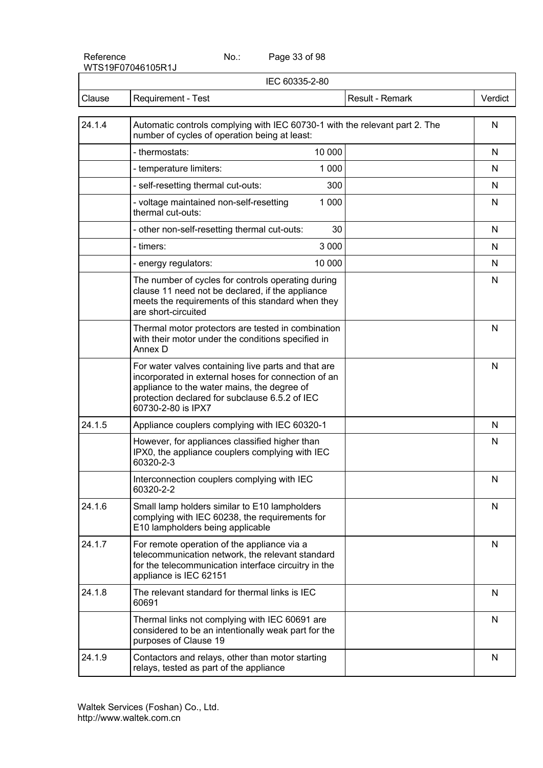Page 33 of 98

| IEC 60335-2-80 |                                                                                                                                                                                                                                   |                 |              |
|----------------|-----------------------------------------------------------------------------------------------------------------------------------------------------------------------------------------------------------------------------------|-----------------|--------------|
| Clause         | Requirement - Test                                                                                                                                                                                                                | Result - Remark | Verdict      |
| 24.1.4         | Automatic controls complying with IEC 60730-1 with the relevant part 2. The<br>number of cycles of operation being at least:                                                                                                      |                 | N            |
|                | 10 000<br>- thermostats:                                                                                                                                                                                                          |                 | N            |
|                | 1 0 0 0<br>- temperature limiters:                                                                                                                                                                                                |                 | N            |
|                | 300<br>- self-resetting thermal cut-outs:                                                                                                                                                                                         |                 | N            |
|                | 1 0 0 0<br>- voltage maintained non-self-resetting<br>thermal cut-outs:                                                                                                                                                           |                 | N            |
|                | - other non-self-resetting thermal cut-outs:<br>30                                                                                                                                                                                |                 | N            |
|                | 3 0 0 0<br>- timers:                                                                                                                                                                                                              |                 | N            |
|                | 10 000<br>- energy regulators:                                                                                                                                                                                                    |                 | N            |
|                | The number of cycles for controls operating during<br>clause 11 need not be declared, if the appliance<br>meets the requirements of this standard when they<br>are short-circuited                                                |                 | N            |
|                | Thermal motor protectors are tested in combination<br>with their motor under the conditions specified in<br>Annex D                                                                                                               |                 | N            |
|                | For water valves containing live parts and that are<br>incorporated in external hoses for connection of an<br>appliance to the water mains, the degree of<br>protection declared for subclause 6.5.2 of IEC<br>60730-2-80 is IPX7 |                 | N            |
| 24.1.5         | Appliance couplers complying with IEC 60320-1                                                                                                                                                                                     |                 | N            |
|                | However, for appliances classified higher than<br>IPX0, the appliance couplers complying with IEC<br>60320-2-3                                                                                                                    |                 | N            |
|                | Interconnection couplers complying with IEC<br>60320-2-2                                                                                                                                                                          |                 | N            |
| 24.1.6         | Small lamp holders similar to E10 lampholders<br>complying with IEC 60238, the requirements for<br>E10 lampholders being applicable                                                                                               |                 | N            |
| 24.1.7         | For remote operation of the appliance via a<br>telecommunication network, the relevant standard<br>for the telecommunication interface circuitry in the<br>appliance is IEC 62151                                                 |                 | N            |
| 24.1.8         | The relevant standard for thermal links is IEC<br>60691                                                                                                                                                                           |                 | N            |
|                | Thermal links not complying with IEC 60691 are<br>considered to be an intentionally weak part for the<br>purposes of Clause 19                                                                                                    |                 | N            |
| 24.1.9         | Contactors and relays, other than motor starting<br>relays, tested as part of the appliance                                                                                                                                       |                 | $\mathsf{N}$ |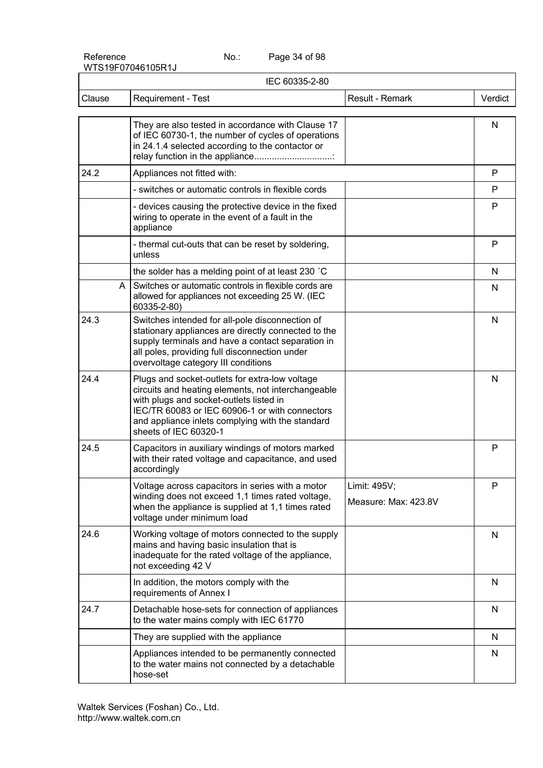Page 34 of 98

| IEC 60335-2-80 |                                                                                                                                                                                                                                                                                |                                      |         |
|----------------|--------------------------------------------------------------------------------------------------------------------------------------------------------------------------------------------------------------------------------------------------------------------------------|--------------------------------------|---------|
| Clause         | Requirement - Test                                                                                                                                                                                                                                                             | Result - Remark                      | Verdict |
|                | They are also tested in accordance with Clause 17<br>of IEC 60730-1, the number of cycles of operations<br>in 24.1.4 selected according to the contactor or<br>relay function in the appliance                                                                                 |                                      | N       |
| 24.2           | Appliances not fitted with:                                                                                                                                                                                                                                                    |                                      | P       |
|                | - switches or automatic controls in flexible cords                                                                                                                                                                                                                             |                                      | P       |
|                | - devices causing the protective device in the fixed<br>wiring to operate in the event of a fault in the<br>appliance                                                                                                                                                          |                                      | P       |
|                | - thermal cut-outs that can be reset by soldering,<br>unless                                                                                                                                                                                                                   |                                      | P       |
|                | the solder has a melding point of at least 230 °C                                                                                                                                                                                                                              |                                      | N       |
| A              | Switches or automatic controls in flexible cords are<br>allowed for appliances not exceeding 25 W. (IEC<br>60335-2-80)                                                                                                                                                         |                                      | N       |
| 24.3           | Switches intended for all-pole disconnection of<br>stationary appliances are directly connected to the<br>supply terminals and have a contact separation in<br>all poles, providing full disconnection under<br>overvoltage category III conditions                            |                                      | N       |
| 24.4           | Plugs and socket-outlets for extra-low voltage<br>circuits and heating elements, not interchangeable<br>with plugs and socket-outlets listed in<br>IEC/TR 60083 or IEC 60906-1 or with connectors<br>and appliance inlets complying with the standard<br>sheets of IEC 60320-1 |                                      | N       |
| 24.5           | Capacitors in auxiliary windings of motors marked<br>with their rated voltage and capacitance, and used<br>accordingly                                                                                                                                                         |                                      | P       |
|                | Voltage across capacitors in series with a motor<br>winding does not exceed 1,1 times rated voltage,<br>when the appliance is supplied at 1,1 times rated<br>voltage under minimum load                                                                                        | Limit: 495V;<br>Measure: Max: 423.8V | P       |
| 24.6           | Working voltage of motors connected to the supply<br>mains and having basic insulation that is<br>inadequate for the rated voltage of the appliance,<br>not exceeding 42 V                                                                                                     |                                      | N       |
|                | In addition, the motors comply with the<br>requirements of Annex I                                                                                                                                                                                                             |                                      | N       |
| 24.7           | Detachable hose-sets for connection of appliances<br>to the water mains comply with IEC 61770                                                                                                                                                                                  |                                      | N       |
|                | They are supplied with the appliance                                                                                                                                                                                                                                           |                                      | N       |
|                | Appliances intended to be permanently connected<br>to the water mains not connected by a detachable<br>hose-set                                                                                                                                                                |                                      | N       |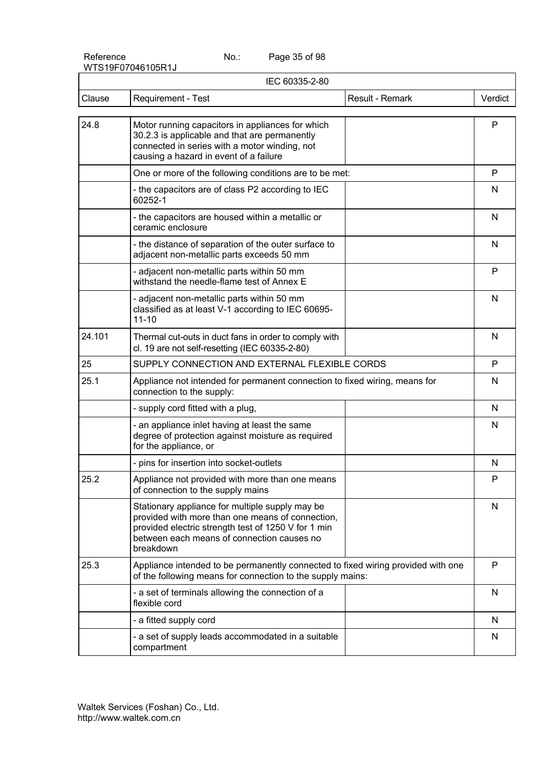Page 35 of 98

|        | IEC 60335-2-80                                                                                                                                                                                                        |                 |         |
|--------|-----------------------------------------------------------------------------------------------------------------------------------------------------------------------------------------------------------------------|-----------------|---------|
| Clause | Requirement - Test                                                                                                                                                                                                    | Result - Remark | Verdict |
| 24.8   | Motor running capacitors in appliances for which<br>30.2.3 is applicable and that are permanently<br>connected in series with a motor winding, not<br>causing a hazard in event of a failure                          |                 | P       |
|        | One or more of the following conditions are to be met:                                                                                                                                                                |                 | P       |
|        | - the capacitors are of class P2 according to IEC<br>60252-1                                                                                                                                                          |                 | N       |
|        | - the capacitors are housed within a metallic or<br>ceramic enclosure                                                                                                                                                 |                 | N       |
|        | - the distance of separation of the outer surface to<br>adjacent non-metallic parts exceeds 50 mm                                                                                                                     |                 | N       |
|        | - adjacent non-metallic parts within 50 mm<br>withstand the needle-flame test of Annex E                                                                                                                              |                 | P       |
|        | - adjacent non-metallic parts within 50 mm<br>classified as at least V-1 according to IEC 60695-<br>$11 - 10$                                                                                                         |                 | N       |
| 24.101 | Thermal cut-outs in duct fans in order to comply with<br>cl. 19 are not self-resetting (IEC 60335-2-80)                                                                                                               |                 | N       |
| 25     | SUPPLY CONNECTION AND EXTERNAL FLEXIBLE CORDS                                                                                                                                                                         |                 | P       |
| 25.1   | Appliance not intended for permanent connection to fixed wiring, means for<br>connection to the supply:                                                                                                               |                 | N       |
|        | - supply cord fitted with a plug,                                                                                                                                                                                     |                 | N       |
|        | - an appliance inlet having at least the same<br>degree of protection against moisture as required<br>for the appliance, or                                                                                           |                 | N       |
|        | - pins for insertion into socket-outlets                                                                                                                                                                              |                 | N       |
| 25.2   | Appliance not provided with more than one means<br>of connection to the supply mains                                                                                                                                  |                 | P       |
|        | Stationary appliance for multiple supply may be<br>provided with more than one means of connection,<br>provided electric strength test of 1250 V for 1 min<br>between each means of connection causes no<br>breakdown |                 | N       |
| 25.3   | Appliance intended to be permanently connected to fixed wiring provided with one<br>of the following means for connection to the supply mains:                                                                        |                 | P       |
|        | - a set of terminals allowing the connection of a<br>flexible cord                                                                                                                                                    |                 | N       |
|        | - a fitted supply cord                                                                                                                                                                                                |                 | N       |
|        | - a set of supply leads accommodated in a suitable<br>compartment                                                                                                                                                     |                 | N       |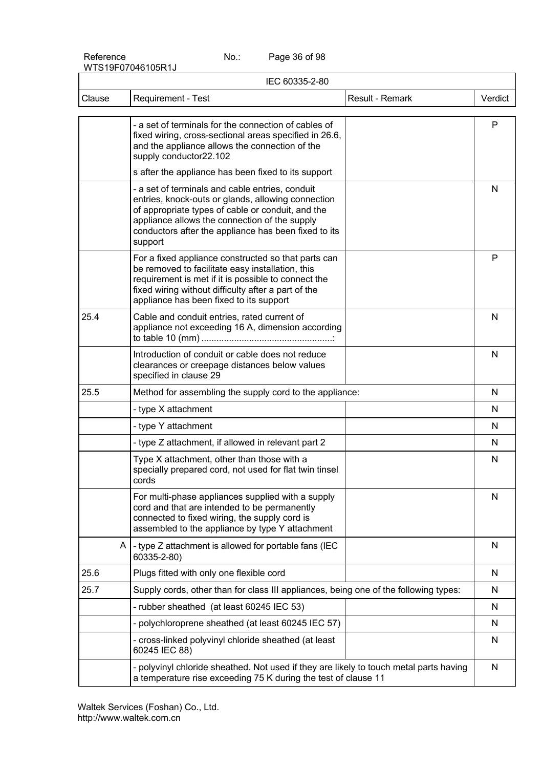Page 36 of 98

| IEC 60335-2-80 |                                                                                                                                                                                                                                                                                |              |
|----------------|--------------------------------------------------------------------------------------------------------------------------------------------------------------------------------------------------------------------------------------------------------------------------------|--------------|
| Clause         | <b>Requirement - Test</b><br>Result - Remark                                                                                                                                                                                                                                   | Verdict      |
|                | - a set of terminals for the connection of cables of<br>fixed wiring, cross-sectional areas specified in 26.6,<br>and the appliance allows the connection of the<br>supply conductor22.102                                                                                     | $\mathsf{P}$ |
|                | s after the appliance has been fixed to its support                                                                                                                                                                                                                            |              |
|                | - a set of terminals and cable entries, conduit<br>entries, knock-outs or glands, allowing connection<br>of appropriate types of cable or conduit, and the<br>appliance allows the connection of the supply<br>conductors after the appliance has been fixed to its<br>support | N            |
|                | For a fixed appliance constructed so that parts can<br>be removed to facilitate easy installation, this<br>requirement is met if it is possible to connect the<br>fixed wiring without difficulty after a part of the<br>appliance has been fixed to its support               | P            |
| 25.4           | Cable and conduit entries, rated current of<br>appliance not exceeding 16 A, dimension according                                                                                                                                                                               | N            |
|                | Introduction of conduit or cable does not reduce<br>clearances or creepage distances below values<br>specified in clause 29                                                                                                                                                    | N            |
| 25.5           | Method for assembling the supply cord to the appliance:                                                                                                                                                                                                                        | N            |
|                | - type X attachment                                                                                                                                                                                                                                                            | N            |
|                | - type Y attachment                                                                                                                                                                                                                                                            | N            |
|                | - type Z attachment, if allowed in relevant part 2                                                                                                                                                                                                                             | N            |
|                | Type X attachment, other than those with a<br>specially prepared cord, not used for flat twin tinsel<br>cords                                                                                                                                                                  | N            |
|                | For multi-phase appliances supplied with a supply<br>cord and that are intended to be permanently<br>connected to fixed wiring, the supply cord is<br>assembled to the appliance by type Y attachment                                                                          | N            |
| A              | - type Z attachment is allowed for portable fans (IEC<br>60335-2-80)                                                                                                                                                                                                           | N            |
| 25.6           | Plugs fitted with only one flexible cord                                                                                                                                                                                                                                       | N            |
| 25.7           | Supply cords, other than for class III appliances, being one of the following types:                                                                                                                                                                                           | N            |
|                | - rubber sheathed (at least 60245 IEC 53)                                                                                                                                                                                                                                      | N            |
|                | - polychloroprene sheathed (at least 60245 IEC 57)                                                                                                                                                                                                                             | N            |
|                | - cross-linked polyvinyl chloride sheathed (at least<br>60245 IEC 88)                                                                                                                                                                                                          | N            |
|                | - polyvinyl chloride sheathed. Not used if they are likely to touch metal parts having<br>a temperature rise exceeding 75 K during the test of clause 11                                                                                                                       | N            |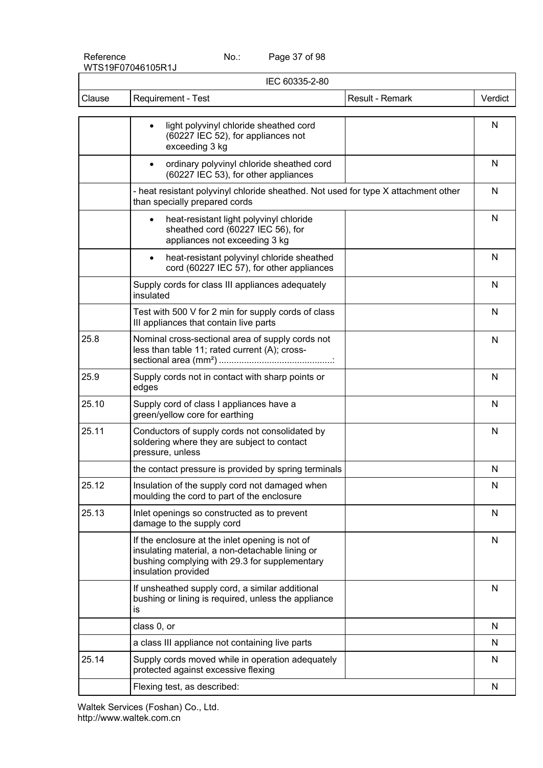Page 37 of 98

|        | IEC 60335-2-80                                                                                                                                                             |                 |         |
|--------|----------------------------------------------------------------------------------------------------------------------------------------------------------------------------|-----------------|---------|
| Clause | Requirement - Test                                                                                                                                                         | Result - Remark | Verdict |
|        | light polyvinyl chloride sheathed cord<br>$\bullet$<br>(60227 IEC 52), for appliances not<br>exceeding 3 kg                                                                |                 | N       |
|        | ordinary polyvinyl chloride sheathed cord<br>$\bullet$<br>(60227 IEC 53), for other appliances                                                                             |                 | N       |
|        | - heat resistant polyvinyl chloride sheathed. Not used for type X attachment other<br>than specially prepared cords                                                        |                 | N       |
|        | heat-resistant light polyvinyl chloride<br>$\bullet$<br>sheathed cord (60227 IEC 56), for<br>appliances not exceeding 3 kg                                                 |                 | N       |
|        | heat-resistant polyvinyl chloride sheathed<br>$\bullet$<br>cord (60227 IEC 57), for other appliances                                                                       |                 | N       |
|        | Supply cords for class III appliances adequately<br>insulated                                                                                                              |                 | N       |
|        | Test with 500 V for 2 min for supply cords of class<br>III appliances that contain live parts                                                                              |                 | N       |
| 25.8   | Nominal cross-sectional area of supply cords not<br>less than table 11; rated current (A); cross-                                                                          |                 | N       |
| 25.9   | Supply cords not in contact with sharp points or<br>edges                                                                                                                  |                 | N       |
| 25.10  | Supply cord of class I appliances have a<br>green/yellow core for earthing                                                                                                 |                 | N       |
| 25.11  | Conductors of supply cords not consolidated by<br>soldering where they are subject to contact<br>pressure, unless                                                          |                 | N       |
|        | the contact pressure is provided by spring terminals                                                                                                                       |                 | N       |
| 25.12  | Insulation of the supply cord not damaged when<br>moulding the cord to part of the enclosure                                                                               |                 | N       |
| 25.13  | Inlet openings so constructed as to prevent<br>damage to the supply cord                                                                                                   |                 | N       |
|        | If the enclosure at the inlet opening is not of<br>insulating material, a non-detachable lining or<br>bushing complying with 29.3 for supplementary<br>insulation provided |                 | N       |
|        | If unsheathed supply cord, a similar additional<br>bushing or lining is required, unless the appliance<br>is                                                               |                 | N       |
|        | class 0, or                                                                                                                                                                |                 | N       |
|        | a class III appliance not containing live parts                                                                                                                            |                 | N       |
| 25.14  | Supply cords moved while in operation adequately<br>protected against excessive flexing                                                                                    |                 | N.      |
|        | Flexing test, as described:                                                                                                                                                |                 | N       |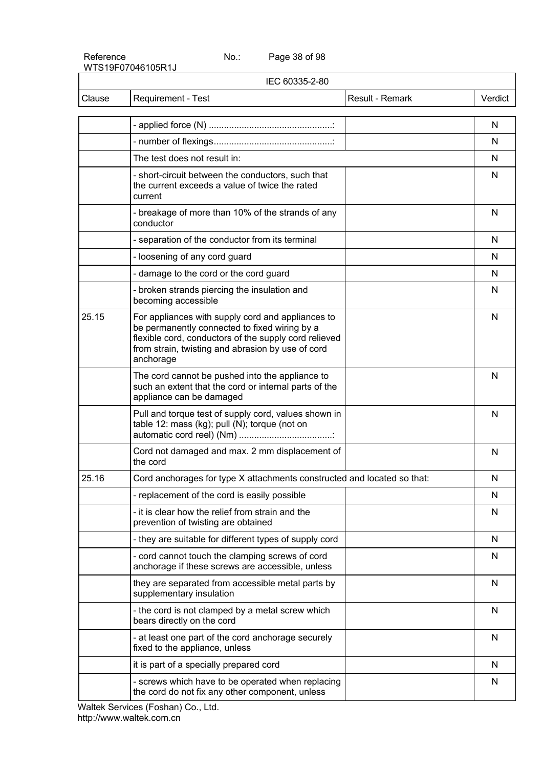Page 38 of 98

| IEC 60335-2-80 |                                                                                                                                                                                                                               |                 |         |
|----------------|-------------------------------------------------------------------------------------------------------------------------------------------------------------------------------------------------------------------------------|-----------------|---------|
| Clause         | Requirement - Test                                                                                                                                                                                                            | Result - Remark | Verdict |
|                |                                                                                                                                                                                                                               |                 | N       |
|                |                                                                                                                                                                                                                               |                 | N       |
|                | The test does not result in:                                                                                                                                                                                                  |                 | N       |
|                | - short-circuit between the conductors, such that<br>the current exceeds a value of twice the rated<br>current                                                                                                                |                 | N       |
|                | - breakage of more than 10% of the strands of any<br>conductor                                                                                                                                                                |                 | N       |
|                | - separation of the conductor from its terminal                                                                                                                                                                               |                 | N       |
|                | - loosening of any cord guard                                                                                                                                                                                                 |                 | N       |
|                | - damage to the cord or the cord guard                                                                                                                                                                                        |                 | N       |
|                | - broken strands piercing the insulation and<br>becoming accessible                                                                                                                                                           |                 | N       |
| 25.15          | For appliances with supply cord and appliances to<br>be permanently connected to fixed wiring by a<br>flexible cord, conductors of the supply cord relieved<br>from strain, twisting and abrasion by use of cord<br>anchorage |                 | N       |
|                | The cord cannot be pushed into the appliance to<br>such an extent that the cord or internal parts of the<br>appliance can be damaged                                                                                          |                 | N       |
|                | Pull and torque test of supply cord, values shown in<br>table 12: mass (kg); pull (N); torque (not on                                                                                                                         |                 | N       |
|                | Cord not damaged and max. 2 mm displacement of<br>the cord                                                                                                                                                                    |                 | N       |
| 25.16          | Cord anchorages for type X attachments constructed and located so that:                                                                                                                                                       |                 | N       |
|                | - replacement of the cord is easily possible                                                                                                                                                                                  |                 | N       |
|                | - it is clear how the relief from strain and the<br>prevention of twisting are obtained                                                                                                                                       |                 | N       |
|                | - they are suitable for different types of supply cord                                                                                                                                                                        |                 | N       |
|                | - cord cannot touch the clamping screws of cord<br>anchorage if these screws are accessible, unless                                                                                                                           |                 | N       |
|                | they are separated from accessible metal parts by<br>supplementary insulation                                                                                                                                                 |                 | N       |
|                | - the cord is not clamped by a metal screw which<br>bears directly on the cord                                                                                                                                                |                 | N       |
|                | - at least one part of the cord anchorage securely<br>fixed to the appliance, unless                                                                                                                                          |                 | N       |
|                | it is part of a specially prepared cord                                                                                                                                                                                       |                 | N       |
|                | - screws which have to be operated when replacing<br>the cord do not fix any other component, unless                                                                                                                          |                 | N       |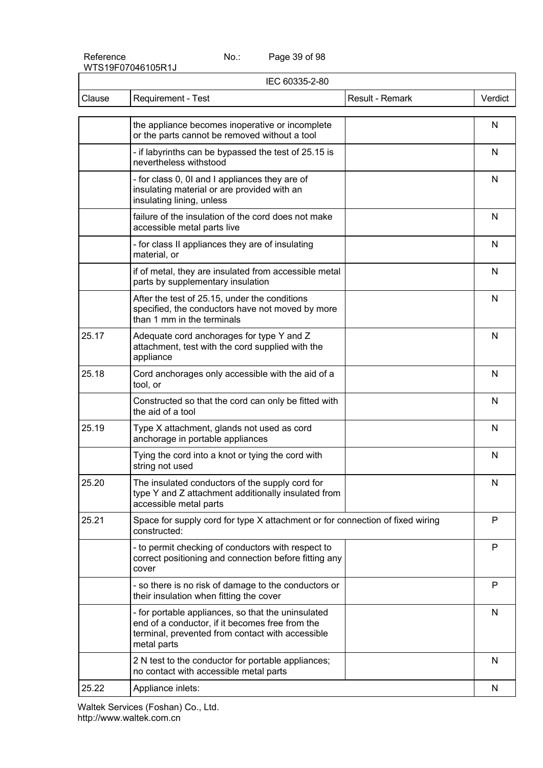Page 39 of 98

|        | IEC 60335-2-80                                                                                                                                                           |                 |           |
|--------|--------------------------------------------------------------------------------------------------------------------------------------------------------------------------|-----------------|-----------|
| Clause | Requirement - Test                                                                                                                                                       | Result - Remark | Verdict   |
|        | the appliance becomes inoperative or incomplete<br>or the parts cannot be removed without a tool                                                                         |                 | N         |
|        | - if labyrinths can be bypassed the test of 25.15 is<br>nevertheless withstood                                                                                           |                 | N         |
|        | - for class 0, 0I and I appliances they are of<br>insulating material or are provided with an<br>insulating lining, unless                                               |                 | N         |
|        | failure of the insulation of the cord does not make<br>accessible metal parts live                                                                                       |                 | N         |
|        | - for class II appliances they are of insulating<br>material, or                                                                                                         |                 | N         |
|        | if of metal, they are insulated from accessible metal<br>parts by supplementary insulation                                                                               |                 | N         |
|        | After the test of 25.15, under the conditions<br>specified, the conductors have not moved by more<br>than 1 mm in the terminals                                          |                 | N         |
| 25.17  | Adequate cord anchorages for type Y and Z<br>attachment, test with the cord supplied with the<br>appliance                                                               |                 | N         |
| 25.18  | Cord anchorages only accessible with the aid of a<br>tool, or                                                                                                            |                 | N         |
|        | Constructed so that the cord can only be fitted with<br>the aid of a tool                                                                                                |                 | N         |
| 25.19  | Type X attachment, glands not used as cord<br>anchorage in portable appliances                                                                                           |                 | N         |
|        | Tying the cord into a knot or tying the cord with<br>string not used                                                                                                     |                 | N         |
| 25.20  | The insulated conductors of the supply cord for<br>type Y and Z attachment additionally insulated from<br>accessible metal parts                                         |                 | ${\sf N}$ |
| 25.21  | Space for supply cord for type X attachment or for connection of fixed wiring<br>constructed:                                                                            |                 | P         |
|        | - to permit checking of conductors with respect to<br>correct positioning and connection before fitting any<br>cover                                                     |                 | P         |
|        | - so there is no risk of damage to the conductors or<br>their insulation when fitting the cover                                                                          |                 | P         |
|        | - for portable appliances, so that the uninsulated<br>end of a conductor, if it becomes free from the<br>terminal, prevented from contact with accessible<br>metal parts |                 | N         |
|        | 2 N test to the conductor for portable appliances;<br>no contact with accessible metal parts                                                                             |                 | N         |
| 25.22  | Appliance inlets:                                                                                                                                                        |                 | N         |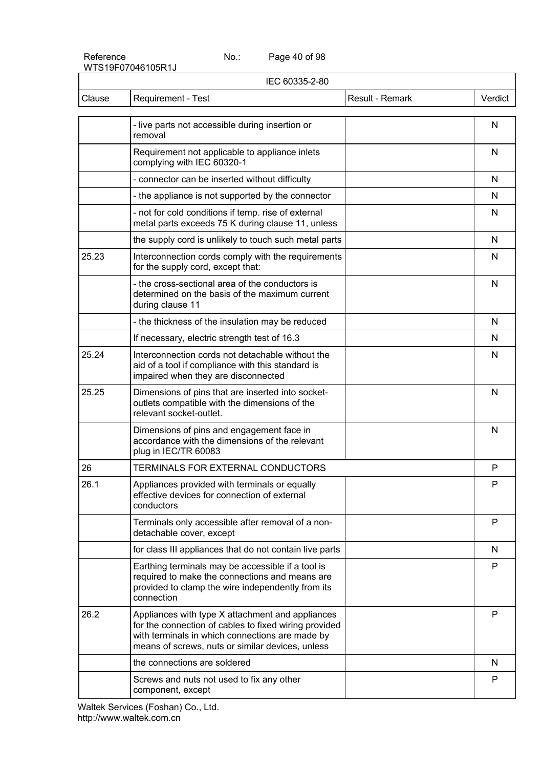Page 40 of 98

| IEC 60335-2-80 |                                                                                                                                                                                                                  |                 |         |
|----------------|------------------------------------------------------------------------------------------------------------------------------------------------------------------------------------------------------------------|-----------------|---------|
| Clause         | Requirement - Test                                                                                                                                                                                               | Result - Remark | Verdict |
|                | - live parts not accessible during insertion or<br>removal                                                                                                                                                       |                 | N       |
|                | Requirement not applicable to appliance inlets<br>complying with IEC 60320-1                                                                                                                                     |                 | N       |
|                | - connector can be inserted without difficulty                                                                                                                                                                   |                 | N       |
|                | - the appliance is not supported by the connector                                                                                                                                                                |                 | N       |
|                | - not for cold conditions if temp. rise of external<br>metal parts exceeds 75 K during clause 11, unless                                                                                                         |                 | N       |
|                | the supply cord is unlikely to touch such metal parts                                                                                                                                                            |                 | N       |
| 25.23          | Interconnection cords comply with the requirements<br>for the supply cord, except that:                                                                                                                          |                 | N       |
|                | - the cross-sectional area of the conductors is<br>determined on the basis of the maximum current<br>during clause 11                                                                                            |                 | N       |
|                | - the thickness of the insulation may be reduced                                                                                                                                                                 |                 | N       |
|                | If necessary, electric strength test of 16.3                                                                                                                                                                     |                 | N       |
| 25.24          | Interconnection cords not detachable without the<br>aid of a tool if compliance with this standard is<br>impaired when they are disconnected                                                                     |                 | N       |
| 25.25          | Dimensions of pins that are inserted into socket-<br>outlets compatible with the dimensions of the<br>relevant socket-outlet.                                                                                    |                 | N       |
|                | Dimensions of pins and engagement face in<br>accordance with the dimensions of the relevant<br>plug in IEC/TR 60083                                                                                              |                 | N       |
| 26             | <b>TERMINALS FOR EXTERNAL CONDUCTORS</b>                                                                                                                                                                         |                 | P       |
| 26.1           | Appliances provided with terminals or equally<br>effective devices for connection of external<br>conductors                                                                                                      |                 | P       |
|                | Terminals only accessible after removal of a non-<br>detachable cover, except                                                                                                                                    |                 | P       |
|                | for class III appliances that do not contain live parts                                                                                                                                                          |                 | N       |
|                | Earthing terminals may be accessible if a tool is<br>required to make the connections and means are<br>provided to clamp the wire independently from its<br>connection                                           |                 | P       |
| 26.2           | Appliances with type X attachment and appliances<br>for the connection of cables to fixed wiring provided<br>with terminals in which connections are made by<br>means of screws, nuts or similar devices, unless |                 | P       |
|                | the connections are soldered                                                                                                                                                                                     |                 | N       |
|                | Screws and nuts not used to fix any other<br>component, except                                                                                                                                                   |                 | P       |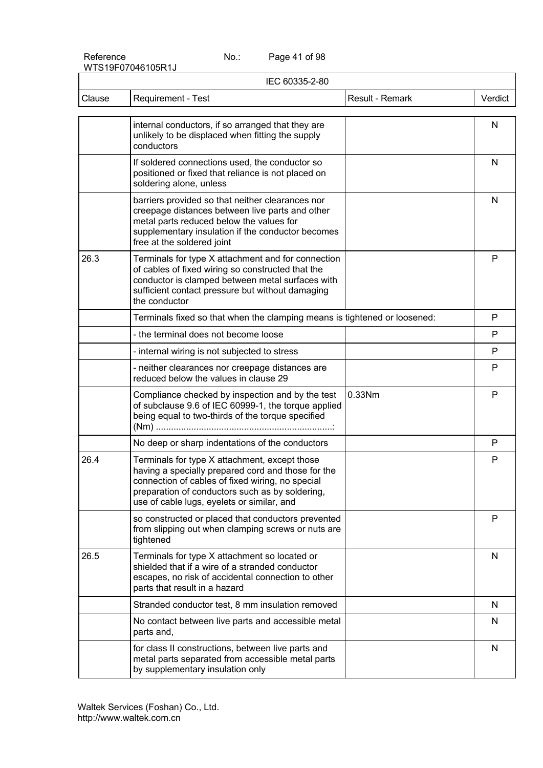Page 41 of 98

| IEC 60335-2-80 |                                                                                                                                                                                                                                                          |                 |         |
|----------------|----------------------------------------------------------------------------------------------------------------------------------------------------------------------------------------------------------------------------------------------------------|-----------------|---------|
| Clause         | Requirement - Test                                                                                                                                                                                                                                       | Result - Remark | Verdict |
|                | internal conductors, if so arranged that they are<br>unlikely to be displaced when fitting the supply<br>conductors                                                                                                                                      |                 | N       |
|                | If soldered connections used, the conductor so<br>positioned or fixed that reliance is not placed on<br>soldering alone, unless                                                                                                                          |                 | N       |
|                | barriers provided so that neither clearances nor<br>creepage distances between live parts and other<br>metal parts reduced below the values for<br>supplementary insulation if the conductor becomes<br>free at the soldered joint                       |                 | N       |
| 26.3           | Terminals for type X attachment and for connection<br>of cables of fixed wiring so constructed that the<br>conductor is clamped between metal surfaces with<br>sufficient contact pressure but without damaging<br>the conductor                         |                 | P       |
|                | Terminals fixed so that when the clamping means is tightened or loosened:                                                                                                                                                                                |                 | P       |
|                | - the terminal does not become loose                                                                                                                                                                                                                     |                 | P       |
|                | - internal wiring is not subjected to stress                                                                                                                                                                                                             |                 | P       |
|                | - neither clearances nor creepage distances are<br>reduced below the values in clause 29                                                                                                                                                                 |                 | P       |
|                | Compliance checked by inspection and by the test<br>of subclause 9.6 of IEC 60999-1, the torque applied<br>being equal to two-thirds of the torque specified                                                                                             | 0.33Nm          | P       |
|                | No deep or sharp indentations of the conductors                                                                                                                                                                                                          |                 | P       |
| 26.4           | Terminals for type X attachment, except those<br>having a specially prepared cord and those for the<br>connection of cables of fixed wiring, no special<br>preparation of conductors such as by soldering,<br>use of cable lugs, eyelets or similar, and |                 | P       |
|                | so constructed or placed that conductors prevented<br>from slipping out when clamping screws or nuts are<br>tightened                                                                                                                                    |                 | P       |
| 26.5           | Terminals for type X attachment so located or<br>shielded that if a wire of a stranded conductor<br>escapes, no risk of accidental connection to other<br>parts that result in a hazard                                                                  |                 | N       |
|                | Stranded conductor test, 8 mm insulation removed                                                                                                                                                                                                         |                 | N       |
|                | No contact between live parts and accessible metal<br>parts and,                                                                                                                                                                                         |                 | N       |
|                | for class II constructions, between live parts and<br>metal parts separated from accessible metal parts<br>by supplementary insulation only                                                                                                              |                 | N       |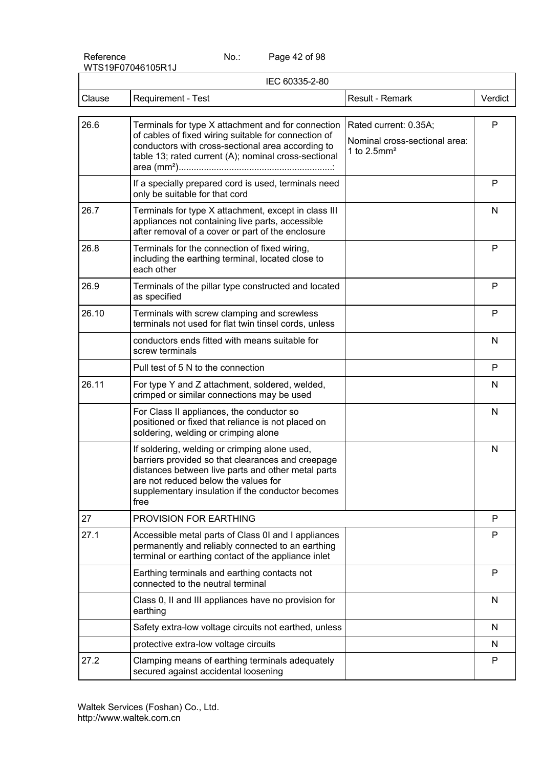Page 42 of 98

| IEC 60335-2-80 |                                                                                                                                                                                                                                                               |                                                                                      |              |
|----------------|---------------------------------------------------------------------------------------------------------------------------------------------------------------------------------------------------------------------------------------------------------------|--------------------------------------------------------------------------------------|--------------|
| Clause         | Requirement - Test                                                                                                                                                                                                                                            | Result - Remark                                                                      | Verdict      |
| 26.6           | Terminals for type X attachment and for connection<br>of cables of fixed wiring suitable for connection of<br>conductors with cross-sectional area according to<br>table 13; rated current (A); nominal cross-sectional                                       | Rated current: 0.35A;<br>Nominal cross-sectional area:<br>1 to $2.5$ mm <sup>2</sup> | $\mathsf{P}$ |
|                | If a specially prepared cord is used, terminals need<br>only be suitable for that cord                                                                                                                                                                        |                                                                                      | P            |
| 26.7           | Terminals for type X attachment, except in class III<br>appliances not containing live parts, accessible<br>after removal of a cover or part of the enclosure                                                                                                 |                                                                                      | N            |
| 26.8           | Terminals for the connection of fixed wiring,<br>including the earthing terminal, located close to<br>each other                                                                                                                                              |                                                                                      | P            |
| 26.9           | Terminals of the pillar type constructed and located<br>as specified                                                                                                                                                                                          |                                                                                      | P            |
| 26.10          | Terminals with screw clamping and screwless<br>terminals not used for flat twin tinsel cords, unless                                                                                                                                                          |                                                                                      | P            |
|                | conductors ends fitted with means suitable for<br>screw terminals                                                                                                                                                                                             |                                                                                      | $\mathsf{N}$ |
|                | Pull test of 5 N to the connection                                                                                                                                                                                                                            |                                                                                      | P            |
| 26.11          | For type Y and Z attachment, soldered, welded,<br>crimped or similar connections may be used                                                                                                                                                                  |                                                                                      | N            |
|                | For Class II appliances, the conductor so<br>positioned or fixed that reliance is not placed on<br>soldering, welding or crimping alone                                                                                                                       |                                                                                      | N            |
|                | If soldering, welding or crimping alone used,<br>barriers provided so that clearances and creepage<br>distances between live parts and other metal parts<br>are not reduced below the values for<br>supplementary insulation if the conductor becomes<br>free |                                                                                      | N            |
| 27             | PROVISION FOR EARTHING                                                                                                                                                                                                                                        |                                                                                      | P            |
| 27.1           | Accessible metal parts of Class 0I and I appliances<br>permanently and reliably connected to an earthing<br>terminal or earthing contact of the appliance inlet                                                                                               |                                                                                      | P            |
|                | Earthing terminals and earthing contacts not<br>connected to the neutral terminal                                                                                                                                                                             |                                                                                      | P            |
|                | Class 0, II and III appliances have no provision for<br>earthing                                                                                                                                                                                              |                                                                                      | N            |
|                | Safety extra-low voltage circuits not earthed, unless                                                                                                                                                                                                         |                                                                                      | N            |
|                | protective extra-low voltage circuits                                                                                                                                                                                                                         |                                                                                      | N            |
| 27.2           | Clamping means of earthing terminals adequately<br>secured against accidental loosening                                                                                                                                                                       |                                                                                      | P            |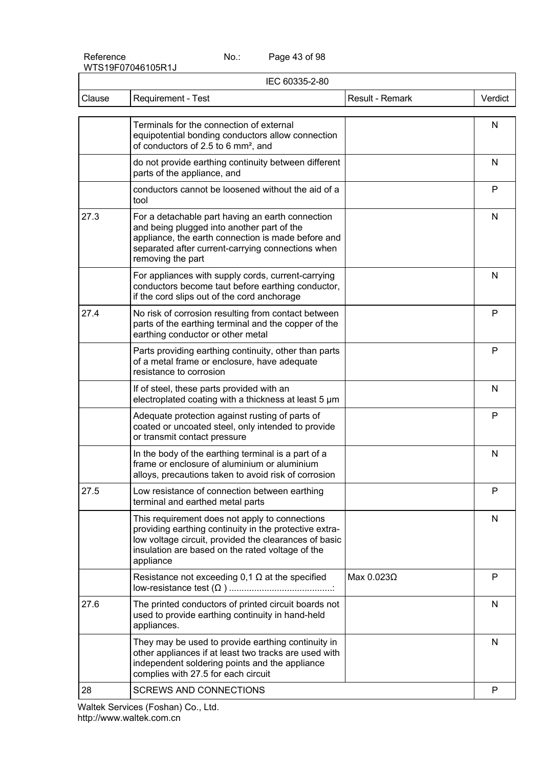Page 43 of 98

| IEC 60335-2-80 |                                                                                                                                                                                                                                    |                 |         |
|----------------|------------------------------------------------------------------------------------------------------------------------------------------------------------------------------------------------------------------------------------|-----------------|---------|
| Clause         | Requirement - Test                                                                                                                                                                                                                 | Result - Remark | Verdict |
|                | Terminals for the connection of external<br>equipotential bonding conductors allow connection<br>of conductors of 2.5 to 6 mm <sup>2</sup> , and                                                                                   |                 | N       |
|                | do not provide earthing continuity between different<br>parts of the appliance, and                                                                                                                                                |                 | N       |
|                | conductors cannot be loosened without the aid of a<br>tool                                                                                                                                                                         |                 | P       |
| 27.3           | For a detachable part having an earth connection<br>and being plugged into another part of the<br>appliance, the earth connection is made before and<br>separated after current-carrying connections when<br>removing the part     |                 | N       |
|                | For appliances with supply cords, current-carrying<br>conductors become taut before earthing conductor,<br>if the cord slips out of the cord anchorage                                                                             |                 | N       |
| 27.4           | No risk of corrosion resulting from contact between<br>parts of the earthing terminal and the copper of the<br>earthing conductor or other metal                                                                                   |                 | P       |
|                | Parts providing earthing continuity, other than parts<br>of a metal frame or enclosure, have adequate<br>resistance to corrosion                                                                                                   |                 | P       |
|                | If of steel, these parts provided with an<br>electroplated coating with a thickness at least 5 µm                                                                                                                                  |                 | N       |
|                | Adequate protection against rusting of parts of<br>coated or uncoated steel, only intended to provide<br>or transmit contact pressure                                                                                              |                 | P       |
|                | In the body of the earthing terminal is a part of a<br>frame or enclosure of aluminium or aluminium<br>alloys, precautions taken to avoid risk of corrosion                                                                        |                 | N       |
| 27.5           | Low resistance of connection between earthing<br>terminal and earthed metal parts                                                                                                                                                  |                 | P       |
|                | This requirement does not apply to connections<br>providing earthing continuity in the protective extra-<br>low voltage circuit, provided the clearances of basic<br>insulation are based on the rated voltage of the<br>appliance |                 | N       |
|                | Resistance not exceeding $0,1$ $\Omega$ at the specified                                                                                                                                                                           | Max 0.023Ω      | P       |
| 27.6           | The printed conductors of printed circuit boards not<br>used to provide earthing continuity in hand-held<br>appliances.                                                                                                            |                 | N       |
|                | They may be used to provide earthing continuity in<br>other appliances if at least two tracks are used with<br>independent soldering points and the appliance<br>complies with 27.5 for each circuit                               |                 | N       |
| 28             | <b>SCREWS AND CONNECTIONS</b>                                                                                                                                                                                                      |                 | P       |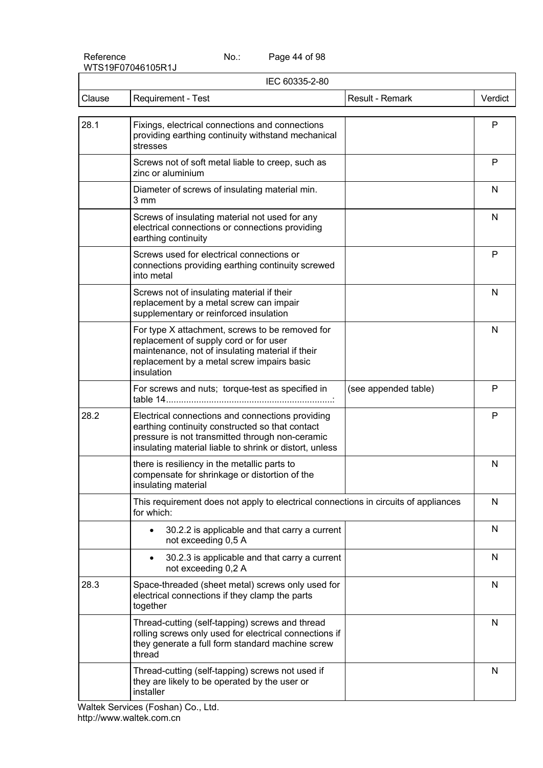Page 44 of 98

| IEC 60335-2-80 |                                                                                                                                                                                                                   |                      |         |
|----------------|-------------------------------------------------------------------------------------------------------------------------------------------------------------------------------------------------------------------|----------------------|---------|
| Clause         | Requirement - Test                                                                                                                                                                                                | Result - Remark      | Verdict |
| 28.1           | Fixings, electrical connections and connections<br>providing earthing continuity withstand mechanical<br>stresses                                                                                                 |                      | P       |
|                | Screws not of soft metal liable to creep, such as<br>zinc or aluminium                                                                                                                                            |                      | P       |
|                | Diameter of screws of insulating material min.<br>3 mm                                                                                                                                                            |                      | N       |
|                | Screws of insulating material not used for any<br>electrical connections or connections providing<br>earthing continuity                                                                                          |                      | N       |
|                | Screws used for electrical connections or<br>connections providing earthing continuity screwed<br>into metal                                                                                                      |                      | P       |
|                | Screws not of insulating material if their<br>replacement by a metal screw can impair<br>supplementary or reinforced insulation                                                                                   |                      | N       |
|                | For type X attachment, screws to be removed for<br>replacement of supply cord or for user<br>maintenance, not of insulating material if their<br>replacement by a metal screw impairs basic<br>insulation         |                      | N       |
|                | For screws and nuts; torque-test as specified in                                                                                                                                                                  | (see appended table) | P       |
| 28.2           | Electrical connections and connections providing<br>earthing continuity constructed so that contact<br>pressure is not transmitted through non-ceramic<br>insulating material liable to shrink or distort, unless |                      | P       |
|                | there is resiliency in the metallic parts to<br>compensate for shrinkage or distortion of the<br>insulating material                                                                                              |                      | N       |
|                | This requirement does not apply to electrical connections in circuits of appliances<br>for which:                                                                                                                 |                      | N       |
|                | 30.2.2 is applicable and that carry a current<br>$\bullet$<br>not exceeding 0,5 A                                                                                                                                 |                      | N       |
|                | 30.2.3 is applicable and that carry a current<br>$\bullet$<br>not exceeding 0,2 A                                                                                                                                 |                      | N       |
| 28.3           | Space-threaded (sheet metal) screws only used for<br>electrical connections if they clamp the parts<br>together                                                                                                   |                      | N       |
|                | Thread-cutting (self-tapping) screws and thread<br>rolling screws only used for electrical connections if<br>they generate a full form standard machine screw<br>thread                                           |                      | N       |
|                | Thread-cutting (self-tapping) screws not used if<br>they are likely to be operated by the user or<br>installer                                                                                                    |                      | N       |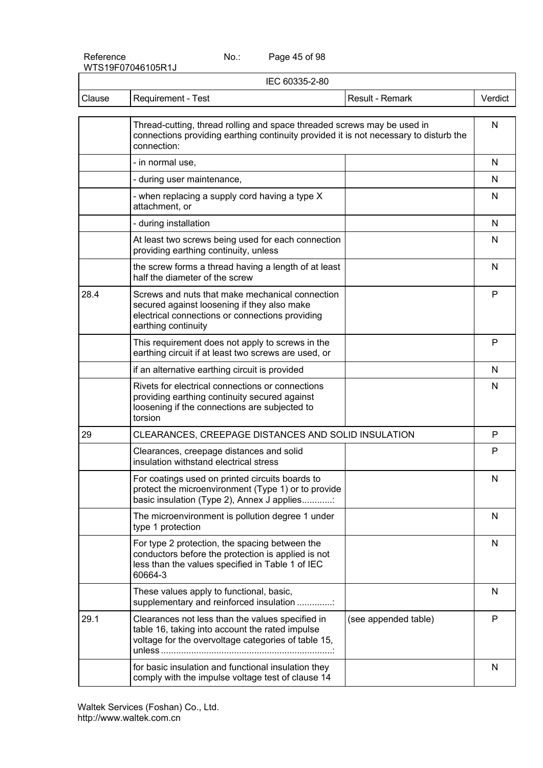Page 45 of 98

|        | IEC 60335-2-80                                                                                                                                                                  |                      |              |  |
|--------|---------------------------------------------------------------------------------------------------------------------------------------------------------------------------------|----------------------|--------------|--|
| Clause | Requirement - Test                                                                                                                                                              | Result - Remark      | Verdict      |  |
|        | Thread-cutting, thread rolling and space threaded screws may be used in<br>connections providing earthing continuity provided it is not necessary to disturb the<br>connection: |                      | N            |  |
|        | - in normal use,                                                                                                                                                                |                      | N            |  |
|        | - during user maintenance,                                                                                                                                                      |                      | N            |  |
|        | - when replacing a supply cord having a type X<br>attachment, or                                                                                                                |                      | N            |  |
|        | - during installation                                                                                                                                                           |                      | N            |  |
|        | At least two screws being used for each connection<br>providing earthing continuity, unless                                                                                     |                      | N            |  |
|        | the screw forms a thread having a length of at least<br>half the diameter of the screw                                                                                          |                      | N            |  |
| 28.4   | Screws and nuts that make mechanical connection<br>secured against loosening if they also make<br>electrical connections or connections providing<br>earthing continuity        |                      | P            |  |
|        | This requirement does not apply to screws in the<br>earthing circuit if at least two screws are used, or                                                                        |                      | P            |  |
|        | if an alternative earthing circuit is provided                                                                                                                                  |                      | N            |  |
|        | Rivets for electrical connections or connections<br>providing earthing continuity secured against<br>loosening if the connections are subjected to<br>torsion                   |                      | N            |  |
| 29     | CLEARANCES, CREEPAGE DISTANCES AND SOLID INSULATION                                                                                                                             |                      | P            |  |
|        | Clearances, creepage distances and solid<br>insulation withstand electrical stress                                                                                              |                      | P            |  |
|        | For coatings used on printed circuits boards to<br>protect the microenvironment (Type 1) or to provide<br>basic insulation (Type 2), Annex J applies                            |                      | N            |  |
|        | The microenvironment is pollution degree 1 under<br>type 1 protection                                                                                                           |                      | N            |  |
|        | For type 2 protection, the spacing between the<br>conductors before the protection is applied is not<br>less than the values specified in Table 1 of IEC<br>60664-3             |                      | N            |  |
|        | These values apply to functional, basic,<br>supplementary and reinforced insulation                                                                                             |                      | N            |  |
| 29.1   | Clearances not less than the values specified in<br>table 16, taking into account the rated impulse<br>voltage for the overvoltage categories of table 15,                      | (see appended table) | P            |  |
|        | for basic insulation and functional insulation they<br>comply with the impulse voltage test of clause 14                                                                        |                      | $\mathsf{N}$ |  |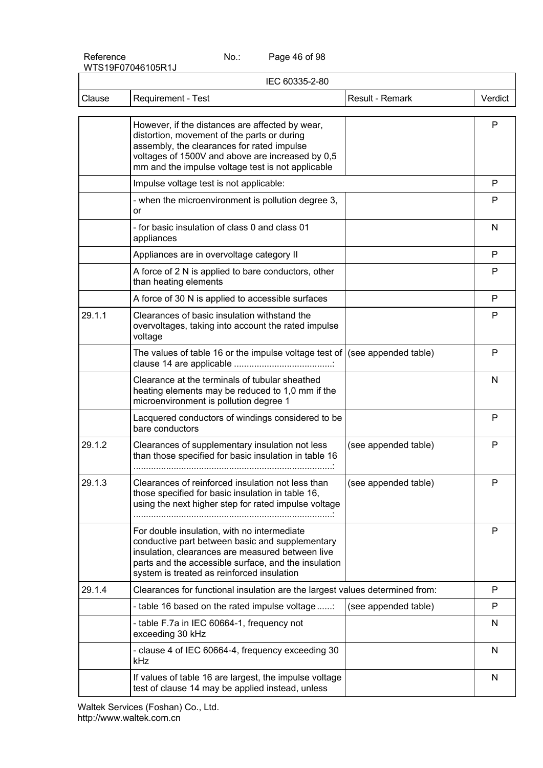Page 46 of 98

| IEC 60335-2-80 |                                                                                                                                                                                                                                                          |                      |         |
|----------------|----------------------------------------------------------------------------------------------------------------------------------------------------------------------------------------------------------------------------------------------------------|----------------------|---------|
| Clause         | Requirement - Test                                                                                                                                                                                                                                       | Result - Remark      | Verdict |
|                | However, if the distances are affected by wear,<br>distortion, movement of the parts or during<br>assembly, the clearances for rated impulse<br>voltages of 1500V and above are increased by 0,5<br>mm and the impulse voltage test is not applicable    |                      | P       |
|                | Impulse voltage test is not applicable:                                                                                                                                                                                                                  |                      | P       |
|                | - when the microenvironment is pollution degree 3,<br>or                                                                                                                                                                                                 |                      | P       |
|                | - for basic insulation of class 0 and class 01<br>appliances                                                                                                                                                                                             |                      | N       |
|                | Appliances are in overvoltage category II                                                                                                                                                                                                                |                      | P       |
|                | A force of 2 N is applied to bare conductors, other<br>than heating elements                                                                                                                                                                             |                      | P       |
|                | A force of 30 N is applied to accessible surfaces                                                                                                                                                                                                        |                      | P       |
| 29.1.1         | Clearances of basic insulation withstand the<br>overvoltages, taking into account the rated impulse<br>voltage                                                                                                                                           |                      | P       |
|                | The values of table 16 or the impulse voltage test of $ $ (see appended table)                                                                                                                                                                           |                      | P       |
|                | Clearance at the terminals of tubular sheathed<br>heating elements may be reduced to 1,0 mm if the<br>microenvironment is pollution degree 1                                                                                                             |                      | N       |
|                | Lacquered conductors of windings considered to be<br>bare conductors                                                                                                                                                                                     |                      | P       |
| 29.1.2         | Clearances of supplementary insulation not less<br>than those specified for basic insulation in table 16                                                                                                                                                 | (see appended table) | P       |
| 29.1.3         | Clearances of reinforced insulation not less than<br>those specified for basic insulation in table 16,<br>using the next higher step for rated impulse voltage                                                                                           | (see appended table) | ٢       |
|                | For double insulation, with no intermediate<br>conductive part between basic and supplementary<br>insulation, clearances are measured between live<br>parts and the accessible surface, and the insulation<br>system is treated as reinforced insulation |                      | P       |
| 29.1.4         | Clearances for functional insulation are the largest values determined from:                                                                                                                                                                             |                      | P       |
|                | - table 16 based on the rated impulse voltage                                                                                                                                                                                                            | (see appended table) | P       |
|                | - table F.7a in IEC 60664-1, frequency not<br>exceeding 30 kHz                                                                                                                                                                                           |                      | N.      |
|                | - clause 4 of IEC 60664-4, frequency exceeding 30<br>kHz                                                                                                                                                                                                 |                      | N       |
|                | If values of table 16 are largest, the impulse voltage<br>test of clause 14 may be applied instead, unless                                                                                                                                               |                      | N       |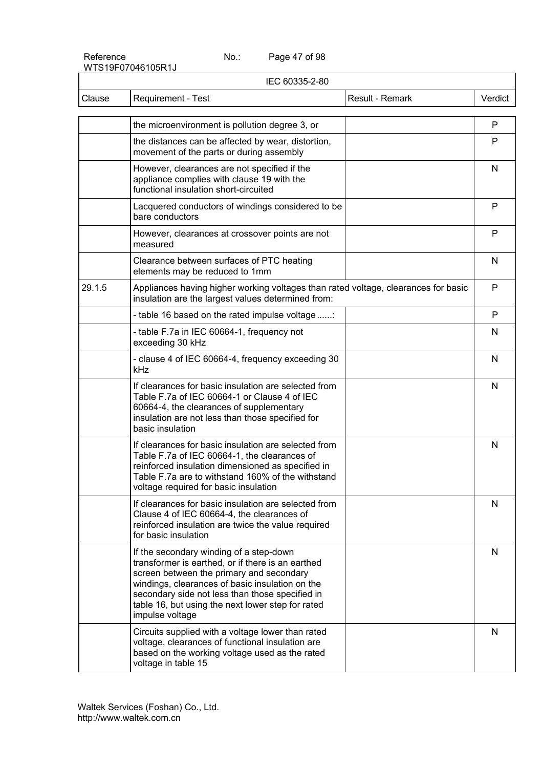Page 47 of 98

| IEC 60335-2-80 |                                                                                                                                                                                                                                                                                                                        |                 |         |
|----------------|------------------------------------------------------------------------------------------------------------------------------------------------------------------------------------------------------------------------------------------------------------------------------------------------------------------------|-----------------|---------|
| Clause         | Requirement - Test                                                                                                                                                                                                                                                                                                     | Result - Remark | Verdict |
|                | the microenvironment is pollution degree 3, or                                                                                                                                                                                                                                                                         |                 | P       |
|                | the distances can be affected by wear, distortion,<br>movement of the parts or during assembly                                                                                                                                                                                                                         |                 | P       |
|                | However, clearances are not specified if the<br>appliance complies with clause 19 with the<br>functional insulation short-circuited                                                                                                                                                                                    |                 | N       |
|                | Lacquered conductors of windings considered to be<br>bare conductors                                                                                                                                                                                                                                                   |                 | P       |
|                | However, clearances at crossover points are not<br>measured                                                                                                                                                                                                                                                            |                 | P       |
|                | Clearance between surfaces of PTC heating<br>elements may be reduced to 1mm                                                                                                                                                                                                                                            |                 | N       |
| 29.1.5         | Appliances having higher working voltages than rated voltage, clearances for basic<br>insulation are the largest values determined from:                                                                                                                                                                               |                 | P       |
|                | - table 16 based on the rated impulse voltage                                                                                                                                                                                                                                                                          |                 | P       |
|                | - table F.7a in IEC 60664-1, frequency not<br>exceeding 30 kHz                                                                                                                                                                                                                                                         |                 | N       |
|                | - clause 4 of IEC 60664-4, frequency exceeding 30<br>kHz                                                                                                                                                                                                                                                               |                 | N       |
|                | If clearances for basic insulation are selected from<br>Table F.7a of IEC 60664-1 or Clause 4 of IEC<br>60664-4, the clearances of supplementary<br>insulation are not less than those specified for<br>basic insulation                                                                                               |                 | N       |
|                | If clearances for basic insulation are selected from<br>Table F.7a of IEC 60664-1, the clearances of<br>reinforced insulation dimensioned as specified in<br>Table F.7a are to withstand 160% of the withstand<br>voltage required for basic insulation                                                                |                 | N       |
|                | If clearances for basic insulation are selected from<br>Clause 4 of IEC 60664-4, the clearances of<br>reinforced insulation are twice the value required<br>for basic insulation                                                                                                                                       |                 | N       |
|                | If the secondary winding of a step-down<br>transformer is earthed, or if there is an earthed<br>screen between the primary and secondary<br>windings, clearances of basic insulation on the<br>secondary side not less than those specified in<br>table 16, but using the next lower step for rated<br>impulse voltage |                 | N       |
|                | Circuits supplied with a voltage lower than rated<br>voltage, clearances of functional insulation are<br>based on the working voltage used as the rated<br>voltage in table 15                                                                                                                                         |                 | N       |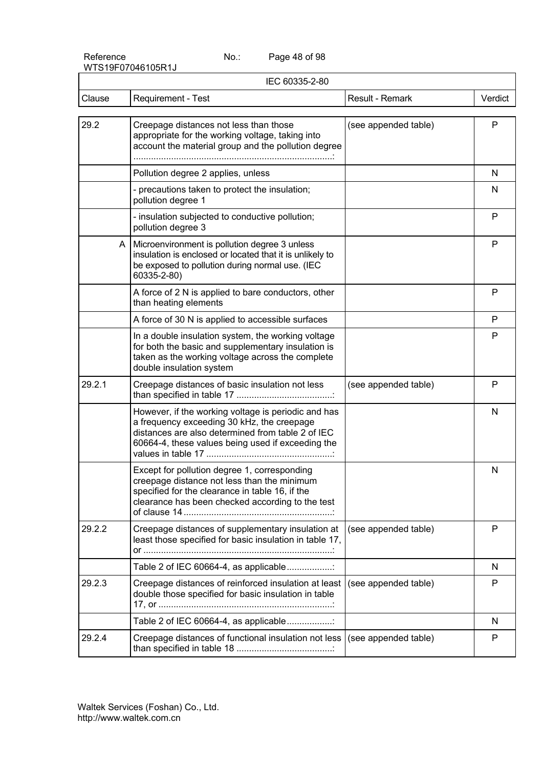Page 48 of 98

| IEC 60335-2-80 |                                                                                                                                                                                                             |                      |              |
|----------------|-------------------------------------------------------------------------------------------------------------------------------------------------------------------------------------------------------------|----------------------|--------------|
| Clause         | Requirement - Test                                                                                                                                                                                          | Result - Remark      | Verdict      |
| 29.2           | Creepage distances not less than those<br>appropriate for the working voltage, taking into<br>account the material group and the pollution degree                                                           | (see appended table) | P            |
|                | Pollution degree 2 applies, unless                                                                                                                                                                          |                      | N            |
|                | - precautions taken to protect the insulation;<br>pollution degree 1                                                                                                                                        |                      | N            |
|                | - insulation subjected to conductive pollution;<br>pollution degree 3                                                                                                                                       |                      | P            |
| A              | Microenvironment is pollution degree 3 unless<br>insulation is enclosed or located that it is unlikely to<br>be exposed to pollution during normal use. (IEC<br>60335-2-80)                                 |                      | P            |
|                | A force of 2 N is applied to bare conductors, other<br>than heating elements                                                                                                                                |                      | P            |
|                | A force of 30 N is applied to accessible surfaces                                                                                                                                                           |                      | P            |
|                | In a double insulation system, the working voltage<br>for both the basic and supplementary insulation is<br>taken as the working voltage across the complete<br>double insulation system                    |                      | P            |
| 29.2.1         | Creepage distances of basic insulation not less                                                                                                                                                             | (see appended table) | P            |
|                | However, if the working voltage is periodic and has<br>a frequency exceeding 30 kHz, the creepage<br>distances are also determined from table 2 of IEC<br>60664-4, these values being used if exceeding the |                      | N            |
|                | Except for pollution degree 1, corresponding<br>creepage distance not less than the minimum<br>specified for the clearance in table 16, if the<br>clearance has been checked according to the test          |                      | $\mathsf{N}$ |
| 29.2.2         | Creepage distances of supplementary insulation at<br>least those specified for basic insulation in table 17,                                                                                                | (see appended table) | P            |
|                | Table 2 of IEC 60664-4, as applicable                                                                                                                                                                       |                      | N            |
| 29.2.3         | Creepage distances of reinforced insulation at least<br>double those specified for basic insulation in table                                                                                                | (see appended table) | P            |
|                | Table 2 of IEC 60664-4, as applicable                                                                                                                                                                       |                      | N            |
| 29.2.4         | Creepage distances of functional insulation not less                                                                                                                                                        | (see appended table) | P            |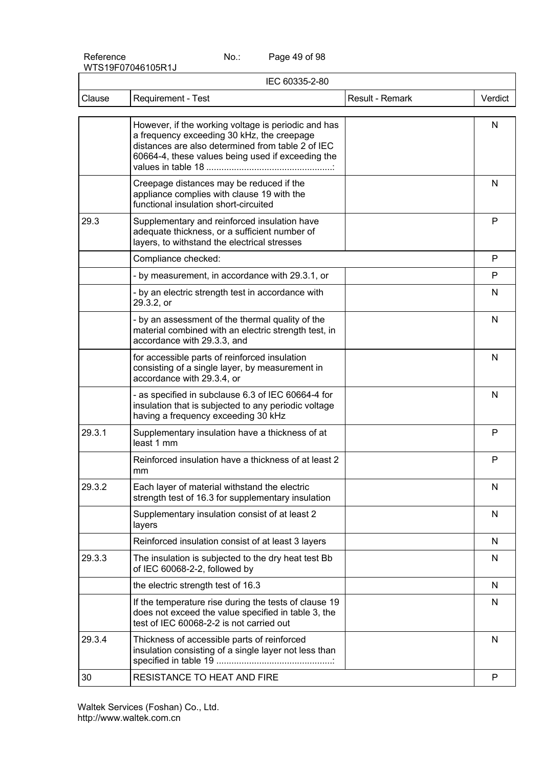Page 49 of 98

|        | IEC 60335-2-80                                                                                                                                                                                              |                 |         |
|--------|-------------------------------------------------------------------------------------------------------------------------------------------------------------------------------------------------------------|-----------------|---------|
| Clause | <b>Requirement - Test</b>                                                                                                                                                                                   | Result - Remark | Verdict |
|        | However, if the working voltage is periodic and has<br>a frequency exceeding 30 kHz, the creepage<br>distances are also determined from table 2 of IEC<br>60664-4, these values being used if exceeding the |                 | N       |
|        | Creepage distances may be reduced if the<br>appliance complies with clause 19 with the<br>functional insulation short-circuited                                                                             |                 | N       |
| 29.3   | Supplementary and reinforced insulation have<br>adequate thickness, or a sufficient number of<br>layers, to withstand the electrical stresses                                                               |                 | P       |
|        | Compliance checked:                                                                                                                                                                                         |                 | P       |
|        | - by measurement, in accordance with 29.3.1, or                                                                                                                                                             |                 | P       |
|        | - by an electric strength test in accordance with<br>29.3.2, or                                                                                                                                             |                 | N       |
|        | - by an assessment of the thermal quality of the<br>material combined with an electric strength test, in<br>accordance with 29.3.3, and                                                                     |                 | N       |
|        | for accessible parts of reinforced insulation<br>consisting of a single layer, by measurement in<br>accordance with 29.3.4, or                                                                              |                 | N       |
|        | - as specified in subclause 6.3 of IEC 60664-4 for<br>insulation that is subjected to any periodic voltage<br>having a frequency exceeding 30 kHz                                                           |                 | N       |
| 29.3.1 | Supplementary insulation have a thickness of at<br>least 1 mm                                                                                                                                               |                 | P       |
|        | Reinforced insulation have a thickness of at least 2<br>mm                                                                                                                                                  |                 | P       |
| 29.3.2 | Each layer of material withstand the electric<br>strength test of 16.3 for supplementary insulation                                                                                                         |                 | N       |
|        | Supplementary insulation consist of at least 2<br>layers                                                                                                                                                    |                 | N       |
|        | Reinforced insulation consist of at least 3 layers                                                                                                                                                          |                 | N       |
| 29.3.3 | The insulation is subjected to the dry heat test Bb<br>of IEC 60068-2-2, followed by                                                                                                                        |                 | N       |
|        | the electric strength test of 16.3                                                                                                                                                                          |                 | N       |
|        | If the temperature rise during the tests of clause 19<br>does not exceed the value specified in table 3, the<br>test of IEC 60068-2-2 is not carried out                                                    |                 | N       |
| 29.3.4 | Thickness of accessible parts of reinforced<br>insulation consisting of a single layer not less than                                                                                                        |                 | N       |
| 30     | RESISTANCE TO HEAT AND FIRE                                                                                                                                                                                 |                 | P       |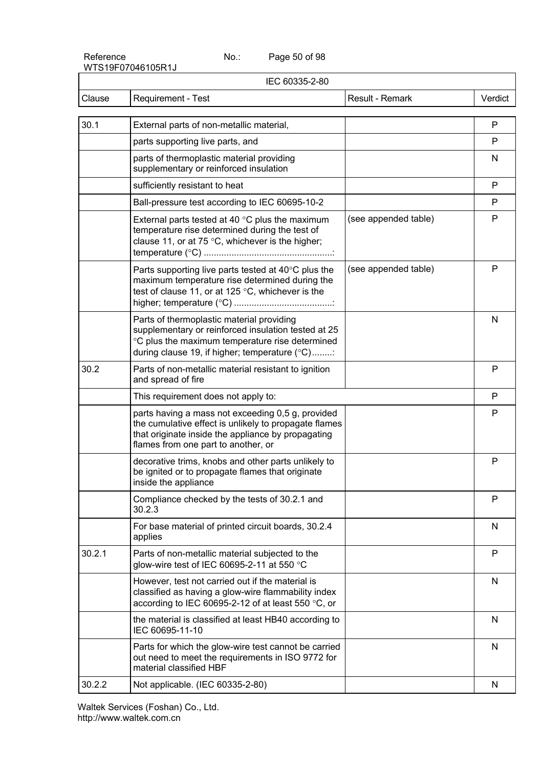Page 50 of 98

| IEC 60335-2-80 |                                                                                                                                                                                                         |                      |         |
|----------------|---------------------------------------------------------------------------------------------------------------------------------------------------------------------------------------------------------|----------------------|---------|
| Clause         | Requirement - Test                                                                                                                                                                                      | Result - Remark      | Verdict |
| 30.1           | External parts of non-metallic material,                                                                                                                                                                |                      | P       |
|                | parts supporting live parts, and                                                                                                                                                                        |                      | P       |
|                | parts of thermoplastic material providing<br>supplementary or reinforced insulation                                                                                                                     |                      | N       |
|                | sufficiently resistant to heat                                                                                                                                                                          |                      | P       |
|                | Ball-pressure test according to IEC 60695-10-2                                                                                                                                                          |                      | P       |
|                | External parts tested at 40 $\degree$ C plus the maximum<br>temperature rise determined during the test of<br>clause 11, or at 75 °C, whichever is the higher;                                          | (see appended table) | P       |
|                | Parts supporting live parts tested at 40°C plus the<br>maximum temperature rise determined during the<br>test of clause 11, or at 125 °C, whichever is the                                              | (see appended table) | P       |
|                | Parts of thermoplastic material providing<br>supplementary or reinforced insulation tested at 25<br>°C plus the maximum temperature rise determined<br>during clause 19, if higher; temperature (°C):   |                      | N       |
| 30.2           | Parts of non-metallic material resistant to ignition<br>and spread of fire                                                                                                                              |                      | P       |
|                | This requirement does not apply to:                                                                                                                                                                     |                      | P       |
|                | parts having a mass not exceeding 0,5 g, provided<br>the cumulative effect is unlikely to propagate flames<br>that originate inside the appliance by propagating<br>flames from one part to another, or |                      | P       |
|                | decorative trims, knobs and other parts unlikely to<br>be ignited or to propagate flames that originate<br>inside the appliance                                                                         |                      | P       |
|                | Compliance checked by the tests of 30.2.1 and<br>30.2.3                                                                                                                                                 |                      | P       |
|                | For base material of printed circuit boards, 30.2.4<br>applies                                                                                                                                          |                      | N       |
| 30.2.1         | Parts of non-metallic material subjected to the<br>glow-wire test of IEC 60695-2-11 at 550 $^{\circ}$ C                                                                                                 |                      | P       |
|                | However, test not carried out if the material is<br>classified as having a glow-wire flammability index<br>according to IEC 60695-2-12 of at least 550 °C, or                                           |                      | N       |
|                | the material is classified at least HB40 according to<br>IEC 60695-11-10                                                                                                                                |                      | N       |
|                | Parts for which the glow-wire test cannot be carried<br>out need to meet the requirements in ISO 9772 for<br>material classified HBF                                                                    |                      | N       |
| 30.2.2         | Not applicable. (IEC 60335-2-80)                                                                                                                                                                        |                      | N       |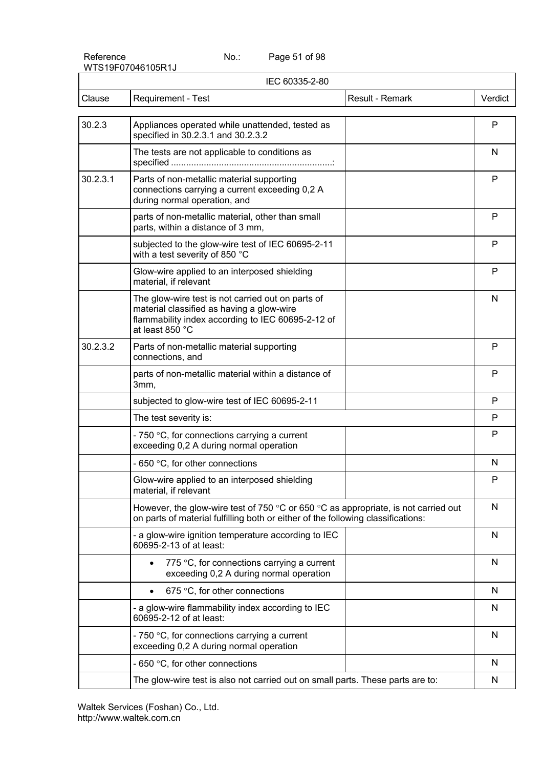Page 51 of 98

| IEC 60335-2-80 |                                                                                                                                                                                          |         |
|----------------|------------------------------------------------------------------------------------------------------------------------------------------------------------------------------------------|---------|
| Clause         | Requirement - Test<br>Result - Remark                                                                                                                                                    | Verdict |
| 30.2.3         | Appliances operated while unattended, tested as<br>specified in 30.2.3.1 and 30.2.3.2                                                                                                    | P       |
|                | The tests are not applicable to conditions as                                                                                                                                            | N       |
| 30.2.3.1       | Parts of non-metallic material supporting<br>connections carrying a current exceeding 0,2 A<br>during normal operation, and                                                              | P       |
|                | parts of non-metallic material, other than small<br>parts, within a distance of 3 mm,                                                                                                    | P       |
|                | subjected to the glow-wire test of IEC 60695-2-11<br>with a test severity of 850 °C                                                                                                      | P       |
|                | Glow-wire applied to an interposed shielding<br>material, if relevant                                                                                                                    | P       |
|                | The glow-wire test is not carried out on parts of<br>material classified as having a glow-wire<br>flammability index according to IEC 60695-2-12 of<br>at least 850 °C                   | N       |
| 30.2.3.2       | Parts of non-metallic material supporting<br>connections, and                                                                                                                            | P       |
|                | parts of non-metallic material within a distance of<br>3mm,                                                                                                                              | P       |
|                | subjected to glow-wire test of IEC 60695-2-11                                                                                                                                            | P       |
|                | The test severity is:                                                                                                                                                                    | P       |
|                | - 750 $\degree$ C, for connections carrying a current<br>exceeding 0,2 A during normal operation                                                                                         | P       |
|                | - 650 °C, for other connections                                                                                                                                                          | N       |
|                | Glow-wire applied to an interposed shielding<br>material, if relevant                                                                                                                    | P       |
|                | However, the glow-wire test of 750 $\degree$ C or 650 $\degree$ C as appropriate, is not carried out<br>on parts of material fulfilling both or either of the following classifications: | N       |
|                | - a glow-wire ignition temperature according to IEC<br>60695-2-13 of at least:                                                                                                           | N       |
|                | 775 °C, for connections carrying a current<br>exceeding 0,2 A during normal operation                                                                                                    | N       |
|                | 675 °C, for other connections                                                                                                                                                            | N       |
|                | - a glow-wire flammability index according to IEC<br>60695-2-12 of at least:                                                                                                             | N       |
|                | - 750 $\degree$ C, for connections carrying a current<br>exceeding 0,2 A during normal operation                                                                                         | N       |
|                | - 650 °C, for other connections                                                                                                                                                          | N       |
|                | The glow-wire test is also not carried out on small parts. These parts are to:                                                                                                           | N       |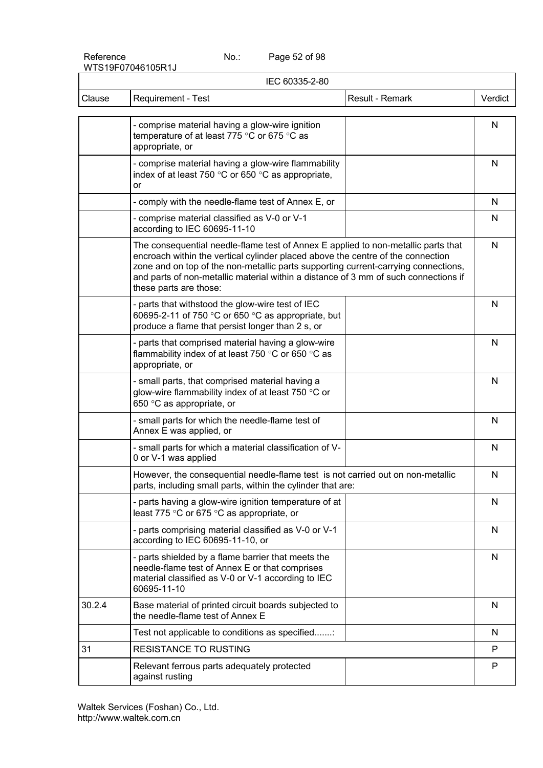Page 52 of 98

| IEC 60335-2-80 |                                                                                                                                                                                                                                                                                                                                                                             |         |
|----------------|-----------------------------------------------------------------------------------------------------------------------------------------------------------------------------------------------------------------------------------------------------------------------------------------------------------------------------------------------------------------------------|---------|
| Clause         | Requirement - Test<br>Result - Remark                                                                                                                                                                                                                                                                                                                                       | Verdict |
|                | - comprise material having a glow-wire ignition<br>temperature of at least 775 °C or 675 °C as<br>appropriate, or                                                                                                                                                                                                                                                           | N       |
|                | - comprise material having a glow-wire flammability<br>index of at least 750 $\degree$ C or 650 $\degree$ C as appropriate,<br>or                                                                                                                                                                                                                                           | N       |
|                | - comply with the needle-flame test of Annex E, or                                                                                                                                                                                                                                                                                                                          | N       |
|                | - comprise material classified as V-0 or V-1<br>according to IEC 60695-11-10                                                                                                                                                                                                                                                                                                | N       |
|                | The consequential needle-flame test of Annex E applied to non-metallic parts that<br>encroach within the vertical cylinder placed above the centre of the connection<br>zone and on top of the non-metallic parts supporting current-carrying connections,<br>and parts of non-metallic material within a distance of 3 mm of such connections if<br>these parts are those: | N       |
|                | - parts that withstood the glow-wire test of IEC<br>60695-2-11 of 750 °C or 650 °C as appropriate, but<br>produce a flame that persist longer than 2 s, or                                                                                                                                                                                                                  | N       |
|                | - parts that comprised material having a glow-wire<br>flammability index of at least 750 °C or 650 °C as<br>appropriate, or                                                                                                                                                                                                                                                 | N       |
|                | - small parts, that comprised material having a<br>glow-wire flammability index of at least 750 °C or<br>650 °C as appropriate, or                                                                                                                                                                                                                                          | N       |
|                | - small parts for which the needle-flame test of<br>Annex E was applied, or                                                                                                                                                                                                                                                                                                 | N       |
|                | - small parts for which a material classification of V-<br>0 or V-1 was applied                                                                                                                                                                                                                                                                                             | N       |
|                | However, the consequential needle-flame test is not carried out on non-metallic<br>parts, including small parts, within the cylinder that are:                                                                                                                                                                                                                              | N       |
|                | - parts having a glow-wire ignition temperature of at<br>least 775 °C or 675 °C as appropriate, or                                                                                                                                                                                                                                                                          | N       |
|                | - parts comprising material classified as V-0 or V-1<br>according to IEC 60695-11-10, or                                                                                                                                                                                                                                                                                    | N       |
|                | - parts shielded by a flame barrier that meets the<br>needle-flame test of Annex E or that comprises<br>material classified as V-0 or V-1 according to IEC<br>60695-11-10                                                                                                                                                                                                   | N       |
| 30.2.4         | Base material of printed circuit boards subjected to<br>the needle-flame test of Annex E                                                                                                                                                                                                                                                                                    | N       |
|                | Test not applicable to conditions as specified                                                                                                                                                                                                                                                                                                                              | N.      |
| 31             | <b>RESISTANCE TO RUSTING</b>                                                                                                                                                                                                                                                                                                                                                | P.      |
|                | Relevant ferrous parts adequately protected<br>against rusting                                                                                                                                                                                                                                                                                                              | P       |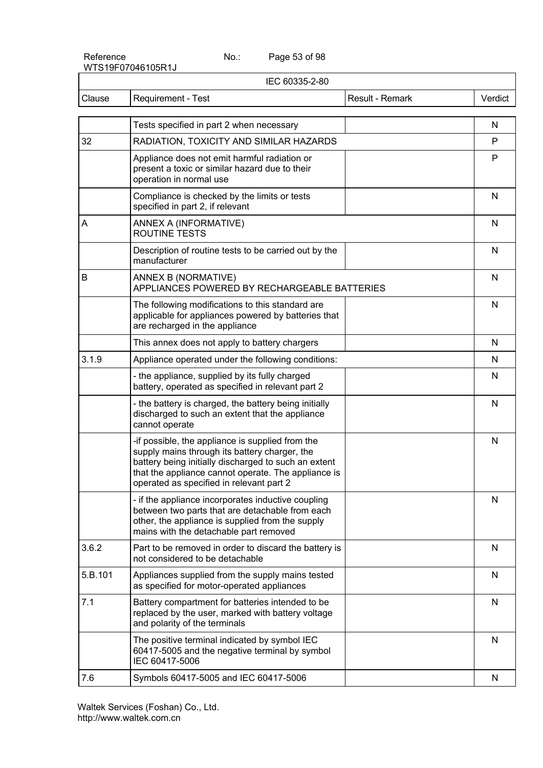Page 53 of 98

| IEC 60335-2-80 |                                                                                                                                                                                                                                                              |                 |              |
|----------------|--------------------------------------------------------------------------------------------------------------------------------------------------------------------------------------------------------------------------------------------------------------|-----------------|--------------|
| Clause         | <b>Requirement - Test</b>                                                                                                                                                                                                                                    | Result - Remark | Verdict      |
|                | Tests specified in part 2 when necessary                                                                                                                                                                                                                     |                 | N            |
| 32             | RADIATION, TOXICITY AND SIMILAR HAZARDS                                                                                                                                                                                                                      |                 | P            |
|                | Appliance does not emit harmful radiation or<br>present a toxic or similar hazard due to their<br>operation in normal use                                                                                                                                    |                 | P            |
|                | Compliance is checked by the limits or tests<br>specified in part 2, if relevant                                                                                                                                                                             |                 | N            |
| Α              | ANNEX A (INFORMATIVE)<br><b>ROUTINE TESTS</b>                                                                                                                                                                                                                |                 | N            |
|                | Description of routine tests to be carried out by the<br>manufacturer                                                                                                                                                                                        |                 | N            |
| B              | ANNEX B (NORMATIVE)<br>APPLIANCES POWERED BY RECHARGEABLE BATTERIES                                                                                                                                                                                          |                 | N            |
|                | The following modifications to this standard are<br>applicable for appliances powered by batteries that<br>are recharged in the appliance                                                                                                                    |                 | N            |
|                | This annex does not apply to battery chargers                                                                                                                                                                                                                |                 | N            |
| 3.1.9          | Appliance operated under the following conditions:                                                                                                                                                                                                           |                 | N            |
|                | - the appliance, supplied by its fully charged<br>battery, operated as specified in relevant part 2                                                                                                                                                          |                 | N            |
|                | - the battery is charged, the battery being initially<br>discharged to such an extent that the appliance<br>cannot operate                                                                                                                                   |                 | N            |
|                | -if possible, the appliance is supplied from the<br>supply mains through its battery charger, the<br>battery being initially discharged to such an extent<br>that the appliance cannot operate. The appliance is<br>operated as specified in relevant part 2 |                 | N            |
|                | - if the appliance incorporates inductive coupling<br>between two parts that are detachable from each<br>other, the appliance is supplied from the supply<br>mains with the detachable part removed                                                          |                 | N            |
| 3.6.2          | Part to be removed in order to discard the battery is<br>not considered to be detachable                                                                                                                                                                     |                 | $\mathsf{N}$ |
| 5.B.101        | Appliances supplied from the supply mains tested<br>as specified for motor-operated appliances                                                                                                                                                               |                 | $\mathsf{N}$ |
| 7.1            | Battery compartment for batteries intended to be<br>replaced by the user, marked with battery voltage<br>and polarity of the terminals                                                                                                                       |                 | N            |
|                | The positive terminal indicated by symbol IEC<br>60417-5005 and the negative terminal by symbol<br>IEC 60417-5006                                                                                                                                            |                 | N            |
| 7.6            | Symbols 60417-5005 and IEC 60417-5006                                                                                                                                                                                                                        |                 | N            |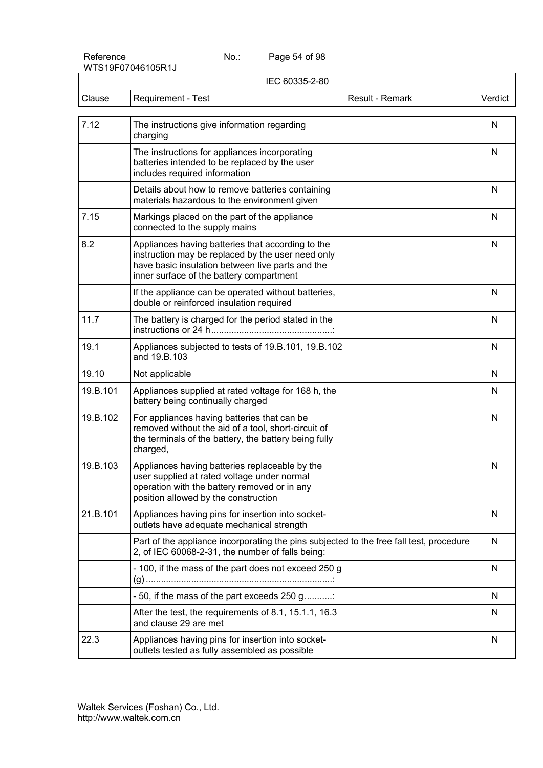Page 54 of 98

| IEC 60335-2-80 |                                                                                                                                                                                                        |         |
|----------------|--------------------------------------------------------------------------------------------------------------------------------------------------------------------------------------------------------|---------|
| Clause         | Result - Remark<br>Requirement - Test                                                                                                                                                                  | Verdict |
| 7.12           | The instructions give information regarding<br>charging                                                                                                                                                | N       |
|                | The instructions for appliances incorporating<br>batteries intended to be replaced by the user<br>includes required information                                                                        | N       |
|                | Details about how to remove batteries containing<br>materials hazardous to the environment given                                                                                                       | N       |
| 7.15           | Markings placed on the part of the appliance<br>connected to the supply mains                                                                                                                          | N       |
| 8.2            | Appliances having batteries that according to the<br>instruction may be replaced by the user need only<br>have basic insulation between live parts and the<br>inner surface of the battery compartment | N       |
|                | If the appliance can be operated without batteries,<br>double or reinforced insulation required                                                                                                        | N       |
| 11.7           | The battery is charged for the period stated in the                                                                                                                                                    | N       |
| 19.1           | Appliances subjected to tests of 19.B.101, 19.B.102<br>and 19.B.103                                                                                                                                    | N       |
| 19.10          | Not applicable                                                                                                                                                                                         | N       |
| 19.B.101       | Appliances supplied at rated voltage for 168 h, the<br>battery being continually charged                                                                                                               | N       |
| 19.B.102       | For appliances having batteries that can be<br>removed without the aid of a tool, short-circuit of<br>the terminals of the battery, the battery being fully<br>charged,                                | N       |
| 19.B.103       | Appliances having batteries replaceable by the<br>user supplied at rated voltage under normal<br>operation with the battery removed or in any<br>position allowed by the construction                  | N       |
| 21.B.101       | Appliances having pins for insertion into socket-<br>outlets have adequate mechanical strength                                                                                                         | N       |
|                | Part of the appliance incorporating the pins subjected to the free fall test, procedure<br>2, of IEC 60068-2-31, the number of falls being:                                                            | N       |
|                | - 100, if the mass of the part does not exceed 250 g                                                                                                                                                   | N       |
|                | - 50, if the mass of the part exceeds 250 g                                                                                                                                                            | N       |
|                | After the test, the requirements of 8.1, 15.1.1, 16.3<br>and clause 29 are met                                                                                                                         | N       |
| 22.3           | Appliances having pins for insertion into socket-<br>outlets tested as fully assembled as possible                                                                                                     | N       |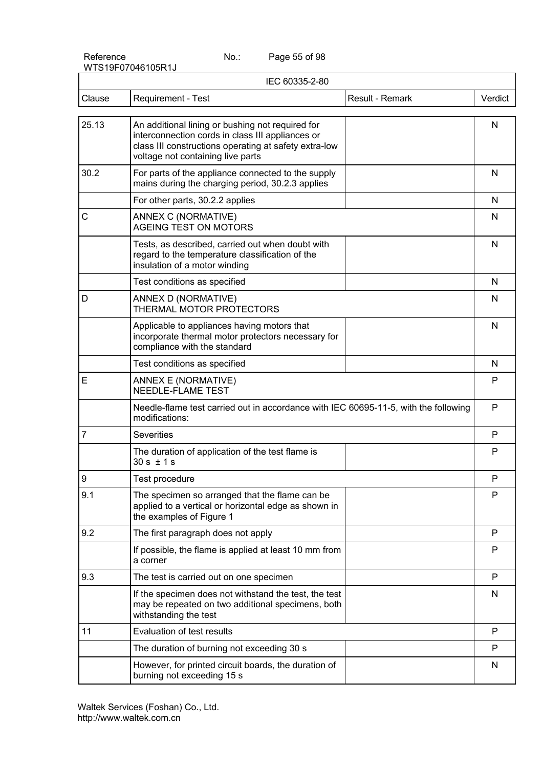Page 55 of 98

| IEC 60335-2-80 |                                                                                                                                                                                                    |                 |         |
|----------------|----------------------------------------------------------------------------------------------------------------------------------------------------------------------------------------------------|-----------------|---------|
| Clause         | <b>Requirement - Test</b>                                                                                                                                                                          | Result - Remark | Verdict |
| 25.13          | An additional lining or bushing not required for<br>interconnection cords in class III appliances or<br>class III constructions operating at safety extra-low<br>voltage not containing live parts |                 | N       |
| 30.2           | For parts of the appliance connected to the supply<br>mains during the charging period, 30.2.3 applies                                                                                             |                 | N       |
|                | For other parts, 30.2.2 applies                                                                                                                                                                    |                 | N       |
| C              | ANNEX C (NORMATIVE)<br>AGEING TEST ON MOTORS                                                                                                                                                       |                 | N       |
|                | Tests, as described, carried out when doubt with<br>regard to the temperature classification of the<br>insulation of a motor winding                                                               |                 | N       |
|                | Test conditions as specified                                                                                                                                                                       |                 | N       |
| D              | ANNEX D (NORMATIVE)<br>THERMAL MOTOR PROTECTORS                                                                                                                                                    |                 | N       |
|                | Applicable to appliances having motors that<br>incorporate thermal motor protectors necessary for<br>compliance with the standard                                                                  |                 | N       |
|                | Test conditions as specified                                                                                                                                                                       |                 | N       |
| E              | ANNEX E (NORMATIVE)<br>NEEDLE-FLAME TEST                                                                                                                                                           |                 | P       |
|                | Needle-flame test carried out in accordance with IEC 60695-11-5, with the following<br>modifications:                                                                                              |                 | P       |
| $\overline{7}$ | <b>Severities</b>                                                                                                                                                                                  |                 | P       |
|                | The duration of application of the test flame is<br>$30 s \pm 1 s$                                                                                                                                 |                 | P       |
| 9              | Test procedure                                                                                                                                                                                     |                 | P       |
| 9.1            | The specimen so arranged that the flame can be<br>applied to a vertical or horizontal edge as shown in<br>the examples of Figure 1                                                                 |                 | P       |
| 9.2            | The first paragraph does not apply                                                                                                                                                                 |                 | P       |
|                | If possible, the flame is applied at least 10 mm from<br>a corner                                                                                                                                  |                 | P       |
| 9.3            | The test is carried out on one specimen                                                                                                                                                            |                 | P       |
|                | If the specimen does not withstand the test, the test<br>may be repeated on two additional specimens, both<br>withstanding the test                                                                |                 | N       |
| 11             | Evaluation of test results                                                                                                                                                                         |                 | P       |
|                | The duration of burning not exceeding 30 s                                                                                                                                                         |                 | P       |
|                | However, for printed circuit boards, the duration of<br>burning not exceeding 15 s                                                                                                                 |                 | N       |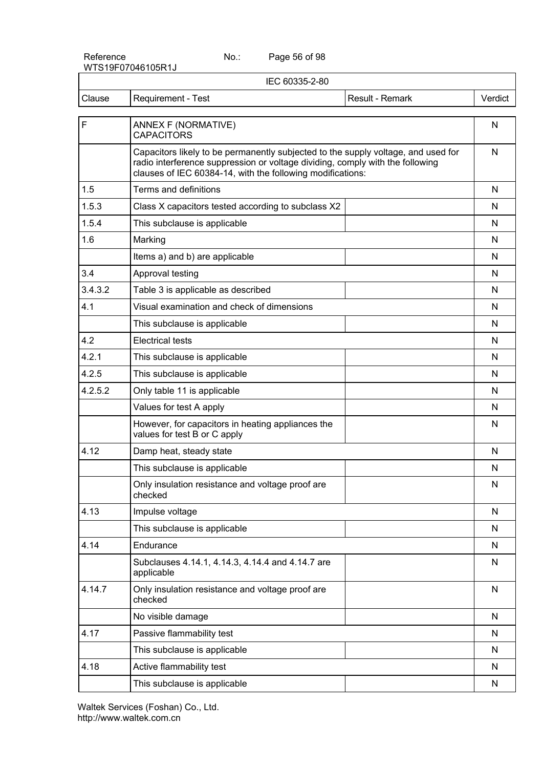Page 56 of 98

|         | IEC 60335-2-80                                                                                                                                                                                                                   |                 |         |
|---------|----------------------------------------------------------------------------------------------------------------------------------------------------------------------------------------------------------------------------------|-----------------|---------|
| Clause  | Requirement - Test                                                                                                                                                                                                               | Result - Remark | Verdict |
| F       | ANNEX F (NORMATIVE)<br><b>CAPACITORS</b>                                                                                                                                                                                         |                 | N       |
|         | Capacitors likely to be permanently subjected to the supply voltage, and used for<br>radio interference suppression or voltage dividing, comply with the following<br>clauses of IEC 60384-14, with the following modifications: |                 | N       |
| 1.5     | Terms and definitions                                                                                                                                                                                                            |                 | N       |
| 1.5.3   | Class X capacitors tested according to subclass X2                                                                                                                                                                               |                 | N       |
| 1.5.4   | This subclause is applicable                                                                                                                                                                                                     |                 | N       |
| 1.6     | Marking                                                                                                                                                                                                                          |                 | N       |
|         | Items a) and b) are applicable                                                                                                                                                                                                   |                 | N       |
| 3.4     | Approval testing                                                                                                                                                                                                                 |                 | N       |
| 3.4.3.2 | Table 3 is applicable as described                                                                                                                                                                                               |                 | N       |
| 4.1     | Visual examination and check of dimensions                                                                                                                                                                                       |                 | N       |
|         | This subclause is applicable                                                                                                                                                                                                     |                 | N       |
| 4.2     | <b>Electrical tests</b>                                                                                                                                                                                                          |                 | N       |
| 4.2.1   | This subclause is applicable                                                                                                                                                                                                     |                 | N       |
| 4.2.5   | This subclause is applicable                                                                                                                                                                                                     |                 | N       |
| 4.2.5.2 | Only table 11 is applicable                                                                                                                                                                                                      |                 | N       |
|         | Values for test A apply                                                                                                                                                                                                          |                 | N       |
|         | However, for capacitors in heating appliances the<br>values for test B or C apply                                                                                                                                                |                 | N       |
| 4.12    | Damp heat, steady state                                                                                                                                                                                                          |                 | N       |
|         | This subclause is applicable                                                                                                                                                                                                     |                 | N       |
|         | Only insulation resistance and voltage proof are<br>checked                                                                                                                                                                      |                 | N       |
| 4.13    | Impulse voltage                                                                                                                                                                                                                  |                 | N       |
|         | This subclause is applicable                                                                                                                                                                                                     |                 | N       |
| 4.14    | Endurance                                                                                                                                                                                                                        |                 | N       |
|         | Subclauses 4.14.1, 4.14.3, 4.14.4 and 4.14.7 are<br>applicable                                                                                                                                                                   |                 | N       |
| 4.14.7  | Only insulation resistance and voltage proof are<br>checked                                                                                                                                                                      |                 | N       |
|         | No visible damage                                                                                                                                                                                                                |                 | N       |
| 4.17    | Passive flammability test                                                                                                                                                                                                        |                 | N       |
|         | This subclause is applicable                                                                                                                                                                                                     |                 | N       |
| 4.18    | Active flammability test                                                                                                                                                                                                         |                 | N       |
|         | This subclause is applicable                                                                                                                                                                                                     |                 | N       |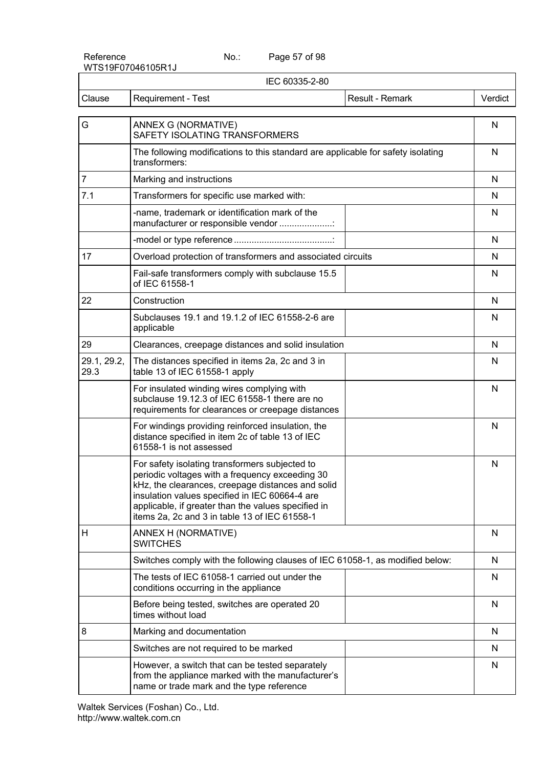Page 57 of 98

| IEC 60335-2-80      |                                                                                                                                                                                                                                                                                                                  |                 |         |
|---------------------|------------------------------------------------------------------------------------------------------------------------------------------------------------------------------------------------------------------------------------------------------------------------------------------------------------------|-----------------|---------|
| Clause              | Requirement - Test                                                                                                                                                                                                                                                                                               | Result - Remark | Verdict |
| G                   | ANNEX G (NORMATIVE)<br>SAFETY ISOLATING TRANSFORMERS                                                                                                                                                                                                                                                             |                 | N       |
|                     | The following modifications to this standard are applicable for safety isolating<br>transformers:                                                                                                                                                                                                                |                 | N       |
| $\overline{7}$      | Marking and instructions                                                                                                                                                                                                                                                                                         |                 | N       |
| 7.1                 | Transformers for specific use marked with:                                                                                                                                                                                                                                                                       |                 | N       |
|                     | -name, trademark or identification mark of the<br>manufacturer or responsible vendor                                                                                                                                                                                                                             |                 | N       |
|                     |                                                                                                                                                                                                                                                                                                                  |                 | N       |
| 17                  | Overload protection of transformers and associated circuits                                                                                                                                                                                                                                                      |                 | N       |
|                     | Fail-safe transformers comply with subclause 15.5<br>of IEC 61558-1                                                                                                                                                                                                                                              |                 | N       |
| 22                  | Construction                                                                                                                                                                                                                                                                                                     |                 | N       |
|                     | Subclauses 19.1 and 19.1.2 of IEC 61558-2-6 are<br>applicable                                                                                                                                                                                                                                                    |                 | N       |
| 29                  | Clearances, creepage distances and solid insulation                                                                                                                                                                                                                                                              |                 | N       |
| 29.1, 29.2,<br>29.3 | The distances specified in items 2a, 2c and 3 in<br>table 13 of IEC 61558-1 apply                                                                                                                                                                                                                                |                 | N       |
|                     | For insulated winding wires complying with<br>subclause 19.12.3 of IEC 61558-1 there are no<br>requirements for clearances or creepage distances                                                                                                                                                                 |                 | N       |
|                     | For windings providing reinforced insulation, the<br>distance specified in item 2c of table 13 of IEC<br>61558-1 is not assessed                                                                                                                                                                                 |                 | N       |
|                     | For safety isolating transformers subjected to<br>periodic voltages with a frequency exceeding 30<br>kHz, the clearances, creepage distances and solid<br>insulation values specified in IEC 60664-4 are<br>applicable, if greater than the values specified in<br>items 2a, 2c and 3 in table 13 of IEC 61558-1 |                 | N       |
| H                   | ANNEX H (NORMATIVE)<br><b>SWITCHES</b>                                                                                                                                                                                                                                                                           |                 | N       |
|                     | Switches comply with the following clauses of IEC 61058-1, as modified below:                                                                                                                                                                                                                                    |                 | N       |
|                     | The tests of IEC 61058-1 carried out under the<br>conditions occurring in the appliance                                                                                                                                                                                                                          |                 | N       |
|                     | Before being tested, switches are operated 20<br>times without load                                                                                                                                                                                                                                              |                 | N       |
| 8                   | Marking and documentation                                                                                                                                                                                                                                                                                        |                 | N       |
|                     | Switches are not required to be marked                                                                                                                                                                                                                                                                           |                 | N       |
|                     | However, a switch that can be tested separately<br>from the appliance marked with the manufacturer's<br>name or trade mark and the type reference                                                                                                                                                                |                 | N       |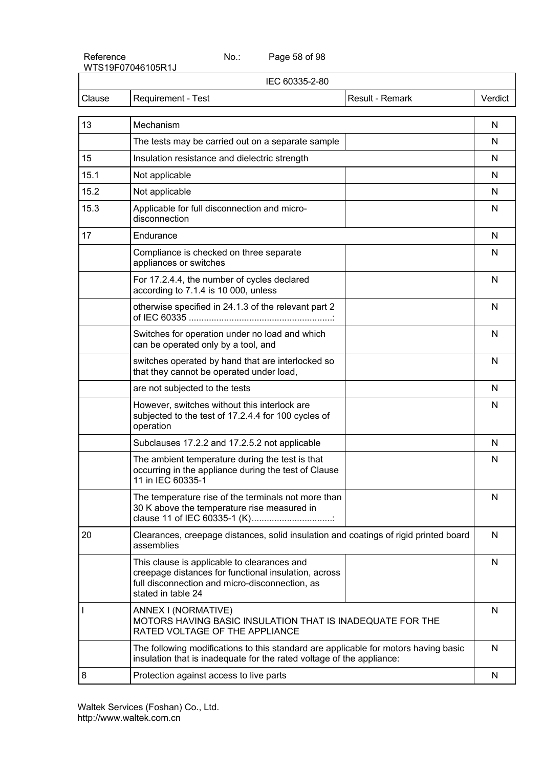Page 58 of 98

| IEC 60335-2-80 |                                                                                                                                                                             |         |
|----------------|-----------------------------------------------------------------------------------------------------------------------------------------------------------------------------|---------|
| Clause         | Result - Remark<br><b>Requirement - Test</b>                                                                                                                                | Verdict |
| 13             | Mechanism                                                                                                                                                                   | N       |
|                | The tests may be carried out on a separate sample                                                                                                                           | N       |
| 15             | Insulation resistance and dielectric strength                                                                                                                               | N       |
| 15.1           | Not applicable                                                                                                                                                              | N       |
| 15.2           | Not applicable                                                                                                                                                              | N       |
| 15.3           | Applicable for full disconnection and micro-<br>disconnection                                                                                                               | N       |
| 17             | Endurance                                                                                                                                                                   | N       |
|                | Compliance is checked on three separate<br>appliances or switches                                                                                                           | N       |
|                | For 17.2.4.4, the number of cycles declared<br>according to 7.1.4 is 10 000, unless                                                                                         | N       |
|                | otherwise specified in 24.1.3 of the relevant part 2                                                                                                                        | N       |
|                | Switches for operation under no load and which<br>can be operated only by a tool, and                                                                                       | N       |
|                | switches operated by hand that are interlocked so<br>that they cannot be operated under load,                                                                               | N       |
|                | are not subjected to the tests                                                                                                                                              | N       |
|                | However, switches without this interlock are<br>subjected to the test of 17.2.4.4 for 100 cycles of<br>operation                                                            | N       |
|                | Subclauses 17.2.2 and 17.2.5.2 not applicable                                                                                                                               | N       |
|                | The ambient temperature during the test is that<br>occurring in the appliance during the test of Clause<br>11 in IEC 60335-1                                                | N       |
|                | The temperature rise of the terminals not more than<br>30 K above the temperature rise measured in<br>clause 11 of IEC 60335-1 (K)                                          | N       |
| 20             | Clearances, creepage distances, solid insulation and coatings of rigid printed board<br>assemblies                                                                          | N       |
|                | This clause is applicable to clearances and<br>creepage distances for functional insulation, across<br>full disconnection and micro-disconnection, as<br>stated in table 24 | N       |
|                | ANNEX I (NORMATIVE)<br>MOTORS HAVING BASIC INSULATION THAT IS INADEQUATE FOR THE<br>RATED VOLTAGE OF THE APPLIANCE                                                          | N       |
|                | The following modifications to this standard are applicable for motors having basic<br>insulation that is inadequate for the rated voltage of the appliance:                | N       |
| 8              | Protection against access to live parts                                                                                                                                     | N       |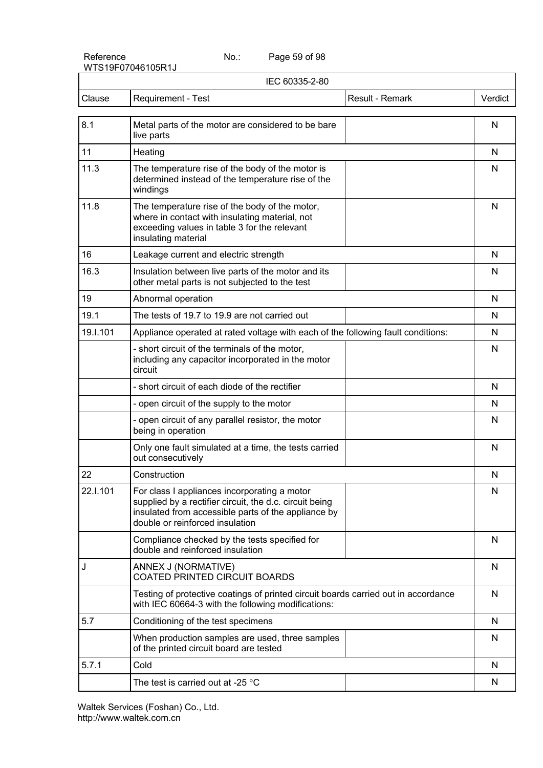Page 59 of 98

|          | IEC 60335-2-80                                                                                                                                                                                    |         |
|----------|---------------------------------------------------------------------------------------------------------------------------------------------------------------------------------------------------|---------|
| Clause   | Result - Remark<br>Requirement - Test                                                                                                                                                             | Verdict |
| 8.1      | Metal parts of the motor are considered to be bare<br>live parts                                                                                                                                  | N       |
| 11       | Heating                                                                                                                                                                                           | N       |
| 11.3     | The temperature rise of the body of the motor is<br>determined instead of the temperature rise of the<br>windings                                                                                 | N       |
| 11.8     | The temperature rise of the body of the motor,<br>where in contact with insulating material, not<br>exceeding values in table 3 for the relevant<br>insulating material                           | N       |
| 16       | Leakage current and electric strength                                                                                                                                                             | N       |
| 16.3     | Insulation between live parts of the motor and its<br>other metal parts is not subjected to the test                                                                                              | N       |
| 19       | Abnormal operation                                                                                                                                                                                | N       |
| 19.1     | The tests of 19.7 to 19.9 are not carried out                                                                                                                                                     | N       |
| 19.I.101 | Appliance operated at rated voltage with each of the following fault conditions:                                                                                                                  | N       |
|          | - short circuit of the terminals of the motor,<br>including any capacitor incorporated in the motor<br>circuit                                                                                    | N       |
|          | - short circuit of each diode of the rectifier                                                                                                                                                    | N       |
|          | - open circuit of the supply to the motor                                                                                                                                                         | N       |
|          | - open circuit of any parallel resistor, the motor<br>being in operation                                                                                                                          | N       |
|          | Only one fault simulated at a time, the tests carried<br>out consecutively                                                                                                                        | N       |
| 22       | Construction                                                                                                                                                                                      | N       |
| 22.I.101 | For class I appliances incorporating a motor<br>supplied by a rectifier circuit, the d.c. circuit being<br>insulated from accessible parts of the appliance by<br>double or reinforced insulation | N       |
|          | Compliance checked by the tests specified for<br>double and reinforced insulation                                                                                                                 | N       |
| J        | ANNEX J (NORMATIVE)<br><b>COATED PRINTED CIRCUIT BOARDS</b>                                                                                                                                       | N       |
|          | Testing of protective coatings of printed circuit boards carried out in accordance<br>with IEC 60664-3 with the following modifications:                                                          | N       |
| 5.7      | Conditioning of the test specimens                                                                                                                                                                | N       |
|          | When production samples are used, three samples<br>of the printed circuit board are tested                                                                                                        | N       |
| 5.7.1    | Cold                                                                                                                                                                                              | N       |
|          | The test is carried out at -25 $\degree$ C                                                                                                                                                        | N       |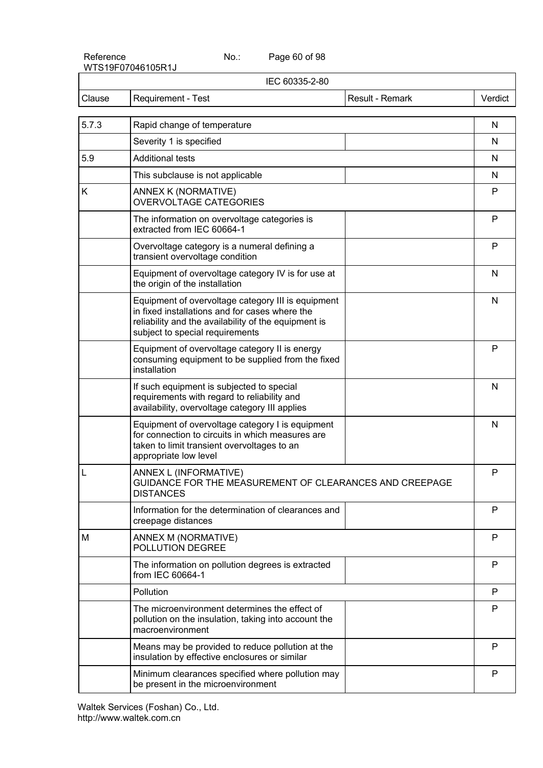Page 60 of 98

| IEC 60335-2-80 |                                                                                                                                                                                                 |              |
|----------------|-------------------------------------------------------------------------------------------------------------------------------------------------------------------------------------------------|--------------|
| Clause         | Requirement - Test<br>Result - Remark                                                                                                                                                           | Verdict      |
| 5.7.3          | Rapid change of temperature                                                                                                                                                                     | N            |
|                | Severity 1 is specified                                                                                                                                                                         | N            |
| 5.9            | <b>Additional tests</b>                                                                                                                                                                         | N            |
|                | This subclause is not applicable                                                                                                                                                                | N            |
| K              | ANNEX K (NORMATIVE)<br><b>OVERVOLTAGE CATEGORIES</b>                                                                                                                                            | P            |
|                | The information on overvoltage categories is<br>extracted from IEC 60664-1                                                                                                                      | P            |
|                | Overvoltage category is a numeral defining a<br>transient overvoltage condition                                                                                                                 | $\mathsf{P}$ |
|                | Equipment of overvoltage category IV is for use at<br>the origin of the installation                                                                                                            | N            |
|                | Equipment of overvoltage category III is equipment<br>in fixed installations and for cases where the<br>reliability and the availability of the equipment is<br>subject to special requirements | N            |
|                | Equipment of overvoltage category II is energy<br>consuming equipment to be supplied from the fixed<br>installation                                                                             | P            |
|                | If such equipment is subjected to special<br>requirements with regard to reliability and<br>availability, overvoltage category III applies                                                      | N            |
|                | Equipment of overvoltage category I is equipment<br>for connection to circuits in which measures are<br>taken to limit transient overvoltages to an<br>appropriate low level                    | N            |
| L              | ANNEX L (INFORMATIVE)<br>GUIDANCE FOR THE MEASUREMENT OF CLEARANCES AND CREEPAGE<br><b>DISTANCES</b>                                                                                            | P            |
|                | Information for the determination of clearances and<br>creepage distances                                                                                                                       | P            |
| M              | ANNEX M (NORMATIVE)<br>POLLUTION DEGREE                                                                                                                                                         | P            |
|                | The information on pollution degrees is extracted<br>from IEC 60664-1                                                                                                                           | P            |
|                | Pollution                                                                                                                                                                                       | P            |
|                | The microenvironment determines the effect of<br>pollution on the insulation, taking into account the<br>macroenvironment                                                                       | P            |
|                | Means may be provided to reduce pollution at the<br>insulation by effective enclosures or similar                                                                                               | P            |
|                | Minimum clearances specified where pollution may<br>be present in the microenvironment                                                                                                          | P            |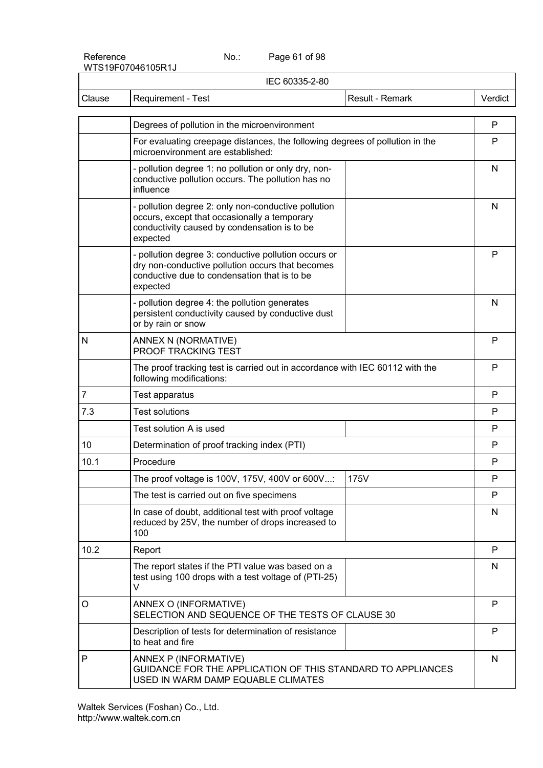Page 61 of 98

| IEC 60335-2-80 |                                                                                                                                                                      |                 |         |  |  |
|----------------|----------------------------------------------------------------------------------------------------------------------------------------------------------------------|-----------------|---------|--|--|
| Clause         | Requirement - Test                                                                                                                                                   | Result - Remark | Verdict |  |  |
|                |                                                                                                                                                                      |                 | P       |  |  |
|                | Degrees of pollution in the microenvironment                                                                                                                         |                 |         |  |  |
|                | For evaluating creepage distances, the following degrees of pollution in the<br>microenvironment are established:                                                    |                 | P       |  |  |
|                | - pollution degree 1: no pollution or only dry, non-<br>conductive pollution occurs. The pollution has no<br>influence                                               |                 |         |  |  |
|                | - pollution degree 2: only non-conductive pollution<br>occurs, except that occasionally a temporary<br>conductivity caused by condensation is to be<br>expected      |                 | N       |  |  |
|                | - pollution degree 3: conductive pollution occurs or<br>dry non-conductive pollution occurs that becomes<br>conductive due to condensation that is to be<br>expected |                 |         |  |  |
|                | - pollution degree 4: the pollution generates<br>persistent conductivity caused by conductive dust<br>or by rain or snow                                             |                 | N       |  |  |
| N              | ANNEX N (NORMATIVE)<br>PROOF TRACKING TEST                                                                                                                           |                 | P       |  |  |
|                | The proof tracking test is carried out in accordance with IEC 60112 with the<br>following modifications:                                                             |                 | P       |  |  |
| 7              | Test apparatus                                                                                                                                                       |                 | P       |  |  |
| 7.3            | <b>Test solutions</b>                                                                                                                                                |                 | P       |  |  |
|                | Test solution A is used                                                                                                                                              |                 | P       |  |  |
| 10             | Determination of proof tracking index (PTI)                                                                                                                          |                 | P       |  |  |
| 10.1           | Procedure                                                                                                                                                            |                 | P       |  |  |
|                | The proof voltage is 100V, 175V, 400V or 600V:                                                                                                                       | 175V            | P       |  |  |
|                | The test is carried out on five specimens                                                                                                                            |                 | P       |  |  |
|                | In case of doubt, additional test with proof voltage<br>reduced by 25V, the number of drops increased to<br>100                                                      |                 | N       |  |  |
| 10.2           | Report                                                                                                                                                               |                 | P       |  |  |
|                | The report states if the PTI value was based on a<br>test using 100 drops with a test voltage of (PTI-25)<br>V                                                       |                 | N       |  |  |
| O              | ANNEX O (INFORMATIVE)<br>SELECTION AND SEQUENCE OF THE TESTS OF CLAUSE 30                                                                                            |                 | P       |  |  |
|                | Description of tests for determination of resistance<br>to heat and fire                                                                                             |                 | P       |  |  |
| P              | ANNEX P (INFORMATIVE)<br>GUIDANCE FOR THE APPLICATION OF THIS STANDARD TO APPLIANCES<br>USED IN WARM DAMP EQUABLE CLIMATES                                           |                 |         |  |  |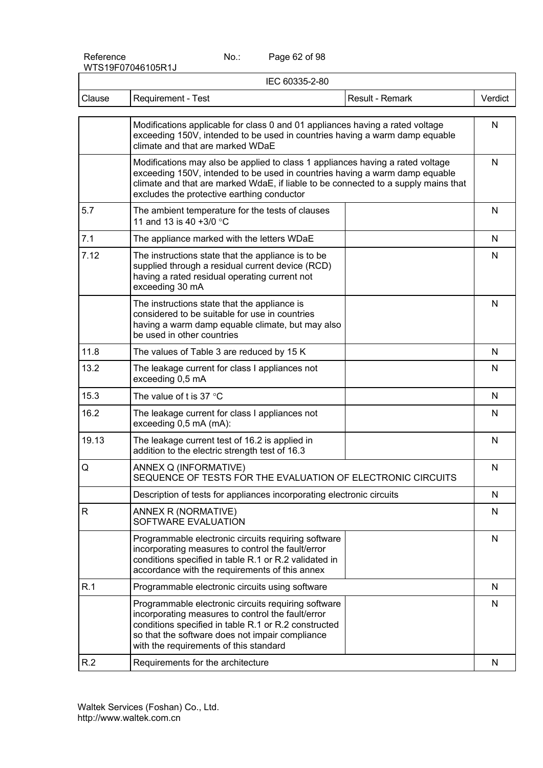Page 62 of 98

| IEC 60335-2-80 |                                                                                                                                                                                                                                                                                                   |              |  |  |  |
|----------------|---------------------------------------------------------------------------------------------------------------------------------------------------------------------------------------------------------------------------------------------------------------------------------------------------|--------------|--|--|--|
| Clause         | <b>Requirement - Test</b><br>Result - Remark                                                                                                                                                                                                                                                      | Verdict      |  |  |  |
|                | Modifications applicable for class 0 and 01 appliances having a rated voltage<br>exceeding 150V, intended to be used in countries having a warm damp equable<br>climate and that are marked WDaE                                                                                                  | $\mathsf{N}$ |  |  |  |
|                | Modifications may also be applied to class 1 appliances having a rated voltage<br>exceeding 150V, intended to be used in countries having a warm damp equable<br>climate and that are marked WdaE, if liable to be connected to a supply mains that<br>excludes the protective earthing conductor |              |  |  |  |
| 5.7            | The ambient temperature for the tests of clauses<br>11 and 13 is 40 +3/0 °C                                                                                                                                                                                                                       | N            |  |  |  |
| 7.1            | The appliance marked with the letters WDaE                                                                                                                                                                                                                                                        | N            |  |  |  |
| 7.12           | The instructions state that the appliance is to be<br>supplied through a residual current device (RCD)<br>having a rated residual operating current not<br>exceeding 30 mA                                                                                                                        | N            |  |  |  |
|                | The instructions state that the appliance is<br>considered to be suitable for use in countries<br>having a warm damp equable climate, but may also<br>be used in other countries                                                                                                                  | N            |  |  |  |
| 11.8           | The values of Table 3 are reduced by 15 K                                                                                                                                                                                                                                                         | N            |  |  |  |
| 13.2           | The leakage current for class I appliances not<br>exceeding 0,5 mA                                                                                                                                                                                                                                | N            |  |  |  |
| 15.3           | The value of t is 37 $\degree$ C                                                                                                                                                                                                                                                                  | $\mathsf{N}$ |  |  |  |
| 16.2           | The leakage current for class I appliances not<br>exceeding 0,5 mA (mA):                                                                                                                                                                                                                          | N            |  |  |  |
| 19.13          | The leakage current test of 16.2 is applied in<br>addition to the electric strength test of 16.3                                                                                                                                                                                                  | N            |  |  |  |
| Q              | ANNEX Q (INFORMATIVE)<br>SEQUENCE OF TESTS FOR THE EVALUATION OF ELECTRONIC CIRCUITS                                                                                                                                                                                                              | N            |  |  |  |
|                | Description of tests for appliances incorporating electronic circuits                                                                                                                                                                                                                             | N            |  |  |  |
| R              | ANNEX R (NORMATIVE)<br>SOFTWARE EVALUATION                                                                                                                                                                                                                                                        | N            |  |  |  |
|                | Programmable electronic circuits requiring software<br>incorporating measures to control the fault/error<br>conditions specified in table R.1 or R.2 validated in<br>accordance with the requirements of this annex                                                                               | N            |  |  |  |
| R.1            | Programmable electronic circuits using software                                                                                                                                                                                                                                                   | N            |  |  |  |
|                | Programmable electronic circuits requiring software<br>incorporating measures to control the fault/error<br>conditions specified in table R.1 or R.2 constructed<br>so that the software does not impair compliance<br>with the requirements of this standard                                     | N            |  |  |  |
| R.2            | Requirements for the architecture                                                                                                                                                                                                                                                                 | $\mathsf{N}$ |  |  |  |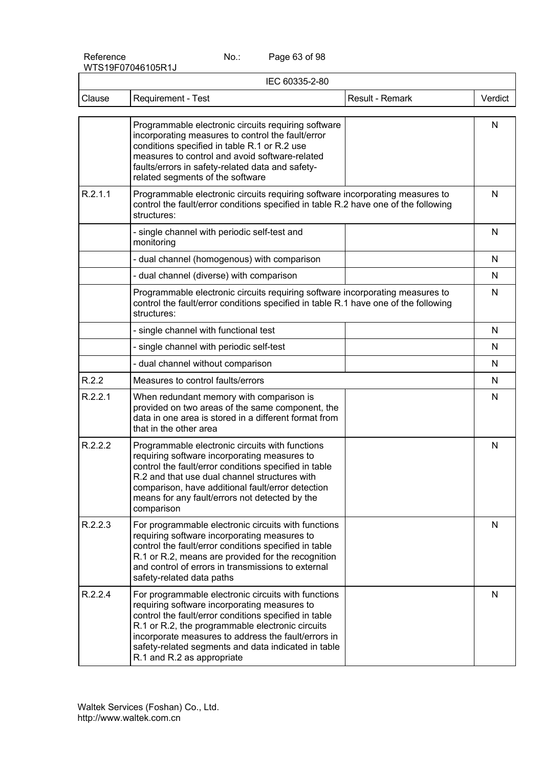Page 63 of 98

| IEC 60335-2-80 |                                                                                                                                                                                                                                                                                                                                                              |         |  |  |
|----------------|--------------------------------------------------------------------------------------------------------------------------------------------------------------------------------------------------------------------------------------------------------------------------------------------------------------------------------------------------------------|---------|--|--|
| Clause         | Result - Remark<br>Requirement - Test                                                                                                                                                                                                                                                                                                                        | Verdict |  |  |
|                | Programmable electronic circuits requiring software<br>incorporating measures to control the fault/error<br>conditions specified in table R.1 or R.2 use<br>measures to control and avoid software-related<br>faults/errors in safety-related data and safety-<br>related segments of the software                                                           | N       |  |  |
| R.2.1.1        | Programmable electronic circuits requiring software incorporating measures to<br>control the fault/error conditions specified in table R.2 have one of the following<br>structures:                                                                                                                                                                          | N       |  |  |
|                | - single channel with periodic self-test and<br>monitoring                                                                                                                                                                                                                                                                                                   | N       |  |  |
|                | - dual channel (homogenous) with comparison                                                                                                                                                                                                                                                                                                                  | N       |  |  |
|                | - dual channel (diverse) with comparison                                                                                                                                                                                                                                                                                                                     | N       |  |  |
|                | Programmable electronic circuits requiring software incorporating measures to<br>control the fault/error conditions specified in table R.1 have one of the following<br>structures:                                                                                                                                                                          | N       |  |  |
|                | - single channel with functional test                                                                                                                                                                                                                                                                                                                        | N       |  |  |
|                | - single channel with periodic self-test                                                                                                                                                                                                                                                                                                                     | N       |  |  |
|                | - dual channel without comparison                                                                                                                                                                                                                                                                                                                            | N       |  |  |
| R.2.2          | Measures to control faults/errors                                                                                                                                                                                                                                                                                                                            | N       |  |  |
| R.2.2.1        | When redundant memory with comparison is<br>provided on two areas of the same component, the<br>data in one area is stored in a different format from<br>that in the other area                                                                                                                                                                              | N       |  |  |
| R.2.2.2        | Programmable electronic circuits with functions<br>requiring software incorporating measures to<br>control the fault/error conditions specified in table<br>R.2 and that use dual channel structures with<br>comparison, have additional fault/error detection<br>means for any fault/errors not detected by the<br>comparison                               | N       |  |  |
| R.2.2.3        | For programmable electronic circuits with functions<br>requiring software incorporating measures to<br>control the fault/error conditions specified in table<br>R.1 or R.2, means are provided for the recognition<br>and control of errors in transmissions to external<br>safety-related data paths                                                        | N       |  |  |
| R.2.2.4        | For programmable electronic circuits with functions<br>requiring software incorporating measures to<br>control the fault/error conditions specified in table<br>R.1 or R.2, the programmable electronic circuits<br>incorporate measures to address the fault/errors in<br>safety-related segments and data indicated in table<br>R.1 and R.2 as appropriate | N       |  |  |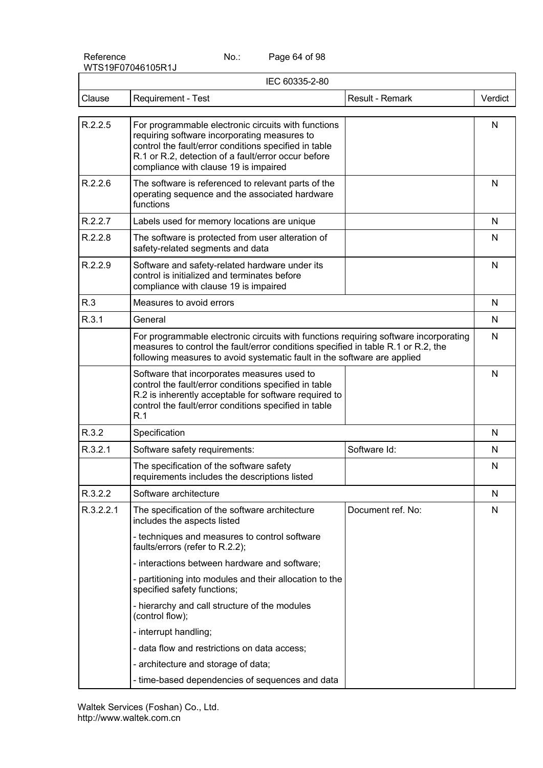Reference No.:

Page 64 of 98

|           | IEC 60335-2-80                                                                                                                                                                                                                                               |                   |              |  |
|-----------|--------------------------------------------------------------------------------------------------------------------------------------------------------------------------------------------------------------------------------------------------------------|-------------------|--------------|--|
| Clause    | Requirement - Test                                                                                                                                                                                                                                           | Result - Remark   | Verdict      |  |
| R.2.2.5   | For programmable electronic circuits with functions<br>requiring software incorporating measures to<br>control the fault/error conditions specified in table<br>R.1 or R.2, detection of a fault/error occur before<br>compliance with clause 19 is impaired |                   | N            |  |
| R.2.2.6   | The software is referenced to relevant parts of the<br>operating sequence and the associated hardware<br>functions                                                                                                                                           |                   | N            |  |
| R.2.2.7   | Labels used for memory locations are unique                                                                                                                                                                                                                  |                   | N            |  |
| R.2.2.8   | The software is protected from user alteration of<br>safety-related segments and data                                                                                                                                                                        |                   | N            |  |
| R.2.2.9   | Software and safety-related hardware under its<br>control is initialized and terminates before<br>compliance with clause 19 is impaired                                                                                                                      |                   | $\mathsf{N}$ |  |
| R.3       | Measures to avoid errors                                                                                                                                                                                                                                     |                   | N            |  |
| R.3.1     | General                                                                                                                                                                                                                                                      |                   |              |  |
|           | For programmable electronic circuits with functions requiring software incorporating<br>measures to control the fault/error conditions specified in table R.1 or R.2, the<br>following measures to avoid systematic fault in the software are applied        |                   | N            |  |
|           | Software that incorporates measures used to<br>control the fault/error conditions specified in table<br>R.2 is inherently acceptable for software required to<br>control the fault/error conditions specified in table<br>R.1                                |                   | N            |  |
| R.3.2     | Specification                                                                                                                                                                                                                                                |                   | N            |  |
| R.3.2.1   | Software safety requirements:                                                                                                                                                                                                                                | Software Id:      | N            |  |
|           | The specification of the software safety<br>requirements includes the descriptions listed                                                                                                                                                                    |                   | N            |  |
| R.3.2.2   | Software architecture                                                                                                                                                                                                                                        |                   | N            |  |
| R.3.2.2.1 | The specification of the software architecture<br>includes the aspects listed                                                                                                                                                                                | Document ref. No: | N            |  |
|           | - techniques and measures to control software<br>faults/errors (refer to R.2.2);                                                                                                                                                                             |                   |              |  |
|           | - interactions between hardware and software;                                                                                                                                                                                                                |                   |              |  |
|           | - partitioning into modules and their allocation to the<br>specified safety functions;                                                                                                                                                                       |                   |              |  |
|           | - hierarchy and call structure of the modules<br>(control flow);                                                                                                                                                                                             |                   |              |  |
|           | - interrupt handling;                                                                                                                                                                                                                                        |                   |              |  |
|           | - data flow and restrictions on data access;                                                                                                                                                                                                                 |                   |              |  |
|           | - architecture and storage of data;                                                                                                                                                                                                                          |                   |              |  |
|           | - time-based dependencies of sequences and data                                                                                                                                                                                                              |                   |              |  |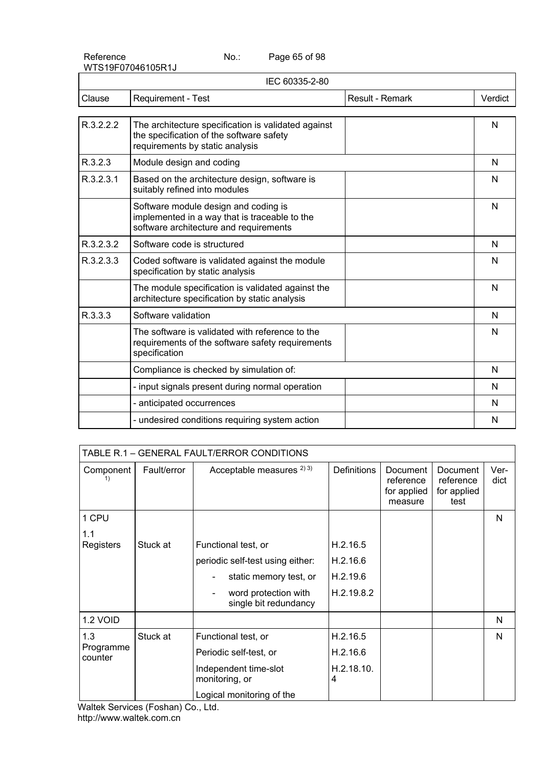Reference No.:

Page 65 of 98

| Verdict |
|---------|
| N       |
| N       |
| N       |
| N       |
| N       |
| N       |
| N       |
| N       |
| N       |
| N       |
| N       |
| N       |
| N       |
|         |

|                      |             | TABLE R.1 - GENERAL FAULT/ERROR CONDITIONS    |                 |                                                 |                                              |              |
|----------------------|-------------|-----------------------------------------------|-----------------|-------------------------------------------------|----------------------------------------------|--------------|
| Component            | Fault/error | Acceptable measures $^{2(3)}$                 | Definitions     | Document<br>reference<br>for applied<br>measure | Document<br>reference<br>for applied<br>test | Ver-<br>dict |
| 1 CPU                |             |                                               |                 |                                                 |                                              | N            |
| 1.1                  |             |                                               |                 |                                                 |                                              |              |
| Registers            | Stuck at    | Functional test, or                           | H.2.16.5        |                                                 |                                              |              |
|                      |             | periodic self-test using either:              | H.2.16.6        |                                                 |                                              |              |
|                      |             | static memory test, or                        | H.2.19.6        |                                                 |                                              |              |
|                      |             | word protection with<br>single bit redundancy | H.2.19.8.2      |                                                 |                                              |              |
| 1.2 VOID             |             |                                               |                 |                                                 |                                              | N            |
| 1.3                  | Stuck at    | Functional test, or                           | H.2.16.5        |                                                 |                                              | N            |
| Programme<br>counter |             | Periodic self-test, or                        | H.2.16.6        |                                                 |                                              |              |
|                      |             | Independent time-slot<br>monitoring, or       | H.2.18.10.<br>4 |                                                 |                                              |              |
|                      |             | Logical monitoring of the                     |                 |                                                 |                                              |              |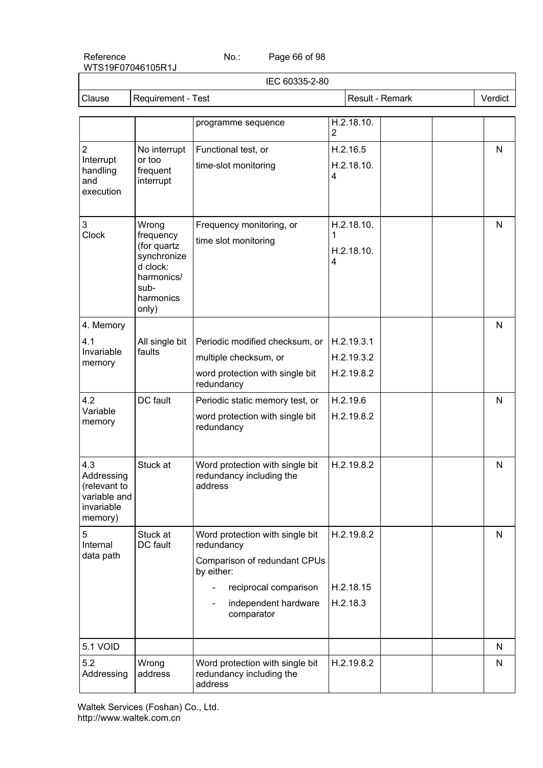Page 66 of 98

|                            |                            | IEC 60335-2-80                                                 |   |                 |              |
|----------------------------|----------------------------|----------------------------------------------------------------|---|-----------------|--------------|
| Clause                     | Requirement - Test         |                                                                |   | Result - Remark | Verdict      |
|                            |                            | programme sequence                                             |   | H.2.18.10.      |              |
|                            |                            |                                                                | 2 |                 |              |
| $\overline{2}$             | No interrupt               | Functional test, or                                            |   | H.2.16.5        | $\mathsf{N}$ |
| Interrupt<br>handling      | or too<br>frequent         | time-slot monitoring                                           |   | H.2.18.10.      |              |
| and                        | interrupt                  |                                                                | 4 |                 |              |
| execution                  |                            |                                                                |   |                 |              |
| $\ensuremath{\mathsf{3}}$  | Wrong                      | Frequency monitoring, or                                       |   | H.2.18.10.      | N            |
| Clock                      | frequency                  | time slot monitoring                                           | 1 |                 |              |
|                            | (for quartz<br>synchronize |                                                                |   | H.2.18.10.      |              |
|                            | d clock:                   |                                                                | 4 |                 |              |
|                            | harmonics/<br>sub-         |                                                                |   |                 |              |
|                            | harmonics<br>only)         |                                                                |   |                 |              |
| 4. Memory                  |                            |                                                                |   |                 | N            |
| 4.1                        | All single bit             | Periodic modified checksum, or                                 |   | H.2.19.3.1      |              |
| Invariable<br>memory       | faults                     | multiple checksum, or                                          |   | H.2.19.3.2      |              |
|                            |                            | word protection with single bit<br>redundancy                  |   | H.2.19.8.2      |              |
| 4.2                        | DC fault                   | Periodic static memory test, or                                |   | H.2.19.6        | N            |
| Variable<br>memory         |                            | word protection with single bit                                |   | H.2.19.8.2      |              |
|                            |                            | redundancy                                                     |   |                 |              |
|                            |                            |                                                                |   |                 |              |
| 4.3<br>Addressing          | Stuck at                   | Word protection with single bit<br>redundancy including the    |   | H.2.19.8.2      | N            |
| (relevant to               |                            | address                                                        |   |                 |              |
| variable and<br>invariable |                            |                                                                |   |                 |              |
| memory)                    |                            |                                                                |   |                 |              |
| 5<br>Internal              | Stuck at<br>DC fault       | Word protection with single bit<br>redundancy                  |   | H.2.19.8.2      | $\mathsf{N}$ |
| data path                  |                            | Comparison of redundant CPUs<br>by either:                     |   |                 |              |
|                            |                            | reciprocal comparison                                          |   | H.2.18.15       |              |
|                            |                            | independent hardware<br>$\overline{\phantom{a}}$<br>comparator |   | H.2.18.3        |              |
| 5.1 VOID                   |                            |                                                                |   |                 | N            |
| 5.2                        | Wrong                      | Word protection with single bit                                |   | H.2.19.8.2      | N            |
| Addressing                 | address                    | redundancy including the<br>address                            |   |                 |              |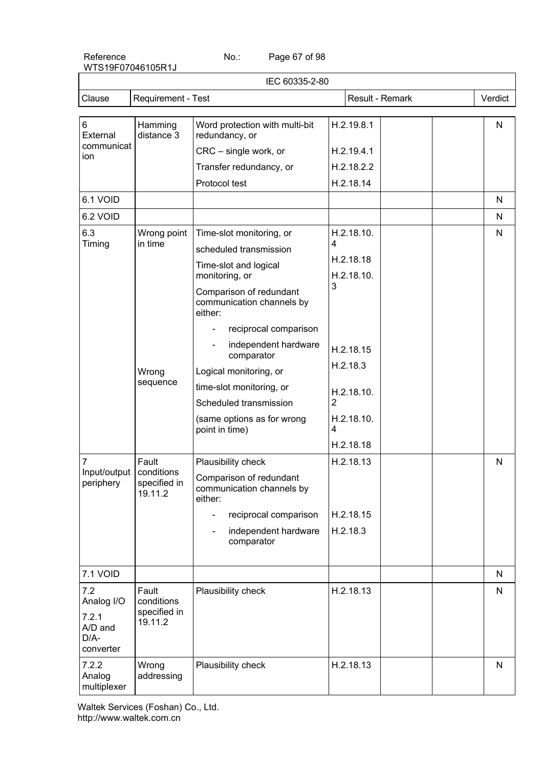Page 67 of 98

| IEC 60335-2-80                        |                                                |                                                                 |                |                         |                 |              |
|---------------------------------------|------------------------------------------------|-----------------------------------------------------------------|----------------|-------------------------|-----------------|--------------|
| Clause                                | Requirement - Test                             |                                                                 |                |                         | Result - Remark | Verdict      |
|                                       |                                                |                                                                 |                |                         |                 |              |
| 6<br>External                         | Hamming<br>distance 3                          | Word protection with multi-bit<br>redundancy, or                |                | H.2.19.8.1              |                 | $\mathsf{N}$ |
| communicat<br>ion                     |                                                | CRC - single work, or                                           |                | H.2.19.4.1              |                 |              |
|                                       |                                                | Transfer redundancy, or                                         |                | H.2.18.2.2              |                 |              |
|                                       |                                                | Protocol test                                                   |                | H.2.18.14               |                 |              |
| 6.1 VOID                              |                                                |                                                                 |                |                         |                 | N            |
| 6.2 VOID                              |                                                |                                                                 |                |                         |                 | N            |
| 6.3                                   | Wrong point                                    | Time-slot monitoring, or                                        |                | H.2.18.10.              |                 | N            |
| Timing                                | in time                                        | scheduled transmission                                          | 4              |                         |                 |              |
|                                       |                                                | Time-slot and logical<br>monitoring, or                         |                | H.2.18.18<br>H.2.18.10. |                 |              |
|                                       |                                                | Comparison of redundant<br>communication channels by<br>either: | 3              |                         |                 |              |
|                                       |                                                | reciprocal comparison                                           |                |                         |                 |              |
|                                       |                                                | independent hardware<br>comparator                              |                | H.2.18.15               |                 |              |
|                                       | Wrong<br>sequence                              | Logical monitoring, or                                          |                | H.2.18.3                |                 |              |
|                                       |                                                | time-slot monitoring, or                                        |                | H.2.18.10.              |                 |              |
|                                       |                                                | Scheduled transmission                                          | $\overline{2}$ |                         |                 |              |
|                                       |                                                | (same options as for wrong<br>point in time)                    | 4              | H.2.18.10.              |                 |              |
|                                       |                                                |                                                                 |                | H.2.18.18               |                 |              |
| 7                                     | Fault<br>conditions<br>specified in<br>19.11.2 | Plausibility check                                              |                | H.2.18.13               |                 | N            |
| Input/output<br>periphery             |                                                | Comparison of redundant<br>communication channels by<br>either: |                |                         |                 |              |
|                                       |                                                | reciprocal comparison                                           |                | H.2.18.15               |                 |              |
|                                       |                                                | independent hardware<br>comparator                              |                | H.2.18.3                |                 |              |
|                                       |                                                |                                                                 |                |                         |                 |              |
| 7.1 VOID                              |                                                |                                                                 |                |                         |                 | N            |
| 7.2<br>Analog I/O                     | Fault<br>conditions                            | Plausibility check                                              |                | H.2.18.13               |                 | $\mathsf{N}$ |
| 7.2.1<br>A/D and<br>D/A-<br>converter | specified in<br>19.11.2                        |                                                                 |                |                         |                 |              |
| 7.2.2<br>Analog<br>multiplexer        | Wrong<br>addressing                            | Plausibility check                                              |                | H.2.18.13               |                 | N            |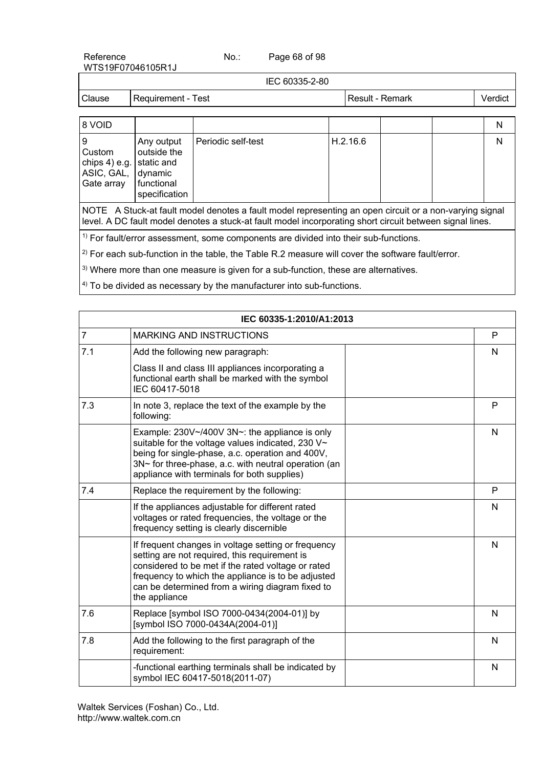Reference No.: WTS19F07046105R1J Page 68 of 98

IEC 60335-2-80 Clause | Requirement - Test Result - Result - Remark | Verdict

| 8 VOID                                                                  |                                                                     |                    |          |  | Ν |
|-------------------------------------------------------------------------|---------------------------------------------------------------------|--------------------|----------|--|---|
| و ا<br>Custom<br>chips 4) e.g.   static and<br>ASIC, GAL,<br>Gate array | Any output<br>outside the<br>dynamic<br>functional<br>specification | Periodic self-test | H.2.16.6 |  | N |

NOTE A Stuck-at fault model denotes a fault model representing an open circuit or a non-varying signal level. A DC fault model denotes a stuck-at fault model incorporating short circuit between signal lines.

<sup>1)</sup> For fault/error assessment, some components are divided into their sub-functions.

 $^{2)}$  For each sub-function in the table, the Table R.2 measure will cover the software fault/error.

 $3)$  Where more than one measure is given for a sub-function, these are alternatives.

 $4)$  To be divided as necessary by the manufacturer into sub-functions.

|                | IEC 60335-1:2010/A1:2013                                                                                                                                                                                                                                                              |              |
|----------------|---------------------------------------------------------------------------------------------------------------------------------------------------------------------------------------------------------------------------------------------------------------------------------------|--------------|
| $\overline{7}$ | <b>MARKING AND INSTRUCTIONS</b>                                                                                                                                                                                                                                                       | P            |
| 7.1            | Add the following new paragraph:                                                                                                                                                                                                                                                      | N            |
|                | Class II and class III appliances incorporating a<br>functional earth shall be marked with the symbol<br>IEC 60417-5018                                                                                                                                                               |              |
| 7.3            | In note 3, replace the text of the example by the<br>following:                                                                                                                                                                                                                       | P            |
|                | Example: 230V~/400V 3N~: the appliance is only<br>suitable for the voltage values indicated, 230 V~<br>being for single-phase, a.c. operation and 400V,<br>3N~ for three-phase, a.c. with neutral operation (an<br>appliance with terminals for both supplies)                        | N            |
| 7.4            | Replace the requirement by the following:                                                                                                                                                                                                                                             | P            |
|                | If the appliances adjustable for different rated<br>voltages or rated frequencies, the voltage or the<br>frequency setting is clearly discernible                                                                                                                                     | $\mathsf{N}$ |
|                | If frequent changes in voltage setting or frequency<br>setting are not required, this requirement is<br>considered to be met if the rated voltage or rated<br>frequency to which the appliance is to be adjusted<br>can be determined from a wiring diagram fixed to<br>the appliance | N            |
| 7.6            | Replace [symbol ISO 7000-0434(2004-01)] by<br>[symbol ISO 7000-0434A(2004-01)]                                                                                                                                                                                                        | N            |
| 7.8            | Add the following to the first paragraph of the<br>requirement:                                                                                                                                                                                                                       | N            |
|                | -functional earthing terminals shall be indicated by<br>symbol IEC 60417-5018(2011-07)                                                                                                                                                                                                | N            |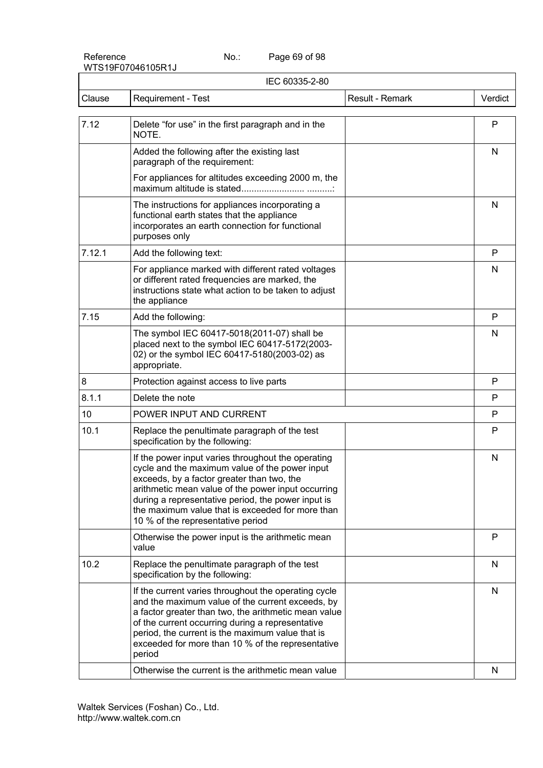Page 69 of 98

|        | IEC 60335-2-80                                                                                                                                                                                                                                                                                                                                          |                 |         |  |  |
|--------|---------------------------------------------------------------------------------------------------------------------------------------------------------------------------------------------------------------------------------------------------------------------------------------------------------------------------------------------------------|-----------------|---------|--|--|
| Clause | <b>Requirement - Test</b>                                                                                                                                                                                                                                                                                                                               | Result - Remark | Verdict |  |  |
| 7.12   | Delete "for use" in the first paragraph and in the<br>NOTE.                                                                                                                                                                                                                                                                                             |                 | P       |  |  |
|        | Added the following after the existing last<br>paragraph of the requirement:                                                                                                                                                                                                                                                                            |                 | N       |  |  |
|        | For appliances for altitudes exceeding 2000 m, the                                                                                                                                                                                                                                                                                                      |                 |         |  |  |
|        | The instructions for appliances incorporating a<br>functional earth states that the appliance<br>incorporates an earth connection for functional<br>purposes only                                                                                                                                                                                       |                 | N       |  |  |
| 7.12.1 | Add the following text:                                                                                                                                                                                                                                                                                                                                 |                 | P       |  |  |
|        | For appliance marked with different rated voltages<br>or different rated frequencies are marked, the<br>instructions state what action to be taken to adjust<br>the appliance                                                                                                                                                                           |                 | N       |  |  |
| 7.15   | Add the following:                                                                                                                                                                                                                                                                                                                                      |                 | P       |  |  |
|        | The symbol IEC 60417-5018(2011-07) shall be<br>placed next to the symbol IEC 60417-5172(2003-<br>02) or the symbol IEC 60417-5180(2003-02) as<br>appropriate.                                                                                                                                                                                           |                 | N       |  |  |
| 8      | Protection against access to live parts                                                                                                                                                                                                                                                                                                                 |                 | P       |  |  |
| 8.1.1  | Delete the note                                                                                                                                                                                                                                                                                                                                         |                 | P       |  |  |
| 10     | POWER INPUT AND CURRENT                                                                                                                                                                                                                                                                                                                                 |                 | P       |  |  |
| 10.1   | Replace the penultimate paragraph of the test<br>specification by the following:                                                                                                                                                                                                                                                                        |                 | P       |  |  |
|        | If the power input varies throughout the operating<br>cycle and the maximum value of the power input<br>exceeds, by a factor greater than two, the<br>arithmetic mean value of the power input occurring<br>during a representative period, the power input is<br>the maximum value that is exceeded for more than<br>10 % of the representative period |                 | N       |  |  |
|        | Otherwise the power input is the arithmetic mean<br>value                                                                                                                                                                                                                                                                                               |                 | P       |  |  |
| 10.2   | Replace the penultimate paragraph of the test<br>specification by the following:                                                                                                                                                                                                                                                                        |                 | N       |  |  |
|        | If the current varies throughout the operating cycle<br>and the maximum value of the current exceeds, by<br>a factor greater than two, the arithmetic mean value<br>of the current occurring during a representative<br>period, the current is the maximum value that is<br>exceeded for more than 10 % of the representative<br>period                 |                 | N       |  |  |
|        | Otherwise the current is the arithmetic mean value                                                                                                                                                                                                                                                                                                      |                 | N       |  |  |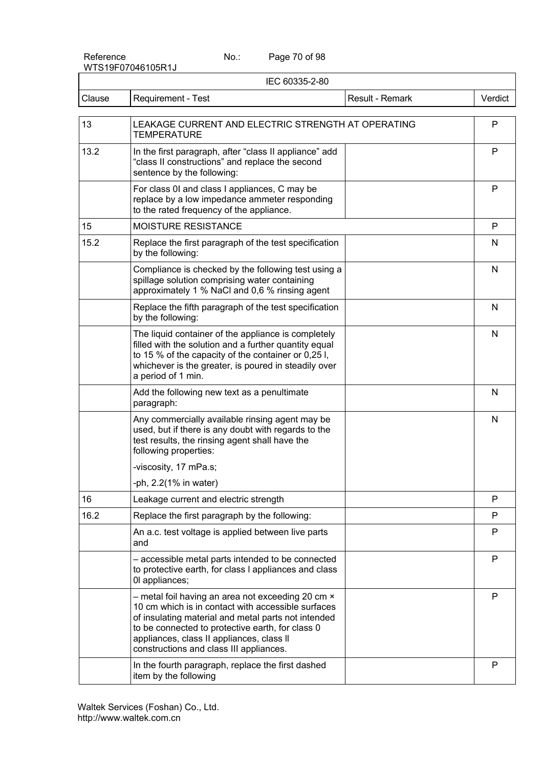Reference No.:

Page 70 of 98

|        | IEC 60335-2-80                                                                                                                                                                                                                                                                                             |                 |         |
|--------|------------------------------------------------------------------------------------------------------------------------------------------------------------------------------------------------------------------------------------------------------------------------------------------------------------|-----------------|---------|
| Clause | Requirement - Test                                                                                                                                                                                                                                                                                         | Result - Remark | Verdict |
| 13     | LEAKAGE CURRENT AND ELECTRIC STRENGTH AT OPERATING<br><b>TEMPERATURE</b>                                                                                                                                                                                                                                   |                 | P       |
| 13.2   | In the first paragraph, after "class II appliance" add<br>"class II constructions" and replace the second<br>sentence by the following:                                                                                                                                                                    |                 | P       |
|        | For class 0I and class I appliances, C may be<br>replace by a low impedance ammeter responding<br>to the rated frequency of the appliance.                                                                                                                                                                 |                 | P       |
| 15     | MOISTURE RESISTANCE                                                                                                                                                                                                                                                                                        |                 | P       |
| 15.2   | Replace the first paragraph of the test specification<br>by the following:                                                                                                                                                                                                                                 |                 | N       |
|        | Compliance is checked by the following test using a<br>spillage solution comprising water containing<br>approximately 1 % NaCl and 0,6 % rinsing agent                                                                                                                                                     |                 | N       |
|        | Replace the fifth paragraph of the test specification<br>by the following:                                                                                                                                                                                                                                 |                 | N       |
|        | The liquid container of the appliance is completely<br>filled with the solution and a further quantity equal<br>to 15 % of the capacity of the container or 0,25 l,<br>whichever is the greater, is poured in steadily over<br>a period of 1 min.                                                          |                 | N       |
|        | Add the following new text as a penultimate<br>paragraph:                                                                                                                                                                                                                                                  |                 | N       |
|        | Any commercially available rinsing agent may be<br>used, but if there is any doubt with regards to the<br>test results, the rinsing agent shall have the<br>following properties:                                                                                                                          |                 | N       |
|        | -viscosity, 17 mPa.s;                                                                                                                                                                                                                                                                                      |                 |         |
|        | -ph, 2.2(1% in water)                                                                                                                                                                                                                                                                                      |                 |         |
| 16     | Leakage current and electric strength                                                                                                                                                                                                                                                                      |                 | P       |
| 16.2   | Replace the first paragraph by the following:                                                                                                                                                                                                                                                              |                 | P       |
|        | An a.c. test voltage is applied between live parts<br>and                                                                                                                                                                                                                                                  |                 | P       |
|        | - accessible metal parts intended to be connected<br>to protective earth, for class I appliances and class<br>Ol appliances;                                                                                                                                                                               |                 | P       |
|        | - metal foil having an area not exceeding 20 cm ×<br>10 cm which is in contact with accessible surfaces<br>of insulating material and metal parts not intended<br>to be connected to protective earth, for class 0<br>appliances, class II appliances, class II<br>constructions and class III appliances. |                 | P       |
|        | In the fourth paragraph, replace the first dashed<br>item by the following                                                                                                                                                                                                                                 |                 | P       |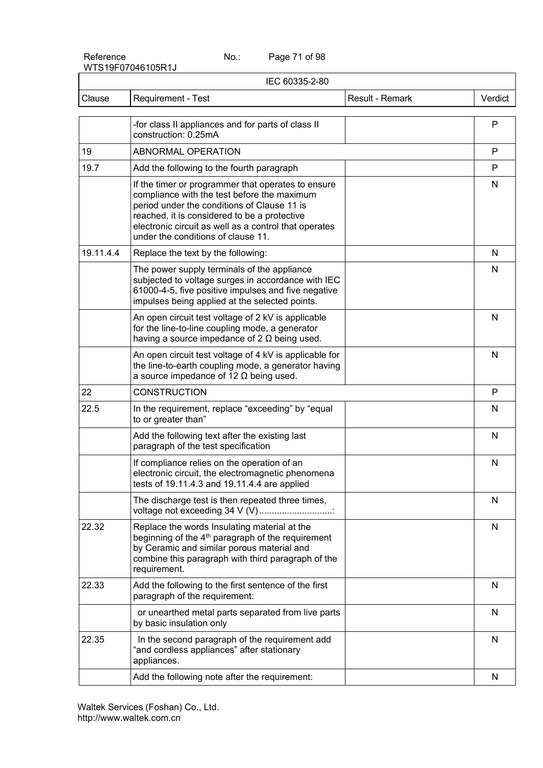Page 71 of 98

| IEC 60335-2-80 |                                                                                                                                                                                                                                                                                                 |                 |              |  |
|----------------|-------------------------------------------------------------------------------------------------------------------------------------------------------------------------------------------------------------------------------------------------------------------------------------------------|-----------------|--------------|--|
| Clause         | Requirement - Test                                                                                                                                                                                                                                                                              | Result - Remark | Verdict      |  |
|                | -for class II appliances and for parts of class II<br>construction: 0.25mA                                                                                                                                                                                                                      |                 | $\mathsf{P}$ |  |
| 19             | ABNORMAL OPERATION                                                                                                                                                                                                                                                                              |                 | P            |  |
| 19.7           | Add the following to the fourth paragraph                                                                                                                                                                                                                                                       |                 | P            |  |
|                | If the timer or programmer that operates to ensure<br>compliance with the test before the maximum<br>period under the conditions of Clause 11 is<br>reached, it is considered to be a protective<br>electronic circuit as well as a control that operates<br>under the conditions of clause 11. |                 | $\mathsf{N}$ |  |
| 19.11.4.4      | Replace the text by the following:                                                                                                                                                                                                                                                              |                 | N            |  |
|                | The power supply terminals of the appliance<br>subjected to voltage surges in accordance with IEC<br>61000-4-5, five positive impulses and five negative<br>impulses being applied at the selected points.                                                                                      |                 | N            |  |
|                | An open circuit test voltage of 2 kV is applicable<br>for the line-to-line coupling mode, a generator<br>having a source impedance of $2 \Omega$ being used.                                                                                                                                    |                 | N            |  |
|                | An open circuit test voltage of 4 kV is applicable for<br>the line-to-earth coupling mode, a generator having<br>a source impedance of 12 $\Omega$ being used.                                                                                                                                  |                 | N            |  |
| 22             | <b>CONSTRUCTION</b>                                                                                                                                                                                                                                                                             |                 | P            |  |
| 22.5           | In the requirement, replace "exceeding" by "equal<br>to or greater than"                                                                                                                                                                                                                        |                 | N            |  |
|                | Add the following text after the existing last<br>paragraph of the test specification                                                                                                                                                                                                           |                 | N            |  |
|                | If compliance relies on the operation of an<br>electronic circuit, the electromagnetic phenomena<br>tests of $19.11.4.3$ and $19.11.4.4$ are applied                                                                                                                                            |                 | N            |  |
|                | The discharge test is then repeated three times,<br>voltage not exceeding 34 V (V)                                                                                                                                                                                                              |                 | N            |  |
| 22.32          | Replace the words Insulating material at the<br>beginning of the 4 <sup>th</sup> paragraph of the requirement<br>by Ceramic and similar porous material and<br>combine this paragraph with third paragraph of the<br>requirement.                                                               |                 | N            |  |
| 22.33          | Add the following to the first sentence of the first<br>paragraph of the requirement:                                                                                                                                                                                                           |                 | N            |  |
|                | or unearthed metal parts separated from live parts<br>by basic insulation only                                                                                                                                                                                                                  |                 | N            |  |
| 22.35          | In the second paragraph of the requirement add<br>"and cordless appliances" after stationary<br>appliances.                                                                                                                                                                                     |                 | N            |  |
|                | Add the following note after the requirement:                                                                                                                                                                                                                                                   |                 | N            |  |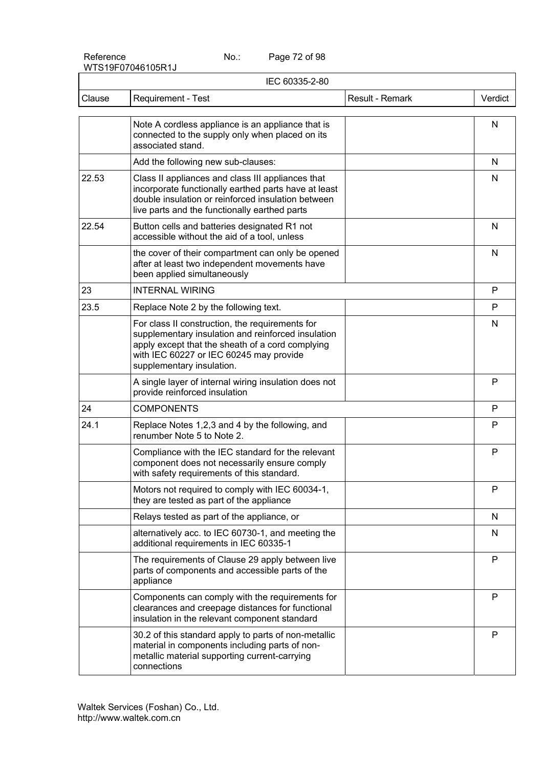Page 72 of 98

| IEC 60335-2-80 |                                                                                                                                                                                                                                   |                 |         |  |
|----------------|-----------------------------------------------------------------------------------------------------------------------------------------------------------------------------------------------------------------------------------|-----------------|---------|--|
| Clause         | Requirement - Test                                                                                                                                                                                                                | Result - Remark | Verdict |  |
|                | Note A cordless appliance is an appliance that is<br>connected to the supply only when placed on its<br>associated stand.                                                                                                         |                 | N       |  |
|                | Add the following new sub-clauses:                                                                                                                                                                                                |                 | N       |  |
| 22.53          | Class II appliances and class III appliances that<br>incorporate functionally earthed parts have at least<br>double insulation or reinforced insulation between<br>live parts and the functionally earthed parts                  |                 | N       |  |
| 22.54          | Button cells and batteries designated R1 not<br>accessible without the aid of a tool, unless                                                                                                                                      |                 | N       |  |
|                | the cover of their compartment can only be opened<br>after at least two independent movements have<br>been applied simultaneously                                                                                                 |                 | N       |  |
| 23             | <b>INTERNAL WIRING</b>                                                                                                                                                                                                            |                 | P       |  |
| 23.5           | Replace Note 2 by the following text.                                                                                                                                                                                             |                 | P       |  |
|                | For class II construction, the requirements for<br>supplementary insulation and reinforced insulation<br>apply except that the sheath of a cord complying<br>with IEC 60227 or IEC 60245 may provide<br>supplementary insulation. |                 | N       |  |
|                | A single layer of internal wiring insulation does not<br>provide reinforced insulation                                                                                                                                            |                 | P       |  |
| 24             | <b>COMPONENTS</b>                                                                                                                                                                                                                 |                 | P       |  |
| 24.1           | Replace Notes 1,2,3 and 4 by the following, and<br>renumber Note 5 to Note 2.                                                                                                                                                     |                 | P       |  |
|                | Compliance with the IEC standard for the relevant<br>component does not necessarily ensure comply<br>with safety requirements of this standard.                                                                                   |                 | P       |  |
|                | Motors not required to comply with IEC 60034-1,<br>they are tested as part of the appliance                                                                                                                                       |                 | P       |  |
|                | Relays tested as part of the appliance, or                                                                                                                                                                                        |                 | N       |  |
|                | alternatively acc. to IEC 60730-1, and meeting the<br>additional requirements in IEC 60335-1                                                                                                                                      |                 | N       |  |
|                | The requirements of Clause 29 apply between live<br>parts of components and accessible parts of the<br>appliance                                                                                                                  |                 | P       |  |
|                | Components can comply with the requirements for<br>clearances and creepage distances for functional<br>insulation in the relevant component standard                                                                              |                 | P       |  |
|                | 30.2 of this standard apply to parts of non-metallic<br>material in components including parts of non-<br>metallic material supporting current-carrying<br>connections                                                            |                 | P       |  |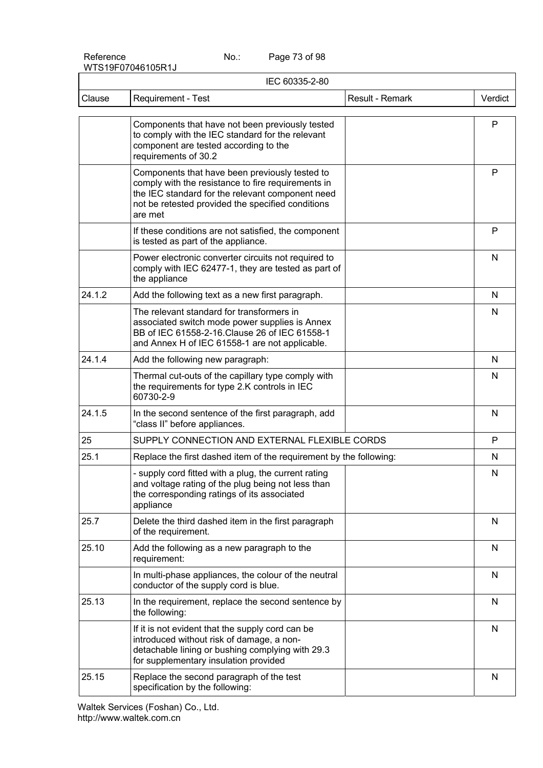Page 73 of 98

|        | IEC 60335-2-80                                                                                                                                                                                                           |                 |              |  |
|--------|--------------------------------------------------------------------------------------------------------------------------------------------------------------------------------------------------------------------------|-----------------|--------------|--|
| Clause | Requirement - Test                                                                                                                                                                                                       | Result - Remark | Verdict      |  |
|        | Components that have not been previously tested<br>to comply with the IEC standard for the relevant<br>component are tested according to the<br>requirements of 30.2                                                     |                 | P            |  |
|        | Components that have been previously tested to<br>comply with the resistance to fire requirements in<br>the IEC standard for the relevant component need<br>not be retested provided the specified conditions<br>are met |                 | P            |  |
|        | If these conditions are not satisfied, the component<br>is tested as part of the appliance.                                                                                                                              |                 | P            |  |
|        | Power electronic converter circuits not required to<br>comply with IEC 62477-1, they are tested as part of<br>the appliance                                                                                              |                 | N            |  |
| 24.1.2 | Add the following text as a new first paragraph.                                                                                                                                                                         |                 | N            |  |
|        | The relevant standard for transformers in<br>associated switch mode power supplies is Annex<br>BB of IEC 61558-2-16. Clause 26 of IEC 61558-1<br>and Annex H of IEC 61558-1 are not applicable.                          |                 | N            |  |
| 24.1.4 | Add the following new paragraph:                                                                                                                                                                                         |                 | N            |  |
|        | Thermal cut-outs of the capillary type comply with<br>the requirements for type 2.K controls in IEC<br>60730-2-9                                                                                                         |                 | N            |  |
| 24.1.5 | In the second sentence of the first paragraph, add<br>"class II" before appliances.                                                                                                                                      |                 | N            |  |
| 25     | SUPPLY CONNECTION AND EXTERNAL FLEXIBLE CORDS                                                                                                                                                                            |                 | P            |  |
| 25.1   | Replace the first dashed item of the requirement by the following:                                                                                                                                                       |                 | N            |  |
|        | - supply cord fitted with a plug, the current rating<br>and voltage rating of the plug being not less than<br>the corresponding ratings of its associated<br>appliance                                                   |                 | N            |  |
| 25.7   | Delete the third dashed item in the first paragraph<br>of the requirement.                                                                                                                                               |                 | N            |  |
| 25.10  | Add the following as a new paragraph to the<br>requirement:                                                                                                                                                              |                 | N            |  |
|        | In multi-phase appliances, the colour of the neutral<br>conductor of the supply cord is blue.                                                                                                                            |                 | $\mathsf{N}$ |  |
| 25.13  | In the requirement, replace the second sentence by<br>the following:                                                                                                                                                     |                 | N            |  |
|        | If it is not evident that the supply cord can be<br>introduced without risk of damage, a non-<br>detachable lining or bushing complying with 29.3<br>for supplementary insulation provided                               |                 | $\mathsf{N}$ |  |
| 25.15  | Replace the second paragraph of the test<br>specification by the following:                                                                                                                                              |                 | N            |  |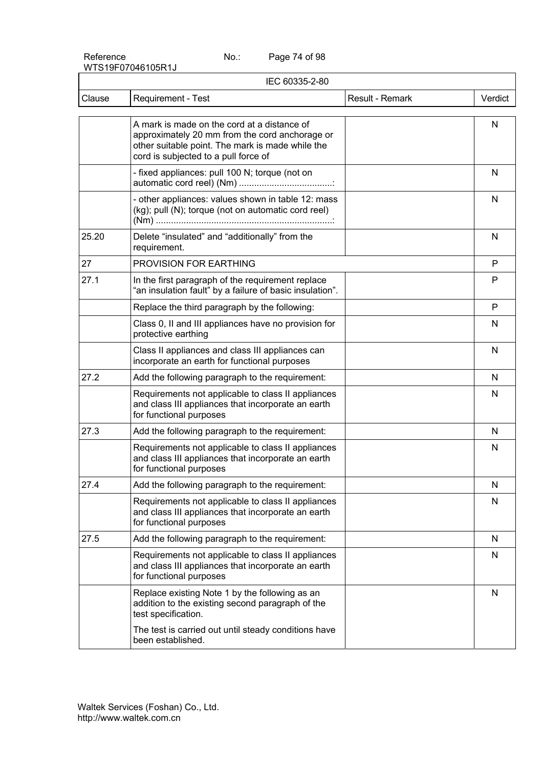Page 74 of 98

|        | IEC 60335-2-80                                                                                                                                                                            |                 |         |
|--------|-------------------------------------------------------------------------------------------------------------------------------------------------------------------------------------------|-----------------|---------|
| Clause | Requirement - Test                                                                                                                                                                        | Result - Remark | Verdict |
|        | A mark is made on the cord at a distance of<br>approximately 20 mm from the cord anchorage or<br>other suitable point. The mark is made while the<br>cord is subjected to a pull force of |                 | N       |
|        | - fixed appliances: pull 100 N; torque (not on                                                                                                                                            |                 | N       |
|        | - other appliances: values shown in table 12: mass<br>(kg); pull (N); torque (not on automatic cord reel)                                                                                 |                 | N       |
| 25.20  | Delete "insulated" and "additionally" from the<br>requirement.                                                                                                                            |                 | N       |
| 27     | PROVISION FOR EARTHING                                                                                                                                                                    |                 | P       |
| 27.1   | In the first paragraph of the requirement replace<br>"an insulation fault" by a failure of basic insulation".                                                                             |                 | P       |
|        | Replace the third paragraph by the following:                                                                                                                                             |                 | P       |
|        | Class 0, II and III appliances have no provision for<br>protective earthing                                                                                                               |                 | N       |
|        | Class II appliances and class III appliances can<br>incorporate an earth for functional purposes                                                                                          |                 | N       |
| 27.2   | Add the following paragraph to the requirement:                                                                                                                                           |                 | N       |
|        | Requirements not applicable to class II appliances<br>and class III appliances that incorporate an earth<br>for functional purposes                                                       |                 | N       |
| 27.3   | Add the following paragraph to the requirement:                                                                                                                                           |                 | N       |
|        | Requirements not applicable to class II appliances<br>and class III appliances that incorporate an earth<br>for functional purposes                                                       |                 | N       |
| 27.4   | Add the following paragraph to the requirement:                                                                                                                                           |                 | N       |
|        | Requirements not applicable to class II appliances<br>and class III appliances that incorporate an earth<br>for functional purposes                                                       |                 | N       |
| 27.5   | Add the following paragraph to the requirement:                                                                                                                                           |                 | N       |
|        | Requirements not applicable to class II appliances<br>and class III appliances that incorporate an earth<br>for functional purposes                                                       |                 | N       |
|        | Replace existing Note 1 by the following as an<br>addition to the existing second paragraph of the<br>test specification.                                                                 |                 | N       |
|        | The test is carried out until steady conditions have<br>been established.                                                                                                                 |                 |         |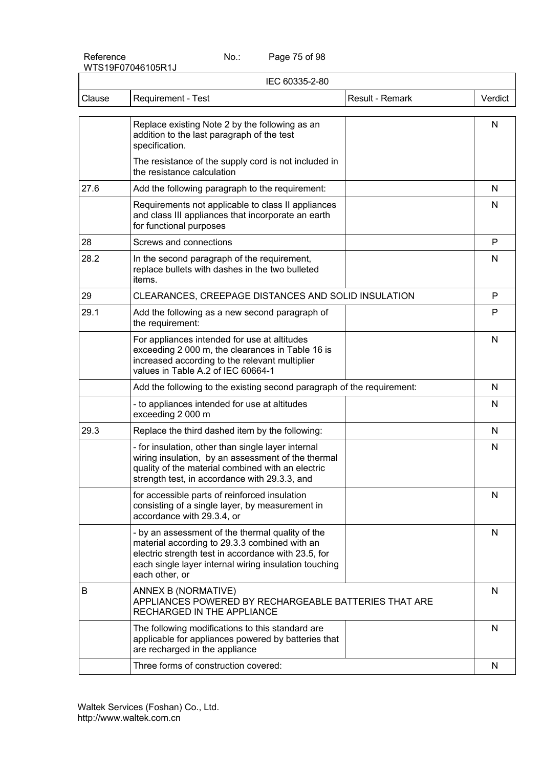Page 75 of 98

| IEC 60335-2-80 |                                                                                                                                                                                                                                     |         |
|----------------|-------------------------------------------------------------------------------------------------------------------------------------------------------------------------------------------------------------------------------------|---------|
| Clause         | Requirement - Test<br>Result - Remark                                                                                                                                                                                               | Verdict |
|                | Replace existing Note 2 by the following as an<br>addition to the last paragraph of the test<br>specification.                                                                                                                      | N       |
|                | The resistance of the supply cord is not included in<br>the resistance calculation                                                                                                                                                  |         |
| 27.6           | Add the following paragraph to the requirement:                                                                                                                                                                                     | N       |
|                | Requirements not applicable to class II appliances<br>and class III appliances that incorporate an earth<br>for functional purposes                                                                                                 | N       |
| 28             | Screws and connections                                                                                                                                                                                                              | P       |
| 28.2           | In the second paragraph of the requirement,<br>replace bullets with dashes in the two bulleted<br>items.                                                                                                                            | N       |
| 29             | CLEARANCES, CREEPAGE DISTANCES AND SOLID INSULATION                                                                                                                                                                                 | P       |
| 29.1           | Add the following as a new second paragraph of<br>the requirement:                                                                                                                                                                  | P       |
|                | For appliances intended for use at altitudes<br>exceeding 2 000 m, the clearances in Table 16 is<br>increased according to the relevant multiplier<br>values in Table A.2 of IEC 60664-1                                            | N       |
|                | Add the following to the existing second paragraph of the requirement:                                                                                                                                                              | N       |
|                | - to appliances intended for use at altitudes<br>exceeding 2 000 m                                                                                                                                                                  | N       |
| 29.3           | Replace the third dashed item by the following:                                                                                                                                                                                     | N       |
|                | - for insulation, other than single layer internal<br>wiring insulation, by an assessment of the thermal<br>quality of the material combined with an electric<br>strength test, in accordance with 29.3.3, and                      | N       |
|                | for accessible parts of reinforced insulation<br>consisting of a single layer, by measurement in<br>accordance with 29.3.4, or                                                                                                      | N       |
|                | - by an assessment of the thermal quality of the<br>material according to 29.3.3 combined with an<br>electric strength test in accordance with 23.5, for<br>each single layer internal wiring insulation touching<br>each other, or | N       |
| В              | ANNEX B (NORMATIVE)<br>APPLIANCES POWERED BY RECHARGEABLE BATTERIES THAT ARE<br>RECHARGED IN THE APPLIANCE                                                                                                                          | N       |
|                | The following modifications to this standard are<br>applicable for appliances powered by batteries that<br>are recharged in the appliance                                                                                           | N       |
|                | Three forms of construction covered:                                                                                                                                                                                                | N       |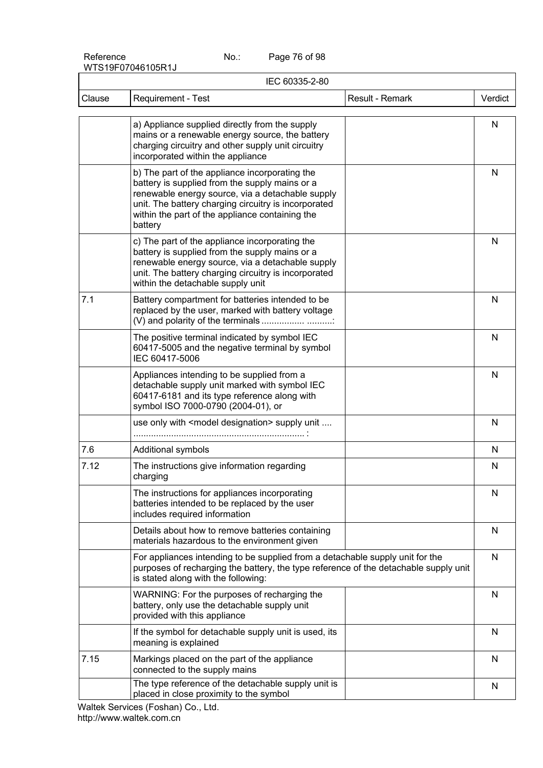Page 76 of 98

|        | IEC 60335-2-80                                                                                                                                                                                                                                                             |         |  |  |
|--------|----------------------------------------------------------------------------------------------------------------------------------------------------------------------------------------------------------------------------------------------------------------------------|---------|--|--|
| Clause | Requirement - Test<br>Result - Remark                                                                                                                                                                                                                                      | Verdict |  |  |
|        | a) Appliance supplied directly from the supply<br>mains or a renewable energy source, the battery<br>charging circuitry and other supply unit circuitry<br>incorporated within the appliance                                                                               | N       |  |  |
|        | b) The part of the appliance incorporating the<br>battery is supplied from the supply mains or a<br>renewable energy source, via a detachable supply<br>unit. The battery charging circuitry is incorporated<br>within the part of the appliance containing the<br>battery | N       |  |  |
|        | c) The part of the appliance incorporating the<br>battery is supplied from the supply mains or a<br>renewable energy source, via a detachable supply<br>unit. The battery charging circuitry is incorporated<br>within the detachable supply unit                          | N       |  |  |
| 7.1    | Battery compartment for batteries intended to be<br>replaced by the user, marked with battery voltage                                                                                                                                                                      | N       |  |  |
|        | The positive terminal indicated by symbol IEC<br>60417-5005 and the negative terminal by symbol<br>IEC 60417-5006                                                                                                                                                          | N       |  |  |
|        | Appliances intending to be supplied from a<br>detachable supply unit marked with symbol IEC<br>60417-6181 and its type reference along with<br>symbol ISO 7000-0790 (2004-01), or                                                                                          | N       |  |  |
|        | use only with <model designation=""> supply unit </model>                                                                                                                                                                                                                  | N       |  |  |
| 7.6    | Additional symbols                                                                                                                                                                                                                                                         | N       |  |  |
| 7.12   | The instructions give information regarding<br>charging                                                                                                                                                                                                                    | N       |  |  |
|        | The instructions for appliances incorporating<br>batteries intended to be replaced by the user<br>includes required information                                                                                                                                            | N       |  |  |
|        | Details about how to remove batteries containing<br>materials hazardous to the environment given                                                                                                                                                                           | N       |  |  |
|        | For appliances intending to be supplied from a detachable supply unit for the<br>purposes of recharging the battery, the type reference of the detachable supply unit<br>is stated along with the following:                                                               | N       |  |  |
|        | WARNING: For the purposes of recharging the<br>battery, only use the detachable supply unit<br>provided with this appliance                                                                                                                                                | N       |  |  |
|        | If the symbol for detachable supply unit is used, its<br>meaning is explained                                                                                                                                                                                              | N       |  |  |
| 7.15   | Markings placed on the part of the appliance<br>connected to the supply mains                                                                                                                                                                                              | N       |  |  |
|        | The type reference of the detachable supply unit is<br>placed in close proximity to the symbol                                                                                                                                                                             | N       |  |  |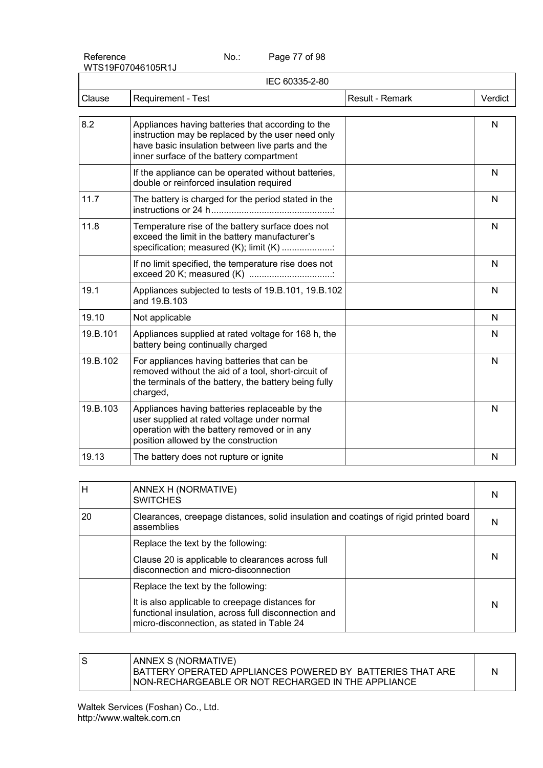Page 77 of 98

|          | IEC 60335-2-80                                                                                                                                                                                         |                 |         |
|----------|--------------------------------------------------------------------------------------------------------------------------------------------------------------------------------------------------------|-----------------|---------|
| Clause   | <b>Requirement - Test</b>                                                                                                                                                                              | Result - Remark | Verdict |
| 8.2      | Appliances having batteries that according to the<br>instruction may be replaced by the user need only<br>have basic insulation between live parts and the<br>inner surface of the battery compartment |                 | N       |
|          | If the appliance can be operated without batteries,<br>double or reinforced insulation required                                                                                                        |                 | N       |
| 11.7     | The battery is charged for the period stated in the                                                                                                                                                    |                 | N       |
| 11.8     | Temperature rise of the battery surface does not<br>exceed the limit in the battery manufacturer's<br>specification; measured (K); limit (K)                                                           |                 | N       |
|          | If no limit specified, the temperature rise does not                                                                                                                                                   |                 | N       |
| 19.1     | Appliances subjected to tests of 19.B.101, 19.B.102<br>and 19.B.103                                                                                                                                    |                 | N       |
| 19.10    | Not applicable                                                                                                                                                                                         |                 | N       |
| 19.B.101 | Appliances supplied at rated voltage for 168 h, the<br>battery being continually charged                                                                                                               |                 | N       |
| 19.B.102 | For appliances having batteries that can be<br>removed without the aid of a tool, short-circuit of<br>the terminals of the battery, the battery being fully<br>charged,                                |                 | N       |
| 19.B.103 | Appliances having batteries replaceable by the<br>user supplied at rated voltage under normal<br>operation with the battery removed or in any<br>position allowed by the construction                  |                 | N       |
| 19.13    | The battery does not rupture or ignite                                                                                                                                                                 |                 | N       |
|          |                                                                                                                                                                                                        |                 |         |

| H   | ANNEX H (NORMATIVE)<br><b>SWITCHES</b>                                                                                                                |  |
|-----|-------------------------------------------------------------------------------------------------------------------------------------------------------|--|
| -20 | Clearances, creepage distances, solid insulation and coatings of rigid printed board<br>assemblies                                                    |  |
|     | Replace the text by the following:                                                                                                                    |  |
|     | Clause 20 is applicable to clearances across full<br>disconnection and micro-disconnection                                                            |  |
|     | Replace the text by the following:                                                                                                                    |  |
|     | It is also applicable to creepage distances for<br>functional insulation, across full disconnection and<br>micro-disconnection, as stated in Table 24 |  |

S | ANNEX S (NORMATIVE) BATTERY OPERATED APPLIANCES POWERED BY BATTERIES THAT ARE NON-RECHARGEABLE OR NOT RECHARGED IN THE APPLIANCE N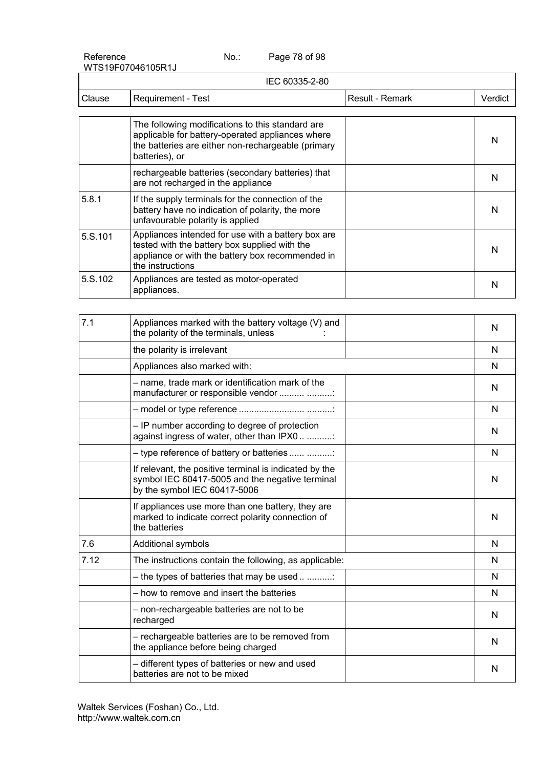Page 78 of 98

|         | IEC 60335-2-80                                                                                                                                                                |                 |         |
|---------|-------------------------------------------------------------------------------------------------------------------------------------------------------------------------------|-----------------|---------|
| Clause  | Requirement - Test                                                                                                                                                            | Result - Remark | Verdict |
|         |                                                                                                                                                                               |                 |         |
|         | The following modifications to this standard are.<br>applicable for battery-operated appliances where<br>the batteries are either non-rechargeable (primary<br>batteries), or |                 | N       |
|         | rechargeable batteries (secondary batteries) that<br>are not recharged in the appliance                                                                                       |                 | N       |
| 5.8.1   | If the supply terminals for the connection of the<br>battery have no indication of polarity, the more<br>unfavourable polarity is applied                                     |                 | N       |
| 5.S.101 | Appliances intended for use with a battery box are<br>tested with the battery box supplied with the<br>appliance or with the battery box recommended in<br>the instructions   |                 | N       |
| 5.S.102 | Appliances are tested as motor-operated<br>appliances.                                                                                                                        |                 | N       |

| 7.1  | Appliances marked with the battery voltage (V) and<br>the polarity of the terminals, unless                                               | N |
|------|-------------------------------------------------------------------------------------------------------------------------------------------|---|
|      | the polarity is irrelevant                                                                                                                | N |
|      | Appliances also marked with:                                                                                                              | N |
|      | - name, trade mark or identification mark of the<br>manufacturer or responsible vendor                                                    | N |
|      |                                                                                                                                           | N |
|      | - IP number according to degree of protection<br>against ingress of water, other than IPX0                                                | N |
|      | - type reference of battery or batteries                                                                                                  | N |
|      | If relevant, the positive terminal is indicated by the<br>symbol IEC 60417-5005 and the negative terminal<br>by the symbol IEC 60417-5006 | N |
|      | If appliances use more than one battery, they are<br>marked to indicate correct polarity connection of<br>the batteries                   | N |
| 7.6  | Additional symbols                                                                                                                        | N |
| 7.12 | The instructions contain the following, as applicable:                                                                                    | N |
|      | - the types of batteries that may be used                                                                                                 | N |
|      | - how to remove and insert the batteries                                                                                                  | N |
|      | - non-rechargeable batteries are not to be<br>recharged                                                                                   | N |
|      | - rechargeable batteries are to be removed from<br>the appliance before being charged                                                     | N |
|      | - different types of batteries or new and used<br>batteries are not to be mixed                                                           | N |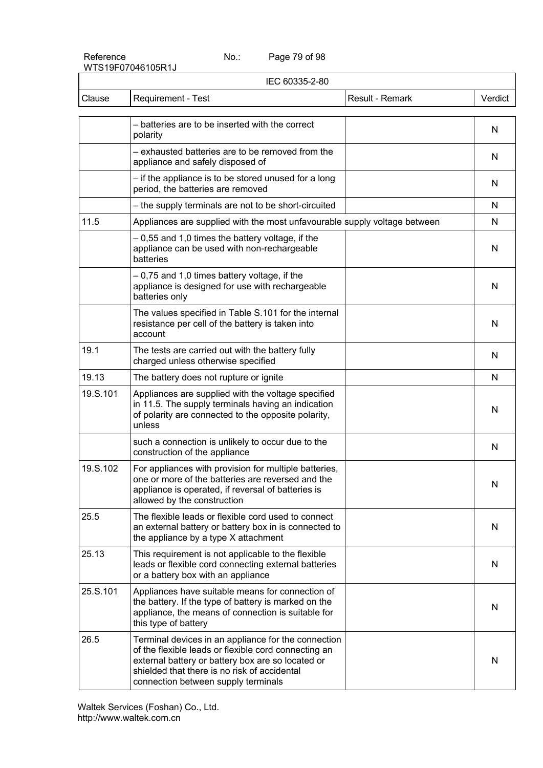Page 79 of 98

| IEC 60335-2-80 |                                                                                                                                                                                                                                                         |                 |         |
|----------------|---------------------------------------------------------------------------------------------------------------------------------------------------------------------------------------------------------------------------------------------------------|-----------------|---------|
| Clause         | Requirement - Test                                                                                                                                                                                                                                      | Result - Remark | Verdict |
|                | - batteries are to be inserted with the correct<br>polarity                                                                                                                                                                                             |                 | N       |
|                | - exhausted batteries are to be removed from the<br>appliance and safely disposed of                                                                                                                                                                    |                 | N       |
|                | - if the appliance is to be stored unused for a long<br>period, the batteries are removed                                                                                                                                                               |                 | N       |
|                | - the supply terminals are not to be short-circuited                                                                                                                                                                                                    |                 | N       |
| 11.5           | Appliances are supplied with the most unfavourable supply voltage between                                                                                                                                                                               |                 | N       |
|                | -0,55 and 1,0 times the battery voltage, if the<br>appliance can be used with non-rechargeable<br>batteries                                                                                                                                             |                 | N       |
|                | - 0,75 and 1,0 times battery voltage, if the<br>appliance is designed for use with rechargeable<br>batteries only                                                                                                                                       |                 | N       |
|                | The values specified in Table S.101 for the internal<br>resistance per cell of the battery is taken into<br>account                                                                                                                                     |                 | N       |
| 19.1           | The tests are carried out with the battery fully<br>charged unless otherwise specified                                                                                                                                                                  |                 | N       |
| 19.13          | The battery does not rupture or ignite                                                                                                                                                                                                                  |                 | N       |
| 19.S.101       | Appliances are supplied with the voltage specified<br>in 11.5. The supply terminals having an indication<br>of polarity are connected to the opposite polarity,<br>unless                                                                               |                 | N       |
|                | such a connection is unlikely to occur due to the<br>construction of the appliance                                                                                                                                                                      |                 | N       |
| 19.S.102       | For appliances with provision for multiple batteries,<br>one or more of the batteries are reversed and the<br>appliance is operated, if reversal of batteries is<br>allowed by the construction                                                         |                 | N       |
| 25.5           | The flexible leads or flexible cord used to connect<br>an external battery or battery box in is connected to<br>the appliance by a type X attachment                                                                                                    |                 | N       |
| 25.13          | This requirement is not applicable to the flexible<br>leads or flexible cord connecting external batteries<br>or a battery box with an appliance                                                                                                        |                 | N       |
| 25.S.101       | Appliances have suitable means for connection of<br>the battery. If the type of battery is marked on the<br>appliance, the means of connection is suitable for<br>this type of battery                                                                  |                 | N       |
| 26.5           | Terminal devices in an appliance for the connection<br>of the flexible leads or flexible cord connecting an<br>external battery or battery box are so located or<br>shielded that there is no risk of accidental<br>connection between supply terminals |                 | N       |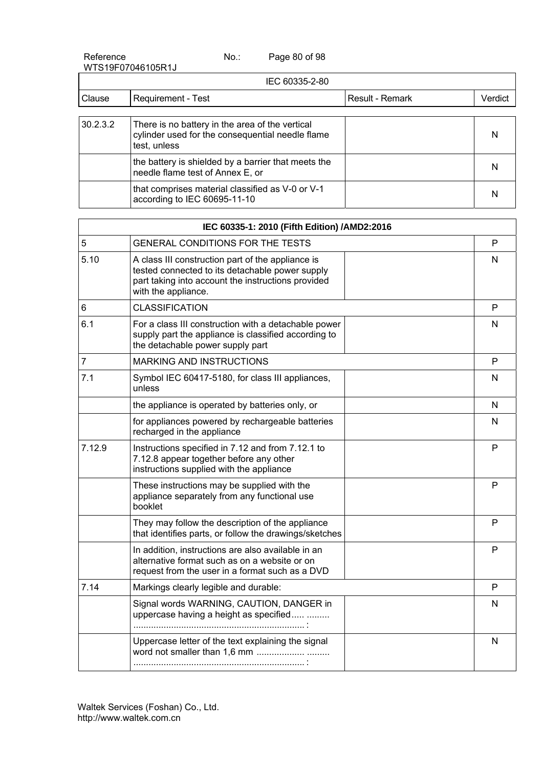| Reference         | No.: | Page 80 of 98 |
|-------------------|------|---------------|
| WTS19F07046105R1J |      |               |

|          | IEC 60335-2-80                                                                                                      |                 |         |
|----------|---------------------------------------------------------------------------------------------------------------------|-----------------|---------|
| Clause   | Requirement - Test                                                                                                  | Result - Remark | Verdict |
| 30.2.3.2 | There is no battery in the area of the vertical<br>cylinder used for the consequential needle flame<br>test, unless |                 | N       |
|          | the battery is shielded by a barrier that meets the<br>needle flame test of Annex E, or                             |                 | N       |
|          | that comprises material classified as V-0 or V-1<br>according to IEC 60695-11-10                                    |                 | N       |

|                | IEC 60335-1: 2010 (Fifth Edition) /AMD2:2016                                                                                                                                      |  |   |  |
|----------------|-----------------------------------------------------------------------------------------------------------------------------------------------------------------------------------|--|---|--|
| 5              | GENERAL CONDITIONS FOR THE TESTS                                                                                                                                                  |  | P |  |
| 5.10           | A class III construction part of the appliance is<br>tested connected to its detachable power supply<br>part taking into account the instructions provided<br>with the appliance. |  | N |  |
| 6              | <b>CLASSIFICATION</b>                                                                                                                                                             |  | P |  |
| 6.1            | For a class III construction with a detachable power<br>supply part the appliance is classified according to<br>the detachable power supply part                                  |  | N |  |
| $\overline{7}$ | <b>MARKING AND INSTRUCTIONS</b>                                                                                                                                                   |  | P |  |
| 7.1            | Symbol IEC 60417-5180, for class III appliances,<br>unless                                                                                                                        |  | N |  |
|                | the appliance is operated by batteries only, or                                                                                                                                   |  | N |  |
|                | for appliances powered by rechargeable batteries<br>recharged in the appliance                                                                                                    |  | N |  |
| 7.12.9         | Instructions specified in 7.12 and from 7.12.1 to<br>7.12.8 appear together before any other<br>instructions supplied with the appliance                                          |  | P |  |
|                | These instructions may be supplied with the<br>appliance separately from any functional use<br>booklet                                                                            |  | P |  |
|                | They may follow the description of the appliance<br>that identifies parts, or follow the drawings/sketches                                                                        |  | P |  |
|                | In addition, instructions are also available in an<br>alternative format such as on a website or on<br>request from the user in a format such as a DVD                            |  | P |  |
| 7.14           | Markings clearly legible and durable:                                                                                                                                             |  | P |  |
|                | Signal words WARNING, CAUTION, DANGER in<br>uppercase having a height as specified                                                                                                |  | N |  |
|                | Uppercase letter of the text explaining the signal                                                                                                                                |  | N |  |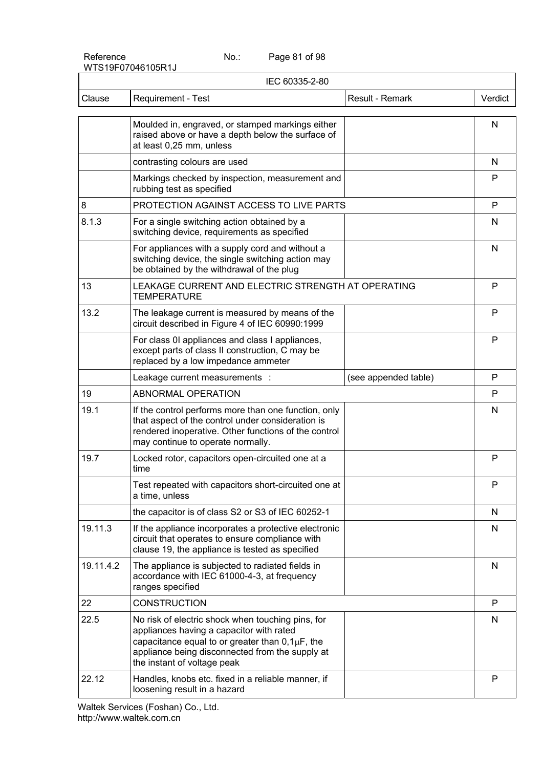Page 81 of 98

| IEC 60335-2-80 |                                                                                                                                                                                                                                          |                      |         |  |  |
|----------------|------------------------------------------------------------------------------------------------------------------------------------------------------------------------------------------------------------------------------------------|----------------------|---------|--|--|
| Clause         | Requirement - Test                                                                                                                                                                                                                       | Result - Remark      | Verdict |  |  |
|                | Moulded in, engraved, or stamped markings either<br>raised above or have a depth below the surface of<br>at least 0,25 mm, unless                                                                                                        |                      | N       |  |  |
|                | contrasting colours are used                                                                                                                                                                                                             |                      | N       |  |  |
|                | Markings checked by inspection, measurement and<br>rubbing test as specified                                                                                                                                                             |                      | P       |  |  |
| 8              | PROTECTION AGAINST ACCESS TO LIVE PARTS                                                                                                                                                                                                  |                      | P       |  |  |
| 8.1.3          | For a single switching action obtained by a<br>switching device, requirements as specified                                                                                                                                               |                      | N       |  |  |
|                | For appliances with a supply cord and without a<br>switching device, the single switching action may<br>be obtained by the withdrawal of the plug                                                                                        |                      | N       |  |  |
| 13             | LEAKAGE CURRENT AND ELECTRIC STRENGTH AT OPERATING<br><b>TEMPERATURE</b>                                                                                                                                                                 |                      | P       |  |  |
| 13.2           | The leakage current is measured by means of the<br>circuit described in Figure 4 of IEC 60990:1999                                                                                                                                       |                      | P       |  |  |
|                | For class 0I appliances and class I appliances,<br>except parts of class II construction, C may be<br>replaced by a low impedance ammeter                                                                                                |                      | P       |  |  |
|                | Leakage current measurements :                                                                                                                                                                                                           | (see appended table) | P       |  |  |
| 19             | ABNORMAL OPERATION                                                                                                                                                                                                                       |                      | P       |  |  |
| 19.1           | If the control performs more than one function, only<br>that aspect of the control under consideration is<br>rendered inoperative. Other functions of the control<br>may continue to operate normally.                                   |                      | N       |  |  |
| 19.7           | Locked rotor, capacitors open-circuited one at a<br>time                                                                                                                                                                                 |                      | P       |  |  |
|                | Test repeated with capacitors short-circuited one at<br>a time, unless                                                                                                                                                                   |                      | P       |  |  |
|                | the capacitor is of class S2 or S3 of IEC 60252-1                                                                                                                                                                                        |                      | N       |  |  |
| 19.11.3        | If the appliance incorporates a protective electronic<br>circuit that operates to ensure compliance with<br>clause 19, the appliance is tested as specified                                                                              |                      | N       |  |  |
| 19.11.4.2      | The appliance is subjected to radiated fields in<br>accordance with IEC 61000-4-3, at frequency<br>ranges specified                                                                                                                      |                      | N       |  |  |
| 22             | <b>CONSTRUCTION</b>                                                                                                                                                                                                                      |                      | P       |  |  |
| 22.5           | No risk of electric shock when touching pins, for<br>appliances having a capacitor with rated<br>capacitance equal to or greater than $0,1\mu F$ , the<br>appliance being disconnected from the supply at<br>the instant of voltage peak |                      | N       |  |  |
| 22.12          | Handles, knobs etc. fixed in a reliable manner, if<br>loosening result in a hazard                                                                                                                                                       |                      | P       |  |  |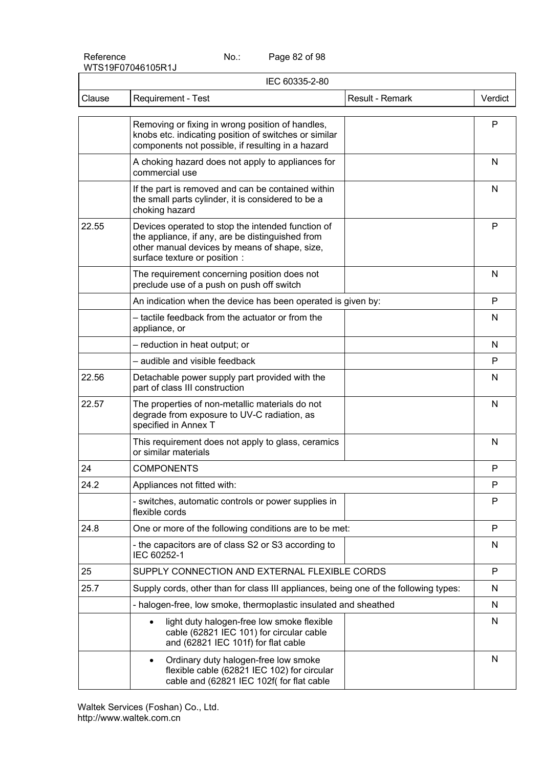Page 82 of 98

|        | IEC 60335-2-80                                                                                                                                                                          |         |  |  |  |  |
|--------|-----------------------------------------------------------------------------------------------------------------------------------------------------------------------------------------|---------|--|--|--|--|
| Clause | Result - Remark<br>Requirement - Test                                                                                                                                                   | Verdict |  |  |  |  |
|        | Removing or fixing in wrong position of handles,<br>knobs etc. indicating position of switches or similar<br>components not possible, if resulting in a hazard                          | P       |  |  |  |  |
|        | A choking hazard does not apply to appliances for<br>commercial use                                                                                                                     | N       |  |  |  |  |
|        | If the part is removed and can be contained within<br>the small parts cylinder, it is considered to be a<br>choking hazard                                                              | N       |  |  |  |  |
| 22.55  | Devices operated to stop the intended function of<br>the appliance, if any, are be distinguished from<br>other manual devices by means of shape, size,<br>surface texture or position : | P       |  |  |  |  |
|        | The requirement concerning position does not<br>preclude use of a push on push off switch                                                                                               | N       |  |  |  |  |
|        | An indication when the device has been operated is given by:                                                                                                                            | P       |  |  |  |  |
|        | - tactile feedback from the actuator or from the<br>appliance, or                                                                                                                       | N       |  |  |  |  |
|        | - reduction in heat output; or                                                                                                                                                          | N       |  |  |  |  |
|        | - audible and visible feedback                                                                                                                                                          | P       |  |  |  |  |
| 22.56  | Detachable power supply part provided with the<br>part of class III construction                                                                                                        | N       |  |  |  |  |
| 22.57  | The properties of non-metallic materials do not<br>degrade from exposure to UV-C radiation, as<br>specified in Annex T                                                                  | N       |  |  |  |  |
|        | This requirement does not apply to glass, ceramics<br>or similar materials                                                                                                              | N       |  |  |  |  |
| 24     | <b>COMPONENTS</b>                                                                                                                                                                       | P       |  |  |  |  |
| 24.2   | Appliances not fitted with:                                                                                                                                                             | P       |  |  |  |  |
|        | - switches, automatic controls or power supplies in<br>flexible cords                                                                                                                   | P       |  |  |  |  |
| 24.8   | One or more of the following conditions are to be met:                                                                                                                                  | P       |  |  |  |  |
|        | - the capacitors are of class S2 or S3 according to<br>IEC 60252-1                                                                                                                      | N       |  |  |  |  |
| 25     | SUPPLY CONNECTION AND EXTERNAL FLEXIBLE CORDS                                                                                                                                           | P       |  |  |  |  |
| 25.7   | Supply cords, other than for class III appliances, being one of the following types:                                                                                                    | N       |  |  |  |  |
|        | - halogen-free, low smoke, thermoplastic insulated and sheathed                                                                                                                         | N       |  |  |  |  |
|        | light duty halogen-free low smoke flexible<br>$\bullet$<br>cable (62821 IEC 101) for circular cable<br>and (62821 IEC 101f) for flat cable                                              | N       |  |  |  |  |
|        | Ordinary duty halogen-free low smoke<br>$\bullet$<br>flexible cable (62821 IEC 102) for circular<br>cable and (62821 IEC 102f( for flat cable                                           | N       |  |  |  |  |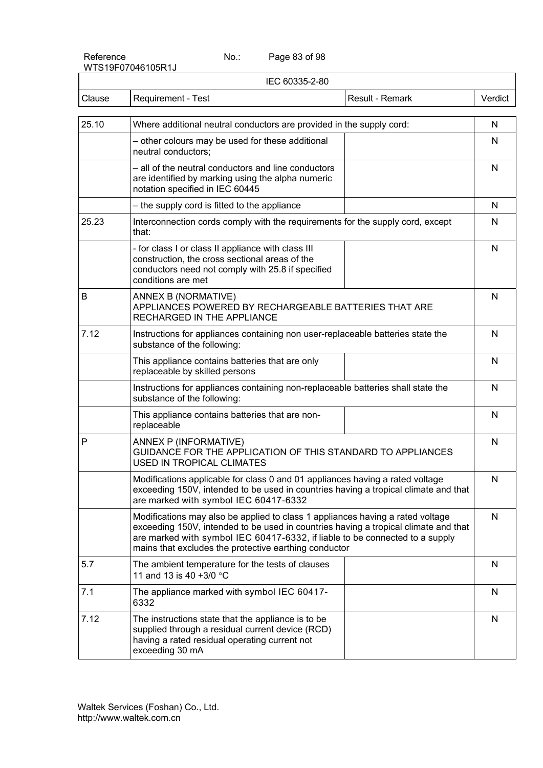Page 83 of 98

| IEC 60335-2-80 |                                                                                                                                                                                                                                                                                                                |         |  |  |  |
|----------------|----------------------------------------------------------------------------------------------------------------------------------------------------------------------------------------------------------------------------------------------------------------------------------------------------------------|---------|--|--|--|
| Clause         | Requirement - Test<br>Result - Remark                                                                                                                                                                                                                                                                          | Verdict |  |  |  |
| 25.10          | Where additional neutral conductors are provided in the supply cord:                                                                                                                                                                                                                                           | N       |  |  |  |
|                | - other colours may be used for these additional<br>neutral conductors;                                                                                                                                                                                                                                        | N       |  |  |  |
|                | - all of the neutral conductors and line conductors<br>are identified by marking using the alpha numeric<br>notation specified in IEC 60445                                                                                                                                                                    | N       |  |  |  |
|                | - the supply cord is fitted to the appliance                                                                                                                                                                                                                                                                   | N       |  |  |  |
| 25.23          | Interconnection cords comply with the requirements for the supply cord, except<br>that:                                                                                                                                                                                                                        | N       |  |  |  |
|                | - for class I or class II appliance with class III<br>construction, the cross sectional areas of the<br>conductors need not comply with 25.8 if specified<br>conditions are met                                                                                                                                | N       |  |  |  |
| B              | ANNEX B (NORMATIVE)<br>APPLIANCES POWERED BY RECHARGEABLE BATTERIES THAT ARE<br>RECHARGED IN THE APPLIANCE                                                                                                                                                                                                     |         |  |  |  |
| 7.12           | Instructions for appliances containing non user-replaceable batteries state the<br>substance of the following:                                                                                                                                                                                                 |         |  |  |  |
|                | This appliance contains batteries that are only<br>replaceable by skilled persons                                                                                                                                                                                                                              | N       |  |  |  |
|                | Instructions for appliances containing non-replaceable batteries shall state the<br>substance of the following:                                                                                                                                                                                                | N       |  |  |  |
|                | This appliance contains batteries that are non-<br>replaceable                                                                                                                                                                                                                                                 | N       |  |  |  |
| P              | ANNEX P (INFORMATIVE)<br>GUIDANCE FOR THE APPLICATION OF THIS STANDARD TO APPLIANCES<br><b>USED IN TROPICAL CLIMATES</b>                                                                                                                                                                                       | N       |  |  |  |
|                | Modifications applicable for class 0 and 01 appliances having a rated voltage<br>exceeding 150V, intended to be used in countries having a tropical climate and that<br>are marked with symbol IEC 60417-6332                                                                                                  | N       |  |  |  |
|                | Modifications may also be applied to class 1 appliances having a rated voltage<br>exceeding 150V, intended to be used in countries having a tropical climate and that<br>are marked with symbol IEC 60417-6332, if liable to be connected to a supply<br>mains that excludes the protective earthing conductor | N       |  |  |  |
| 5.7            | The ambient temperature for the tests of clauses<br>11 and 13 is 40 +3/0 °C                                                                                                                                                                                                                                    | N       |  |  |  |
| 7.1            | The appliance marked with symbol IEC 60417-<br>6332                                                                                                                                                                                                                                                            | N       |  |  |  |
| 7.12           | The instructions state that the appliance is to be<br>supplied through a residual current device (RCD)<br>having a rated residual operating current not<br>exceeding 30 mA                                                                                                                                     | N       |  |  |  |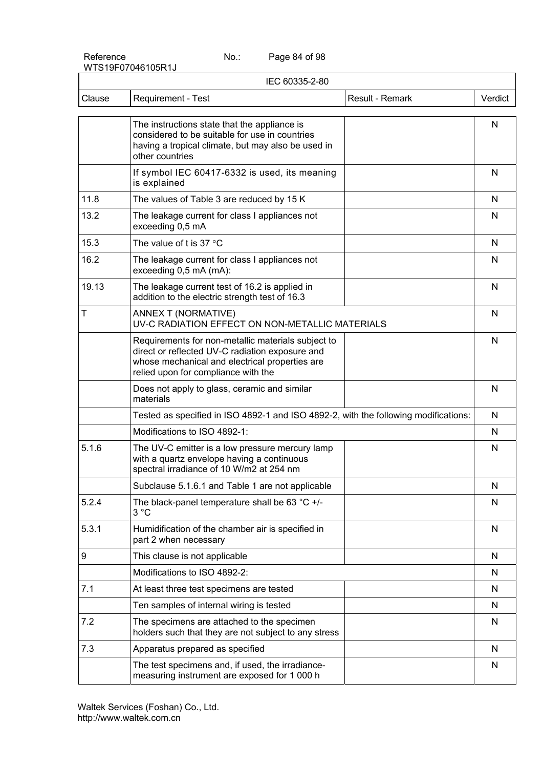Page 84 of 98

|        | IEC 60335-2-80                                                                                                                                                                                 |              |  |  |  |
|--------|------------------------------------------------------------------------------------------------------------------------------------------------------------------------------------------------|--------------|--|--|--|
| Clause | Requirement - Test<br>Result - Remark                                                                                                                                                          | Verdict      |  |  |  |
|        | The instructions state that the appliance is<br>considered to be suitable for use in countries<br>having a tropical climate, but may also be used in<br>other countries                        | N            |  |  |  |
|        | If symbol IEC 60417-6332 is used, its meaning<br>is explained                                                                                                                                  | N            |  |  |  |
| 11.8   | The values of Table 3 are reduced by 15 K                                                                                                                                                      | N            |  |  |  |
| 13.2   | The leakage current for class I appliances not<br>exceeding 0,5 mA                                                                                                                             | N            |  |  |  |
| 15.3   | The value of t is 37 $^{\circ}$ C                                                                                                                                                              | N            |  |  |  |
| 16.2   | The leakage current for class I appliances not<br>exceeding 0,5 mA (mA):                                                                                                                       | N            |  |  |  |
| 19.13  | The leakage current test of 16.2 is applied in<br>addition to the electric strength test of 16.3                                                                                               | N            |  |  |  |
| Τ      | ANNEX T (NORMATIVE)<br>UV-C RADIATION EFFECT ON NON-METALLIC MATERIALS                                                                                                                         | $\mathsf{N}$ |  |  |  |
|        | Requirements for non-metallic materials subject to<br>direct or reflected UV-C radiation exposure and<br>whose mechanical and electrical properties are<br>relied upon for compliance with the | N            |  |  |  |
|        | Does not apply to glass, ceramic and similar<br>materials                                                                                                                                      | N            |  |  |  |
|        | Tested as specified in ISO 4892-1 and ISO 4892-2, with the following modifications:                                                                                                            | N            |  |  |  |
|        | Modifications to ISO 4892-1:                                                                                                                                                                   | N            |  |  |  |
| 5.1.6  | The UV-C emitter is a low pressure mercury lamp<br>with a quartz envelope having a continuous<br>spectral irradiance of 10 W/m2 at 254 nm                                                      | N            |  |  |  |
|        | Subclause 5.1.6.1 and Table 1 are not applicable                                                                                                                                               | N            |  |  |  |
| 5.2.4  | The black-panel temperature shall be 63 $°C$ +/-<br>3 °C                                                                                                                                       | N            |  |  |  |
| 5.3.1  | Humidification of the chamber air is specified in<br>part 2 when necessary                                                                                                                     | N            |  |  |  |
| 9      | This clause is not applicable                                                                                                                                                                  | N            |  |  |  |
|        | Modifications to ISO 4892-2:                                                                                                                                                                   | N            |  |  |  |
| 7.1    | At least three test specimens are tested                                                                                                                                                       | N            |  |  |  |
|        | Ten samples of internal wiring is tested                                                                                                                                                       | N            |  |  |  |
| 7.2    | The specimens are attached to the specimen<br>holders such that they are not subject to any stress                                                                                             | N            |  |  |  |
| 7.3    | Apparatus prepared as specified                                                                                                                                                                | N            |  |  |  |
|        | The test specimens and, if used, the irradiance-<br>measuring instrument are exposed for 1 000 h                                                                                               | N            |  |  |  |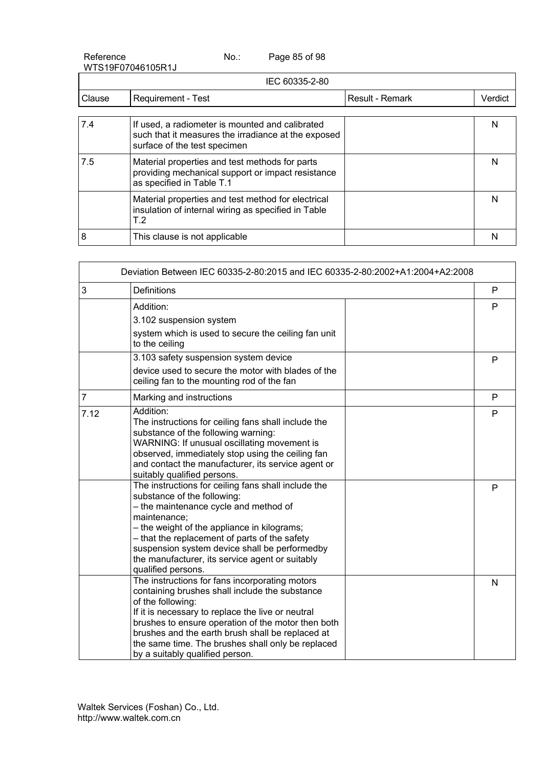Reference No.: WTS19F07046105R1J Page 85 of 98

|        | IEC 60335-2-80                                                                                                                         |                 |         |  |  |  |  |
|--------|----------------------------------------------------------------------------------------------------------------------------------------|-----------------|---------|--|--|--|--|
| Clause | Requirement - Test                                                                                                                     | Result - Remark | Verdict |  |  |  |  |
|        |                                                                                                                                        |                 |         |  |  |  |  |
| 7.4    | If used, a radiometer is mounted and calibrated<br>such that it measures the irradiance at the exposed<br>surface of the test specimen |                 | N       |  |  |  |  |
| 7.5    | Material properties and test methods for parts<br>providing mechanical support or impact resistance<br>as specified in Table T.1       |                 | N       |  |  |  |  |
|        | Material properties and test method for electrical<br>insulation of internal wiring as specified in Table<br>T <sub>.2</sub>           |                 | N       |  |  |  |  |
| 8      | This clause is not applicable                                                                                                          |                 |         |  |  |  |  |

|                | Deviation Between IEC 60335-2-80:2015 and IEC 60335-2-80:2002+A1:2004+A2:2008                                                                                                                                                                                                                                                                                                |   |
|----------------|------------------------------------------------------------------------------------------------------------------------------------------------------------------------------------------------------------------------------------------------------------------------------------------------------------------------------------------------------------------------------|---|
| 3              | <b>Definitions</b>                                                                                                                                                                                                                                                                                                                                                           | P |
|                | Addition:<br>3.102 suspension system<br>system which is used to secure the ceiling fan unit<br>to the ceiling                                                                                                                                                                                                                                                                | P |
|                | 3.103 safety suspension system device<br>device used to secure the motor with blades of the<br>ceiling fan to the mounting rod of the fan                                                                                                                                                                                                                                    | P |
| $\overline{7}$ | Marking and instructions                                                                                                                                                                                                                                                                                                                                                     | P |
| 7.12           | Addition:<br>The instructions for ceiling fans shall include the<br>substance of the following warning:<br>WARNING: If unusual oscillating movement is<br>observed, immediately stop using the ceiling fan<br>and contact the manufacturer, its service agent or<br>suitably qualified persons.                                                                              | P |
|                | The instructions for ceiling fans shall include the<br>substance of the following:<br>- the maintenance cycle and method of<br>maintenance;<br>- the weight of the appliance in kilograms;<br>- that the replacement of parts of the safety<br>suspension system device shall be performedby<br>the manufacturer, its service agent or suitably<br>qualified persons.        | P |
|                | The instructions for fans incorporating motors<br>containing brushes shall include the substance<br>of the following:<br>If it is necessary to replace the live or neutral<br>brushes to ensure operation of the motor then both<br>brushes and the earth brush shall be replaced at<br>the same time. The brushes shall only be replaced<br>by a suitably qualified person. | N |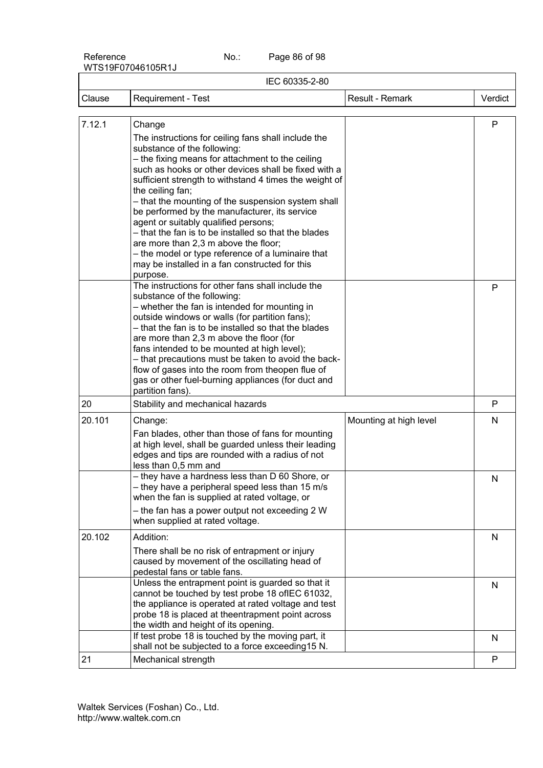Page 86 of 98

| IEC 60335-2-80 |                                                                                                                                                                                                                                                                                                                                                                                                                                                                                                                                                                                                                                                                                                                                                                                               |                        |         |  |  |
|----------------|-----------------------------------------------------------------------------------------------------------------------------------------------------------------------------------------------------------------------------------------------------------------------------------------------------------------------------------------------------------------------------------------------------------------------------------------------------------------------------------------------------------------------------------------------------------------------------------------------------------------------------------------------------------------------------------------------------------------------------------------------------------------------------------------------|------------------------|---------|--|--|
| Clause         | <b>Requirement - Test</b>                                                                                                                                                                                                                                                                                                                                                                                                                                                                                                                                                                                                                                                                                                                                                                     | Result - Remark        | Verdict |  |  |
|                |                                                                                                                                                                                                                                                                                                                                                                                                                                                                                                                                                                                                                                                                                                                                                                                               |                        |         |  |  |
| 7.12.1         | Change<br>The instructions for ceiling fans shall include the<br>substance of the following:<br>- the fixing means for attachment to the ceiling<br>such as hooks or other devices shall be fixed with a<br>sufficient strength to withstand 4 times the weight of<br>the ceiling fan;<br>- that the mounting of the suspension system shall<br>be performed by the manufacturer, its service<br>agent or suitably qualified persons;<br>- that the fan is to be installed so that the blades<br>are more than 2,3 m above the floor;<br>- the model or type reference of a luminaire that<br>may be installed in a fan constructed for this<br>purpose.<br>The instructions for other fans shall include the<br>substance of the following:<br>- whether the fan is intended for mounting in |                        | P<br>P  |  |  |
|                | outside windows or walls (for partition fans);<br>- that the fan is to be installed so that the blades<br>are more than 2,3 m above the floor (for<br>fans intended to be mounted at high level);<br>- that precautions must be taken to avoid the back-<br>flow of gases into the room from theopen flue of<br>gas or other fuel-burning appliances (for duct and<br>partition fans).                                                                                                                                                                                                                                                                                                                                                                                                        |                        |         |  |  |
| 20             | Stability and mechanical hazards                                                                                                                                                                                                                                                                                                                                                                                                                                                                                                                                                                                                                                                                                                                                                              |                        | P       |  |  |
| 20.101         | Change:<br>Fan blades, other than those of fans for mounting<br>at high level, shall be guarded unless their leading<br>edges and tips are rounded with a radius of not<br>less than 0,5 mm and                                                                                                                                                                                                                                                                                                                                                                                                                                                                                                                                                                                               | Mounting at high level | N       |  |  |
|                | - they have a hardness less than D 60 Shore, or<br>- they have a peripheral speed less than 15 m/s<br>when the fan is supplied at rated voltage, or<br>- the fan has a power output not exceeding 2 W<br>when supplied at rated voltage.                                                                                                                                                                                                                                                                                                                                                                                                                                                                                                                                                      |                        | N       |  |  |
| 20.102         | Addition:<br>There shall be no risk of entrapment or injury<br>caused by movement of the oscillating head of<br>pedestal fans or table fans.                                                                                                                                                                                                                                                                                                                                                                                                                                                                                                                                                                                                                                                  |                        | N       |  |  |
|                | Unless the entrapment point is guarded so that it<br>cannot be touched by test probe 18 of IEC 61032,<br>the appliance is operated at rated voltage and test<br>probe 18 is placed at theentrapment point across<br>the width and height of its opening.                                                                                                                                                                                                                                                                                                                                                                                                                                                                                                                                      |                        | N       |  |  |
|                | If test probe 18 is touched by the moving part, it<br>shall not be subjected to a force exceeding15 N.                                                                                                                                                                                                                                                                                                                                                                                                                                                                                                                                                                                                                                                                                        |                        | N       |  |  |
| 21             | Mechanical strength                                                                                                                                                                                                                                                                                                                                                                                                                                                                                                                                                                                                                                                                                                                                                                           |                        | P       |  |  |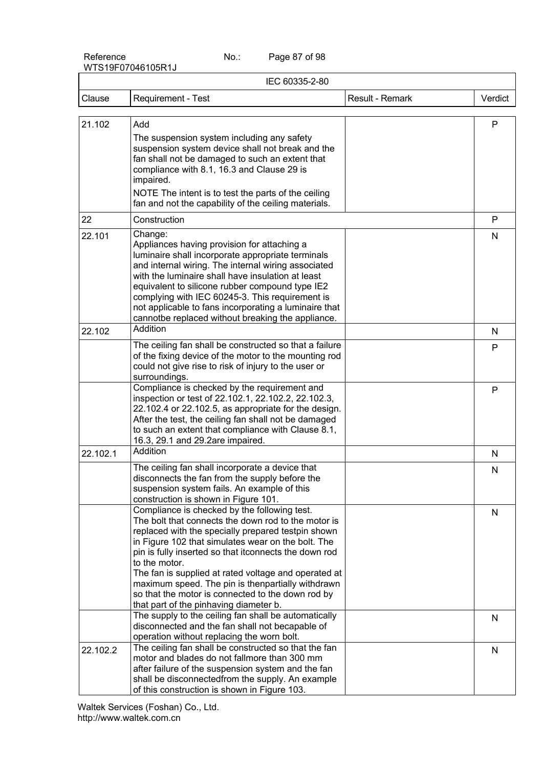Page 87 of 98

| IEC 60335-2-80 |                                                                                                                                                                                                                                                                                                                                                                                                                                                                                                                                                               |                 |         |  |  |
|----------------|---------------------------------------------------------------------------------------------------------------------------------------------------------------------------------------------------------------------------------------------------------------------------------------------------------------------------------------------------------------------------------------------------------------------------------------------------------------------------------------------------------------------------------------------------------------|-----------------|---------|--|--|
| Clause         | Requirement - Test                                                                                                                                                                                                                                                                                                                                                                                                                                                                                                                                            | Result - Remark | Verdict |  |  |
|                |                                                                                                                                                                                                                                                                                                                                                                                                                                                                                                                                                               |                 |         |  |  |
| 21.102         | Add<br>The suspension system including any safety<br>suspension system device shall not break and the<br>fan shall not be damaged to such an extent that<br>compliance with 8.1, 16.3 and Clause 29 is<br>impaired.<br>NOTE The intent is to test the parts of the ceiling<br>fan and not the capability of the ceiling materials.                                                                                                                                                                                                                            |                 | P       |  |  |
| 22             | Construction                                                                                                                                                                                                                                                                                                                                                                                                                                                                                                                                                  |                 | P       |  |  |
| 22.101         | Change:<br>Appliances having provision for attaching a<br>luminaire shall incorporate appropriate terminals<br>and internal wiring. The internal wiring associated<br>with the luminaire shall have insulation at least<br>equivalent to silicone rubber compound type IE2<br>complying with IEC 60245-3. This requirement is<br>not applicable to fans incorporating a luminaire that<br>cannotbe replaced without breaking the appliance.                                                                                                                   |                 | N       |  |  |
| 22.102         | Addition                                                                                                                                                                                                                                                                                                                                                                                                                                                                                                                                                      |                 | N       |  |  |
|                | The ceiling fan shall be constructed so that a failure<br>of the fixing device of the motor to the mounting rod<br>could not give rise to risk of injury to the user or<br>surroundings.                                                                                                                                                                                                                                                                                                                                                                      |                 | P       |  |  |
|                | Compliance is checked by the requirement and<br>inspection or test of 22.102.1, 22.102.2, 22.102.3,<br>22.102.4 or 22.102.5, as appropriate for the design.<br>After the test, the ceiling fan shall not be damaged<br>to such an extent that compliance with Clause 8.1,<br>16.3, 29.1 and 29.2are impaired.                                                                                                                                                                                                                                                 |                 | P       |  |  |
| 22.102.1       | Addition                                                                                                                                                                                                                                                                                                                                                                                                                                                                                                                                                      |                 | N       |  |  |
|                | The ceiling fan shall incorporate a device that<br>disconnects the fan from the supply before the<br>suspension system fails. An example of this<br>construction is shown in Figure 101.                                                                                                                                                                                                                                                                                                                                                                      |                 | N       |  |  |
|                | Compliance is checked by the following test.<br>The bolt that connects the down rod to the motor is<br>replaced with the specially prepared testpin shown<br>in Figure 102 that simulates wear on the bolt. The<br>pin is fully inserted so that itconnects the down rod<br>to the motor.<br>The fan is supplied at rated voltage and operated at<br>maximum speed. The pin is thenpartially withdrawn<br>so that the motor is connected to the down rod by<br>that part of the pinhaving diameter b.<br>The supply to the ceiling fan shall be automatically |                 | N<br>N  |  |  |
|                | disconnected and the fan shall not becapable of<br>operation without replacing the worn bolt.                                                                                                                                                                                                                                                                                                                                                                                                                                                                 |                 |         |  |  |
| 22.102.2       | The ceiling fan shall be constructed so that the fan<br>motor and blades do not fallmore than 300 mm<br>after failure of the suspension system and the fan<br>shall be disconnectedfrom the supply. An example<br>of this construction is shown in Figure 103.                                                                                                                                                                                                                                                                                                |                 | N       |  |  |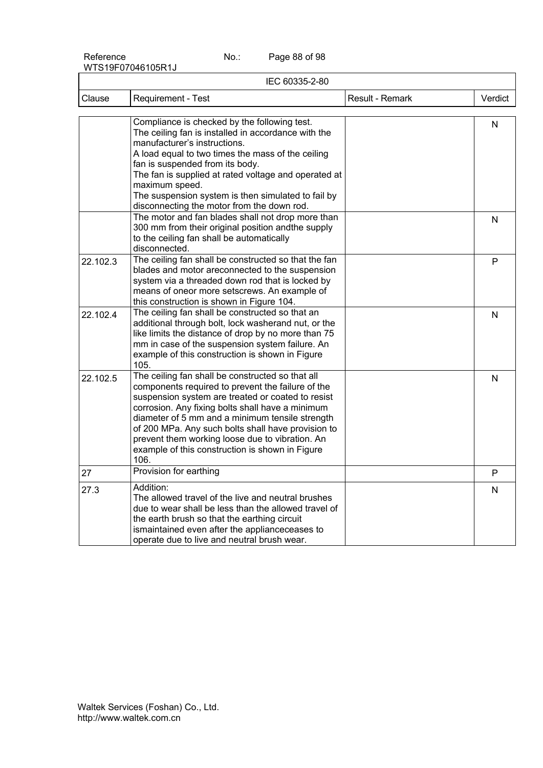Page 88 of 98

| IEC 60335-2-80 |                                                                                                                                                                                                                                                                                                                                                                                                                                       |                 |         |  |  |
|----------------|---------------------------------------------------------------------------------------------------------------------------------------------------------------------------------------------------------------------------------------------------------------------------------------------------------------------------------------------------------------------------------------------------------------------------------------|-----------------|---------|--|--|
| Clause         | Requirement - Test                                                                                                                                                                                                                                                                                                                                                                                                                    | Result - Remark | Verdict |  |  |
|                | Compliance is checked by the following test.<br>The ceiling fan is installed in accordance with the<br>manufacturer's instructions.<br>A load equal to two times the mass of the ceiling<br>fan is suspended from its body.<br>The fan is supplied at rated voltage and operated at<br>maximum speed.<br>The suspension system is then simulated to fail by<br>disconnecting the motor from the down rod.                             |                 | N       |  |  |
|                | The motor and fan blades shall not drop more than<br>300 mm from their original position andthe supply<br>to the ceiling fan shall be automatically<br>disconnected.                                                                                                                                                                                                                                                                  |                 | N       |  |  |
| 22.102.3       | The ceiling fan shall be constructed so that the fan<br>blades and motor areconnected to the suspension<br>system via a threaded down rod that is locked by<br>means of oneor more setscrews. An example of<br>this construction is shown in Figure 104.                                                                                                                                                                              |                 | P       |  |  |
| 22.102.4       | The ceiling fan shall be constructed so that an<br>additional through bolt, lock washerand nut, or the<br>like limits the distance of drop by no more than 75<br>mm in case of the suspension system failure. An<br>example of this construction is shown in Figure<br>105.                                                                                                                                                           |                 | N       |  |  |
| 22.102.5       | The ceiling fan shall be constructed so that all<br>components required to prevent the failure of the<br>suspension system are treated or coated to resist<br>corrosion. Any fixing bolts shall have a minimum<br>diameter of 5 mm and a minimum tensile strength<br>of 200 MPa. Any such bolts shall have provision to<br>prevent them working loose due to vibration. An<br>example of this construction is shown in Figure<br>106. |                 | N       |  |  |
| 27             | Provision for earthing                                                                                                                                                                                                                                                                                                                                                                                                                |                 | P       |  |  |
| 27.3           | Addition:<br>The allowed travel of the live and neutral brushes<br>due to wear shall be less than the allowed travel of<br>the earth brush so that the earthing circuit<br>ismaintained even after the applianceceases to<br>operate due to live and neutral brush wear.                                                                                                                                                              |                 | N       |  |  |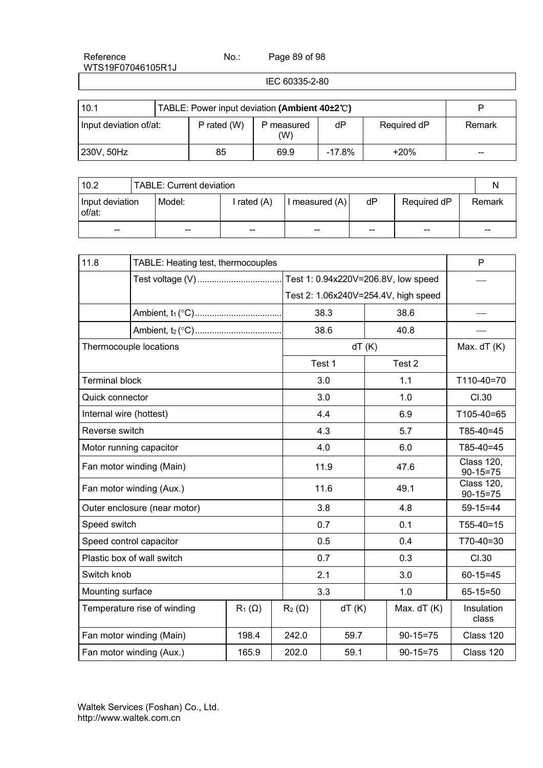Page 89 of 98

IEC 60335-2-80

| 10.1                   |  | TABLE: Power input deviation (Ambient 40±2°C) |                 |           |             |        |  |
|------------------------|--|-----------------------------------------------|-----------------|-----------|-------------|--------|--|
| Input deviation of/at: |  | P rated (W)                                   | measured<br>(W) | dP        | Required dP | Remark |  |
| 230V, 50Hz             |  | 85                                            | 69.9            | $-17.8\%$ | $+20%$      | $- -$  |  |

| 10.2<br><b>TABLE: Current deviation</b> |  |        |           |              |       |             |  |        |
|-----------------------------------------|--|--------|-----------|--------------|-------|-------------|--|--------|
| Input deviation<br>of/at:               |  | Model: | rated (A) | measured (A) | dP    | Required dP |  | Remark |
| $- -$                                   |  | $- -$  | $- -$     | $- -$        | $- -$ | --          |  | $- -$  |

| 11.8                    | TABLE: Heating test, thermocouples                                     |       | P            |                                      |       |                |                                     |
|-------------------------|------------------------------------------------------------------------|-------|--------------|--------------------------------------|-------|----------------|-------------------------------------|
|                         | Test voltage (V)                                                       |       |              | Test 1: 0.94x220V=206.8V, low speed  |       |                |                                     |
|                         |                                                                        |       |              | Test 2: 1.06x240V=254.4V, high speed |       |                |                                     |
|                         |                                                                        |       |              | 38.3                                 |       | 38.6           |                                     |
|                         |                                                                        |       |              | 38.6                                 |       | 40.8           |                                     |
|                         | Thermocouple locations                                                 |       |              |                                      | dT(K) |                | Max. $dT(K)$                        |
|                         |                                                                        |       |              | Test 1                               |       | Test 2         |                                     |
| <b>Terminal block</b>   |                                                                        |       |              | 3.0                                  |       | 1.1            | T110-40=70                          |
| Quick connector         |                                                                        |       |              | 3.0                                  |       | 1.0            | CI.30                               |
| Internal wire (hottest) |                                                                        |       |              | 4.4                                  |       | 6.9            | T105-40=65                          |
| Reverse switch          |                                                                        |       |              | 4.3                                  |       | 5.7            | $T85-40=45$                         |
|                         | Motor running capacitor                                                |       |              | 4.0                                  |       | 6.0            | $T85-40=45$                         |
|                         | Fan motor winding (Main)                                               |       |              | 11.9                                 |       | 47.6           | <b>Class 120,</b><br>$90 - 15 = 75$ |
|                         | Fan motor winding (Aux.)                                               |       |              | 11.6                                 |       | 49.1           | <b>Class 120,</b><br>$90 - 15 = 75$ |
|                         | Outer enclosure (near motor)                                           |       |              | 3.8                                  |       | 4.8            | $59-15=44$                          |
| Speed switch            |                                                                        |       |              | 0.7                                  |       | 0.1            | $T55-40=15$                         |
|                         | Speed control capacitor                                                |       |              | 0.5                                  |       | 0.4            | T70-40=30                           |
|                         | Plastic box of wall switch                                             |       |              | 0.7                                  |       | 0.3            | CI.30                               |
|                         | Switch knob                                                            |       |              | 2.1                                  |       | 3.0            | $60 - 15 = 45$                      |
| Mounting surface        |                                                                        |       |              | 3.3                                  |       | 1.0            | $65 - 15 = 50$                      |
|                         | Temperature rise of winding<br>$R_1(\Omega)$<br>$R_2(\Omega)$<br>dT(K) |       | Max. $dT(K)$ | Insulation<br>class                  |       |                |                                     |
|                         | Fan motor winding (Main)                                               | 198.4 | 242.0        | 59.7                                 |       | $90 - 15 = 75$ | Class 120                           |
|                         | Fan motor winding (Aux.)                                               | 165.9 | 202.0        | 59.1                                 |       | $90-15=75$     | Class 120                           |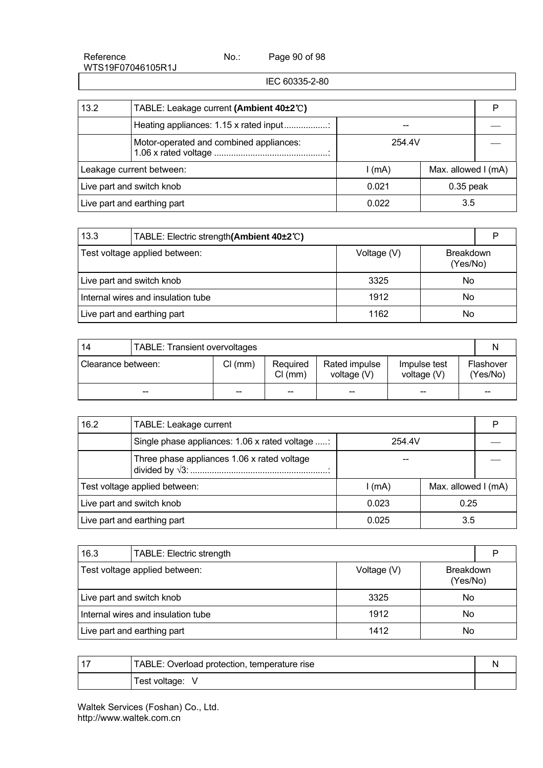Page 90 of 98

IEC 60335-2-80

| 13.2                        | TABLE: Leakage current (Ambient 40±2°C) |          |                     |  |  |
|-----------------------------|-----------------------------------------|----------|---------------------|--|--|
|                             | Heating appliances: 1.15 x rated input  |          |                     |  |  |
|                             | Motor-operated and combined appliances: | 254.4V   |                     |  |  |
| Leakage current between:    |                                         | $l$ (mA) | Max. allowed I (mA) |  |  |
| Live part and switch knob   |                                         | 0.021    | $0.35$ peak         |  |  |
| Live part and earthing part |                                         | 0.022    | 3.5                 |  |  |

| 13.3                               | TABLE: Electric strength(Ambient 40±2°C) |             |                              |  |  |
|------------------------------------|------------------------------------------|-------------|------------------------------|--|--|
|                                    | Test voltage applied between:            | Voltage (V) | <b>Breakdown</b><br>(Yes/No) |  |  |
|                                    | Live part and switch knob                | 3325        | No                           |  |  |
| Internal wires and insulation tube |                                          | 1912        | No                           |  |  |
|                                    | Live part and earthing part              | 1162        | No                           |  |  |

| 14                 | TABLE: Transient overvoltages |         |                     |                                |                             |                       |  |
|--------------------|-------------------------------|---------|---------------------|--------------------------------|-----------------------------|-----------------------|--|
| Clearance between: |                               | Cl (mm) | Required<br>Cl (mm) | Rated impulse<br>voltage $(V)$ | Impulse test<br>voltage (V) | Flashover<br>(Yes/No) |  |
|                    | --                            | --      | --                  | --                             | $-$                         | $- -$                 |  |

| 16.2                          | TABLE: Leakage current                                    |          |                     |  |  |
|-------------------------------|-----------------------------------------------------------|----------|---------------------|--|--|
|                               | Single phase appliances: 1.06 x rated voltage :<br>254.4V |          |                     |  |  |
|                               | Three phase appliances 1.06 x rated voltage               |          |                     |  |  |
| Test voltage applied between: |                                                           | $l$ (mA) | Max. allowed I (mA) |  |  |
| Live part and switch knob     |                                                           | 0.023    | 0.25                |  |  |
| Live part and earthing part   |                                                           | 0.025    | 3.5                 |  |  |

| 16.3                               | <b>TABLE: Electric strength</b> |             |                              | D |
|------------------------------------|---------------------------------|-------------|------------------------------|---|
| Test voltage applied between:      |                                 | Voltage (V) | <b>Breakdown</b><br>(Yes/No) |   |
|                                    | Live part and switch knob       | 3325        | No                           |   |
| Internal wires and insulation tube |                                 | 1912        | No                           |   |
|                                    | Live part and earthing part     | 1412        | No                           |   |

| $-1$ | TABLE: Overload protection, temperature rise |  |
|------|----------------------------------------------|--|
|      | Test voltage:                                |  |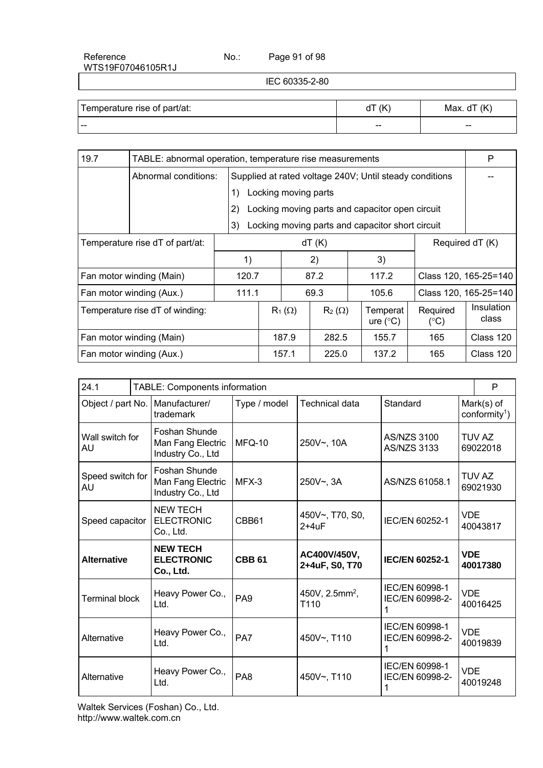Page 91 of 98

IEC 60335-2-80

| Temperature rise of part/at: | (K<br>u | Max. $dT(K)$ |
|------------------------------|---------|--------------|
| ---                          | --      | $- -$        |

| 19.7                            | TABLE: abnormal operation, temperature rise measurements |       |       |                      |               |       | P                                                       |                           |                       |
|---------------------------------|----------------------------------------------------------|-------|-------|----------------------|---------------|-------|---------------------------------------------------------|---------------------------|-----------------------|
|                                 | Abnormal conditions:                                     |       |       |                      |               |       | Supplied at rated voltage 240V; Until steady conditions |                           |                       |
|                                 |                                                          | 1)    |       | Locking moving parts |               |       |                                                         |                           |                       |
|                                 |                                                          | 2)    |       |                      |               |       | Locking moving parts and capacitor open circuit         |                           |                       |
|                                 |                                                          | 3)    |       |                      |               |       | Locking moving parts and capacitor short circuit        |                           |                       |
|                                 | Temperature rise dT of part/at:                          |       | dT(K) |                      |               |       |                                                         | Required dT (K)           |                       |
|                                 |                                                          | 1)    |       |                      | 2)            |       | 3)                                                      |                           |                       |
|                                 | Fan motor winding (Main)                                 |       | 120.7 |                      | 87.2          |       | 117.2                                                   |                           | Class 120, 165-25=140 |
|                                 | Fan motor winding (Aux.)                                 | 111.1 | 69.3  |                      |               | 105.6 |                                                         | Class 120, 165-25=140     |                       |
| Temperature rise dT of winding: |                                                          |       |       | $R_1(\Omega)$        | $R_2(\Omega)$ |       | Temperat<br>ure $(^{\circ}C)$                           | Required<br>$(^{\circ}C)$ | Insulation<br>class   |
| Fan motor winding (Main)        |                                                          |       |       | 187.9                | 282.5         |       | 155.7                                                   | 165                       | Class 120             |
|                                 | Fan motor winding (Aux.)                                 |       |       | 157.1                | 225.0         |       | 137.2                                                   | 165                       | Class 120             |

| 24.1                   |  | TABLE: Components information                           |                 |                                    |                                          |            |                                         |
|------------------------|--|---------------------------------------------------------|-----------------|------------------------------------|------------------------------------------|------------|-----------------------------------------|
| Object / part No.      |  | Manufacturer/<br>trademark                              | Type / model    | <b>Technical data</b>              | Standard                                 |            | Mark(s) of<br>conformity <sup>1</sup> ) |
| Wall switch for<br>AU  |  | Foshan Shunde<br>Man Fang Electric<br>Industry Co., Ltd | MFQ-10          | 250V~, 10A                         | <b>AS/NZS 3100</b><br><b>AS/NZS 3133</b> |            | TUV AZ<br>69022018                      |
| Speed switch for<br>AU |  | Foshan Shunde<br>Man Fang Electric<br>Industry Co., Ltd | $MFX-3$         | 250V~, 3A                          | AS/NZS 61058.1                           |            | TUV AZ<br>69021930                      |
| Speed capacitor        |  | <b>NEW TECH</b><br><b>ELECTRONIC</b><br>Co., Ltd.       | CBB61           | 450V~, T70, S0,<br>$2+4uF$         | IEC/EN 60252-1                           | <b>VDE</b> | 40043817                                |
| <b>Alternative</b>     |  | <b>NEW TECH</b><br><b>ELECTRONIC</b><br>Co., Ltd.       | <b>CBB 61</b>   | AC400V/450V,<br>2+4uF, S0, T70     | <b>IEC/EN 60252-1</b>                    | <b>VDE</b> | 40017380                                |
| <b>Terminal block</b>  |  | Heavy Power Co.,<br>Ltd.                                | PA <sub>9</sub> | 450V, 2.5mm <sup>2</sup> ,<br>T110 | IEC/EN 60998-1<br>IEC/EN 60998-2-<br>1   | <b>VDE</b> | 40016425                                |
| Alternative            |  | Heavy Power Co.,<br>Ltd.                                | PA7             | 450V~, T110                        | IEC/EN 60998-1<br>IEC/EN 60998-2-<br>1   | <b>VDF</b> | 40019839                                |
| Alternative            |  | Heavy Power Co.,<br>Ltd.                                | PA <sub>8</sub> | 450V~, T110                        | IEC/EN 60998-1<br>IEC/EN 60998-2-<br>1   | <b>VDE</b> | 40019248                                |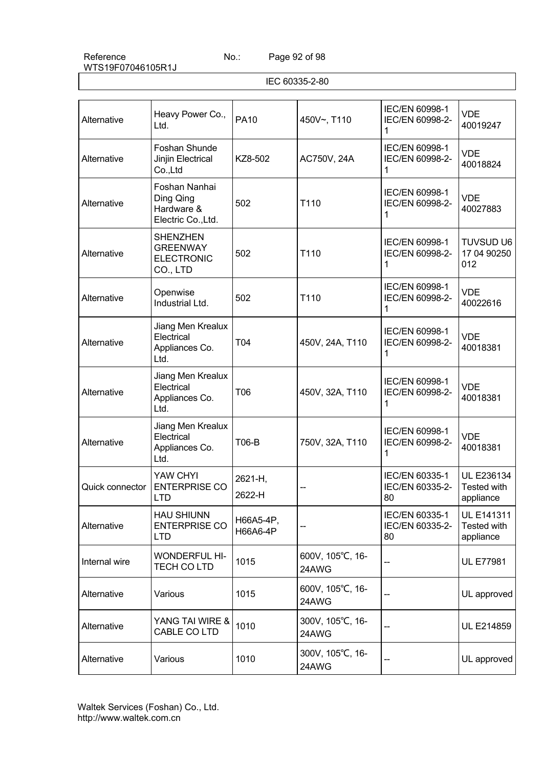Page 92 of 98

| Alternative     | Heavy Power Co.,<br>Ltd.                                            | <b>PA10</b>           | 450V~, T110               | IEC/EN 60998-1<br>IEC/EN 60998-2-<br>1  | <b>VDE</b><br>40019247                        |
|-----------------|---------------------------------------------------------------------|-----------------------|---------------------------|-----------------------------------------|-----------------------------------------------|
| Alternative     | Foshan Shunde<br>Jinjin Electrical<br>Co.,Ltd                       | KZ8-502               | AC750V, 24A               | IEC/EN 60998-1<br>IEC/EN 60998-2-<br>1  | <b>VDE</b><br>40018824                        |
| Alternative     | Foshan Nanhai<br>Ding Qing<br>Hardware &<br>Electric Co., Ltd.      | 502                   | T110                      | IEC/EN 60998-1<br>IEC/EN 60998-2-<br>1  | <b>VDE</b><br>40027883                        |
| Alternative     | <b>SHENZHEN</b><br><b>GREENWAY</b><br><b>ELECTRONIC</b><br>CO., LTD | 502                   | T110                      | IEC/EN 60998-1<br>IEC/EN 60998-2-<br>1  | <b>TUVSUD U6</b><br>17 04 90250<br>012        |
| Alternative     | Openwise<br>Industrial Ltd.                                         | 502                   | T110                      | IEC/EN 60998-1<br>IEC/EN 60998-2-<br>1  | <b>VDE</b><br>40022616                        |
| Alternative     | Jiang Men Krealux<br>Electrical<br>Appliances Co.<br>Ltd.           | T04                   | 450V, 24A, T110           | IEC/EN 60998-1<br>IEC/EN 60998-2-<br>1  | <b>VDE</b><br>40018381                        |
| Alternative     | Jiang Men Krealux<br>Electrical<br>Appliances Co.<br>Ltd.           | T06                   | 450V, 32A, T110           | IEC/EN 60998-1<br>IEC/EN 60998-2-<br>1  | <b>VDE</b><br>40018381                        |
| Alternative     | Jiang Men Krealux<br>Electrical<br>Appliances Co.<br>Ltd.           | <b>T06-B</b>          | 750V, 32A, T110           | IEC/EN 60998-1<br>IEC/EN 60998-2-<br>1  | <b>VDE</b><br>40018381                        |
| Quick connector | YAW CHYI<br><b>ENTERPRISE CO</b><br><b>LTD</b>                      | 2621-H,<br>2622-H     |                           | IEC/EN 60335-1<br>IEC/EN 60335-2-<br>80 | UL E236134<br>Tested with<br>appliance        |
| Alternative     | <b>HAU SHIUNN</b><br><b>ENTERPRISE CO</b><br>LTD                    | H66A5-4P,<br>H66A6-4P |                           | IEC/EN 60335-1<br>IEC/EN 60335-2-<br>80 | <b>UL E141311</b><br>Tested with<br>appliance |
| Internal wire   | <b>WONDERFUL HI-</b><br>TECH CO LTD                                 | 1015                  | 600V, 105°C, 16-<br>24AWG |                                         | <b>UL E77981</b>                              |
| Alternative     | Various                                                             | 1015                  | 600V, 105°C, 16-<br>24AWG |                                         | UL approved                                   |
| Alternative     | YANG TAI WIRE &<br>CABLE CO LTD                                     | 1010                  | 300V, 105°C, 16-<br>24AWG |                                         | <b>UL E214859</b>                             |
| Alternative     | Various                                                             | 1010                  | 300V, 105°C, 16-<br>24AWG |                                         | UL approved                                   |

IEC 60335-2-80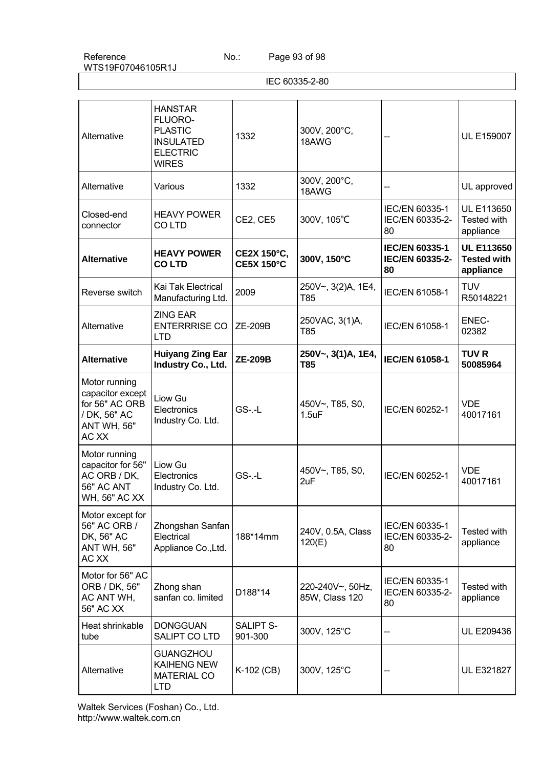Page 93 of 98

IEC 60335-2-80

| Alternative                                                                                        | <b>HANSTAR</b><br>FLUORO-<br><b>PLASTIC</b><br><b>INSULATED</b><br><b>ELECTRIC</b><br><b>WIRES</b> | 1332                             | 300V, 200°C,<br>18AWG              |                                                | <b>UL E159007</b>                                    |
|----------------------------------------------------------------------------------------------------|----------------------------------------------------------------------------------------------------|----------------------------------|------------------------------------|------------------------------------------------|------------------------------------------------------|
| Alternative                                                                                        | Various                                                                                            | 1332                             | 300V, 200°C,<br>18AWG              |                                                | UL approved                                          |
| Closed-end<br>connector                                                                            | <b>HEAVY POWER</b><br><b>COLTD</b>                                                                 | CE2, CE5                         | 300V, 105°C                        | IEC/EN 60335-1<br>IEC/EN 60335-2-<br>80        | <b>UL E113650</b><br>Tested with<br>appliance        |
| <b>Alternative</b>                                                                                 | <b>HEAVY POWER</b><br><b>COLTD</b>                                                                 | CE2X 150°C,<br><b>CE5X 150°C</b> | 300V, 150°C                        | <b>IEC/EN 60335-1</b><br>IEC/EN 60335-2-<br>80 | <b>UL E113650</b><br><b>Tested with</b><br>appliance |
| Reverse switch                                                                                     | Kai Tak Electrical<br>Manufacturing Ltd.                                                           | 2009                             | 250V~, 3(2)A, 1E4,<br>T85          | IEC/EN 61058-1                                 | <b>TUV</b><br>R50148221                              |
| Alternative                                                                                        | <b>ZING EAR</b><br><b>ENTERRRISE CO</b><br><b>LTD</b>                                              | <b>ZE-209B</b>                   | 250VAC, 3(1)A,<br>T85              | IEC/EN 61058-1                                 | ENEC-<br>02382                                       |
| <b>Alternative</b>                                                                                 | <b>Huiyang Zing Ear</b><br>Industry Co., Ltd.                                                      | <b>ZE-209B</b>                   | 250V~, 3(1)A, 1E4,<br>T85          | <b>IEC/EN 61058-1</b>                          | <b>TUV R</b><br>50085964                             |
| Motor running<br>capacitor except<br>for 56" AC ORB<br>/ DK, 56" AC<br><b>ANT WH, 56"</b><br>AC XX | Liow Gu<br>Electronics<br>Industry Co. Ltd.                                                        | $GS$ -.-L                        | 450V~, T85, S0,<br>1.5uF           | IEC/EN 60252-1                                 | <b>VDE</b><br>40017161                               |
| Motor running<br>capacitor for 56"<br>AC ORB / DK,<br>56" AC ANT<br>WH, 56" AC XX                  | Liow Gu<br>Electronics<br>Industry Co. Ltd.                                                        | $GS$ -.-L                        | 450V~, T85, S0,<br>2uF             | IEC/EN 60252-1                                 | <b>VDE</b><br>40017161                               |
| Motor except for<br>56" AC ORB /<br>DK, 56" AC<br><b>ANT WH, 56"</b><br>AC XX                      | Zhongshan Sanfan<br>Electrical<br>Appliance Co., Ltd.                                              | 188*14mm                         | 240V, 0.5A, Class<br>120(E)        | IEC/EN 60335-1<br>IEC/EN 60335-2-<br>80        | Tested with<br>appliance                             |
| Motor for 56" AC<br>ORB / DK, 56"<br>AC ANT WH,<br><b>56" AC XX</b>                                | Zhong shan<br>sanfan co. limited                                                                   | D188*14                          | 220-240V~, 50Hz,<br>85W, Class 120 | IEC/EN 60335-1<br>IEC/EN 60335-2-<br>80        | Tested with<br>appliance                             |
| Heat shrinkable<br>tube                                                                            | <b>DONGGUAN</b><br>SALIPT CO LTD                                                                   | <b>SALIPT S-</b><br>901-300      | 300V, 125°C                        |                                                | UL E209436                                           |
| Alternative                                                                                        | <b>GUANGZHOU</b><br><b>KAIHENG NEW</b><br><b>MATERIAL CO</b><br><b>LTD</b>                         | K-102 (CB)                       | 300V, 125°C                        |                                                | <b>UL E321827</b>                                    |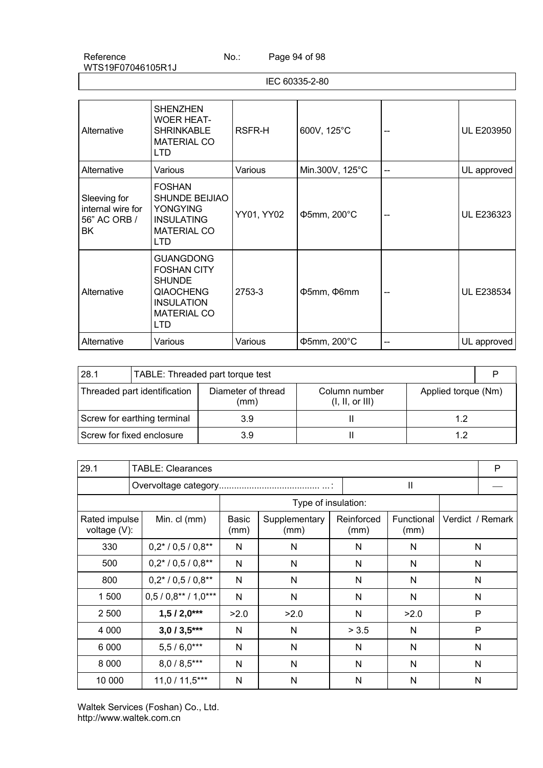Page 94 of 98

IEC 60335-2-80

| Alternative                                             | <b>SHENZHEN</b><br><b>WOER HEAT-</b><br><b>SHRINKABLE</b><br><b>MATERIAL CO</b><br>LTD                                        | RSFR-H     | 600V, 125°C     | -- | <b>UL E203950</b> |
|---------------------------------------------------------|-------------------------------------------------------------------------------------------------------------------------------|------------|-----------------|----|-------------------|
| Alternative                                             | Various                                                                                                                       | Various    | Min.300V, 125°C |    | UL approved       |
| Sleeving for<br>internal wire for<br>56" AC ORB /<br>BK | <b>FOSHAN</b><br><b>SHUNDE BEIJIAO</b><br><b>YONGYING</b><br><b>INSULATING</b><br><b>MATERIAL CO</b><br><b>LTD</b>            | YY01, YY02 | Ф5mm, 200°С     |    | UL E236323        |
| Alternative                                             | <b>GUANGDONG</b><br><b>FOSHAN CITY</b><br><b>SHUNDE</b><br><b>QIAOCHENG</b><br><b>INSULATION</b><br><b>MATERIAL CO</b><br>LTD | 2753-3     | Ф5mm, Ф6mm      | -- | <b>UL E238534</b> |
| Alternative                                             | Various                                                                                                                       | Various    | Ф5mm, 200°С     |    | UL approved       |

| 28.1                        | TABLE: Threaded part torque test |                            |                                 |                     |  |
|-----------------------------|----------------------------------|----------------------------|---------------------------------|---------------------|--|
|                             | Threaded part identification     | Diameter of thread<br>(mm) | Column number<br>(l, ll, or ll) | Applied torque (Nm) |  |
| Screw for earthing terminal |                                  | 3.9                        |                                 | 1.2                 |  |
| Screw for fixed enclosure   |                                  | 3.9                        |                                 | 12                  |  |

| 29.1                          | <b>TABLE: Clearances</b>     |               |                       |                    |                    |              |                  |
|-------------------------------|------------------------------|---------------|-----------------------|--------------------|--------------------|--------------|------------------|
|                               |                              |               |                       |                    | $\mathbf{I}$       |              |                  |
|                               |                              |               | Type of insulation:   |                    |                    |              |                  |
| Rated impulse<br>voltage (V): | Min. cl (mm)                 | Basic<br>(mm) | Supplementary<br>(mm) | Reinforced<br>(mm) | Functional<br>(mm) |              | Verdict / Remark |
| 330                           | $0.2* / 0.5 / 0.8**$         | N             | N                     | N                  | N                  | $\mathsf{N}$ |                  |
| 500                           | $0,2^*$ / $0,5$ / $0,8^{**}$ | N             | N                     | N                  | N                  | N            |                  |
| 800                           | $0,2^*$ / $0,5$ / $0,8^{**}$ | N             | N                     | N                  | N                  | N            |                  |
| 1 500                         | $0.5 / 0.8** / 1.0***$       | N             | N                     | N                  | N                  | N            |                  |
| 2 500                         | $1,5/2,0***$                 | >2.0          | >2.0                  | N                  | >2.0               | $\mathsf{P}$ |                  |
| 4 0 0 0                       | $3,0/3,5***$                 | N             | N                     | > 3.5              | N                  | P            |                  |
| 6 0 0 0                       | $5,5/6,0***$                 | N             | N                     | N                  | N                  | $\mathsf{N}$ |                  |
| 8 0 0 0                       | $8,0/8,5***$                 | N             | N                     | N                  | N                  | $\mathsf{N}$ |                  |
| 10 000                        | $11,0/11,5***$               | N             | N                     | N                  | N                  | N            |                  |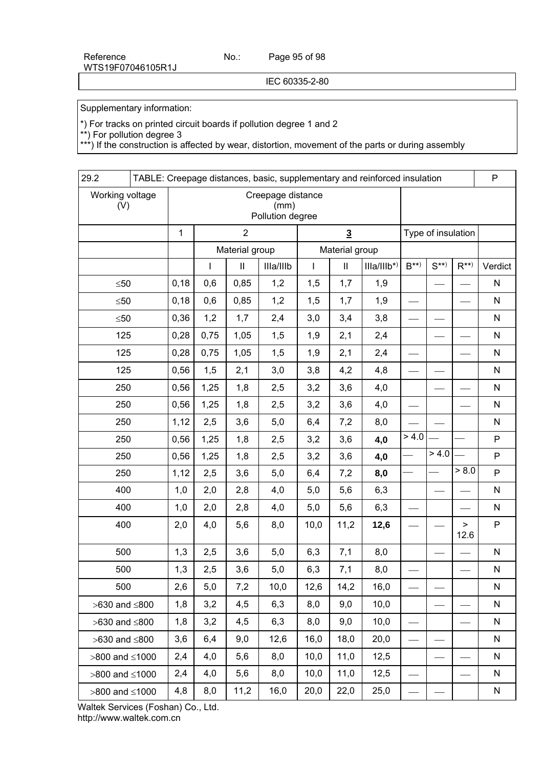IEC 60335-2-80

Supplementary information:

\*) For tracks on printed circuit boards if pollution degree 1 and 2

\*\*) For pollution degree 3

\*\*\*) If the construction is affected by wear, distortion, movement of the parts or during assembly

| 29.2                   |                                               |              |                |           |             |                            | TABLE: Creepage distances, basic, supplementary and reinforced insulation |                    |          |              | P            |
|------------------------|-----------------------------------------------|--------------|----------------|-----------|-------------|----------------------------|---------------------------------------------------------------------------|--------------------|----------|--------------|--------------|
| Working voltage<br>(V) | Creepage distance<br>(mm)<br>Pollution degree |              |                |           |             |                            |                                                                           |                    |          |              |              |
|                        | $\mathbf{1}$                                  |              | $\overline{2}$ |           |             | $\overline{3}$             |                                                                           | Type of insulation |          |              |              |
|                        |                                               |              | Material group |           |             | Material group             |                                                                           |                    |          |              |              |
|                        |                                               | $\mathbf{I}$ | $\mathbf{II}$  | Illa/Illb | $\mathsf I$ | $\ensuremath{\mathsf{II}}$ | $IIIa/IIIb*$                                                              | $B^{**}$           | $S^{**}$ | $R^{**}$     | Verdict      |
| $\leq 50$              | 0,18                                          | 0,6          | 0,85           | 1,2       | 1,5         | 1,7                        | 1,9                                                                       |                    |          |              | ${\sf N}$    |
| $\leq 50$              | 0,18                                          | 0,6          | 0,85           | 1,2       | 1,5         | 1,7                        | 1,9                                                                       |                    |          |              | ${\sf N}$    |
| $\leq 50$              | 0,36                                          | 1,2          | 1,7            | 2,4       | 3,0         | 3,4                        | 3,8                                                                       |                    |          |              | ${\sf N}$    |
| 125                    | 0,28                                          | 0,75         | 1,05           | 1,5       | 1,9         | 2,1                        | 2,4                                                                       |                    |          |              | ${\sf N}$    |
| 125                    | 0,28                                          | 0,75         | 1,05           | 1,5       | 1,9         | 2,1                        | 2,4                                                                       |                    |          |              | ${\sf N}$    |
| 125                    | 0,56                                          | 1,5          | 2,1            | 3,0       | 3,8         | 4,2                        | 4,8                                                                       |                    |          |              | $\mathsf{N}$ |
| 250                    | 0,56                                          | 1,25         | 1,8            | 2,5       | 3,2         | 3,6                        | 4,0                                                                       |                    |          |              | ${\sf N}$    |
| 250                    | 0,56                                          | 1,25         | 1,8            | 2,5       | 3,2         | 3,6                        | 4,0                                                                       |                    |          |              | ${\sf N}$    |
| 250                    | 1,12                                          | 2,5          | 3,6            | 5,0       | 6,4         | 7,2                        | 8,0                                                                       |                    |          |              | ${\sf N}$    |
| 250                    | 0,56                                          | 1,25         | 1,8            | 2,5       | 3,2         | 3,6                        | 4,0                                                                       | > 4.0              |          |              | ${\sf P}$    |
| 250                    | 0,56                                          | 1,25         | 1,8            | 2,5       | 3,2         | 3,6                        | 4,0                                                                       |                    | > 4.0    |              | $\mathsf{P}$ |
| 250                    | 1,12                                          | 2,5          | 3,6            | 5,0       | 6,4         | 7,2                        | 8,0                                                                       |                    |          | > 8.0        | ${\sf P}$    |
| 400                    | 1,0                                           | 2,0          | 2,8            | 4,0       | 5,0         | 5,6                        | 6,3                                                                       |                    |          |              | N            |
| 400                    | 1,0                                           | 2,0          | 2,8            | 4,0       | 5,0         | 5,6                        | 6,3                                                                       |                    |          |              | ${\sf N}$    |
| 400                    | 2,0                                           | 4,0          | 5,6            | 8,0       | 10,0        | 11,2                       | 12,6                                                                      |                    |          | $\,$<br>12.6 | $\mathsf{P}$ |
| 500                    | 1,3                                           | 2,5          | 3,6            | 5,0       | 6,3         | 7,1                        | 8,0                                                                       |                    |          |              | ${\sf N}$    |
| 500                    | 1,3                                           | 2,5          | 3,6            | 5,0       | 6,3         | 7,1                        | 8,0                                                                       |                    |          |              | ${\sf N}$    |
| 500                    | 2,6                                           | 5,0          | 7,2            | 10,0      | 12,6        | 14,2                       | 16,0                                                                      |                    |          |              | N            |
| $>630$ and $\leq 800$  | 1,8                                           | 3,2          | 4,5            | 6,3       | 8,0         | 9,0                        | 10,0                                                                      |                    |          |              | N            |
| $>630$ and $\leq 800$  | 1,8                                           | 3,2          | 4,5            | 6,3       | 8,0         | 9,0                        | 10,0                                                                      |                    |          |              | N            |
| $>630$ and $\leq 800$  | 3,6                                           | 6,4          | 9,0            | 12,6      | 16,0        | 18,0                       | 20,0                                                                      |                    |          |              | N            |
| $>800$ and $\leq 1000$ | 2,4                                           | 4,0          | 5,6            | 8,0       | 10,0        | 11,0                       | 12,5                                                                      |                    |          |              | N            |
| $>800$ and $\leq 1000$ | 2,4                                           | 4,0          | 5,6            | 8,0       | 10,0        | 11,0                       | 12,5                                                                      |                    |          |              | N            |
| $>800$ and $\leq 1000$ | 4,8                                           | 8,0          | 11,2           | 16,0      | 20,0        | 22,0                       | 25,0                                                                      |                    |          |              | ${\sf N}$    |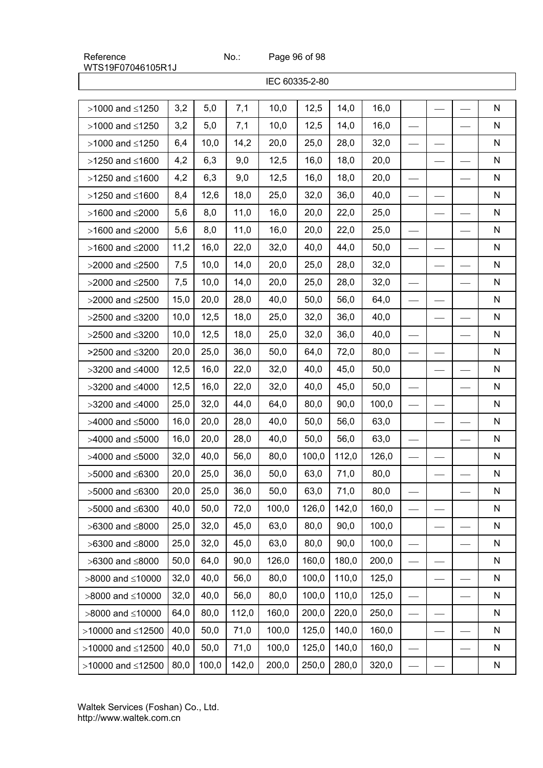Page 96 of 98

|                           |      |       |       |       | IEC 60335-2-80 |       |       |  |              |
|---------------------------|------|-------|-------|-------|----------------|-------|-------|--|--------------|
| $>1000$ and $\leq 1250$   | 3,2  | 5,0   | 7,1   | 10,0  | 12,5           | 14,0  | 16,0  |  | ${\sf N}$    |
| $>1000$ and $\leq 1250$   | 3,2  | 5,0   | 7,1   | 10,0  | 12,5           | 14,0  | 16,0  |  | $\mathsf{N}$ |
| $>1000$ and $\leq 1250$   | 6,4  | 10,0  | 14,2  | 20,0  | 25,0           | 28,0  | 32,0  |  | N            |
| $>1250$ and $\leq 1600$   | 4,2  | 6,3   | 9,0   | 12,5  | 16,0           | 18,0  | 20,0  |  | N            |
| $>1250$ and $\leq 1600$   | 4,2  | 6,3   | 9,0   | 12,5  | 16,0           | 18,0  | 20,0  |  | N            |
| $>1250$ and $\leq 1600$   | 8,4  | 12,6  | 18,0  | 25,0  | 32,0           | 36,0  | 40,0  |  | N            |
| $>1600$ and $\leq$ 2000   | 5,6  | 8,0   | 11,0  | 16,0  | 20,0           | 22,0  | 25,0  |  | N            |
| $>1600$ and $\leq$ 2000   | 5,6  | 8,0   | 11,0  | 16,0  | 20,0           | 22,0  | 25,0  |  | N            |
| $>1600$ and $\leq$ 2000   | 11,2 | 16,0  | 22,0  | 32,0  | 40,0           | 44,0  | 50,0  |  | N            |
| $>2000$ and $\leq$ 2500   | 7,5  | 10,0  | 14,0  | 20,0  | 25,0           | 28,0  | 32,0  |  | N            |
| $>2000$ and $\leq$ 2500   | 7,5  | 10,0  | 14,0  | 20,0  | 25,0           | 28,0  | 32,0  |  | N            |
| $>2000$ and $\leq$ 2500   | 15,0 | 20,0  | 28,0  | 40,0  | 50,0           | 56,0  | 64,0  |  | N            |
| $>2500$ and $\leq$ 3200   | 10,0 | 12,5  | 18,0  | 25,0  | 32,0           | 36,0  | 40,0  |  | N            |
| $>2500$ and $\leq$ 3200   | 10,0 | 12,5  | 18,0  | 25,0  | 32,0           | 36,0  | 40,0  |  | N            |
| >2500 and ≤3200           | 20,0 | 25,0  | 36,0  | 50,0  | 64,0           | 72,0  | 80,0  |  | N            |
| $>3200$ and $\leq 4000$   | 12,5 | 16,0  | 22,0  | 32,0  | 40,0           | 45,0  | 50,0  |  | N            |
| $>3200$ and $\leq 4000$   | 12,5 | 16,0  | 22,0  | 32,0  | 40,0           | 45,0  | 50,0  |  | N            |
| $>3200$ and $\leq 4000$   | 25,0 | 32,0  | 44,0  | 64,0  | 80,0           | 90,0  | 100,0 |  | N            |
| $>4000$ and $\leq 5000$   | 16,0 | 20,0  | 28,0  | 40,0  | 50,0           | 56,0  | 63,0  |  | N            |
| $>4000$ and $\leq 5000$   | 16,0 | 20,0  | 28,0  | 40,0  | 50,0           | 56,0  | 63,0  |  | N            |
| $>4000$ and $\leq 5000$   | 32,0 | 40,0  | 56,0  | 80,0  | 100,0          | 112,0 | 126,0 |  | N            |
| $>5000$ and $\leq 6300$   | 20,0 | 25,0  | 36,0  | 50,0  | 63,0           | 71,0  | 80,0  |  | N            |
| $>5000$ and $\leq 6300$   | 20,0 | 25,0  | 36,0  | 50,0  | 63,0           | 71,0  | 80,0  |  | N            |
| $>5000$ and $\leq 6300$   | 40,0 | 50,0  | 72,0  | 100,0 | 126,0          | 142,0 | 160,0 |  | N            |
| $>6300$ and $\leq 8000$   | 25,0 | 32,0  | 45,0  | 63,0  | 80,0           | 90,0  | 100,0 |  | N            |
| $>6300$ and $\leq 8000$   | 25,0 | 32,0  | 45,0  | 63,0  | 80,0           | 90,0  | 100,0 |  | N            |
| $>6300$ and $\leq 8000$   | 50,0 | 64,0  | 90,0  | 126,0 | 160,0          | 180,0 | 200,0 |  | N            |
| $>8000$ and $\leq 10000$  | 32,0 | 40,0  | 56,0  | 80,0  | 100,0          | 110,0 | 125,0 |  | N            |
| $>8000$ and $\leq 10000$  | 32,0 | 40,0  | 56,0  | 80,0  | 100,0          | 110,0 | 125,0 |  | N            |
| $>8000$ and $\leq 10000$  | 64,0 | 80,0  | 112,0 | 160,0 | 200,0          | 220,0 | 250,0 |  | N            |
| $>10000$ and $\leq 12500$ | 40,0 | 50,0  | 71,0  | 100,0 | 125,0          | 140,0 | 160,0 |  | N            |
| $>10000$ and $\leq 12500$ | 40,0 | 50,0  | 71,0  | 100,0 | 125,0          | 140,0 | 160,0 |  | N            |
| $>10000$ and $\leq 12500$ | 80,0 | 100,0 | 142,0 | 200,0 | 250,0          | 280,0 | 320,0 |  | N            |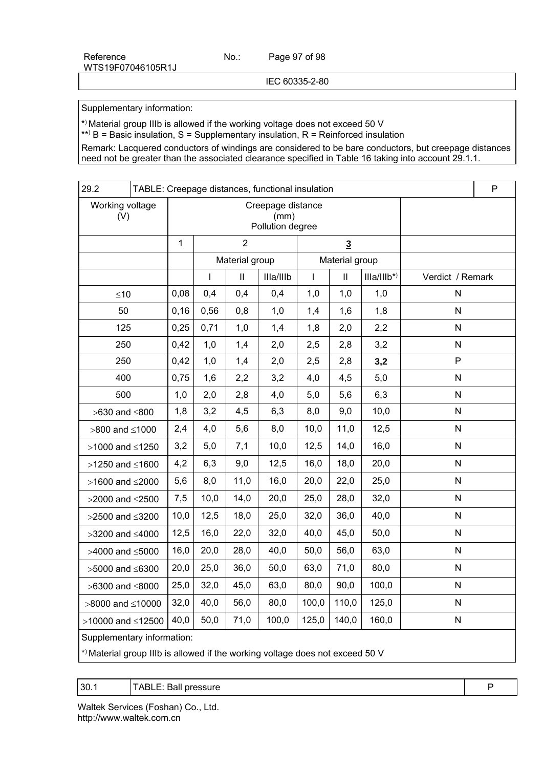Page 97 of 98

IEC 60335-2-80

Supplementary information:

\*) Material group IIIb is allowed if the working voltage does not exceed 50 V

\*\*) B = Basic insulation, S = Supplementary insulation, R = Reinforced insulation

Remark: Lacquered conductors of windings are considered to be bare conductors, but creepage distances need not be greater than the associated clearance specified in Table 16 taking into account 29.1.1.

| 29.2                                                                          |                            |                                               |              |                | TABLE: Creepage distances, functional insulation |                |                |              |                  | P |
|-------------------------------------------------------------------------------|----------------------------|-----------------------------------------------|--------------|----------------|--------------------------------------------------|----------------|----------------|--------------|------------------|---|
| Working voltage<br>(V)                                                        |                            | Creepage distance<br>(mm)<br>Pollution degree |              |                |                                                  |                |                |              |                  |   |
|                                                                               |                            | $\mathbf{1}$                                  |              | $\overline{2}$ |                                                  | $\overline{3}$ |                |              |                  |   |
|                                                                               |                            |                                               |              | Material group |                                                  |                | Material group |              |                  |   |
|                                                                               |                            |                                               | $\mathsf{I}$ | $\mathbf{II}$  | Illa/Illb                                        | $\mathbf{I}$   | $\mathbf{II}$  | $IIIa/IIIb*$ | Verdict / Remark |   |
| $≤10$                                                                         |                            | 0,08                                          | 0,4          | 0,4            | 0,4                                              | 1,0            | 1,0            | 1,0          | $\mathsf{N}$     |   |
| 50                                                                            |                            | 0, 16                                         | 0,56         | 0,8            | 1,0                                              | 1,4            | 1,6            | 1,8          | $\mathsf{N}$     |   |
| 125                                                                           |                            | 0,25                                          | 0,71         | 1,0            | 1,4                                              | 1,8            | 2,0            | 2,2          | ${\sf N}$        |   |
| 250                                                                           |                            | 0,42                                          | 1,0          | 1,4            | 2,0                                              | 2,5            | 2,8            | 3,2          | ${\sf N}$        |   |
| 250                                                                           |                            | 0,42                                          | 1,0          | 1,4            | 2,0                                              | 2,5            | 2,8            | 3,2          | $\mathsf{P}$     |   |
| 400                                                                           |                            | 0,75                                          | 1,6          | 2,2            | 3,2                                              | 4,0            | 4,5            | 5,0          | ${\sf N}$        |   |
| 500                                                                           |                            | 1,0                                           | 2,0          | 2,8            | 4,0                                              | 5,0            | 5,6            | 6,3          | ${\sf N}$        |   |
| $>630$ and $\leq 800$                                                         |                            | 1,8                                           | 3,2          | 4,5            | 6,3                                              | 8,0            | 9,0            | 10,0         | ${\sf N}$        |   |
| $>800$ and $\leq 1000$                                                        |                            | 2,4                                           | 4,0          | 5,6            | 8,0                                              | 10,0           | 11,0           | 12,5         | ${\sf N}$        |   |
| $>1000$ and $\leq 1250$                                                       |                            | 3,2                                           | 5,0          | 7,1            | 10,0                                             | 12,5           | 14,0           | 16,0         | N                |   |
| $>1250$ and $\leq 1600$                                                       |                            | 4,2                                           | 6,3          | 9,0            | 12,5                                             | 16,0           | 18,0           | 20,0         | ${\sf N}$        |   |
| $>1600$ and $\leq$ 2000                                                       |                            | 5,6                                           | 8,0          | 11,0           | 16,0                                             | 20,0           | 22,0           | 25,0         | ${\sf N}$        |   |
| $>2000$ and $\leq$ 2500                                                       |                            | 7,5                                           | 10,0         | 14,0           | 20,0                                             | 25,0           | 28,0           | 32,0         | ${\sf N}$        |   |
| $>2500$ and $\leq$ 3200                                                       |                            | 10,0                                          | 12,5         | 18,0           | 25,0                                             | 32,0           | 36,0           | 40,0         | N                |   |
| $>3200$ and $\leq 4000$                                                       |                            | 12,5                                          | 16,0         | 22,0           | 32,0                                             | 40,0           | 45,0           | 50,0         | $\mathsf{N}$     |   |
| $>4000$ and $\leq 5000$                                                       |                            | 16,0                                          | 20,0         | 28,0           | 40,0                                             | 50,0           | 56,0           | 63,0         | $\mathsf{N}$     |   |
| $>5000$ and $\leq 6300$                                                       |                            | 20,0                                          | 25,0         | 36,0           | 50,0                                             | 63,0           | 71,0           | 80,0         | N                |   |
| $>6300$ and $\leq 8000$                                                       |                            | 25,0                                          | 32,0         | 45,0           | 63,0                                             | 80,0           | 90,0           | 100,0        | N                |   |
| $>8000$ and $\leq 10000$                                                      |                            | 32,0                                          | 40,0         | 56,0           | 80,0                                             | 100,0          | 110,0          | 125,0        | N                |   |
| $>10000$ and $\leq 12500$                                                     |                            | 40,0                                          | 50,0         | 71,0           | 100,0                                            | 125,0          | 140,0          | 160,0        | N                |   |
|                                                                               | Supplementary information: |                                               |              |                |                                                  |                |                |              |                  |   |
| *) Material group IIIb is allowed if the working voltage does not exceed 50 V |                            |                                               |              |                |                                                  |                |                |              |                  |   |

30.1 TABLE: Ball pressure Pressure Pressure Pressure Pressure Pressure Pressure Pressure Pressure Pressure Pre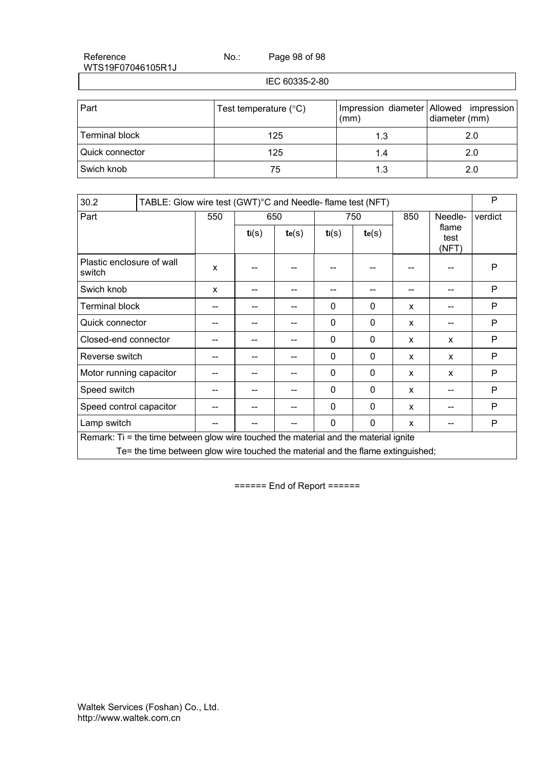Page 98 of 98

IEC 60335-2-80

| Part              | Test temperature $(^{\circ}C)$ | (mm) | Impression diameter Allowed impression<br>diameter (mm) |
|-------------------|--------------------------------|------|---------------------------------------------------------|
| Terminal block    | 125                            | 1.3  | 2.0                                                     |
| l Quick connector | 125                            | 1.4  | 2.0                                                     |
| Swich knob        | 75                             | 1.3  | 2.0                                                     |

| 30.2                                |                                                                                      |     | TABLE: Glow wire test (GWT)°C and Needle-flame test (NFT) |       |              |          |              |                        | P       |
|-------------------------------------|--------------------------------------------------------------------------------------|-----|-----------------------------------------------------------|-------|--------------|----------|--------------|------------------------|---------|
| Part                                |                                                                                      | 550 |                                                           | 650   |              | 750      |              | Needle-                | verdict |
|                                     |                                                                                      |     | ti(s)                                                     | te(s) | ti(S)        | te(s)    |              | flame<br>test<br>(NFT) |         |
| Plastic enclosure of wall<br>switch |                                                                                      | X   |                                                           |       |              |          |              |                        | P       |
| Swich knob                          |                                                                                      | X   |                                                           |       |              |          |              |                        | P       |
| <b>Terminal block</b>               |                                                                                      |     |                                                           |       | $\mathbf{0}$ | 0        | X            |                        | P       |
| Quick connector                     |                                                                                      |     |                                                           |       | $\Omega$     | 0        | $\mathsf{x}$ |                        | P       |
| Closed-end connector                |                                                                                      |     |                                                           |       | $\Omega$     | $\Omega$ | x            | X                      | P       |
| Reverse switch                      |                                                                                      |     |                                                           |       | $\mathbf 0$  | 0        | X            | $\mathsf{x}$           | P       |
| Motor running capacitor             |                                                                                      |     |                                                           |       | $\mathbf 0$  | 0        | X            | X                      | P       |
| Speed switch                        |                                                                                      | --  |                                                           |       | $\mathbf 0$  | 0        | X            | --                     | P       |
| Speed control capacitor             |                                                                                      |     |                                                           |       | $\mathbf 0$  | 0        | X            |                        | P       |
| Lamp switch                         |                                                                                      |     |                                                           |       | $\Omega$     | $\Omega$ | X            |                        | P       |
|                                     | Remark: Ti = the time between glow wire touched the material and the material ignite |     |                                                           |       |              |          |              |                        |         |
|                                     | Te= the time between glow wire touched the material and the flame extinguished;      |     |                                                           |       |              |          |              |                        |         |

====== End of Report ======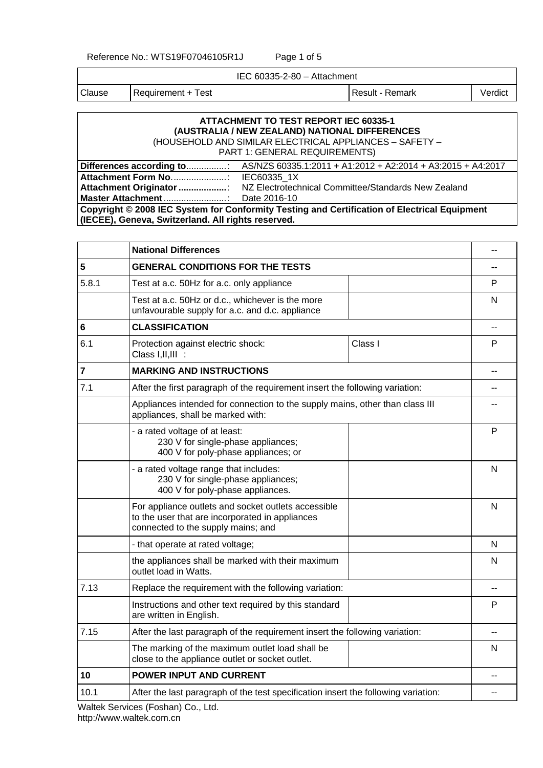Reference No.: WTS19F07046105R1J Page 1 of 5

IEC 60335-2-80 – Attachment

Clause Requirement + Test Result - Result - Remark Verdict

### **ATTACHMENT TO TEST REPORT IEC 60335-1 (AUSTRALIA / NEW ZEALAND) NATIONAL DIFFERENCES**

(HOUSEHOLD AND SIMILAR ELECTRICAL APPLIANCES – SAFETY – PART 1: GENERAL REQUIREMENTS)

| Copyright © 2008 IEC System for Conformity Testing and Certification of Electrical Equipment |  |  |  |  |  |
|----------------------------------------------------------------------------------------------|--|--|--|--|--|
| (IECEE), Geneva, Switzerland. All rights reserved.                                           |  |  |  |  |  |

|       | <b>National Differences</b>                                                                                                                  |                |  |  |  |  |
|-------|----------------------------------------------------------------------------------------------------------------------------------------------|----------------|--|--|--|--|
| 5     | <b>GENERAL CONDITIONS FOR THE TESTS</b>                                                                                                      |                |  |  |  |  |
| 5.8.1 | Test at a.c. 50Hz for a.c. only appliance                                                                                                    | P              |  |  |  |  |
|       | Test at a.c. 50Hz or d.c., whichever is the more<br>unfavourable supply for a.c. and d.c. appliance                                          | N              |  |  |  |  |
| 6     | <b>CLASSIFICATION</b>                                                                                                                        |                |  |  |  |  |
| 6.1   | Class I<br>Protection against electric shock:<br>Class I, II, III :                                                                          | P              |  |  |  |  |
| 7     | <b>MARKING AND INSTRUCTIONS</b>                                                                                                              | $\overline{a}$ |  |  |  |  |
| 7.1   | After the first paragraph of the requirement insert the following variation:                                                                 |                |  |  |  |  |
|       | Appliances intended for connection to the supply mains, other than class III<br>appliances, shall be marked with:                            |                |  |  |  |  |
|       | - a rated voltage of at least:<br>230 V for single-phase appliances;<br>400 V for poly-phase appliances; or                                  | P              |  |  |  |  |
|       | - a rated voltage range that includes:<br>230 V for single-phase appliances;<br>400 V for poly-phase appliances.                             |                |  |  |  |  |
|       | For appliance outlets and socket outlets accessible<br>to the user that are incorporated in appliances<br>connected to the supply mains; and |                |  |  |  |  |
|       | - that operate at rated voltage;                                                                                                             | N              |  |  |  |  |
|       | the appliances shall be marked with their maximum<br>outlet load in Watts.                                                                   | N              |  |  |  |  |
| 7.13  | Replace the requirement with the following variation:                                                                                        |                |  |  |  |  |
|       | Instructions and other text required by this standard<br>are written in English.                                                             | P              |  |  |  |  |
| 7.15  | After the last paragraph of the requirement insert the following variation:                                                                  | --             |  |  |  |  |
|       | The marking of the maximum outlet load shall be<br>close to the appliance outlet or socket outlet.                                           | N              |  |  |  |  |
| 10    | <b>POWER INPUT AND CURRENT</b>                                                                                                               |                |  |  |  |  |
| 10.1  | After the last paragraph of the test specification insert the following variation:                                                           | --             |  |  |  |  |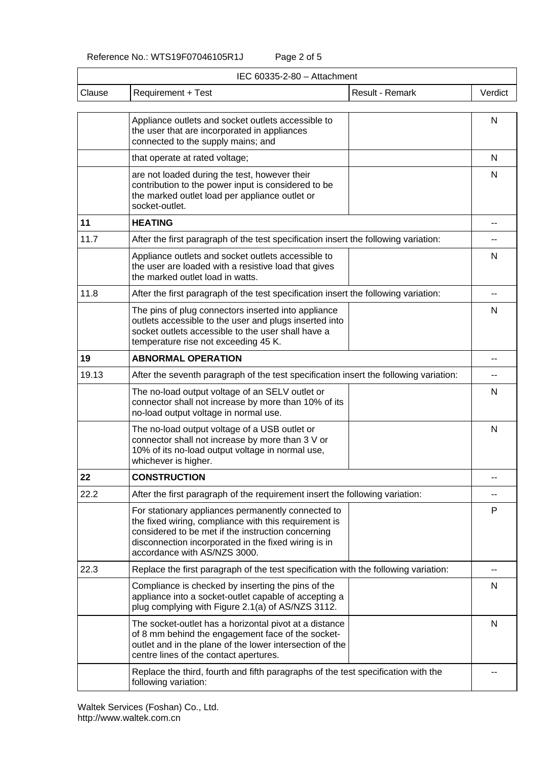| IEC 60335-2-80 - Attachment |                                                                                                                                                                                                                                                           |                 |         |  |  |  |  |
|-----------------------------|-----------------------------------------------------------------------------------------------------------------------------------------------------------------------------------------------------------------------------------------------------------|-----------------|---------|--|--|--|--|
| Clause                      | Requirement + Test                                                                                                                                                                                                                                        | Result - Remark | Verdict |  |  |  |  |
|                             | Appliance outlets and socket outlets accessible to<br>the user that are incorporated in appliances<br>connected to the supply mains; and                                                                                                                  |                 | N       |  |  |  |  |
|                             | that operate at rated voltage;                                                                                                                                                                                                                            |                 | N       |  |  |  |  |
|                             | are not loaded during the test, however their<br>contribution to the power input is considered to be<br>the marked outlet load per appliance outlet or<br>socket-outlet.                                                                                  |                 | N       |  |  |  |  |
| 11                          | <b>HEATING</b>                                                                                                                                                                                                                                            |                 |         |  |  |  |  |
| 11.7                        | After the first paragraph of the test specification insert the following variation:                                                                                                                                                                       |                 |         |  |  |  |  |
|                             | Appliance outlets and socket outlets accessible to<br>the user are loaded with a resistive load that gives<br>the marked outlet load in watts.                                                                                                            |                 | N       |  |  |  |  |
| 11.8                        | After the first paragraph of the test specification insert the following variation:                                                                                                                                                                       |                 |         |  |  |  |  |
|                             | The pins of plug connectors inserted into appliance<br>outlets accessible to the user and plugs inserted into<br>socket outlets accessible to the user shall have a<br>temperature rise not exceeding 45 K.                                               |                 | N       |  |  |  |  |
| 19                          | <b>ABNORMAL OPERATION</b>                                                                                                                                                                                                                                 |                 |         |  |  |  |  |
| 19.13                       | After the seventh paragraph of the test specification insert the following variation:                                                                                                                                                                     |                 |         |  |  |  |  |
|                             | The no-load output voltage of an SELV outlet or<br>connector shall not increase by more than 10% of its<br>no-load output voltage in normal use.                                                                                                          |                 | N       |  |  |  |  |
|                             | The no-load output voltage of a USB outlet or<br>connector shall not increase by more than 3 V or<br>10% of its no-load output voltage in normal use,<br>whichever is higher.                                                                             |                 | N       |  |  |  |  |
| 22                          | <b>CONSTRUCTION</b>                                                                                                                                                                                                                                       |                 |         |  |  |  |  |
| 22.2                        | After the first paragraph of the requirement insert the following variation:                                                                                                                                                                              |                 |         |  |  |  |  |
|                             | For stationary appliances permanently connected to<br>the fixed wiring, compliance with this requirement is<br>considered to be met if the instruction concerning<br>disconnection incorporated in the fixed wiring is in<br>accordance with AS/NZS 3000. |                 | P       |  |  |  |  |
| 22.3                        | Replace the first paragraph of the test specification with the following variation:                                                                                                                                                                       |                 |         |  |  |  |  |
|                             | Compliance is checked by inserting the pins of the<br>appliance into a socket-outlet capable of accepting a<br>plug complying with Figure 2.1(a) of AS/NZS 3112.                                                                                          |                 | N       |  |  |  |  |
|                             | The socket-outlet has a horizontal pivot at a distance<br>of 8 mm behind the engagement face of the socket-<br>outlet and in the plane of the lower intersection of the<br>centre lines of the contact apertures.                                         |                 | N       |  |  |  |  |
|                             | Replace the third, fourth and fifth paragraphs of the test specification with the<br>following variation:                                                                                                                                                 |                 |         |  |  |  |  |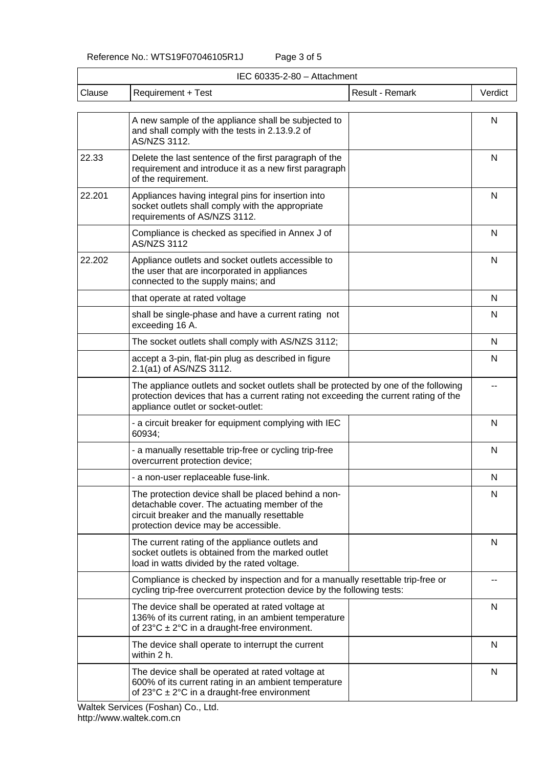|        | IEC 60335-2-80 - Attachment                                                                                                                                                                                       |                 |         |  |  |  |  |  |
|--------|-------------------------------------------------------------------------------------------------------------------------------------------------------------------------------------------------------------------|-----------------|---------|--|--|--|--|--|
| Clause | <b>Requirement + Test</b>                                                                                                                                                                                         | Result - Remark | Verdict |  |  |  |  |  |
|        | A new sample of the appliance shall be subjected to<br>and shall comply with the tests in 2.13.9.2 of<br>AS/NZS 3112.                                                                                             |                 | N       |  |  |  |  |  |
| 22.33  | Delete the last sentence of the first paragraph of the<br>requirement and introduce it as a new first paragraph<br>of the requirement.                                                                            |                 | N       |  |  |  |  |  |
| 22.201 | Appliances having integral pins for insertion into<br>socket outlets shall comply with the appropriate<br>requirements of AS/NZS 3112.                                                                            |                 | N       |  |  |  |  |  |
|        | Compliance is checked as specified in Annex J of<br><b>AS/NZS 3112</b>                                                                                                                                            |                 | N       |  |  |  |  |  |
| 22.202 | Appliance outlets and socket outlets accessible to<br>the user that are incorporated in appliances<br>connected to the supply mains; and                                                                          |                 | N       |  |  |  |  |  |
|        | that operate at rated voltage                                                                                                                                                                                     |                 | N       |  |  |  |  |  |
|        | shall be single-phase and have a current rating not<br>exceeding 16 A.                                                                                                                                            |                 | N       |  |  |  |  |  |
|        | The socket outlets shall comply with AS/NZS 3112;                                                                                                                                                                 |                 | N       |  |  |  |  |  |
|        | accept a 3-pin, flat-pin plug as described in figure<br>2.1(a1) of AS/NZS 3112.                                                                                                                                   |                 | N       |  |  |  |  |  |
|        | The appliance outlets and socket outlets shall be protected by one of the following<br>protection devices that has a current rating not exceeding the current rating of the<br>appliance outlet or socket-outlet: |                 |         |  |  |  |  |  |
|        | - a circuit breaker for equipment complying with IEC<br>60934;                                                                                                                                                    |                 | N       |  |  |  |  |  |
|        | - a manually resettable trip-free or cycling trip-free<br>overcurrent protection device;                                                                                                                          |                 | N       |  |  |  |  |  |
|        | - a non-user replaceable fuse-link.                                                                                                                                                                               |                 | N       |  |  |  |  |  |
|        | The protection device shall be placed behind a non-<br>detachable cover. The actuating member of the<br>circuit breaker and the manually resettable<br>protection device may be accessible.                       |                 | N       |  |  |  |  |  |
|        | The current rating of the appliance outlets and<br>socket outlets is obtained from the marked outlet<br>load in watts divided by the rated voltage.                                                               |                 | N       |  |  |  |  |  |
|        | Compliance is checked by inspection and for a manually resettable trip-free or<br>cycling trip-free overcurrent protection device by the following tests:                                                         |                 |         |  |  |  |  |  |
|        | The device shall be operated at rated voltage at<br>136% of its current rating, in an ambient temperature<br>of $23^{\circ}$ C $\pm$ 2°C in a draught-free environment.                                           |                 | N       |  |  |  |  |  |
|        | The device shall operate to interrupt the current<br>within 2 h.                                                                                                                                                  |                 | N       |  |  |  |  |  |
|        | The device shall be operated at rated voltage at<br>600% of its current rating in an ambient temperature<br>of $23^{\circ}$ C $\pm$ 2°C in a draught-free environment                                             |                 | N       |  |  |  |  |  |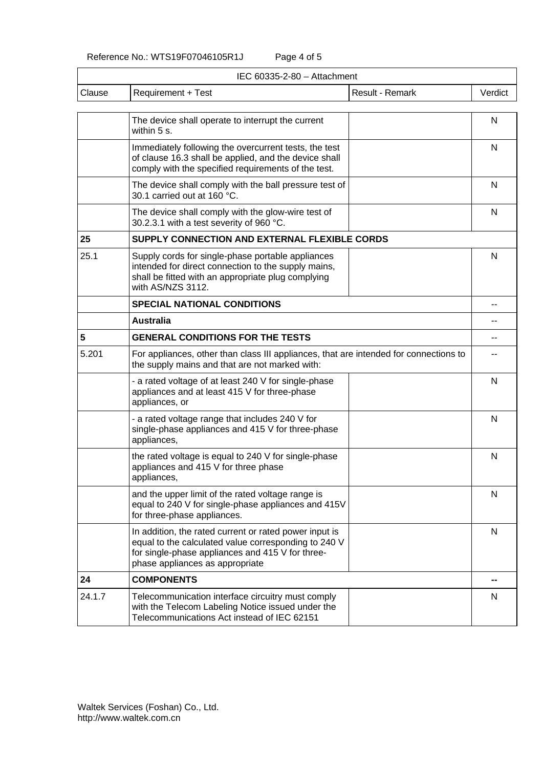Reference No.: WTS19F07046105R1J Page 4 of 5

|        | IEC 60335-2-80 - Attachment                                                                                                                                                                           |                        |         |  |  |  |
|--------|-------------------------------------------------------------------------------------------------------------------------------------------------------------------------------------------------------|------------------------|---------|--|--|--|
| Clause | <b>Requirement + Test</b>                                                                                                                                                                             | <b>Result - Remark</b> | Verdict |  |  |  |
|        | The device shall operate to interrupt the current<br>within 5 s.                                                                                                                                      |                        | N       |  |  |  |
|        | Immediately following the overcurrent tests, the test<br>of clause 16.3 shall be applied, and the device shall<br>comply with the specified requirements of the test.                                 |                        | N       |  |  |  |
|        | The device shall comply with the ball pressure test of<br>30.1 carried out at 160 °C.                                                                                                                 |                        | N       |  |  |  |
|        | The device shall comply with the glow-wire test of<br>30.2.3.1 with a test severity of 960 °C.                                                                                                        |                        | N       |  |  |  |
| 25     | SUPPLY CONNECTION AND EXTERNAL FLEXIBLE CORDS                                                                                                                                                         |                        |         |  |  |  |
| 25.1   | Supply cords for single-phase portable appliances<br>intended for direct connection to the supply mains,<br>shall be fitted with an appropriate plug complying<br>with AS/NZS 3112.                   |                        |         |  |  |  |
|        | <b>SPECIAL NATIONAL CONDITIONS</b>                                                                                                                                                                    |                        |         |  |  |  |
|        | <b>Australia</b>                                                                                                                                                                                      |                        |         |  |  |  |
| 5      | <b>GENERAL CONDITIONS FOR THE TESTS</b>                                                                                                                                                               |                        |         |  |  |  |
| 5.201  | For appliances, other than class III appliances, that are intended for connections to<br>the supply mains and that are not marked with:                                                               |                        |         |  |  |  |
|        | - a rated voltage of at least 240 V for single-phase<br>appliances and at least 415 V for three-phase<br>appliances, or                                                                               |                        | N       |  |  |  |
|        | - a rated voltage range that includes 240 V for<br>single-phase appliances and 415 V for three-phase<br>appliances,                                                                                   |                        | N       |  |  |  |
|        | the rated voltage is equal to 240 V for single-phase<br>appliances and 415 V for three phase<br>appliances,                                                                                           |                        | N       |  |  |  |
|        | and the upper limit of the rated voltage range is<br>equal to 240 V for single-phase appliances and 415V<br>for three-phase appliances.                                                               |                        | N       |  |  |  |
|        | In addition, the rated current or rated power input is<br>equal to the calculated value corresponding to 240 V<br>for single-phase appliances and 415 V for three-<br>phase appliances as appropriate |                        |         |  |  |  |
| 24     | <b>COMPONENTS</b>                                                                                                                                                                                     |                        | --      |  |  |  |
| 24.1.7 | Telecommunication interface circuitry must comply<br>with the Telecom Labeling Notice issued under the<br>Telecommunications Act instead of IEC 62151                                                 |                        | N       |  |  |  |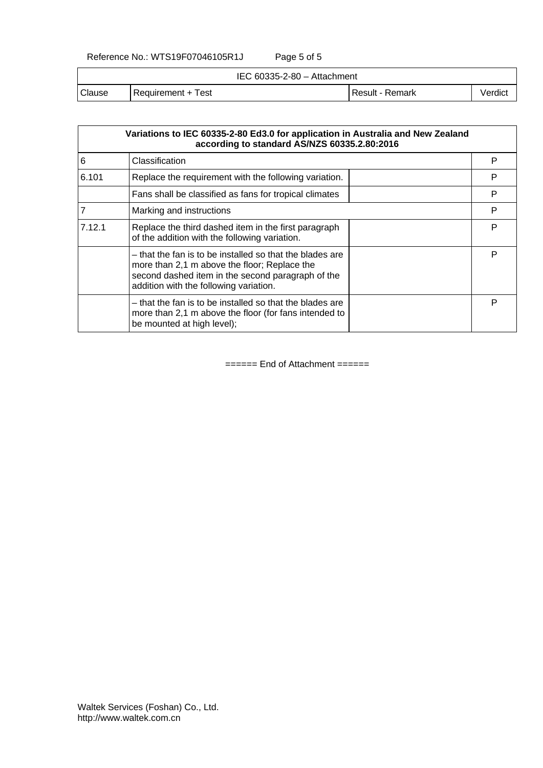#### Reference No.: WTS19F07046105R1J Page 5 of 5

IEC 60335-2-80 – Attachment

| Clause | est<br>Reauirement | Remark<br>≺esult | /erdict |
|--------|--------------------|------------------|---------|
|        |                    |                  |         |

|        | Variations to IEC 60335-2-80 Ed3.0 for application in Australia and New Zealand<br>according to standard AS/NZS 60335.2.80:2016                                                                         |   |
|--------|---------------------------------------------------------------------------------------------------------------------------------------------------------------------------------------------------------|---|
| 6      | Classification                                                                                                                                                                                          | P |
| 6.101  | Replace the requirement with the following variation.                                                                                                                                                   | P |
|        | Fans shall be classified as fans for tropical climates                                                                                                                                                  | P |
|        | Marking and instructions                                                                                                                                                                                | P |
| 7.12.1 | Replace the third dashed item in the first paragraph<br>of the addition with the following variation.                                                                                                   | P |
|        | – that the fan is to be installed so that the blades are<br>more than 2,1 m above the floor; Replace the<br>second dashed item in the second paragraph of the<br>addition with the following variation. | Р |
|        | - that the fan is to be installed so that the blades are<br>more than 2,1 m above the floor (for fans intended to<br>be mounted at high level);                                                         | P |

====== End of Attachment ======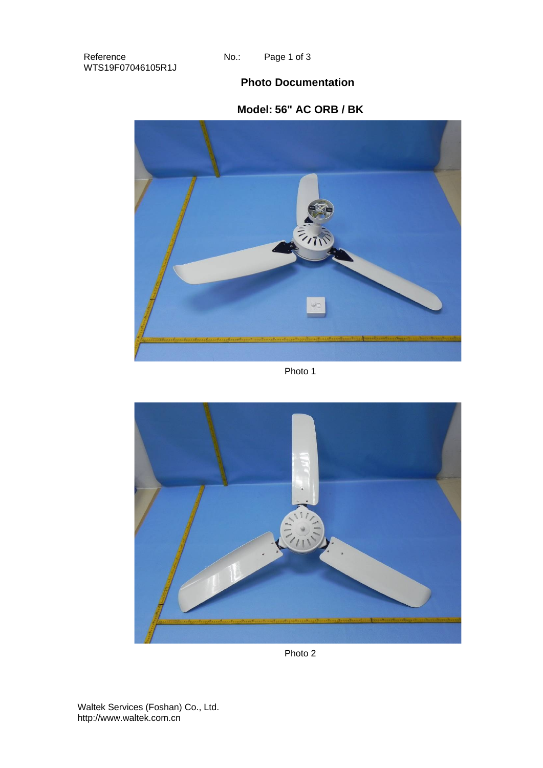Page 1 of 3

## **Photo Documentation**

## **Model: 56" AC ORB / BK**



Photo 1



Photo 2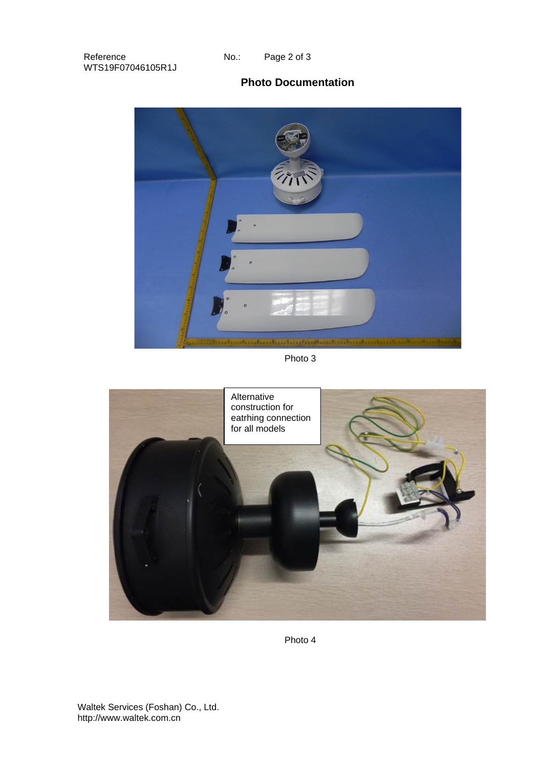## **Photo Documentation**



Photo 3



Photo 4